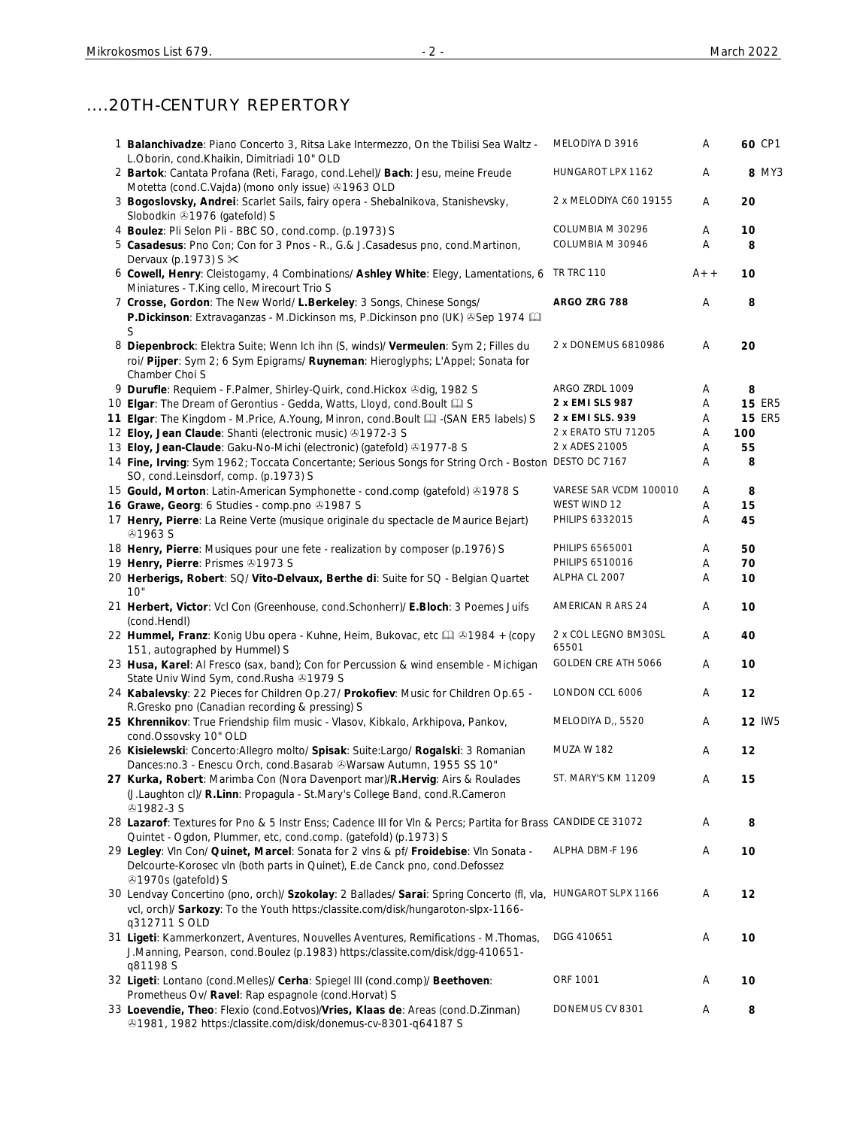## ....20TH-CENTURY REPERTORY

| 1 Balanchivadze: Piano Concerto 3, Ritsa Lake Intermezzo, On the Tbilisi Sea Waltz -<br>L.Oborin, cond.Khaikin, Dimitriadi 10" OLD                                                                                | MELODIYA D 3916               | Α     | 60 CP1        |
|-------------------------------------------------------------------------------------------------------------------------------------------------------------------------------------------------------------------|-------------------------------|-------|---------------|
| 2 Bartok: Cantata Profana (Reti, Farago, cond.Lehel)/ Bach: Jesu, meine Freude<br>Motetta (cond.C.Vajda) (mono only issue) 31963 OLD                                                                              | HUNGAROT LPX 1162             | Α     | 8 MY3         |
| 3 Bogoslovsky, Andrei: Scarlet Sails, fairy opera - Shebalnikova, Stanishevsky,<br>Slobodkin 31976 (gatefold) S                                                                                                   | 2 x MELODIYA C60 19155        | Α     | 20            |
| 4 Boulez: Pli Selon Pli - BBC SO, cond.comp. (p.1973) S                                                                                                                                                           | COLUMBIA M 30296              | Α     | 10            |
| 5 Casadesus: Pno Con; Con for 3 Pnos - R., G.& J.Casadesus pno, cond.Martinon,                                                                                                                                    | COLUMBIA M 30946              | Α     | 8             |
| Dervaux (p.1973) S $\times$<br>6 Cowell, Henry: Cleistogamy, 4 Combinations/ Ashley White: Elegy, Lamentations, 6 TR TRC 110<br>Miniatures - T.King cello, Mirecourt Trio S                                       |                               | $A++$ | 10            |
| 7 Crosse, Gordon: The New World/ L. Berkeley: 3 Songs, Chinese Songs/<br>P.Dickinson: Extravaganzas - M.Dickinson ms, P.Dickinson pno (UK) Sep 1974<br>S                                                          | ARGO ZRG 788                  | Α     | 8             |
| 8 Diepenbrock: Elektra Suite; Wenn Ich ihn (S, winds)/ Vermeulen: Sym 2; Filles du<br>roi/ Pijper: Sym 2; 6 Sym Epigrams/ Ruyneman: Hieroglyphs; L'Appel; Sonata for<br>Chamber Choi S                            | 2 x DONEMUS 6810986           | Α     | 20            |
| 9 Durufle: Requiem - F.Palmer, Shirley-Quirk, cond.Hickox & dig, 1982 S                                                                                                                                           | ARGO ZRDL 1009                | Α     | 8             |
| 10 Elgar: The Dream of Gerontius - Gedda, Watts, Lloyd, cond. Boult La S                                                                                                                                          | 2 x EMI SLS 987               | A     | <b>15 ER5</b> |
| 11 Elgar: The Kingdom - M.Price, A.Young, Minron, cond.Boult [1] - (SAN ER5 labels) S                                                                                                                             | 2 x EMI SLS, 939              | Α     | <b>15 ER5</b> |
| 12 Eloy, Jean Claude: Shanti (electronic music) 31972-3 S                                                                                                                                                         | 2 x ERATO STU 71205           | Α     | 100           |
| 13 Eloy, Jean-Claude: Gaku-No-Michi (electronic) (gatefold) 31977-8 S                                                                                                                                             | 2 x ADES 21005                | Α     | 55            |
| 14 Fine, Irving: Sym 1962; Toccata Concertante; Serious Songs for String Orch - Boston DESTO DC 7167                                                                                                              |                               | Α     | 8             |
| SO, cond.Leinsdorf, comp. (p.1973) S<br>15 Gould, Morton: Latin-American Symphonette - cond.comp (gatefold) 31978 S                                                                                               | VARESE SAR VCDM 100010        | Α     | 8             |
| 16 Grawe, Georg: 6 Studies - comp.pno @1987 S                                                                                                                                                                     | WEST WIND 12                  | Α     | 15            |
| 17 Henry, Pierre: La Reine Verte (musique originale du spectacle de Maurice Bejart)<br><b>41963 S</b>                                                                                                             | PHILIPS 6332015               | Α     | 45            |
| 18 Henry, Pierre: Musiques pour une fete - realization by composer (p.1976) S                                                                                                                                     | PHILIPS 6565001               | Α     | 50            |
| 19 Henry, Pierre: Prismes 21973 S                                                                                                                                                                                 | PHILIPS 6510016               | Α     | 70            |
| 20 Herberigs, Robert: SQ/ Vito-Delvaux, Berthe di: Suite for SQ - Belgian Quartet                                                                                                                                 | ALPHA CL 2007                 | Α     | 10            |
| 10"<br>21 Herbert, Victor: Vcl Con (Greenhouse, cond. Schonherr)/ E.Bloch: 3 Poemes Juifs<br>(cond.Hendl)                                                                                                         | AMERICAN R ARS 24             | Α     | 10            |
| 22 Hummel, Franz: Konig Ubu opera - Kuhne, Heim, Bukovac, etc [1] 31984 + (copy<br>151, autographed by Hummel) S                                                                                                  | 2 x COL LEGNO BM30SL<br>65501 | Α     | 40            |
| 23 Husa, Karel: Al Fresco (sax, band); Con for Percussion & wind ensemble - Michigan<br>State Univ Wind Sym, cond. Rusha 31979 S                                                                                  | GOLDEN CRE ATH 5066           | Α     | 10            |
| 24 Kabalevsky: 22 Pieces for Children Op.27/ Prokofiev: Music for Children Op.65 -<br>R.Gresko pno (Canadian recording & pressing) S                                                                              | LONDON CCL 6006               | Α     | 12            |
| 25 Khrennikov: True Friendship film music - Vlasov, Kibkalo, Arkhipova, Pankov,<br>cond.Ossovsky 10" OLD                                                                                                          | MELODIYA D,, 5520             | Α     | <b>12 IW5</b> |
| 26 Kisielewski: Concerto: Allegro molto/ Spisak: Suite: Largo/ Rogalski: 3 Romanian<br>Dances:no.3 - Enescu Orch, cond.Basarab @Warsaw Autumn, 1955 SS 10"                                                        | <b>MUZA W 182</b>             | Α     | 12            |
| 27 Kurka, Robert: Marimba Con (Nora Davenport mar)/R.Hervig: Airs & Roulades<br>(J.Laughton cl)/ R.Linn: Propagula - St.Mary's College Band, cond.R.Cameron<br><b>@1982-3 S</b>                                   | ST. MARY'S KM 11209           | Α     | 15            |
| 28 Lazarof: Textures for Pno & 5 Instr Enss; Cadence III for VIn & Percs; Partita for Brass CANDIDE CE 31072<br>Quintet - Ogdon, Plummer, etc, cond.comp. (gatefold) (p.1973) S                                   |                               | Α     | 8             |
| 29 Legley: VIn Con/ Quinet, Marcel: Sonata for 2 vIns & pf/ Froidebise: VIn Sonata -<br>Delcourte-Korosec vln (both parts in Quinet), E.de Canck pno, cond.Defossez<br>⊕1970s (gatefold) S                        | ALPHA DBM-F 196               | Α     | 10            |
| 30 Lendvay Concertino (pno, orch)/ Szokolay: 2 Ballades/ Sarai: Spring Concerto (fl, vla, HUNGAROT SLPX 1166<br>vcl, orch)/ Sarkozy: To the Youth https:/classite.com/disk/hungaroton-slpx-1166-<br>q312711 S OLD |                               | Α     | 12            |
| 31 Ligeti: Kammerkonzert, Aventures, Nouvelles Aventures, Remifications - M.Thomas,<br>J.Manning, Pearson, cond.Boulez (p.1983) https:/classite.com/disk/dgg-410651-<br>q81198 S                                  | DGG 410651                    | Α     | 10            |
| 32 Ligeti: Lontano (cond.Melles)/ Cerha: Spiegel III (cond.comp)/ Beethoven:<br>Prometheus Ov/ Ravel: Rap espagnole (cond.Horvat) S                                                                               | ORF 1001                      | Α     | 10            |
| 33 Loevendie, Theo: Flexio (cond.Eotvos)/Vries, Klaas de: Areas (cond.D.Zinman)<br><sup>3</sup> 1981, 1982 https:/classite.com/disk/donemus-cv-8301-q64187 S                                                      | DONEMUS CV 8301               | Α     | 8             |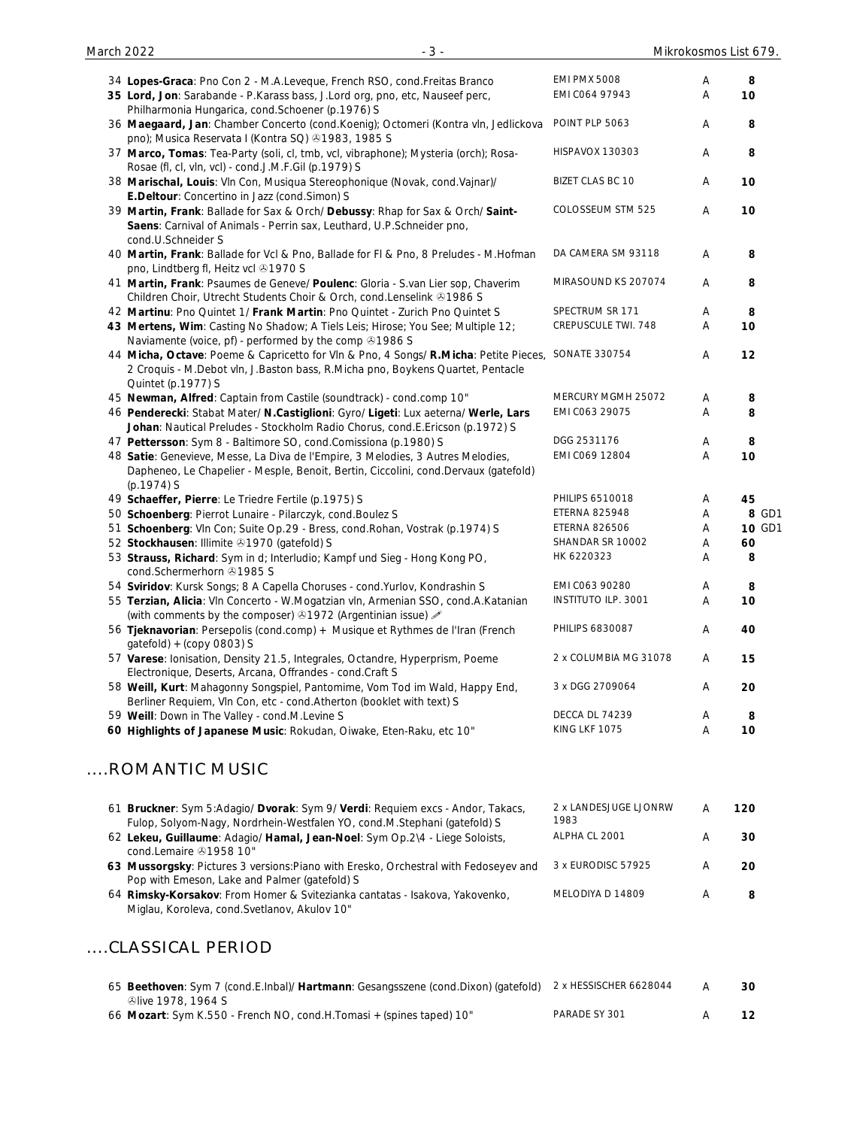| 34 Lopes-Graca: Pno Con 2 - M.A.Leveque, French RSO, cond.Freitas Branco                                                                                                               | <b>EMI PMX 5008</b>           | Α | 8      |
|----------------------------------------------------------------------------------------------------------------------------------------------------------------------------------------|-------------------------------|---|--------|
| 35 Lord, Jon: Sarabande - P.Karass bass, J.Lord org, pno, etc, Nauseef perc,                                                                                                           | EMI CO64 97943                | Α | 10     |
| Philharmonia Hungarica, cond.Schoener (p.1976) S                                                                                                                                       |                               |   |        |
| 36 Maegaard, Jan: Chamber Concerto (cond.Koenig); Octomeri (Kontra vln, Jedlickova<br>pno); Musica Reservata I (Kontra SQ) 31983, 1985 S                                               | POINT PLP 5063                | Α | 8      |
| 37 Marco, Tomas: Tea-Party (soli, cl, tmb, vcl, vibraphone); Mysteria (orch); Rosa-                                                                                                    | <b>HISPAVOX 130303</b>        | Α | 8      |
| Rosae (fl, cl, vln, vcl) - cond.J.M.F.Gil (p.1979) S                                                                                                                                   |                               |   |        |
| 38 Marischal, Louis: VIn Con, Musiqua Stereophonique (Novak, cond. Vajnar)/<br>E.Deltour: Concertino in Jazz (cond.Simon) S                                                            | <b>BIZET CLAS BC 10</b>       | Α | 10     |
| 39 Martin, Frank: Ballade for Sax & Orch/ Debussy: Rhap for Sax & Orch/ Saint-<br>Saens: Carnival of Animals - Perrin sax, Leuthard, U.P.Schneider pno,                                | COLOSSEUM STM 525             | Α | 10     |
| cond.U.Schneider S<br>40 Martin, Frank: Ballade for Vcl & Pno, Ballade for FI & Pno, 8 Preludes - M.Hofman                                                                             | DA CAMERA SM 93118            | A | 8      |
| pno, Lindtberg fl, Heitz vcl +1970 S<br>41 Martin, Frank: Psaumes de Geneve/ Poulenc: Gloria - S.van Lier sop, Chaverim                                                                | MIRASOUND KS 207074           | A | 8      |
| Children Choir, Utrecht Students Choir & Orch, cond.Lenselink 21986 S                                                                                                                  |                               |   |        |
| 42 Martinu: Pno Quintet 1/ Frank Martin: Pno Quintet - Zurich Pno Quintet S                                                                                                            | SPECTRUM SR 171               | Α | 8      |
| 43 Mertens, Wim: Casting No Shadow; A Tiels Leis; Hirose; You See; Multiple 12;<br>Naviamente (voice, pf) - performed by the comp 01986 S                                              | CREPUSCULE TWI. 748           | A | 10     |
| 44 Micha, Octave: Poeme & Capricetto for Vln & Pno, 4 Songs/ R.Micha: Petite Pieces, SONATE 330754                                                                                     |                               | Α | 12     |
| 2 Croquis - M.Debot vln, J.Baston bass, R.Micha pno, Boykens Quartet, Pentacle<br>Quintet (p.1977) S                                                                                   |                               |   |        |
| 45 Newman, Alfred: Captain from Castile (soundtrack) - cond.comp 10"                                                                                                                   | MERCURY MGMH 25072            | Α | 8      |
| 46 Penderecki: Stabat Mater/ N.Castiglioni: Gyro/ Ligeti: Lux aeterna/ Werle, Lars                                                                                                     | EMI C063 29075                | Α | 8      |
| Johan: Nautical Preludes - Stockholm Radio Chorus, cond.E.Ericson (p.1972) S                                                                                                           |                               |   |        |
| 47 Pettersson: Sym 8 - Baltimore SO, cond.Comissiona (p.1980) S                                                                                                                        | DGG 2531176                   | Α | 8      |
| 48 Satie: Genevieve, Messe, La Diva de l'Empire, 3 Melodies, 3 Autres Melodies,<br>Dapheneo, Le Chapelier - Mesple, Benoit, Bertin, Ciccolini, cond.Dervaux (gatefold)<br>$(p.1974)$ S | EMI C069 12804                | Α | 10     |
| 49 Schaeffer, Pierre: Le Triedre Fertile (p.1975) S                                                                                                                                    | PHILIPS 6510018               | Α | 45     |
| 50 Schoenberg: Pierrot Lunaire - Pilarczyk, cond. Boulez S                                                                                                                             | <b>ETERNA 825948</b>          | Α | 8 GD1  |
| 51 Schoenberg: Vln Con; Suite Op.29 - Bress, cond. Rohan, Vostrak (p.1974) S                                                                                                           | <b>ETERNA 826506</b>          | Α | 10 GD1 |
| 52 Stockhausen: Illimite 31970 (gatefold) S                                                                                                                                            | SHANDAR SR 10002              | Α | 60     |
| 53 Strauss, Richard: Sym in d; Interludio; Kampf und Sieg - Hong Kong PO,<br>cond.Schermerhorn 21985 S                                                                                 | HK 6220323                    | A | 8      |
| 54 Sviridov: Kursk Songs; 8 A Capella Choruses - cond. Yurlov, Kondrashin S                                                                                                            | EMI C063 90280                | Α | 8      |
| 55 Terzian, Alicia: VIn Concerto - W.Mogatzian vIn, Armenian SSO, cond.A.Katanian                                                                                                      | <b>INSTITUTO ILP. 3001</b>    | Α | 10     |
| (with comments by the composer) 31972 (Argentinian issue) 2<br>56 Tjeknavorian: Persepolis (cond.comp) + Musique et Rythmes de l'Iran (French                                          | <b>PHILIPS 6830087</b>        | Α | 40     |
| $gatefold) + (copy 0803)$ S                                                                                                                                                            |                               |   |        |
| 57 Varese: Ionisation, Density 21.5, Integrales, Octandre, Hyperprism, Poeme<br>Electronique, Deserts, Arcana, Offrandes - cond.Craft S                                                | 2 x COLUMBIA MG 31078         | A | 15     |
| 58 Weill, Kurt: Mahagonny Songspiel, Pantomime, Vom Tod im Wald, Happy End,<br>Berliner Requiem, VIn Con, etc - cond. Atherton (booklet with text) S                                   | 3 x DGG 2709064               | Α | 20     |
| 59 Weill: Down in The Valley - cond.M.Levine S                                                                                                                                         | DECCA DL 74239                | Α | 8      |
| 60 Highlights of Japanese Music: Rokudan, Oiwake, Eten-Raku, etc 10"                                                                                                                   | KING LKF 1075                 | A | 10     |
| ROMANTIC MUSIC                                                                                                                                                                         |                               |   |        |
|                                                                                                                                                                                        |                               |   |        |
| 61 Bruckner: Sym 5:Adagio/ Dvorak: Sym 9/ Verdi: Requiem excs - Andor, Takacs,<br>Fulop, Solyom-Nagy, Nordrhein-Westfalen YO, cond.M.Stephani (gatefold) S                             | 2 x LANDESJUGE LJONRW<br>1983 | Α | 120    |
| 62 Lekeu, Guillaume: Adagio/ Hamal, Jean-Noel: Sym Op.2\4 - Liege Soloists,<br>cond.Lemaire 31958 10"                                                                                  | ALPHA CL 2001                 | Α | 30     |
| 63 Mussorgsky: Pictures 3 versions: Piano with Eresko, Orchestral with Fedoseyev and<br>Pop with Emeson, Lake and Palmer (gatefold) S                                                  | 3 x EURODISC 57925            | Α | 20     |
| 64 Rimsky-Korsakov: From Homer & Svitezianka cantatas - Isakova, Yakovenko,                                                                                                            | MELODIYA D 14809              | Α | 8      |
| Miglau, Koroleva, cond.Svetlanov, Akulov 10"                                                                                                                                           |                               |   |        |
| CLASSICAL PERIOD                                                                                                                                                                       |                               |   |        |
|                                                                                                                                                                                        |                               |   |        |

| 65 Beethoven: Sym 7 (cond.E.Inbal)/ Hartmann: Gesangsszene (cond.Dixon) (gatefold) | 2 x HESSISCHER 6628044 | 30              |
|------------------------------------------------------------------------------------|------------------------|-----------------|
| to 1978, 1964 S                                                                    |                        |                 |
| 66 Mozart: Sym K.550 - French NO, cond.H.Tomasi + (spines taped) 10"               | PARADE SY 301          | 12 <sub>1</sub> |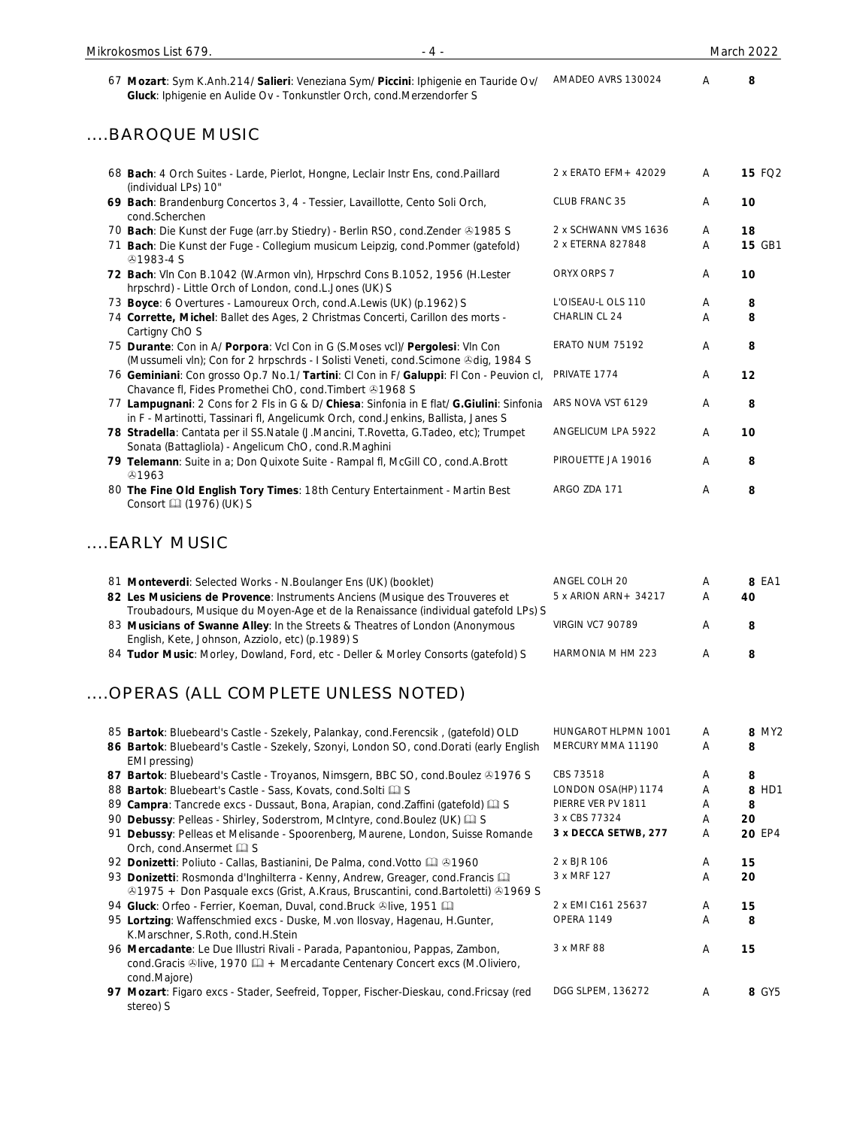67 **Mozart**: Sym K.Anh.214/ **Salieri**: Veneziana Sym/ **Piccini**: Iphigenie en Tauride Ov/ AMADEO AVRS 130024 A **8 Gluck**: Iphigenie en Aulide Ov - Tonkunstler Orch, cond.Merzendorfer S

#### ....BAROQUE MUSIC

| 68 Bach: 4 Orch Suites - Larde, Pierlot, Hongne, Leclair Instr Ens, cond.Paillard<br>(individual LPs) 10"                                                                      | 2 x ERATO EFM + 42029 | A | <b>15 FQ2</b> |
|--------------------------------------------------------------------------------------------------------------------------------------------------------------------------------|-----------------------|---|---------------|
| 69 Bach: Brandenburg Concertos 3, 4 - Tessier, Lavaillotte, Cento Soli Orch,<br>cond.Scherchen                                                                                 | CLUB FRANC 35         | A | 10            |
| 70 Bach: Die Kunst der Fuge (arr.by Stiedry) - Berlin RSO, cond.Zender & 1985 S                                                                                                | 2 x SCHWANN VMS 1636  | A | 18            |
| 71 Bach: Die Kunst der Fuge - Collegium musicum Leipzig, cond.Pommer (gatefold)<br><b><i></i></b> 91983-4 S                                                                    | 2 x ETERNA 827848     | A | <b>15 GB1</b> |
| 72 Bach: VIn Con B.1042 (W.Armon vIn), Hrpschrd Cons B.1052, 1956 (H.Lester<br>hrpschrd) - Little Orch of London, cond.L.Jones (UK) S                                          | ORYX ORPS 7           | A | 10            |
| 73 Boyce: 6 Overtures - Lamoureux Orch, cond.A.Lewis (UK) (p.1962) S                                                                                                           | L'OISEAU-LOLS 110     | A | 8             |
| 74 Corrette, Michel: Ballet des Ages, 2 Christmas Concerti, Carillon des morts -<br>Cartigny ChO S                                                                             | CHARLIN CL 24         | A | 8             |
| 75 Durante: Con in A/ Porpora: Vcl Con in G (S.Moses vcl)/ Pergolesi: VIn Con<br>(Mussumeli vln); Con for 2 hrpschrds - I Solisti Veneti, cond. Scimone @dig, 1984 S           | ERATO NUM 75192       | A | 8             |
| 76 Geminiani: Con grosso Op.7 No.1/ Tartini: Cl Con in F/ Galuppi: Fl Con - Peuvion cl,<br>Chavance fl, Fides Promethei ChO, cond. Timbert 31968 S                             | PRIVATE 1774          | A | 12            |
| 77 Lampugnani: 2 Cons for 2 Fls in G & D/ Chiesa: Sinfonia in E flat/ G.Giulini: Sinfonia<br>in F - Martinotti, Tassinari fl, Angelicumk Orch, cond.Jenkins, Ballista, Janes S | ARS NOVA VST 6129     | A | 8             |
| 78 Stradella: Cantata per il SS.Natale (J.Mancini, T.Rovetta, G.Tadeo, etc); Trumpet<br>Sonata (Battagliola) - Angelicum ChO, cond.R.Maghini                                   | ANGELICUM LPA 5922    | A | 10            |
| 79 Telemann: Suite in a; Don Quixote Suite - Rampal fl, McGill CO, cond.A.Brott<br>&1963                                                                                       | PIROUETTE JA 19016    | A | 8             |
| 80 The Fine Old English Tory Times: 18th Century Entertainment - Martin Best<br>Consort (1976) (UK) S                                                                          | ARGO ZDA 171          | A | 8             |
|                                                                                                                                                                                |                       |   |               |

### ....EARLY MUSIC

| 81 Monteverdi: Selected Works - N. Boulanger Ens (UK) (booklet)<br>82 Les Musiciens de Provence: Instruments Anciens (Musique des Trouveres et                                                                         | ANGEL COLH 20<br>5 x ARION ARN + 34217 | A<br>A         | 8 EA1<br>40 |
|------------------------------------------------------------------------------------------------------------------------------------------------------------------------------------------------------------------------|----------------------------------------|----------------|-------------|
| Troubadours, Musique du Moyen-Age et de la Renaissance (individual gatefold LPs) S<br>83 Musicians of Swanne Alley: In the Streets & Theatres of London (Anonymous<br>English, Kete, Johnson, Azziolo, etc) (p.1989) S | <b>VIRGIN VC7 90789</b>                | $\mathsf{A}$   | 8           |
| 84 Tudor Music: Morley, Dowland, Ford, etc - Deller & Morley Consorts (gatefold) S                                                                                                                                     | HARMONIA M HM 223                      | $\overline{A}$ |             |

# ....OPERAS (ALL COMPLETE UNLESS NOTED)

|    | 85 Bartok: Bluebeard's Castle - Szekely, Palankay, cond.Ferencsik, (gatefold) OLD      | <b>HUNGAROT HLPMN 1001</b> | A | 8 MY2  |
|----|----------------------------------------------------------------------------------------|----------------------------|---|--------|
|    | 86 Bartok: Bluebeard's Castle - Szekely, Szonyi, London SO, cond.Dorati (early English | MERCURY MMA 11190          | A | 8      |
|    | EMI pressing)                                                                          |                            |   |        |
|    | 87 Bartok: Bluebeard's Castle - Troyanos, Nimsgern, BBC SO, cond. Boulez 31976 S       | CBS 73518                  | A | 8      |
|    | 88 Bartok: Bluebeart's Castle - Sass, Kovats, cond. Solti as S                         | LONDON OSA(HP) 1174        | A | 8 HD1  |
|    | 89 Campra: Tancrede excs - Dussaut, Bona, Arapian, cond. Zaffini (gatefold) Q S        | PIERRE VER PV 1811         | A | 8      |
|    | 90 Debussy: Pelleas - Shirley, Soderstrom, McIntyre, cond. Boulez (UK) [2] S           | 3 x CBS 77324              | A | 20     |
| 91 | Debussy: Pelleas et Melisande - Spoorenberg, Maurene, London, Suisse Romande           | 3 x DECCA SETWB, 277       | A | 20 EP4 |
|    | Orch, cond.Ansermet La S                                                               |                            |   |        |
|    | 92 Donizetti: Poliuto - Callas, Bastianini, De Palma, cond. Votto 4 61960              | 2 x BJR 106                | A | 15     |
|    | 93 Donizetti: Rosmonda d'Inghilterra - Kenny, Andrew, Greager, cond. Francis Q         | 3 x MRF 127                | A | 20     |
|    | ⊕1975 + Don Pasquale excs (Grist, A.Kraus, Bruscantini, cond.Bartoletti) ⊕1969 S       |                            |   |        |
|    | 94 Gluck: Orfeo - Ferrier, Koeman, Duval, cond.Bruck Olive, 1951                       | 2 x EMI C161 25637         | A | 15     |
|    | 95 Lortzing: Waffenschmied excs - Duske, M.von Ilosvay, Hagenau, H.Gunter,             | OPERA 1149                 | A | 8      |
|    | K.Marschner, S.Roth, cond.H.Stein                                                      |                            |   |        |
|    | 96 Mercadante: Le Due Illustri Rivali - Parada, Papantoniou, Pappas, Zambon,           | 3 x MRF 88                 | A | 15     |
|    | cond.Gracis Dive, 1970 2 + Mercadante Centenary Concert excs (M.Oliviero,              |                            |   |        |
|    | cond.Majore)                                                                           |                            |   |        |
|    | 97 Mozart: Figaro excs - Stader, Seefreid, Topper, Fischer-Dieskau, cond. Fricsay (red | DGG SLPEM, 136272          | A | 8 GY5  |
|    | stereo) S                                                                              |                            |   |        |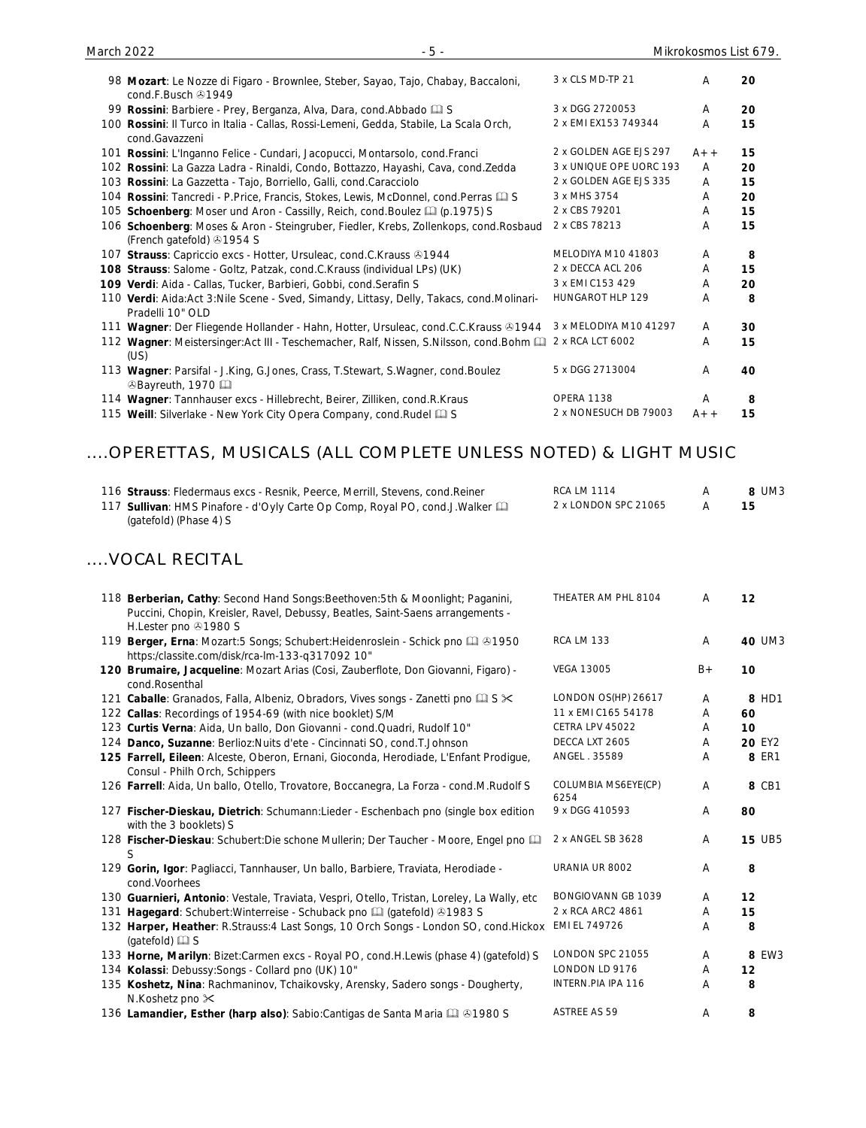| cond.F.Busch 21949                                                                        |                         |       |    |
|-------------------------------------------------------------------------------------------|-------------------------|-------|----|
| 99 Rossini: Barbiere - Prey, Berganza, Alva, Dara, cond. Abbado [1] S                     | 3 x DGG 2720053         | A     | 20 |
| 100 Rossini: Il Turco in Italia - Callas, Rossi-Lemeni, Gedda, Stabile, La Scala Orch,    | 2 x EMI EX153 749344    | A     | 15 |
| cond.Gavazzeni                                                                            |                         |       |    |
| 101 Rossini: L'Inganno Felice - Cundari, Jacopucci, Montarsolo, cond. Franci              | 2 x GOLDEN AGE EJS 297  | $A++$ | 15 |
| 102 Rossini: La Gazza Ladra - Rinaldi, Condo, Bottazzo, Hayashi, Cava, cond.Zedda         | 3 x UNIQUE OPE UORC 193 | A     | 20 |
| 103 Rossini: La Gazzetta - Tajo, Borriello, Galli, cond.Caracciolo                        | 2 x GOLDEN AGE EJS 335  | A     | 15 |
| 104 Rossini: Tancredi - P. Price, Francis, Stokes, Lewis, McDonnel, cond. Perras QQ S     | 3 x MHS 3754            | A     | 20 |
| 105 Schoenberg: Moser und Aron - Cassilly, Reich, cond. Boulez (p.1975) S                 | 2 x CBS 79201           | A     | 15 |
| 106 Schoenberg: Moses & Aron - Steingruber, Fiedler, Krebs, Zollenkops, cond. Rosbaud     | 2 x CBS 78213           | A     | 15 |
| (French gatefold) 31954 S                                                                 |                         |       |    |
| 107 Strauss: Capriccio excs - Hotter, Ursuleac, cond.C.Krauss 31944                       | MELODIYA M10 41803      | A     | 8  |
| 108 Strauss: Salome - Goltz, Patzak, cond.C.Krauss (individual LPs) (UK)                  | 2 x DECCA ACL 206       | A     | 15 |
| 109 Verdi: Aida - Callas, Tucker, Barbieri, Gobbi, cond. Serafin S                        | 3 x EMI C153 429        | A     | 20 |
| 110 Verdi: Aida:Act 3:Nile Scene - Sved, Simandy, Littasy, Delly, Takacs, cond.Molinari-  | HUNGAROT HLP 129        | A     | 8  |
| Pradelli 10" OLD                                                                          |                         |       |    |
| 111 Wagner: Der Fliegende Hollander - Hahn, Hotter, Ursuleac, cond.C.C.Krauss & 1944      | 3 x MELODIYA M10 41297  | A     | 30 |
| 112 Wagner: Meistersinger:Act III - Teschemacher, Ralf, Nissen, S.Nilsson, cond.Bohm [11] | 2 x RCA LCT 6002        | A     | 15 |
| (US)                                                                                      |                         |       |    |
| 113 Wagner: Parsifal - J.King, G.Jones, Crass, T.Stewart, S.Wagner, cond.Boulez           | 5 x DGG 2713004         | A     | 40 |
| ⊙Bayreuth, 1970                                                                           |                         |       |    |
| 114 Wagner: Tannhauser excs - Hillebrecht, Beirer, Zilliken, cond.R.Kraus                 | OPERA 1138              | A     | 8  |
| 115 Weill: Silverlake - New York City Opera Company, cond. Rudel as                       | 2 x NONESUCH DB 79003   | $A++$ | 15 |

## ....OPERETTAS, MUSICALS (ALL COMPLETE UNLESS NOTED) & LIGHT MUSIC

| 116 Strauss: Fledermaus excs - Resnik, Peerce, Merrill, Stevens, cond. Reiner | RCA LM 1114          | 8 UM3 |
|-------------------------------------------------------------------------------|----------------------|-------|
| 117 Sullivan: HMS Pinafore - d'Oyly Carte Op Comp, Royal PO, cond.J.Walker Q  | 2 x LONDON SPC 21065 | 15    |
| (gatefold) (Phase 4) S                                                        |                      |       |

### ....VOCAL RECITAL

| 118 Berberian, Cathy: Second Hand Songs: Beethoven: 5th & Moonlight; Paganini,                                                       | THEATER AM PHL 8104         | $\overline{A}$ | 12            |
|--------------------------------------------------------------------------------------------------------------------------------------|-----------------------------|----------------|---------------|
| Puccini, Chopin, Kreisler, Ravel, Debussy, Beatles, Saint-Saens arrangements -<br>H.Lester pno 31980 S                               |                             |                |               |
| 119 Berger, Erna: Mozart: 5 Songs; Schubert: Heidenroslein - Schick pno [1] 31950<br>https:/classite.com/disk/rca-lm-133-q317092 10" | <b>RCA LM 133</b>           | $\overline{A}$ | 40 UM3        |
| 120 Brumaire, Jacqueline: Mozart Arias (Cosi, Zauberflote, Don Giovanni, Figaro) -<br>cond.Rosenthal                                 | <b>VEGA 13005</b>           | $B +$          | 10            |
| 121 Caballe: Granados, Falla, Albeniz, Obradors, Vives songs - Zanetti pno Q S $\ltimes$                                             | LONDON OS(HP) 26617         | A              | 8 HD1         |
| 122 Callas: Recordings of 1954-69 (with nice booklet) S/M                                                                            | 11 x EMI C165 54178         | A              | 60            |
| 123 Curtis Verna: Aida, Un ballo, Don Giovanni - cond.Quadri, Rudolf 10"                                                             | CETRA LPV 45022             | Α              | 10            |
| 124 Danco, Suzanne: Berlioz: Nuits d'ete - Cincinnati SO, cond. T. Johnson                                                           | DECCA LXT 2605              | A              | <b>20 EY2</b> |
| 125 Farrell, Eileen: Alceste, Oberon, Ernani, Gioconda, Herodiade, L'Enfant Prodigue,<br>Consul - Philh Orch, Schippers              | ANGEL . 35589               | A              | 8 ER1         |
| 126 Farrell: Aida, Un ballo, Otello, Trovatore, Boccanegra, La Forza - cond.M.Rudolf S                                               | COLUMBIA MS6EYE(CP)<br>6254 | $\mathsf{A}$   | 8 CB1         |
| 127 Fischer-Dieskau, Dietrich: Schumann:Lieder - Eschenbach pno (single box edition<br>with the 3 booklets) S                        | 9 x DGG 410593              | A              | 80            |
| 128 Fischer-Dieskau: Schubert: Die schone Mullerin; Der Taucher - Moore, Engel pno<br>S                                              | 2 x ANGEL SB 3628           | Α              | <b>15 UB5</b> |
| 129 Gorin, Igor: Pagliacci, Tannhauser, Un ballo, Barbiere, Traviata, Herodiade -<br>cond.Voorhees                                   | URANIA UR 8002              | A              | 8             |
| 130 Guarnieri, Antonio: Vestale, Traviata, Vespri, Otello, Tristan, Loreley, La Wally, etc                                           | <b>BONGIOVANN GB 1039</b>   | A              | 12            |
| 131 Hagegard: Schubert: Winterreise - Schuback pno [1] (gatefold) 31983 S                                                            | 2 x RCA ARC2 4861           | A              | 15            |
| 132 Harper, Heather: R.Strauss: 4 Last Songs, 10 Orch Songs - London SO, cond. Hickox<br>(gatefold) a S                              | EMI EL 749726               | A              | 8             |
| 133 Horne, Marilyn: Bizet:Carmen excs - Royal PO, cond.H.Lewis (phase 4) (gatefold) S                                                | LONDON SPC 21055            | A              | 8 EW3         |
| 134 Kolassi: Debussy: Songs - Collard pno (UK) 10"                                                                                   | LONDON LD 9176              | A              | 12            |
| 135 Koshetz, Nina: Rachmaninov, Tchaikovsky, Arensky, Sadero songs - Dougherty,<br>N.Koshetz pno $\times$                            | INTERN.PIA IPA 116          | $\overline{A}$ | 8             |
| 136 Lamandier, Esther (harp also): Sabio: Cantigas de Santa Maria [1] 31980 S                                                        | <b>ASTREE AS 59</b>         | A              | 8             |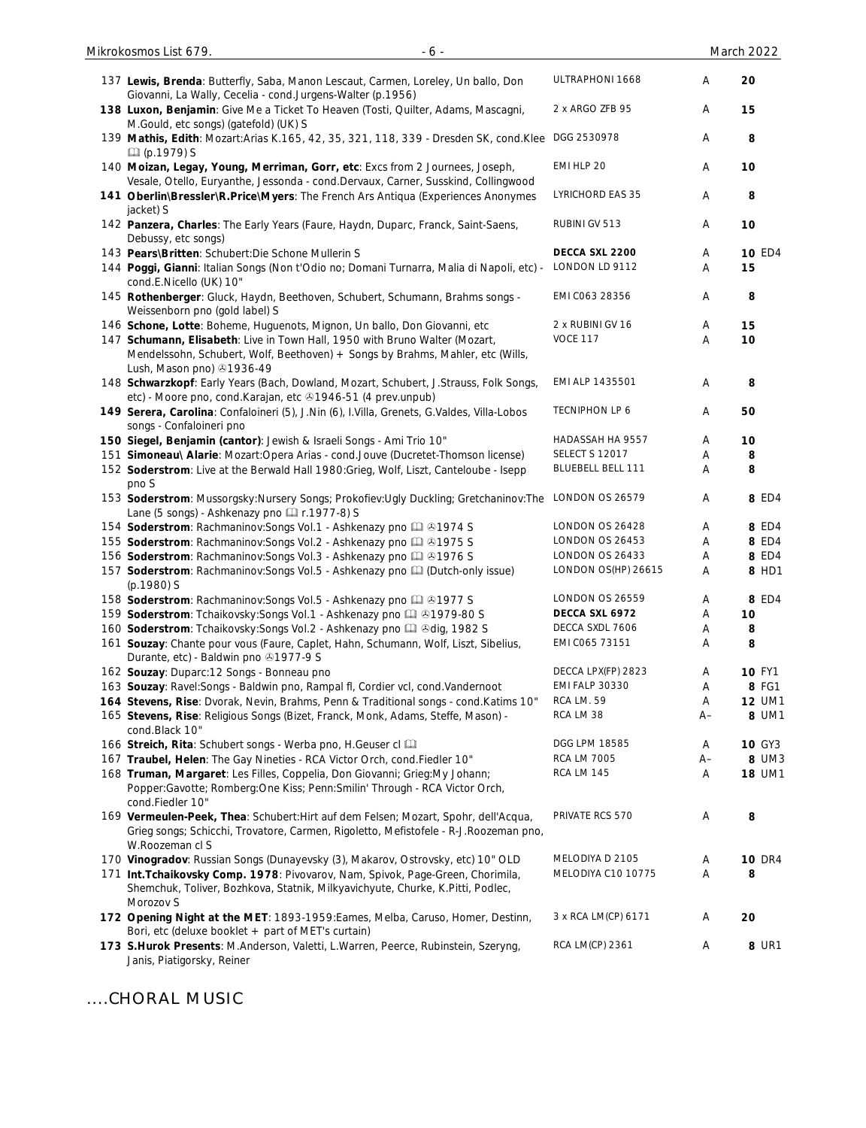| 137 Lewis, Brenda: Butterfly, Saba, Manon Lescaut, Carmen, Loreley, Un ballo, Don<br>Giovanni, La Wally, Cecelia - cond.Jurgens-Walter (p.1956)                                                | ULTRAPHONI 1668          | Α    | 20            |
|------------------------------------------------------------------------------------------------------------------------------------------------------------------------------------------------|--------------------------|------|---------------|
| 138 Luxon, Benjamin: Give Me a Ticket To Heaven (Tosti, Quilter, Adams, Mascagni,<br>M.Gould, etc songs) (gatefold) (UK) S                                                                     | 2 x ARGO ZFB 95          | Α    | 15            |
| 139 Mathis, Edith: Mozart: Arias K.165, 42, 35, 321, 118, 339 - Dresden SK, cond. Klee<br>La (p.1979) S                                                                                        | DGG 2530978              | Α    | 8             |
| 140 Moizan, Legay, Young, Merriman, Gorr, etc: Excs from 2 Journees, Joseph,<br>Vesale, Otello, Euryanthe, Jessonda - cond.Dervaux, Carner, Susskind, Collingwood                              | EMI HLP 20               | Α    | 10            |
| 141 Oberlin\Bressler\R.Price\Myers: The French Ars Antiqua (Experiences Anonymes<br>jacket) S                                                                                                  | LYRICHORD EAS 35         | Α    | 8             |
| 142 Panzera, Charles: The Early Years (Faure, Haydn, Duparc, Franck, Saint-Saens,<br>Debussy, etc songs)                                                                                       | RUBINI GV 513            | Α    | 10            |
| 143 Pears\Britten: Schubert:Die Schone Mullerin S                                                                                                                                              | DECCA SXL 2200           | Α    | <b>10 ED4</b> |
| 144 Poggi, Gianni: Italian Songs (Non t'Odio no; Domani Turnarra, Malia di Napoli, etc) -<br>cond.E.Nicello (UK) 10"                                                                           | LONDON LD 9112           | Α    | 15            |
| 145 Rothenberger: Gluck, Haydn, Beethoven, Schubert, Schumann, Brahms songs -<br>Weissenborn pno (gold label) S                                                                                | EMI C063 28356           | Α    | 8             |
| 146 Schone, Lotte: Boheme, Huguenots, Mignon, Un ballo, Don Giovanni, etc                                                                                                                      | 2 x RUBINI GV 16         | Α    | 15            |
| 147 Schumann, Elisabeth: Live in Town Hall, 1950 with Bruno Walter (Mozart,<br>Mendelssohn, Schubert, Wolf, Beethoven) + Songs by Brahms, Mahler, etc (Wills,<br>Lush, Mason pno) 31936-49     | <b>VOCE 117</b>          | Α    | 10            |
| 148 Schwarzkopf: Early Years (Bach, Dowland, Mozart, Schubert, J.Strauss, Folk Songs,<br>etc) - Moore pno, cond. Karajan, etc 31946-51 (4 prev.unpub)                                          | EMI ALP 1435501          | Α    | 8             |
| 149 Serera, Carolina: Confaloineri (5), J.Nin (6), I.Villa, Grenets, G.Valdes, Villa-Lobos<br>songs - Confaloineri pno                                                                         | <b>TECNIPHON LP 6</b>    | Α    | 50            |
| 150 Siegel, Benjamin (cantor): Jewish & Israeli Songs - Ami Trio 10"                                                                                                                           | HADASSAH HA 9557         | Α    | 10            |
| 151 Simoneau\ Alarie: Mozart:Opera Arias - cond.Jouve (Ducretet-Thomson license)                                                                                                               | <b>SELECT S 12017</b>    | Α    | 8             |
| 152 Soderstrom: Live at the Berwald Hall 1980: Grieg, Wolf, Liszt, Canteloube - Isepp<br>pno S                                                                                                 | <b>BLUEBELL BELL 111</b> | Α    | 8             |
| 153 Soderstrom: Mussorgsky: Nursery Songs; Prokofiev: Ugly Duckling; Gretchaninov: The<br>Lane (5 songs) - Ashkenazy pno [1] r.1977-8) S                                                       | LONDON OS 26579          | Α    | 8 ED4         |
| 154 Soderstrom: Rachmaninov: Songs Vol.1 - Ashkenazy pno [1] 31974 S                                                                                                                           | LONDON OS 26428          | Α    | 8 ED4         |
| 155 Soderstrom: Rachmaninov: Songs Vol.2 - Ashkenazy pno [1] 31975 S                                                                                                                           | LONDON OS 26453          | Α    | 8 ED4         |
| 156 Soderstrom: Rachmaninov: Songs Vol.3 - Ashkenazy pno Q @ 1976 S                                                                                                                            | LONDON OS 26433          | Α    | 8 ED4         |
| 157 Soderstrom: Rachmaninov: Songs Vol.5 - Ashkenazy pno [4] (Dutch-only issue)<br>(p.1980) S                                                                                                  | LONDON OS(HP) 26615      | Α    | 8 HD1         |
| 158 Soderstrom: Rachmaninov: Songs Vol.5 - Ashkenazy pno Q @ 1977 S                                                                                                                            | <b>LONDON OS 26559</b>   | A    | 8 ED4         |
| 159 Soderstrom: Tchaikovsky: Songs Vol.1 - Ashkenazy pno [1] 31979-80 S                                                                                                                        | DECCA SXL 6972           | Α    | 10            |
| 160 Soderstrom: Tchaikovsky: Songs Vol.2 - Ashkenazy pno [1] & dig, 1982 S                                                                                                                     | DECCA SXDL 7606          | Α    | 8             |
| 161 Souzay: Chante pour vous (Faure, Caplet, Hahn, Schumann, Wolf, Liszt, Sibelius,<br>Durante, etc) - Baldwin pno 31977-9 S                                                                   | EMI C065 73151           | Α    | 8             |
| 162 Souzay: Duparc: 12 Songs - Bonneau pno                                                                                                                                                     | DECCA LPX(FP) 2823       | A    | <b>10 FY1</b> |
| 163 Souzay: Ravel: Songs - Baldwin pno, Rampal fl, Cordier vcl, cond. Vandernoot                                                                                                               | <b>EMI FALP 30330</b>    | Α    | 8 FG1         |
| 164 Stevens, Rise: Dvorak, Nevin, Brahms, Penn & Traditional songs - cond. Katims 10"                                                                                                          | <b>RCA LM. 59</b>        | A    | <b>12 UM1</b> |
| 165 Stevens, Rise: Religious Songs (Bizet, Franck, Monk, Adams, Steffe, Mason) -<br>cond.Black 10"                                                                                             | RCA LM 38                | $A-$ | 8 UM1         |
| 166 Streich, Rita: Schubert songs - Werba pno, H.Geuser cl                                                                                                                                     | DGG LPM 18585            | Α    | <b>10 GY3</b> |
| 167 Traubel, Helen: The Gay Nineties - RCA Victor Orch, cond. Fiedler 10"                                                                                                                      | <b>RCA LM 7005</b>       | $A-$ | 8 UM3         |
| 168 Truman, Margaret: Les Filles, Coppelia, Don Giovanni; Grieg:My Johann;<br>Popper:Gavotte; Romberg:One Kiss; Penn:Smilin' Through - RCA Victor Orch,<br>cond.Fiedler 10"                    | <b>RCA LM 145</b>        | Α    | <b>18 UM1</b> |
| 169 Vermeulen-Peek, Thea: Schubert: Hirt auf dem Felsen; Mozart, Spohr, dell'Acqua,<br>Grieg songs; Schicchi, Trovatore, Carmen, Rigoletto, Mefistofele - R-J.Roozeman pno,<br>W.Roozeman cl S | PRIVATE RCS 570          | Α    | 8             |
| 170 Vinogradov: Russian Songs (Dunayevsky (3), Makarov, Ostrovsky, etc) 10" OLD                                                                                                                | MELODIYA D 2105          | Α    | <b>10 DR4</b> |
| 171 Int. Tchaikovsky Comp. 1978: Pivovarov, Nam, Spivok, Page-Green, Chorimila,<br>Shemchuk, Toliver, Bozhkova, Statnik, Milkyavichyute, Churke, K.Pitti, Podlec,                              | MELODIYA C10 10775       | Α    | 8             |
| Morozov S                                                                                                                                                                                      |                          |      |               |
| 172 Opening Night at the MET: 1893-1959: Eames, Melba, Caruso, Homer, Destinn,<br>Bori, etc (deluxe booklet + part of MET's curtain)                                                           | 3 x RCA LM(CP) 6171      | Α    | 20            |
| 173 S.Hurok Presents: M.Anderson, Valetti, L.Warren, Peerce, Rubinstein, Szeryng,<br>Janis, Piatigorsky, Reiner                                                                                | RCA LM(CP) 2361          | Α    | 8 UR1         |

....CHORAL MUSIC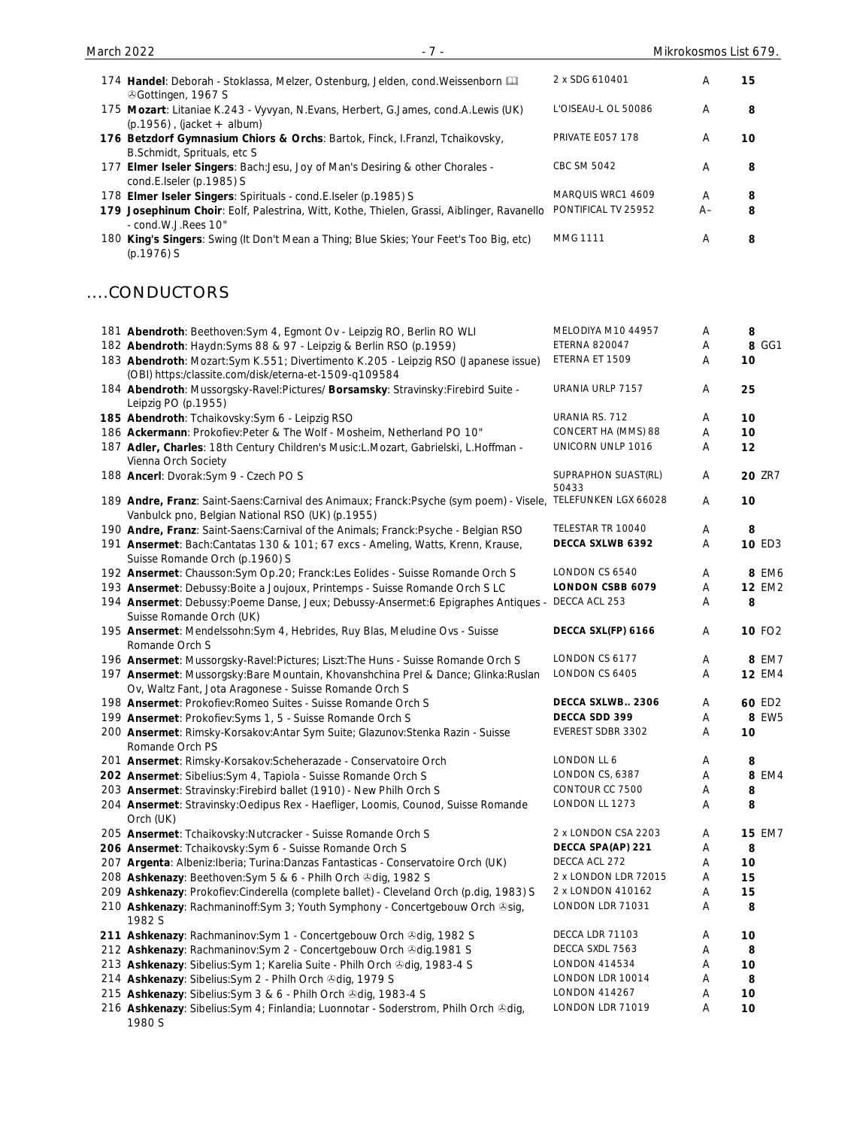| 174 Handel: Deborah - Stoklassa, Melzer, Ostenburg, Jelden, cond. Weissenborn [11]                                                                                    | 2 x SDG 610401                           | Α      | 15                 |
|-----------------------------------------------------------------------------------------------------------------------------------------------------------------------|------------------------------------------|--------|--------------------|
| <b><i></i></b> ⊙Gottingen, 1967 S<br>175 Mozart: Litaniae K.243 - Vyvyan, N.Evans, Herbert, G.James, cond.A.Lewis (UK)<br>$(p.1956)$ , (jacket + album)               | L'OISEAU-L OL 50086                      | Α      | 8                  |
| 176 Betzdorf Gymnasium Chiors & Orchs: Bartok, Finck, I.Franzl, Tchaikovsky,<br>B.Schmidt, Sprituals, etc S.                                                          | PRIVATE E057 178                         | Α      | 10                 |
| 177 Elmer Iseler Singers: Bach: Jesu, Joy of Man's Desiring & other Chorales -<br>cond.E.Iseler (p.1985) S                                                            | CBC SM 5042                              | Α      | 8                  |
| 178 Elmer Iseler Singers: Spirituals - cond.E.Iseler (p.1985) S                                                                                                       | MARQUIS WRC1 4609                        | Α      | 8                  |
| 179 Josephinum Choir: Eolf, Palestrina, Witt, Kothe, Thielen, Grassi, Aiblinger, Ravanello<br>- cond.W.J.Rees 10"                                                     | PONTIFICAL TV 25952                      | $A-$   | 8                  |
| 180 King's Singers: Swing (It Don't Mean a Thing; Blue Skies; Your Feet's Too Big, etc)<br>$(p.1976)$ S                                                               | MMG 1111                                 | A      | 8                  |
| .CONDUCTORS                                                                                                                                                           |                                          |        |                    |
| 181 Abendroth: Beethoven: Sym 4, Egmont Ov - Leipzig RO, Berlin RO WLI                                                                                                | MELODIYA M10 44957                       | Α      | 8                  |
| 182 Abendroth: Haydn: Syms 88 & 97 - Leipzig & Berlin RSO (p.1959)                                                                                                    | <b>ETERNA 820047</b>                     | Α      | 8 GG1              |
| 183 Abendroth: Mozart:Sym K.551; Divertimento K.205 - Leipzig RSO (Japanese issue)<br>(OBI) https:/classite.com/disk/eterna-et-1509-q109584                           | ETERNA ET 1509                           | Α      | 10                 |
| 184 Abendroth: Mussorgsky-Ravel:Pictures/ Borsamsky: Stravinsky:Firebird Suite -<br>Leipzig PO (p.1955)                                                               | URANIA URLP 7157                         | Α      | 25                 |
| 185 Abendroth: Tchaikovsky:Sym 6 - Leipzig RSO                                                                                                                        | URANIA RS. 712                           | Α      | 10                 |
| 186 Ackermann: Prokofiev:Peter & The Wolf - Mosheim, Netherland PO 10"                                                                                                | CONCERT HA (MMS) 88                      | Α      | 10                 |
| 187 Adler, Charles: 18th Century Children's Music: L. Mozart, Gabrielski, L. Hoffman -<br>Vienna Orch Society                                                         | UNICORN UNLP 1016                        | Α      | 12                 |
| 188 Ancerl: Dvorak: Sym 9 - Czech PO S                                                                                                                                | SUPRAPHON SUAST(RL)<br>50433             | Α      | <b>20 ZR7</b>      |
| 189 Andre, Franz: Saint-Saens:Carnival des Animaux; Franck:Psyche (sym poem) - Visele, TELEFUNKEN LGX 66028<br>Vanbulck pno, Belgian National RSO (UK) (p.1955)       |                                          | Α      | 10                 |
| 190 Andre, Franz: Saint-Saens:Carnival of the Animals; Franck:Psyche - Belgian RSO                                                                                    | TELESTAR TR 10040                        | Α      | 8                  |
| 191 Ansermet: Bach:Cantatas 130 & 101; 67 excs - Ameling, Watts, Krenn, Krause,<br>Suisse Romande Orch (p.1960) S                                                     | DECCA SXLWB 6392                         | Α      | 10 ED3             |
| 192 Ansermet: Chausson: Sym Op. 20; Franck: Les Eolides - Suisse Romande Orch S                                                                                       | LONDON CS 6540                           | Α      | 8 EM6              |
| 193 Ansermet: Debussy: Boite a Joujoux, Printemps - Suisse Romande Orch S LC                                                                                          | <b>LONDON CSBB 6079</b>                  | Α      | <b>12 EM2</b>      |
| 194 Ansermet: Debussy: Poeme Danse, Jeux; Debussy-Ansermet: 6 Epigraphes Antiques -<br>Suisse Romande Orch (UK)                                                       | DECCA ACL 253                            | Α      | 8                  |
| 195 Ansermet: Mendelssohn: Sym 4, Hebrides, Ruy Blas, Meludine Ovs - Suisse<br>Romande Orch S                                                                         | DECCA SXL(FP) 6166                       | Α      | 10 FO <sub>2</sub> |
| 196 Ansermet: Mussorgsky-Ravel:Pictures; Liszt:The Huns - Suisse Romande Orch S                                                                                       | LONDON CS 6177                           | A      | 8 EM7              |
| 197 Ansermet: Mussorgsky: Bare Mountain, Khovanshchina Prel & Dance; Glinka: Ruslan<br>Ov, Waltz Fant, Jota Aragonese - Suisse Romande Orch S                         | LONDON CS 6405                           | Α      | <b>12 EM4</b>      |
| 198 Ansermet: Prokofiev: Romeo Suites - Suisse Romande Orch S                                                                                                         | DECCA SXLWB 2306                         | A      | 60 ED2             |
| 199 Ansermet: Prokofiev: Syms 1, 5 - Suisse Romande Orch S                                                                                                            | DECCA SDD 399                            | Α      | 8 EW5              |
| 200 Ansermet: Rimsky-Korsakov:Antar Sym Suite; Glazunov:Stenka Razin - Suisse<br>Romande Orch PS                                                                      | EVEREST SDBR 3302                        | Α      | 10                 |
| 201 Ansermet: Rimsky-Korsakov:Scheherazade - Conservatoire Orch                                                                                                       | LONDON LL 6                              | Α      | 8                  |
| 202 Ansermet: Sibelius: Sym 4, Tapiola - Suisse Romande Orch S                                                                                                        | LONDON CS, 6387                          | Α      | 8 EM4              |
| 203 Ansermet: Stravinsky: Firebird ballet (1910) - New Philh Orch S<br>204 Ansermet: Stravinsky: Oedipus Rex - Haefliger, Loomis, Counod, Suisse Romande<br>Orch (UK) | CONTOUR CC 7500<br>LONDON LL 1273        | Α<br>Α | 8<br>8             |
| 205 Ansermet: Tchaikovsky: Nutcracker - Suisse Romande Orch S                                                                                                         | 2 x LONDON CSA 2203                      | Α      | <b>15 EM7</b>      |
| 206 Ansermet: Tchaikovsky:Sym 6 - Suisse Romande Orch S                                                                                                               | DECCA SPA(AP) 221                        | Α      | 8                  |
| 207 Argenta: Albeniz: Iberia; Turina: Danzas Fantasticas - Conservatoire Orch (UK)                                                                                    | DECCA ACL 272                            | Α      | 10                 |
| 208 Ashkenazy: Beethoven: Sym 5 & 6 - Philh Orch & dig, 1982 S                                                                                                        | 2 x LONDON LDR 72015                     | Α      | 15                 |
| 209 Ashkenazy: Prokofiev:Cinderella (complete ballet) - Cleveland Orch (p.dig, 1983) S                                                                                | 2 x LONDON 410162                        | Α      | 15                 |
| 210 Ashkenazy: Rachmaninoff:Sym 3; Youth Symphony - Concertgebouw Orch @sig,<br>1982 S                                                                                | LONDON LDR 71031                         | Α      | 8                  |
| 211 Ashkenazy: Rachmaninov: Sym 1 - Concertgebouw Orch & dig, 1982 S                                                                                                  | DECCA LDR 71103                          | Α      | 10                 |
| 212 Ashkenazy: Rachmaninov: Sym 2 - Concertgebouw Orch & dig. 1981 S                                                                                                  | DECCA SXDL 7563                          | Α      | 8                  |
| 213 Ashkenazy: Sibelius: Sym 1; Karelia Suite - Philh Orch & dig, 1983-4 S                                                                                            | LONDON 414534                            | Α      | 10                 |
| 214 Ashkenazy: Sibelius: Sym 2 - Philh Orch Odig, 1979 S                                                                                                              | LONDON LDR 10014                         | Α      | 8                  |
| 215 Ashkenazy: Sibelius: Sym 3 & 6 - Philh Orch & dig, 1983-4 S<br>216 Ashkenazy: Sibelius: Sym 4; Finlandia; Luonnotar - Soderstrom, Philh Orch &dig,                | <b>LONDON 414267</b><br>LONDON LDR 71019 | Α      | 10<br>10           |
|                                                                                                                                                                       |                                          | A      |                    |

1980 S

March 2022 **March 2022 19 and 2022 19 and 2022 19 and 2022 19 and 2022 19 and 2022 19 and 2022 19 and 2022 19 and 2022 19 and 2022 19 and 2022 19 and 2022 19 and 2022 19 and 2022 19 and 2022 1**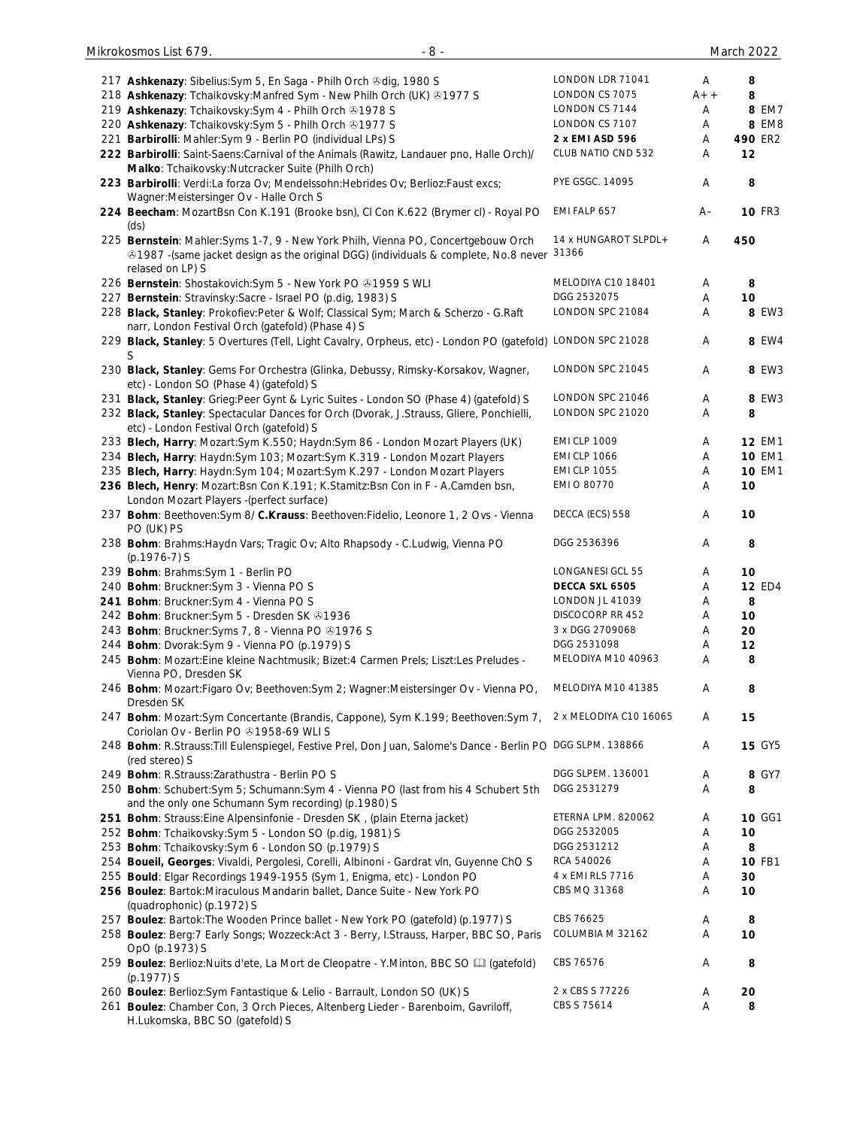|     | 217 Ashkenazy: Sibelius: Sym 5, En Saga - Philh Orch & dig, 1980 S                                                                                                                               | LONDON LDR 71041               | Α      | 8             |
|-----|--------------------------------------------------------------------------------------------------------------------------------------------------------------------------------------------------|--------------------------------|--------|---------------|
|     | 218 Ashkenazy: Tchaikovsky: Manfred Sym - New Philh Orch (UK) 31977 S                                                                                                                            | LONDON CS 7075                 | $A++$  | 8             |
|     |                                                                                                                                                                                                  | LONDON CS 7144                 | Α      | 8 EM7         |
|     | 219 Ashkenazy: Tchaikovsky: Sym 4 - Philh Orch & 1978 S                                                                                                                                          |                                |        |               |
|     | 220 Ashkenazy: Tchaikovsky: Sym 5 - Philh Orch & 1977 S                                                                                                                                          | LONDON CS 7107                 | Α      | 8 EM8         |
| 221 | Barbirolli: Mahler: Sym 9 - Berlin PO (individual LPs) S                                                                                                                                         | 2 x EMI ASD 596                | Α      | 490 ER2       |
|     | 222 Barbirolli: Saint-Saens: Carnival of the Animals (Rawitz, Landauer pno, Halle Orch)/<br>Malko: Tchaikovsky:Nutcracker Suite (Philh Orch)                                                     | CLUB NATIO CND 532             | Α      | 12            |
|     | 223 Barbirolli: Verdi:La forza Ov; Mendelssohn:Hebrides Ov; Berlioz:Faust excs;<br>Wagner: Meistersinger Ov - Halle Orch S                                                                       | PYE GSGC. 14095                | A      | 8             |
|     | 224 Beecham: MozartBsn Con K.191 (Brooke bsn), Cl Con K.622 (Brymer cl) - Royal PO<br>(ds)                                                                                                       | EMI FALP 657                   | $A-$   | <b>10 FR3</b> |
|     | 225 Bernstein: Mahler: Syms 1-7, 9 - New York Philh, Vienna PO, Concertgebouw Orch<br>21987 - (same jacket design as the original DGG) (individuals & complete, No.8 never<br>relased on LP) S   | 14 x HUNGAROT SLPDL +<br>31366 | Α      | 450           |
|     | 226 Bernstein: Shostakovich: Sym 5 - New York PO +1959 S WLI                                                                                                                                     | MELODIYA C10 18401             | A      | 8             |
|     | 227 Bernstein: Stravinsky: Sacre - Israel PO (p.dig, 1983) S                                                                                                                                     | DGG 2532075                    | Α      | 10            |
|     | 228 Black, Stanley: Prokofiev:Peter & Wolf; Classical Sym; March & Scherzo - G.Raft<br>narr, London Festival Orch (gatefold) (Phase 4) S                                                         | LONDON SPC 21084               | Α      | <b>8 EW3</b>  |
|     | 229 Black, Stanley: 5 Overtures (Tell, Light Cavalry, Orpheus, etc) - London PO (gatefold) LONDON SPC 21028                                                                                      |                                | Α      | 8 EW4         |
|     | S<br>230 Black, Stanley: Gems For Orchestra (Glinka, Debussy, Rimsky-Korsakov, Wagner,                                                                                                           | LONDON SPC 21045               | Α      | 8 EW3         |
|     | etc) - London SO (Phase 4) (gatefold) S                                                                                                                                                          |                                |        |               |
|     | 231 Black, Stanley: Grieg: Peer Gynt & Lyric Suites - London SO (Phase 4) (gatefold) S                                                                                                           | LONDON SPC 21046               | Α      | 8 EW3         |
|     | 232 Black, Stanley: Spectacular Dances for Orch (Dvorak, J.Strauss, Gliere, Ponchielli,<br>etc) - London Festival Orch (gatefold) S                                                              | LONDON SPC 21020               | Α      | 8             |
|     | 233 Blech, Harry: Mozart:Sym K.550; Haydn:Sym 86 - London Mozart Players (UK)                                                                                                                    | <b>EMI CLP 1009</b>            | Α      | <b>12 EM1</b> |
|     | 234 Blech, Harry: Haydn:Sym 103; Mozart:Sym K.319 - London Mozart Players                                                                                                                        | <b>EMI CLP 1066</b>            | Α      | <b>10 EM1</b> |
|     | 235 Blech, Harry: Haydn:Sym 104; Mozart:Sym K.297 - London Mozart Players                                                                                                                        | <b>EMI CLP 1055</b>            | Α      | <b>10 EM1</b> |
|     | 236 Blech, Henry: Mozart:Bsn Con K.191; K.Stamitz:Bsn Con in F - A.Camden bsn,<br>London Mozart Players -(perfect surface)                                                                       | EMI O 80770                    | Α      | 10            |
|     | 237 Bohm: Beethoven: Sym 8/ C.Krauss: Beethoven: Fidelio, Leonore 1, 2 Ovs - Vienna                                                                                                              | DECCA (ECS) 558                | Α      | 10            |
|     | PO (UK) PS<br>238 Bohm: Brahms: Haydn Vars; Tragic Ov; Alto Rhapsody - C. Ludwig, Vienna PO                                                                                                      | DGG 2536396                    | Α      | 8             |
|     | $(p.1976-7)$ S                                                                                                                                                                                   |                                |        |               |
|     | 239 Bohm: Brahms: Sym 1 - Berlin PO                                                                                                                                                              | LONGANESI GCL 55               | Α      | 10            |
|     | 240 Bohm: Bruckner: Sym 3 - Vienna PO S                                                                                                                                                          | DECCA SXL 6505                 | Α      | <b>12 ED4</b> |
|     | 241 Bohm: Bruckner: Sym 4 - Vienna PO S                                                                                                                                                          | LONDON JL 41039                | Α      | 8             |
|     | 242 Bohm: Bruckner: Sym 5 - Dresden SK @1936                                                                                                                                                     | DISCOCORP RR 452               | Α      | 10            |
|     | 243 Bohm: Bruckner: Syms 7, 8 - Vienna PO @1976 S                                                                                                                                                | 3 x DGG 2709068                | Α      | 20            |
|     | 244 Bohm: Dvorak:Sym 9 - Vienna PO (p.1979) S                                                                                                                                                    | DGG 2531098                    | Α      | 12            |
|     | 245 Bohm: Mozart: Eine kleine Nachtmusik; Bizet: 4 Carmen Prels; Liszt: Les Preludes -<br>Vienna PO, Dresden SK                                                                                  | MELODIYA M10 40963             | Α      | 8             |
|     | 246 Bohm: Mozart: Figaro Ov; Beethoven: Sym 2; Wagner: Meistersinger Ov - Vienna PO,<br>Dresden SK                                                                                               | MELODIYA M10 41385             | Α      | 8             |
|     | 247 Bohm: Mozart: Sym Concertante (Brandis, Cappone), Sym K.199; Beethoven: Sym 7,<br>Coriolan Ov - Berlin PO 31958-69 WLIS                                                                      | 2 x MELODIYA C10 16065         | A      | 15            |
|     | 248 Bohm: R.Strauss: Till Eulenspiegel, Festive Prel, Don Juan, Salome's Dance - Berlin PO DGG SLPM. 138866<br>(red stereo) S                                                                    |                                | Α      | <b>15 GY5</b> |
|     | 249 Bohm: R.Strauss: Zarathustra - Berlin PO S                                                                                                                                                   | DGG SLPEM. 136001              | A      | 8 GY7         |
|     | 250 Bohm: Schubert: Sym 5; Schumann: Sym 4 - Vienna PO (last from his 4 Schubert 5th                                                                                                             | DGG 2531279                    | A      | 8             |
|     | and the only one Schumann Sym recording) (p.1980) S                                                                                                                                              |                                |        |               |
|     | 251 Bohm: Strauss: Eine Alpensinfonie - Dresden SK, (plain Eterna jacket)                                                                                                                        | ETERNA LPM. 820062             | Α      | 10 GG1        |
|     | 252 Bohm: Tchaikovsky: Sym 5 - London SO (p.dig, 1981) S                                                                                                                                         | DGG 2532005                    | Α      | 10            |
|     | 253 Bohm: Tchaikovsky: Sym 6 - London SO (p.1979) S                                                                                                                                              | DGG 2531212                    | Α      | 8             |
|     | 254 Boueil, Georges: Vivaldi, Pergolesi, Corelli, Albinoni - Gardrat vln, Guyenne ChO S                                                                                                          | RCA 540026                     | Α      | 10 FB1        |
|     | 255 Bould: Elgar Recordings 1949-1955 (Sym 1, Enigma, etc) - London PO                                                                                                                           | 4 x EMI RLS 7716               | Α      | 30            |
|     | 256 Boulez: Bartok: Miraculous Mandarin ballet, Dance Suite - New York PO<br>(quadrophonic) (p.1972) S                                                                                           | CBS MQ 31368                   | Α      | 10            |
|     | 257 Boulez: Bartok: The Wooden Prince ballet - New York PO (gatefold) (p.1977) S                                                                                                                 | CBS 76625                      | Α      | 8             |
|     | 258 Boulez: Berg: 7 Early Songs; Wozzeck: Act 3 - Berry, I.Strauss, Harper, BBC SO, Paris<br>OpO (p.1973) S                                                                                      | COLUMBIA M 32162               | Α      | 10            |
|     | 259 Boulez: Berlioz: Nuits d'ete, La Mort de Cleopatre - Y. Minton, BBC SO [1] (gatefold)                                                                                                        | CBS 76576                      | Α      | 8             |
|     | (p.1977) S                                                                                                                                                                                       |                                |        |               |
|     | 260 Boulez: Berlioz: Sym Fantastique & Lelio - Barrault, London SO (UK) S<br>261 Boulez: Chamber Con, 3 Orch Pieces, Altenberg Lieder - Barenboim, Gavriloff,<br>H.Lukomska, BBC SO (gatefold) S | 2 x CBS S 77226<br>CBS S 75614 | Α<br>Α | 20<br>8       |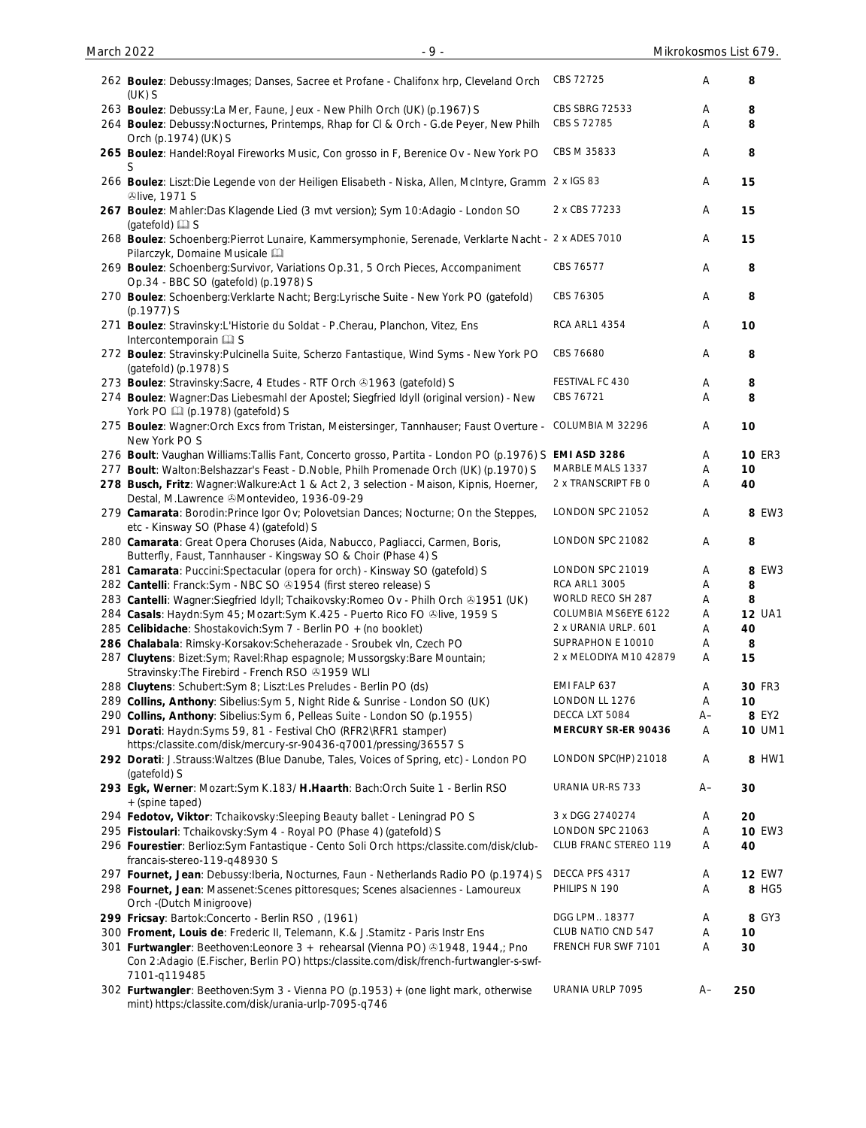| 262 Boulez: Debussy: Images; Danses, Sacree et Profane - Chalifonx hrp, Cleveland Orch<br>$(UK)$ S                                                                                        | CBS 72725              | Α  | 8             |
|-------------------------------------------------------------------------------------------------------------------------------------------------------------------------------------------|------------------------|----|---------------|
| 263 Boulez: Debussy: La Mer, Faune, Jeux - New Philh Orch (UK) (p.1967) S                                                                                                                 | CBS SBRG 72533         | Α  | 8             |
| 264 Boulez: Debussy: Nocturnes, Printemps, Rhap for CI & Orch - G.de Peyer, New Philh<br>Orch (p.1974) (UK) S                                                                             | CBS S 72785            | Α  | 8             |
| 265 Boulez: Handel: Royal Fireworks Music, Con grosso in F, Berenice Ov - New York PO                                                                                                     | CBS M 35833            | Α  | 8             |
| 266 Boulez: Liszt:Die Legende von der Heiligen Elisabeth - Niska, Allen, McIntyre, Gramm 2 x IGS 83<br><b><i><u>®live</u></i></b> , 1971 S                                                |                        | Α  | 15            |
| 267 Boulez: Mahler: Das Klagende Lied (3 mvt version); Sym 10: Adagio - London SO<br>(gatefold) <b>Q</b> S                                                                                | 2 x CBS 77233          | A  | 15            |
| 268 Boulez: Schoenberg: Pierrot Lunaire, Kammersymphonie, Serenade, Verklarte Nacht - 2 x ADES 7010<br>Pilarczyk, Domaine Musicale [11]                                                   |                        | Α  | 15            |
| 269 Boulez: Schoenberg: Survivor, Variations Op.31, 5 Orch Pieces, Accompaniment<br>Op.34 - BBC SO (gatefold) (p.1978) S                                                                  | CBS 76577              | Α  | 8             |
| 270 Boulez: Schoenberg: Verklarte Nacht; Berg: Lyrische Suite - New York PO (gatefold)<br>$(p.1977)$ S                                                                                    | CBS 76305              | Α  | 8             |
| 271 Boulez: Stravinsky: L'Historie du Soldat - P.Cherau, Planchon, Vitez, Ens<br>Intercontemporain La S                                                                                   | <b>RCA ARL1 4354</b>   | Α  | 10            |
| 272 Boulez: Stravinsky: Pulcinella Suite, Scherzo Fantastique, Wind Syms - New York PO<br>(gatefold) (p.1978) S                                                                           | CBS 76680              | Α  | 8             |
| 273 Boulez: Stravinsky: Sacre, 4 Etudes - RTF Orch 21963 (gatefold) S                                                                                                                     | FESTIVAL FC 430        | Α  | 8             |
| 274 Boulez: Wagner:Das Liebesmahl der Apostel; Siegfried Idyll (original version) - New<br>York PO [1] (p.1978) (gatefold) S                                                              | CBS 76721              | Α  | 8             |
| 275 Boulez: Wagner: Orch Excs from Tristan, Meistersinger, Tannhauser; Faust Overture -<br>New York PO S                                                                                  | COLUMBIA M 32296       | Α  | 10            |
| 276 Boult: Vaughan Williams: Tallis Fant, Concerto grosso, Partita - London PO (p.1976) S                                                                                                 | EMI ASD 3286           | Α  | <b>10 ER3</b> |
| 277 Boult: Walton: Belshazzar's Feast - D. Noble, Philh Promenade Orch (UK) (p.1970) S                                                                                                    | MARBLE MALS 1337       | Α  | 10            |
| 278 Busch, Fritz: Wagner: Walkure: Act 1 & Act 2, 3 selection - Maison, Kipnis, Hoerner,<br>Destal, M.Lawrence & Montevideo, 1936-09-29                                                   | 2 x TRANSCRIPT FB 0    | Α  | 40            |
| 279 Camarata: Borodin: Prince Igor Ov; Polovetsian Dances; Nocturne; On the Steppes,<br>etc - Kinsway SO (Phase 4) (gatefold) S                                                           | LONDON SPC 21052       | Α  | 8 EW3         |
| 280 Camarata: Great Opera Choruses (Aida, Nabucco, Pagliacci, Carmen, Boris,<br>Butterfly, Faust, Tannhauser - Kingsway SO & Choir (Phase 4) S                                            | LONDON SPC 21082       | Α  | 8             |
| 281 Camarata: Puccini: Spectacular (opera for orch) - Kinsway SO (gatefold) S                                                                                                             | LONDON SPC 21019       | Α  | 8 EW3         |
| 282 Cantelli: Franck:Sym - NBC SO ®1954 (first stereo release) S                                                                                                                          | <b>RCA ARL1 3005</b>   | Α  | 8             |
| 283 Cantelli: Wagner: Siegfried Idyll; Tchaikovsky: Romeo Ov - Philh Orch @1951 (UK)                                                                                                      | WORLD RECO SH 287      | Α  | 8             |
| 284 Casals: Haydn:Sym 45; Mozart:Sym K.425 - Puerto Rico FO @live, 1959 S                                                                                                                 | COLUMBIA MS6EYE 6122   | Α  | <b>12 UA1</b> |
| 285 Celibidache: Shostakovich: Sym 7 - Berlin PO + (no booklet)                                                                                                                           | 2 x URANIA URLP. 601   | A  | 40            |
| 286 Chalabala: Rimsky-Korsakov:Scheherazade - Sroubek vln, Czech PO                                                                                                                       | SUPRAPHON E 10010      | A  | 8             |
| 287 Cluytens: Bizet:Sym; Ravel:Rhap espagnole; Mussorgsky:Bare Mountain;<br>Stravinsky: The Firebird - French RSO +1959 WLI                                                               | 2 x MELODIYA M10 42879 | A  | 15            |
| 288 Cluytens: Schubert: Sym 8; Liszt: Les Preludes - Berlin PO (ds)                                                                                                                       | EMI FALP 637           | Α  | <b>30 FR3</b> |
| 289 Collins, Anthony: Sibelius: Sym 5, Night Ride & Sunrise - London SO (UK)                                                                                                              | LONDON LL 1276         | Α  | 10            |
| 290 Collins, Anthony: Sibelius: Sym 6, Pelleas Suite - London SO (p.1955)                                                                                                                 | DECCA LXT 5084         | A– | 8 EY2         |
| 291 Dorati: Haydn: Syms 59, 81 - Festival ChO (RFR2\RFR1 stamper)<br>https:/classite.com/disk/mercury-sr-90436-q7001/pressing/36557 S                                                     | MERCURY SR-ER 90436    | Α  | <b>10 UM1</b> |
| 292 Dorati: J.Strauss: Waltzes (Blue Danube, Tales, Voices of Spring, etc) - London PO<br>(gatefold) S                                                                                    | LONDON SPC(HP) 21018   | Α  | 8 HW1         |
| 293 Egk, Werner: Mozart:Sym K.183/ H.Haarth: Bach:Orch Suite 1 - Berlin RSO<br>+(spine taped)                                                                                             | URANIA UR-RS 733       | A– | 30            |
| 294 Fedotov, Viktor: Tchaikovsky: Sleeping Beauty ballet - Leningrad PO S                                                                                                                 | 3 x DGG 2740274        | A  | 20            |
| 295 Fistoulari: Tchaikovsky: Sym 4 - Royal PO (Phase 4) (gatefold) S                                                                                                                      | LONDON SPC 21063       | Α  | <b>10 EW3</b> |
| 296 Fourestier: Berlioz:Sym Fantastique - Cento Soli Orch https:/classite.com/disk/club-<br>francais-stereo-119-q48930 S                                                                  | CLUB FRANC STEREO 119  | Α  | 40            |
| 297 Fournet, Jean: Debussy: Iberia, Nocturnes, Faun - Netherlands Radio PO (p.1974) S                                                                                                     | DECCA PFS 4317         | Α  | <b>12 EW7</b> |
| 298 Fournet, Jean: Massenet: Scenes pittoresques; Scenes alsaciennes - Lamoureux<br>Orch -(Dutch Minigroove)                                                                              | PHILIPS N 190          | Α  | 8 HG5         |
| 299 Fricsay: Bartok: Concerto - Berlin RSO, (1961)                                                                                                                                        | DGG LPM 18377          | Α  | 8 GY3         |
| 300 Froment, Louis de: Frederic II, Telemann, K.& J.Stamitz - Paris Instr Ens                                                                                                             | CLUB NATIO CND 547     | Α  | 10            |
| 301 Furtwangler: Beethoven: Leonore 3 + rehearsal (Vienna PO) 31948, 1944,; Pno<br>Con 2:Adagio (E.Fischer, Berlin PO) https:/classite.com/disk/french-furtwangler-s-swf-<br>7101-q119485 | FRENCH FUR SWF 7101    | Α  | 30            |
| 302 Furtwangler: Beethoven: Sym 3 - Vienna PO (p.1953) + (one light mark, otherwise<br>mint) https:/classite.com/disk/urania-urlp-7095-q746                                               | URANIA URLP 7095       | A– | 250           |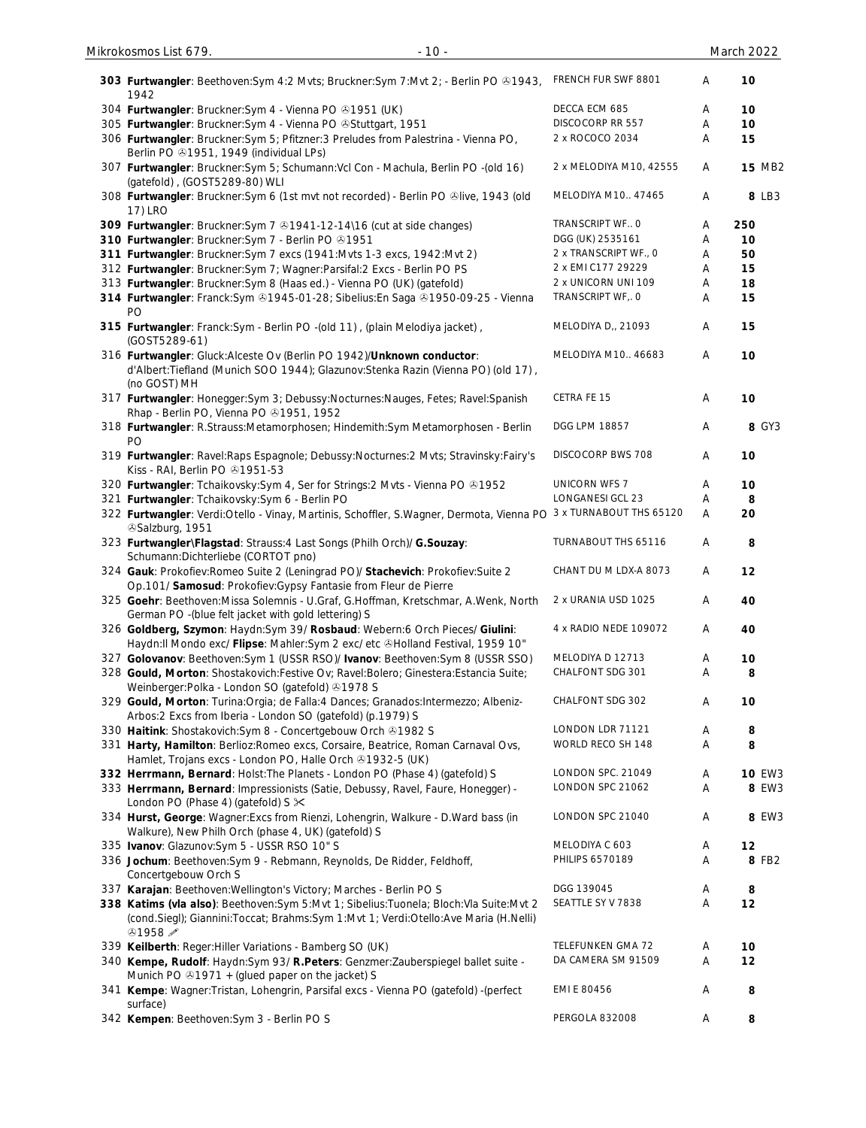| 303 Furtwangler: Beethoven: Sym 4:2 Mvts; Bruckner: Sym 7: Mvt 2; - Berlin PO & 1943,<br>1942                                                                                                    | FRENCH FUR SWF 8801     | Α | 10            |
|--------------------------------------------------------------------------------------------------------------------------------------------------------------------------------------------------|-------------------------|---|---------------|
| 304 Furtwangler: Bruckner: Sym 4 - Vienna PO 31951 (UK)                                                                                                                                          | DECCA ECM 685           | Α | 10            |
| 305 Furtwangler: Bruckner: Sym 4 - Vienna PO & Stuttgart, 1951                                                                                                                                   | DISCOCORP RR 557        | Α | 10            |
| 306 Furtwangler: Bruckner: Sym 5; Pfitzner: 3 Preludes from Palestrina - Vienna PO,<br>Berlin PO $@1951, 1949$ (individual LPs)                                                                  | 2 x ROCOCO 2034         | Α | 15            |
| 307 Furtwangler: Bruckner: Sym 5; Schumann: Vcl Con - Machula, Berlin PO -(old 16)<br>(gatefold), (GOST5289-80) WLI                                                                              | 2 x MELODIYA M10, 42555 | Α | <b>15 MB2</b> |
| 308 Furtwangler: Bruckner: Sym 6 (1st mvt not recorded) - Berlin PO &live, 1943 (old<br>17) LRO                                                                                                  | MELODIYA M10 47465      | Α | 8 LB3         |
| 309 Furtwangler: Bruckner: Sym 7 @1941-12-14\16 (cut at side changes)                                                                                                                            | TRANSCRIPT WF O         | Α | 250           |
| 310 Furtwangler: Bruckner: Sym 7 - Berlin PO @1951                                                                                                                                               | DGG (UK) 2535161        | Α | 10            |
| 311 Furtwangler: Bruckner: Sym 7 excs (1941: Mvts 1-3 excs, 1942: Mvt 2)                                                                                                                         | 2 x TRANSCRIPT WF., 0   | Α | 50            |
| 312 Furtwangler: Bruckner: Sym 7; Wagner: Parsifal: 2 Excs - Berlin PO PS                                                                                                                        | 2 x EMI C177 29229      | Α | 15            |
| 313 Furtwangler: Bruckner: Sym 8 (Haas ed.) - Vienna PO (UK) (gatefold)                                                                                                                          | 2 x UNICORN UNI 109     | Α | 18            |
| 314 Furtwangler: Franck:Sym ®1945-01-28; Sibelius:En Saga ®1950-09-25 - Vienna<br>PO                                                                                                             | TRANSCRIPT WF, O        | Α | 15            |
| 315 Furtwangler: Franck:Sym - Berlin PO -(old 11), (plain Melodiya jacket),<br>(GOST5289-61)                                                                                                     | MELODIYA D,, 21093      | Α | 15            |
| 316 Furtwangler: Gluck:Alceste Ov (Berlin PO 1942)/Unknown conductor:<br>d'Albert:Tiefland (Munich SOO 1944); Glazunov:Stenka Razin (Vienna PO) (old 17),<br>(no GOST) MH                        | MELODIYA M10 46683      | Α | 10            |
| 317 Furtwangler: Honegger: Sym 3; Debussy: Nocturnes: Nauges, Fetes; Ravel: Spanish<br>Rhap - Berlin PO, Vienna PO +1951, 1952                                                                   | CETRA FE 15             | Α | 10            |
| 318 Furtwangler: R.Strauss:Metamorphosen; Hindemith:Sym Metamorphosen - Berlin<br>PO                                                                                                             | DGG LPM 18857           | Α | 8 GY3         |
| 319 Furtwangler: Ravel: Raps Espagnole; Debussy: Nocturnes: 2 Mvts; Stravinsky: Fairy's<br>Kiss - RAI, Berlin PO +1951-53                                                                        | DISCOCORP BWS 708       | Α | 10            |
| 320 Furtwangler: Tchaikovsky: Sym 4, Ser for Strings: 2 Mvts - Vienna PO @1952                                                                                                                   | <b>UNICORN WFS 7</b>    | Α | 10            |
| 321 Furtwangler: Tchaikovsky: Sym 6 - Berlin PO                                                                                                                                                  | LONGANESI GCL 23        | A | 8             |
| 322 Furtwangler: Verdi:Otello - Vinay, Martinis, Schoffler, S.Wagner, Dermota, Vienna PO 3 x TURNABOUT THS 65120<br><sup>3</sup> Salzburg, 1951                                                  |                         | Α | 20            |
| 323 Furtwangler\Flagstad: Strauss:4 Last Songs (Philh Orch)/ G.Souzay:<br>Schumann: Dichterliebe (CORTOT pno)                                                                                    | TURNABOUT THS 65116     | Α | 8             |
| 324 Gauk: Prokofiev: Romeo Suite 2 (Leningrad PO)/ Stachevich: Prokofiev: Suite 2<br>Op.101/ Samosud: Prokofiev: Gypsy Fantasie from Fleur de Pierre                                             | CHANT DU M LDX-A 8073   | Α | 12            |
| 325 Goehr: Beethoven: Missa Solemnis - U.Graf, G.Hoffman, Kretschmar, A.Wenk, North<br>German PO - (blue felt jacket with gold lettering) S                                                      | 2 x URANIA USD 1025     | Α | 40            |
| 326 Goldberg, Szymon: Haydn:Sym 39/ Rosbaud: Webern:6 Orch Pieces/ Giulini:<br>Haydn:II Mondo exc/ Flipse: Mahler:Sym 2 exc/ etc &Holland Festival, 1959 10"                                     | 4 x RADIO NEDE 109072   | Α | 40            |
| 327 Golovanov: Beethoven: Sym 1 (USSR RSO)/ Ivanov: Beethoven: Sym 8 (USSR SSO)                                                                                                                  | MELODIYA D 12713        | A | 10            |
| 328 Gould, Morton: Shostakovich: Festive Ov; Ravel: Bolero; Ginestera: Estancia Suite;<br>Weinberger: Polka - London SO (gatefold) 31978 S                                                       | CHALFONT SDG 301        | Α | 8             |
| 329 Gould, Morton: Turina: Orgia; de Falla: 4 Dances; Granados: Intermezzo; Albeniz-<br>Arbos: 2 Excs from Iberia - London SO (gatefold) (p.1979) S                                              | CHALFONT SDG 302        | Α | 10            |
| 330 Haitink: Shostakovich: Sym 8 - Concertgebouw Orch @1982 S                                                                                                                                    | LONDON LDR 71121        | Α | 8             |
| 331 Harty, Hamilton: Berlioz: Romeo excs, Corsaire, Beatrice, Roman Carnaval Ovs,                                                                                                                | WORLD RECO SH 148       | Α | 8             |
| Hamlet, Trojans excs - London PO, Halle Orch +1932-5 (UK)                                                                                                                                        |                         |   |               |
| 332 Herrmann, Bernard: Holst: The Planets - London PO (Phase 4) (gatefold) S                                                                                                                     | LONDON SPC. 21049       | Α | <b>10 EW3</b> |
| 333 Herrmann, Bernard: Impressionists (Satie, Debussy, Ravel, Faure, Honegger) -<br>London PO (Phase 4) (gatefold) S $\times$                                                                    | LONDON SPC 21062        | Α | 8 EW3         |
| 334 Hurst, George: Wagner: Excs from Rienzi, Lohengrin, Walkure - D. Ward bass (in<br>Walkure), New Philh Orch (phase 4, UK) (gatefold) S                                                        | LONDON SPC 21040        | Α | 8 EW3         |
| 335 Ivanov: Glazunov: Sym 5 - USSR RSO 10" S                                                                                                                                                     | MELODIYA C 603          | A | 12            |
| 336 Jochum: Beethoven: Sym 9 - Rebmann, Reynolds, De Ridder, Feldhoff,<br>Concertgebouw Orch S                                                                                                   | PHILIPS 6570189         | Α | 8 FB2         |
| 337 Karajan: Beethoven: Wellington's Victory; Marches - Berlin PO S                                                                                                                              | DGG 139045              | Α | 8             |
| 338 Katims (vla also): Beethoven:Sym 5:Mvt 1; Sibelius:Tuonela; Bloch:Vla Suite:Mvt 2<br>(cond.Siegl); Giannini:Toccat; Brahms:Sym 1:Mvt 1; Verdi:Otello:Ave Maria (H.Nelli)<br>$&1958 \nearrow$ | SEATTLE SY V 7838       | Α | 12            |
| 339 Keilberth: Reger: Hiller Variations - Bamberg SO (UK)                                                                                                                                        | TELEFUNKEN GMA 72       | Α | 10            |
| 340 Kempe, Rudolf: Haydn:Sym 93/ R.Peters: Genzmer: Zauberspiegel ballet suite -<br>Munich PO $\odot$ 1971 + (glued paper on the jacket) S                                                       | DA CAMERA SM 91509      | Α | 12            |
| 341 Kempe: Wagner: Tristan, Lohengrin, Parsifal excs - Vienna PO (gatefold) -(perfect<br>surface)                                                                                                | EMI E 80456             | Α | 8             |
| 342 Kempen: Beethoven: Sym 3 - Berlin PO S                                                                                                                                                       | PERGOLA 832008          | A | 8             |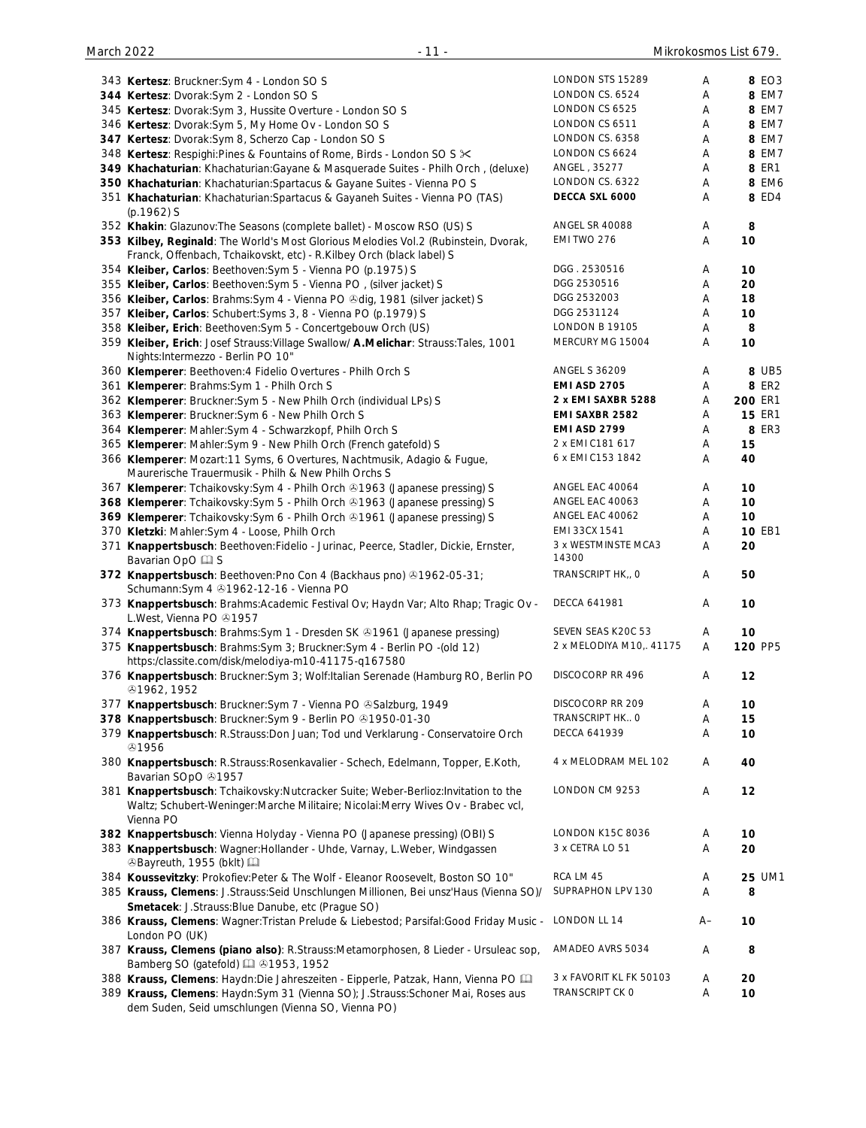| 343 Kertesz: Bruckner: Sym 4 - London SO S                                                                                                                           | LONDON STS 15289             | Α      | 8 EO3         |
|----------------------------------------------------------------------------------------------------------------------------------------------------------------------|------------------------------|--------|---------------|
| 344 Kertesz: Dvorak:Sym 2 - London SO S                                                                                                                              | LONDON CS. 6524              | Α      | 8 EM7         |
| 345 Kertesz: Dvorak: Sym 3, Hussite Overture - London SO S                                                                                                           | LONDON CS 6525               | Α      | 8 EM7         |
| 346 Kertesz: Dvorak: Sym 5, My Home Ov - London SO S                                                                                                                 | LONDON CS 6511               | А      | 8 EM7         |
| 347 Kertesz: Dvorak: Sym 8, Scherzo Cap - London SO S                                                                                                                | LONDON CS. 6358              | A      | 8 EM7         |
| 348 Kertesz: Respighi: Pines & Fountains of Rome, Birds - London SO S X                                                                                              | LONDON CS 6624               | A      | 8 EM7         |
| 349 Khachaturian: Khachaturian: Gayane & Masquerade Suites - Philh Orch, (deluxe)                                                                                    | ANGEL, 35277                 | Α      | <b>8 ER1</b>  |
| 350 Khachaturian: Khachaturian: Spartacus & Gayane Suites - Vienna PO S                                                                                              | LONDON CS. 6322              | A      | 8 EM6         |
| 351 Khachaturian: Khachaturian: Spartacus & Gayaneh Suites - Vienna PO (TAS)                                                                                         | DECCA SXL 6000               | Α      | 8 ED4         |
| $(p.1962)$ S                                                                                                                                                         |                              |        |               |
| 352 Khakin: Glazunov: The Seasons (complete ballet) - Moscow RSO (US) S                                                                                              | <b>ANGEL SR 40088</b>        | Α      | 8             |
| 353 Kilbey, Reginald: The World's Most Glorious Melodies Vol.2 (Rubinstein, Dvorak,<br>Franck, Offenbach, Tchaikovskt, etc) - R.Kilbey Orch (black label) S          | EMI TWO 276                  | Α      | 10            |
| 354 Kleiber, Carlos: Beethoven: Sym 5 - Vienna PO (p.1975) S                                                                                                         | DGG. 2530516                 | Α      | 10            |
| 355 Kleiber, Carlos: Beethoven: Sym 5 - Vienna PO, (silver jacket) S                                                                                                 | DGG 2530516                  | Α      | 20            |
| 356 Kleiber, Carlos: Brahms: Sym 4 - Vienna PO & dig, 1981 (silver jacket) S                                                                                         | DGG 2532003                  | Α      | 18            |
| 357 Kleiber, Carlos: Schubert: Syms 3, 8 - Vienna PO (p.1979) S                                                                                                      | DGG 2531124                  | Α      | 10            |
| 358 Kleiber, Erich: Beethoven: Sym 5 - Concertgebouw Orch (US)                                                                                                       | <b>LONDON B 19105</b>        | Α      | 8             |
| 359 Kleiber, Erich: Josef Strauss: Village Swallow/ A.Melichar: Strauss: Tales, 1001                                                                                 | MERCURY MG 15004             | Α      | 10            |
| Nights: Intermezzo - Berlin PO 10"                                                                                                                                   |                              |        |               |
| 360 Klemperer: Beethoven: 4 Fidelio Overtures - Philh Orch S                                                                                                         | <b>ANGEL S 36209</b>         | Α      | 8 UB5         |
| 361 Klemperer: Brahms: Sym 1 - Philh Orch S                                                                                                                          | <b>EMI ASD 2705</b>          | Α      | <b>8 ER2</b>  |
| 362 Klemperer: Bruckner: Sym 5 - New Philh Orch (individual LPs) S                                                                                                   | 2 x EMI SAXBR 5288           | Α      | 200 ER1       |
| 363 Klemperer: Bruckner: Sym 6 - New Philh Orch S                                                                                                                    | EMI SAXBR 2582               | Α      | <b>15 ER1</b> |
| 364 Klemperer: Mahler: Sym 4 - Schwarzkopf, Philh Orch S                                                                                                             | <b>EMI ASD 2799</b>          | Α      | 8 ER3         |
| 365 Klemperer: Mahler: Sym 9 - New Philh Orch (French gatefold) S                                                                                                    | 2 x EMI C181 617             | Α      | 15            |
| 366 Klemperer: Mozart:11 Syms, 6 Overtures, Nachtmusik, Adagio & Fugue,                                                                                              | 6 x EMI C153 1842            | Α      | 40            |
| Maurerische Trauermusik - Philh & New Philh Orchs S                                                                                                                  |                              |        |               |
| 367 Klemperer: Tchaikovsky: Sym 4 - Philh Orch & 1963 (Japanese pressing) S                                                                                          | ANGEL EAC 40064              | Α      | 10            |
| 368 Klemperer: Tchaikovsky:Sym 5 - Philh Orch 31963 (Japanese pressing) S                                                                                            | ANGEL EAC 40063              | Α      | 10            |
| 369 Klemperer: Tchaikovsky: Sym 6 - Philh Orch & 1961 (Japanese pressing) S                                                                                          | ANGEL EAC 40062              | Α      | 10            |
| 370 Kletzki: Mahler: Sym 4 - Loose, Philh Orch                                                                                                                       | EMI 33CX 1541                | Α      | 10 EB1        |
| 371 Knappertsbusch: Beethoven: Fidelio - Jurinac, Peerce, Stadler, Dickie, Ernster,<br>Bavarian OpO La S                                                             | 3 x WESTMINSTE MCA3<br>14300 | Α      | 20            |
| 372 Knappertsbusch: Beethoven: Pno Con 4 (Backhaus pno) 31962-05-31;<br>Schumann: Sym 4 31962-12-16 - Vienna PO                                                      | TRANSCRIPT HK,, O            | Α      | 50            |
| 373 Knappertsbusch: Brahms: Academic Festival Ov; Haydn Var; Alto Rhap; Tragic Ov -<br>L.West, Vienna PO 21957                                                       | <b>DECCA 641981</b>          | Α      | 10            |
| 374 Knappertsbusch: Brahms: Sym 1 - Dresden SK & 1961 (Japanese pressing)                                                                                            | SEVEN SEAS K20C 53           | A      | 10            |
| 375 Knappertsbusch: Brahms: Sym 3; Bruckner: Sym 4 - Berlin PO - (old 12)                                                                                            | 2 x MELODIYA M10, 41175      | Α      | 120 PP5       |
| https:/classite.com/disk/melodiya-m10-41175-q167580<br>376 Knappertsbusch: Bruckner: Sym 3; Wolf: Italian Serenade (Hamburg RO, Berlin PO                            | DISCOCORP RR 496             | Α      | 12            |
| <b>@1962, 1952</b>                                                                                                                                                   |                              |        |               |
| 377 Knappertsbusch: Bruckner: Sym 7 - Vienna PO & Salzburg, 1949                                                                                                     | DISCOCORP RR 209             | Α      | 10            |
| 378 Knappertsbusch: Bruckner: Sym 9 - Berlin PO @1950-01-30                                                                                                          | TRANSCRIPT HK O              | Α      | 15            |
| 379 Knappertsbusch: R.Strauss:Don Juan; Tod und Verklarung - Conservatoire Orch<br><b>ේ1956</b>                                                                      | <b>DECCA 641939</b>          | Α      | 10            |
| 380 Knappertsbusch: R.Strauss:Rosenkavalier - Schech, Edelmann, Topper, E.Koth,<br>Bavarian SOpO 31957                                                               | 4 x MELODRAM MEL 102         | Α      | 40            |
| 381 Knappertsbusch: Tchaikovsky:Nutcracker Suite; Weber-Berlioz:Invitation to the<br>Waltz; Schubert-Weninger:Marche Militaire; Nicolai:Merry Wives Ov - Brabec vcl, | LONDON CM 9253               | Α      | 12            |
| Vienna PO                                                                                                                                                            | <b>LONDON K15C 8036</b>      |        |               |
| 382 Knappertsbusch: Vienna Holyday - Vienna PO (Japanese pressing) (OBI) S                                                                                           | 3 x CETRA LO 51              | Α<br>Α | 10<br>20      |
| 383 Knappertsbusch: Wagner: Hollander - Uhde, Varnay, L. Weber, Windgassen<br>⊙Bayreuth, 1955 (bklt) [                                                               |                              |        |               |
| 384 Koussevitzky: Prokofiev:Peter & The Wolf - Eleanor Roosevelt, Boston SO 10"                                                                                      | RCA LM 45                    | Α      | 25 UM1        |
| 385 Krauss, Clemens: J.Strauss:Seid Unschlungen Millionen, Bei unsz'Haus (Vienna SO)/                                                                                | SUPRAPHON LPV 130            | Α      | 8             |
| Smetacek: J.Strauss: Blue Danube, etc (Prague SO)                                                                                                                    |                              |        |               |
| 386 Krauss, Clemens: Wagner: Tristan Prelude & Liebestod; Parsifal: Good Friday Music -<br>London PO (UK)                                                            | LONDON LL 14                 | $A-$   | 10            |
| 387 Krauss, Clemens (piano also): R.Strauss:Metamorphosen, 8 Lieder - Ursuleac sop,<br>Bamberg SO (gatefold) [2] 31953, 1952                                         | AMADEO AVRS 5034             | Α      | 8             |
| 388 Krauss, Clemens: Haydn:Die Jahreszeiten - Eipperle, Patzak, Hann, Vienna PO [11]                                                                                 | 3 x FAVORIT KL FK 50103      | Α      | 20            |
| 389 Krauss, Clemens: Haydn:Sym 31 (Vienna SO); J.Strauss:Schoner Mai, Roses aus<br>dem Suden, Seid umschlungen (Vienna SO, Vienna PO)                                | TRANSCRIPT CK O              | Α      | 10            |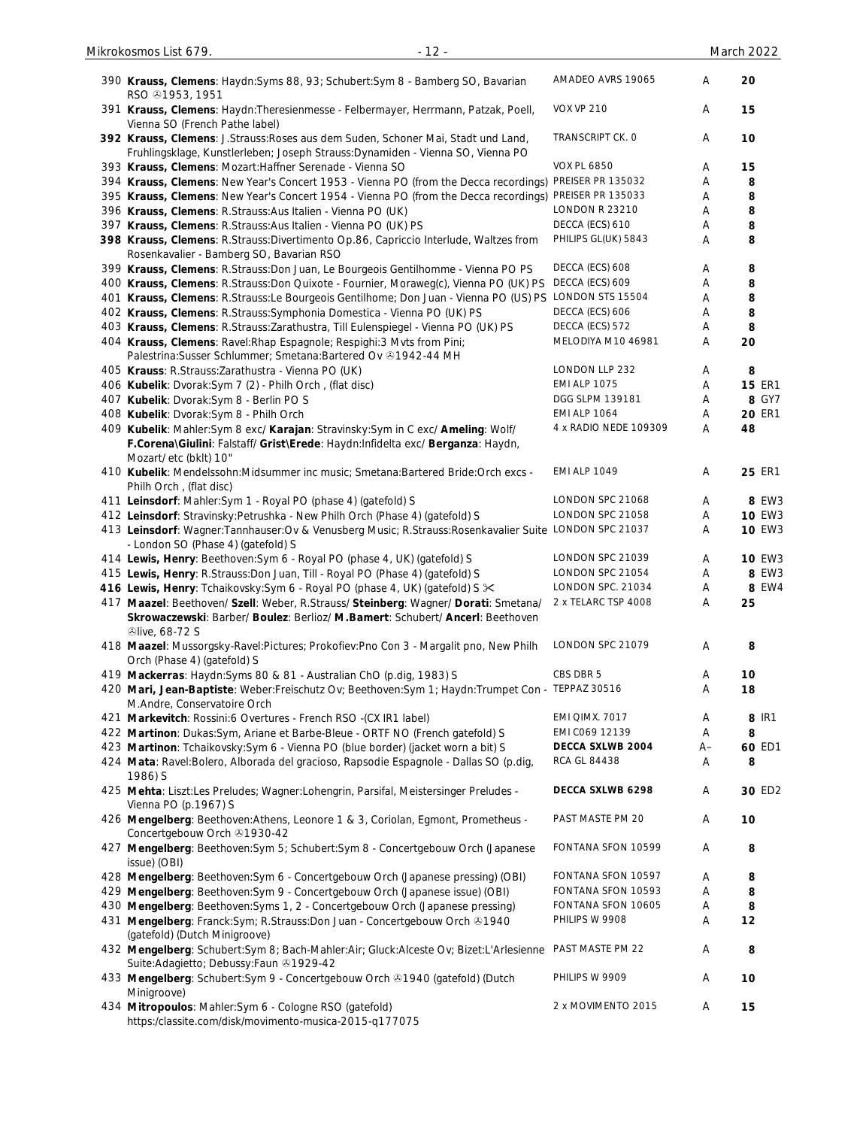| 390 Krauss, Clemens: Haydn: Syms 88, 93; Schubert: Sym 8 - Bamberg SO, Bavarian<br>RSO $@1953, 1951$                                                                                        | AMADEO AVRS 19065     | Α    | 20            |
|---------------------------------------------------------------------------------------------------------------------------------------------------------------------------------------------|-----------------------|------|---------------|
| 391 Krauss, Clemens: Haydn: Theresienmesse - Felbermayer, Herrmann, Patzak, Poell,<br>Vienna SO (French Pathe label)                                                                        | <b>VOX VP 210</b>     | Α    | 15            |
| 392 Krauss, Clemens: J.Strauss: Roses aus dem Suden, Schoner Mai, Stadt und Land,<br>Fruhlingsklage, Kunstlerleben; Joseph Strauss: Dynamiden - Vienna SO, Vienna PO                        | TRANSCRIPT CK. O      | Α    | 10            |
| 393 Krauss, Clemens: Mozart: Haffner Serenade - Vienna SO                                                                                                                                   | <b>VOX PL 6850</b>    | Α    | 15            |
| 394 Krauss, Clemens: New Year's Concert 1953 - Vienna PO (from the Decca recordings)                                                                                                        | PREISER PR 135032     | Α    | 8             |
| 395 Krauss, Clemens: New Year's Concert 1954 - Vienna PO (from the Decca recordings)                                                                                                        | PREISER PR 135033     | Α    | 8             |
| 396 Krauss, Clemens: R.Strauss: Aus Italien - Vienna PO (UK)                                                                                                                                | <b>LONDON R 23210</b> | Α    | 8             |
| 397 Krauss, Clemens: R.Strauss: Aus Italien - Vienna PO (UK) PS                                                                                                                             | DECCA (ECS) 610       | Α    | 8             |
| 398 Krauss, Clemens: R.Strauss:Divertimento Op.86, Capriccio Interlude, Waltzes from<br>Rosenkavalier - Bamberg SO, Bavarian RSO                                                            | PHILIPS GL(UK) 5843   | Α    | 8             |
| 399 Krauss, Clemens: R.Strauss: Don Juan, Le Bourgeois Gentilhomme - Vienna PO PS                                                                                                           | DECCA (ECS) 608       | Α    | 8             |
| 400 Krauss, Clemens: R.Strauss: Don Quixote - Fournier, Moraweg(c), Vienna PO (UK) PS                                                                                                       | DECCA (ECS) 609       | Α    | 8             |
| 401 Krauss, Clemens: R.Strauss:Le Bourgeois Gentilhome; Don Juan - Vienna PO (US) PS                                                                                                        | LONDON STS 15504      | Α    | 8             |
| 402 Krauss, Clemens: R.Strauss: Symphonia Domestica - Vienna PO (UK) PS                                                                                                                     | DECCA (ECS) 606       | Α    | 8             |
| 403 Krauss, Clemens: R.Strauss:Zarathustra, Till Eulenspiegel - Vienna PO (UK) PS                                                                                                           | DECCA (ECS) 572       | Α    | 8             |
| 404 Krauss, Clemens: Ravel: Rhap Espagnole; Respighi: 3 Mvts from Pini;                                                                                                                     | MELODIYA M10 46981    | Α    | 20            |
| Palestrina: Susser Schlummer; Smetana: Bartered Ov +1942-44 MH                                                                                                                              |                       |      |               |
| 405 Krauss: R.Strauss: Zarathustra - Vienna PO (UK)                                                                                                                                         | LONDON LLP 232        | Α    | 8             |
| 406 Kubelik: Dvorak:Sym 7 (2) - Philh Orch, (flat disc)                                                                                                                                     | <b>EMI ALP 1075</b>   | Α    | <b>15 ER1</b> |
| 407 Kubelik: Dvorak: Sym 8 - Berlin PO S                                                                                                                                                    | DGG SLPM 139181       | Α    | 8 GY7         |
| 408 Kubelik: Dvorak: Sym 8 - Philh Orch                                                                                                                                                     | <b>EMI ALP 1064</b>   | Α    | <b>20 ER1</b> |
|                                                                                                                                                                                             | 4 x RADIO NEDE 109309 | Α    | 48            |
| 409 Kubelik: Mahler:Sym 8 exc/ Karajan: Stravinsky:Sym in C exc/ Ameling: Wolf/<br>F.Corena\Giulini: Falstaff/ Grist\Erede: Haydn:Infidelta exc/ Berganza: Haydn,<br>Mozart/ etc (bklt) 10" |                       |      |               |
| 410 Kubelik: Mendelssohn: Midsummer inc music; Smetana: Bartered Bride: Orch excs -<br>Philh Orch, (flat disc)                                                                              | <b>EMI ALP 1049</b>   | Α    | 25 ER1        |
| 411 Leinsdorf: Mahler: Sym 1 - Royal PO (phase 4) (gatefold) S                                                                                                                              | LONDON SPC 21068      | Α    | 8 EW3         |
| 412 Leinsdorf: Stravinsky: Petrushka - New Philh Orch (Phase 4) (gatefold) S                                                                                                                | LONDON SPC 21058      | Α    | <b>10 EW3</b> |
| 413 Leinsdorf: Wagner:Tannhauser:Ov & Venusberg Music; R.Strauss:Rosenkavalier Suite LONDON SPC 21037<br>- London SO (Phase 4) (gatefold) S                                                 |                       | Α    | <b>10 EW3</b> |
| 414 Lewis, Henry: Beethoven: Sym 6 - Royal PO (phase 4, UK) (gatefold) S                                                                                                                    | LONDON SPC 21039      | Α    | <b>10 EW3</b> |
| 415 Lewis, Henry: R.Strauss:Don Juan, Till - Royal PO (Phase 4) (gatefold) S                                                                                                                | LONDON SPC 21054      | Α    | 8 EW3         |
| 416 Lewis, Henry: Tchaikovsky: Sym 6 - Royal PO (phase 4, UK) (gatefold) S $\times$                                                                                                         | LONDON SPC. 21034     | Α    | 8 EW4         |
| 417 Maazel: Beethoven/ Szell: Weber, R.Strauss/ Steinberg: Wagner/ Dorati: Smetana/                                                                                                         | 2 x TELARC TSP 4008   | Α    | 25            |
| Skrowaczewski: Barber/ Boulez: Berlioz/ M.Bamert: Schubert/ Ancerl: Beethoven<br><b><i>⊕live, 68-72 S</i></b>                                                                               |                       |      |               |
| 418 Maazel: Mussorgsky-Ravel:Pictures; Prokofiev:Pno Con 3 - Margalit pno, New Philh<br>Orch (Phase 4) (gatefold) S                                                                         | LONDON SPC 21079      | Α    | 8             |
| 419 Mackerras: Haydn: Syms 80 & 81 - Australian ChO (p.dig, 1983) S                                                                                                                         | CBS DBR 5             | Α    | 10            |
| 420 Mari, Jean-Baptiste: Weber:Freischutz Ov; Beethoven:Sym 1; Haydn:Trumpet Con - TEPPAZ 30516<br>M.Andre, Conservatoire Orch                                                              |                       | Α    | 18            |
| 421 Markevitch: Rossini:6 Overtures - French RSO -(CX IR1 label)                                                                                                                            | EMI QIMX. 7017        | Α    | 8 IR1         |
| 422 Martinon: Dukas:Sym, Ariane et Barbe-Bleue - ORTF NO (French gatefold) S                                                                                                                | EMI C069 12139        | Α    | 8             |
| 423 Martinon: Tchaikovsky:Sym 6 - Vienna PO (blue border) (jacket worn a bit) S                                                                                                             | DECCA SXLWB 2004      | $A-$ | 60 ED1        |
| 424 Mata: Ravel: Bolero, Alborada del gracioso, Rapsodie Espagnole - Dallas SO (p.dig,<br>1986) S                                                                                           | RCA GL 84438          | Α    | 8             |
| 425 Mehta: Liszt:Les Preludes; Wagner:Lohengrin, Parsifal, Meistersinger Preludes -<br>Vienna PO (p.1967) S                                                                                 | DECCA SXLWB 6298      | Α    | 30 ED2        |
| 426 Mengelberg: Beethoven:Athens, Leonore 1 & 3, Coriolan, Egmont, Prometheus -<br>Concertgebouw Orch 21930-42                                                                              | PAST MASTE PM 20      | Α    | 10            |
| 427 Mengelberg: Beethoven:Sym 5; Schubert:Sym 8 - Concertgebouw Orch (Japanese<br>issue) (OBI)                                                                                              | FONTANA SFON 10599    | Α    | 8             |
| 428 Mengelberg: Beethoven:Sym 6 - Concertgebouw Orch (Japanese pressing) (OBI)                                                                                                              | FONTANA SFON 10597    | Α    | 8             |
| 429 Mengelberg: Beethoven: Sym 9 - Concertgebouw Orch (Japanese issue) (OBI)                                                                                                                | FONTANA SFON 10593    | Α    | 8             |
| 430 Mengelberg: Beethoven: Syms 1, 2 - Concertgebouw Orch (Japanese pressing)                                                                                                               | FONTANA SFON 10605    | Α    | 8             |
| 431 Mengelberg: Franck:Sym; R.Strauss:Don Juan - Concertgebouw Orch & 1940<br>(gatefold) (Dutch Minigroove)                                                                                 | PHILIPS W 9908        | Α    | 12            |
| 432 Mengelberg: Schubert:Sym 8; Bach-Mahler:Air; Gluck:Alceste Ov; Bizet:L'Arlesienne<br>Suite: Adagietto; Debussy: Faun 31929-42                                                           | PAST MASTE PM 22      | Α    | 8             |
| 433 Mengelberg: Schubert: Sym 9 - Concertgebouw Orch & 1940 (gatefold) (Dutch<br>Minigroove)                                                                                                | PHILIPS W 9909        | Α    | 10            |
| 434 Mitropoulos: Mahler:Sym 6 - Cologne RSO (gatefold)<br>https:/classite.com/disk/movimento-musica-2015-q177075                                                                            | 2 x MOVIMENTO 2015    | Α    | 15            |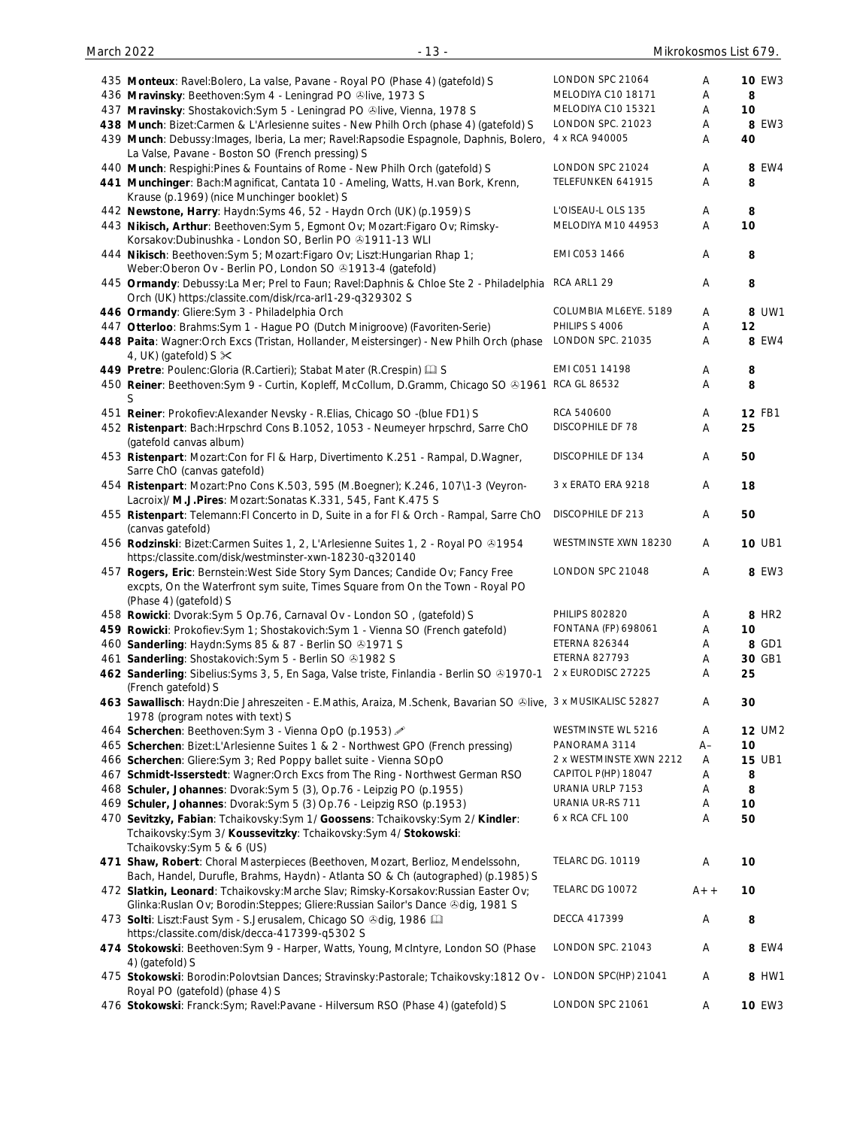| 435 Monteux: Ravel: Bolero, La valse, Pavane - Royal PO (Phase 4) (gatefold) S                                                                                           | LONDON SPC 21064           | Α     | <b>10 EW3</b>     |
|--------------------------------------------------------------------------------------------------------------------------------------------------------------------------|----------------------------|-------|-------------------|
| 436 Mravinsky: Beethoven: Sym 4 - Leningrad PO ®live, 1973 S                                                                                                             | MELODIYA C10 18171         | Α     | 8                 |
| 437 Mravinsky: Shostakovich: Sym 5 - Leningrad PO @live, Vienna, 1978 S                                                                                                  | MELODIYA C10 15321         | Α     | 10                |
| 438 Munch: Bizet:Carmen & L'Arlesienne suites - New Philh Orch (phase 4) (gatefold) S                                                                                    | LONDON SPC. 21023          | Α     | 8 EW3             |
| 439 Munch: Debussy: Images, Iberia, La mer; Ravel: Rapsodie Espagnole, Daphnis, Bolero,<br>La Valse, Pavane - Boston SO (French pressing) S                              | 4 x RCA 940005             | Α     | 40                |
| 440 Munch: Respighi: Pines & Fountains of Rome - New Philh Orch (gatefold) S                                                                                             | LONDON SPC 21024           | Α     | 8 EW4             |
| 441 Munchinger: Bach:Magnificat, Cantata 10 - Ameling, Watts, H.van Bork, Krenn,                                                                                         | TELEFUNKEN 641915          | A     | 8                 |
| Krause (p.1969) (nice Munchinger booklet) S<br>442 Newstone, Harry: Haydn: Syms 46, 52 - Haydn Orch (UK) (p.1959) S                                                      | L'OISEAU-L OLS 135         | A     | 8                 |
| 443 Nikisch, Arthur: Beethoven: Sym 5, Egmont Ov; Mozart: Figaro Ov; Rimsky-<br>Korsakov:Dubinushka - London SO, Berlin PO +1911-13 WLI                                  | MELODIYA M10 44953         | A     | 10                |
| 444 Nikisch: Beethoven: Sym 5; Mozart: Figaro Ov; Liszt: Hungarian Rhap 1;<br>Weber: Oberon Ov - Berlin PO, London SO +1913-4 (gatefold)                                 | EMI C053 1466              | A     | 8                 |
| 445 Ormandy: Debussy:La Mer; Prel to Faun; Ravel:Daphnis & Chloe Ste 2 - Philadelphia<br>Orch (UK) https:/classite.com/disk/rca-arl1-29-q329302 S                        | RCA ARL1 29                | Α     | 8                 |
| 446 Ormandy: Gliere: Sym 3 - Philadelphia Orch                                                                                                                           | COLUMBIA ML6EYE. 5189      | Α     | 8 UW1             |
| 447 Otterloo: Brahms: Sym 1 - Hague PO (Dutch Minigroove) (Favoriten-Serie)                                                                                              | PHILIPS S 4006             | A     | 12                |
| 448 Paita: Wagner: Orch Excs (Tristan, Hollander, Meistersinger) - New Philh Orch (phase<br>4, UK) (gatefold) $S \times$                                                 | LONDON SPC. 21035          | A     | 8 EW4             |
| 449 Pretre: Poulenc: Gloria (R. Cartieri); Stabat Mater (R. Crespin) [ S                                                                                                 | EMI C051 14198             | Α     | 8                 |
| 450 Reiner: Beethoven: Sym 9 - Curtin, Kopleff, McCollum, D.Gramm, Chicago SO & 1961                                                                                     | <b>RCA GL 86532</b>        | A     | 8                 |
| S<br>451 Reiner: Prokofiev: Alexander Nevsky - R. Elias, Chicago SO - (blue FD1) S                                                                                       | RCA 540600                 | Α     | <b>12 FB1</b>     |
| 452 Ristenpart: Bach: Hrpschrd Cons B.1052, 1053 - Neumeyer hrpschrd, Sarre ChO<br>(gatefold canvas album)                                                               | DISCOPHILE DF 78           | Α     | 25                |
| 453 Ristenpart: Mozart: Con for FI & Harp, Divertimento K.251 - Rampal, D. Wagner,<br>Sarre ChO (canvas gatefold)                                                        | DISCOPHILE DF 134          | Α     | 50                |
| 454 Ristenpart: Mozart:Pno Cons K.503, 595 (M.Boegner); K.246, 107\1-3 (Veyron-<br>Lacroix)/ M.J.Pires: Mozart: Sonatas K.331, 545, Fant K.475 S                         | 3 x ERATO ERA 9218         | Α     | 18                |
| 455 Ristenpart: Telemann: FI Concerto in D, Suite in a for FI & Orch - Rampal, Sarre ChO<br>(canvas gatefold)                                                            | DISCOPHILE DF 213          | Α     | 50                |
| 456 Rodzinski: Bizet:Carmen Suites 1, 2, L'Arlesienne Suites 1, 2 - Royal PO @1954<br>https:/classite.com/disk/westminster-xwn-18230-q320140                             | WESTMINSTE XWN 18230       | Α     | <b>10 UB1</b>     |
| 457 Rogers, Eric: Bernstein: West Side Story Sym Dances; Candide Ov; Fancy Free                                                                                          | LONDON SPC 21048           | Α     | 8 EW3             |
| excpts, On the Waterfront sym suite, Times Square from On the Town - Royal PO<br>(Phase 4) (gatefold) S                                                                  |                            |       |                   |
| 458 Rowicki: Dvorak:Sym 5 Op.76, Carnaval Ov - London SO, (gatefold) S                                                                                                   | <b>PHILIPS 802820</b>      | Α     | 8 HR <sub>2</sub> |
| 459 Rowicki: Prokofiev:Sym 1; Shostakovich:Sym 1 - Vienna SO (French gatefold)                                                                                           | <b>FONTANA (FP) 698061</b> | Α     | 10                |
| 460 Sanderling: Haydn: Syms 85 & 87 - Berlin SO & 1971 S                                                                                                                 | <b>ETERNA 826344</b>       | Α     | 8 GD1             |
| 461 Sanderling: Shostakovich: Sym 5 - Berlin SO 31982 S                                                                                                                  | <b>ETERNA 827793</b>       | Α     | 30 GB1            |
| 462 Sanderling: Sibelius: Syms 3, 5, En Saga, Valse triste, Finlandia - Berlin SO ®1970-1<br>(French gatefold) S                                                         | 2 x EURODISC 27225         | Α     | 25                |
| 463 Sawallisch: Haydn:Die Jahreszeiten - E.Mathis, Araiza, M.Schenk, Bavarian SO &live, 3 x MUSIKALISC 52827<br>1978 (program notes with text) S                         |                            | Α     | 30                |
| 464 Scherchen: Beethoven: Sym 3 - Vienna OpO (p.1953)                                                                                                                    | WESTMINSTE WL 5216         | Α     | <b>12 UM2</b>     |
| 465 Scherchen: Bizet:L'Arlesienne Suites 1 & 2 - Northwest GPO (French pressing)                                                                                         | PANORAMA 3114              | $A-$  | 10                |
| 466 Scherchen: Gliere: Sym 3; Red Poppy ballet suite - Vienna SOpO                                                                                                       | 2 x WESTMINSTE XWN 2212    | A     | <b>15 UB1</b>     |
| 467 Schmidt-Isserstedt: Wagner: Orch Excs from The Ring - Northwest German RSO                                                                                           | CAPITOL P(HP) 18047        | Α     | 8                 |
| 468 Schuler, Johannes: Dvorak:Sym 5 (3), Op.76 - Leipzig PO (p.1955)                                                                                                     | URANIA URLP 7153           | Α     | 8                 |
| 469 Schuler, Johannes: Dvorak: Sym 5 (3) Op. 76 - Leipzig RSO (p. 1953)                                                                                                  | URANIA UR-RS 711           | Α     | 10                |
| 470 Sevitzky, Fabian: Tchaikovsky: Sym 1/ Goossens: Tchaikovsky: Sym 2/ Kindler:                                                                                         | 6 x RCA CFL 100            | Α     | 50                |
| Tchaikovsky:Sym 3/ Koussevitzky: Tchaikovsky:Sym 4/ Stokowski:<br>Tchaikovsky: Sym 5 & 6 (US)                                                                            |                            |       |                   |
| 471 Shaw, Robert: Choral Masterpieces (Beethoven, Mozart, Berlioz, Mendelssohn,<br>Bach, Handel, Durufle, Brahms, Haydn) - Atlanta SO & Ch (autographed) (p.1985) S      | <b>TELARC DG. 10119</b>    | Α     | 10                |
| 472 Slatkin, Leonard: Tchaikovsky: Marche Slav; Rimsky-Korsakov: Russian Easter Ov;<br>Glinka: Ruslan Ov; Borodin: Steppes; Gliere: Russian Sailor's Dance & dig, 1981 S | TELARC DG 10072            | $A++$ | 10                |
| 473 Solti: Liszt:Faust Sym - S.Jerusalem, Chicago SO & dig, 1986<br>https:/classite.com/disk/decca-417399-q5302 S                                                        | <b>DECCA 417399</b>        | Α     | 8                 |
| 474 Stokowski: Beethoven: Sym 9 - Harper, Watts, Young, McIntyre, London SO (Phase<br>4) (gatefold) S                                                                    | LONDON SPC. 21043          | Α     | 8 EW4             |
| 475 Stokowski: Borodin:Polovtsian Dances; Stravinsky:Pastorale; Tchaikovsky:1812 Ov - LONDON SPC(HP) 21041<br>Royal PO (gatefold) (phase 4) S                            |                            | Α     | 8 HW1             |
| 476 Stokowski: Franck:Sym; Ravel:Pavane - Hilversum RSO (Phase 4) (gatefold) S                                                                                           | LONDON SPC 21061           | Α     | <b>10 EW3</b>     |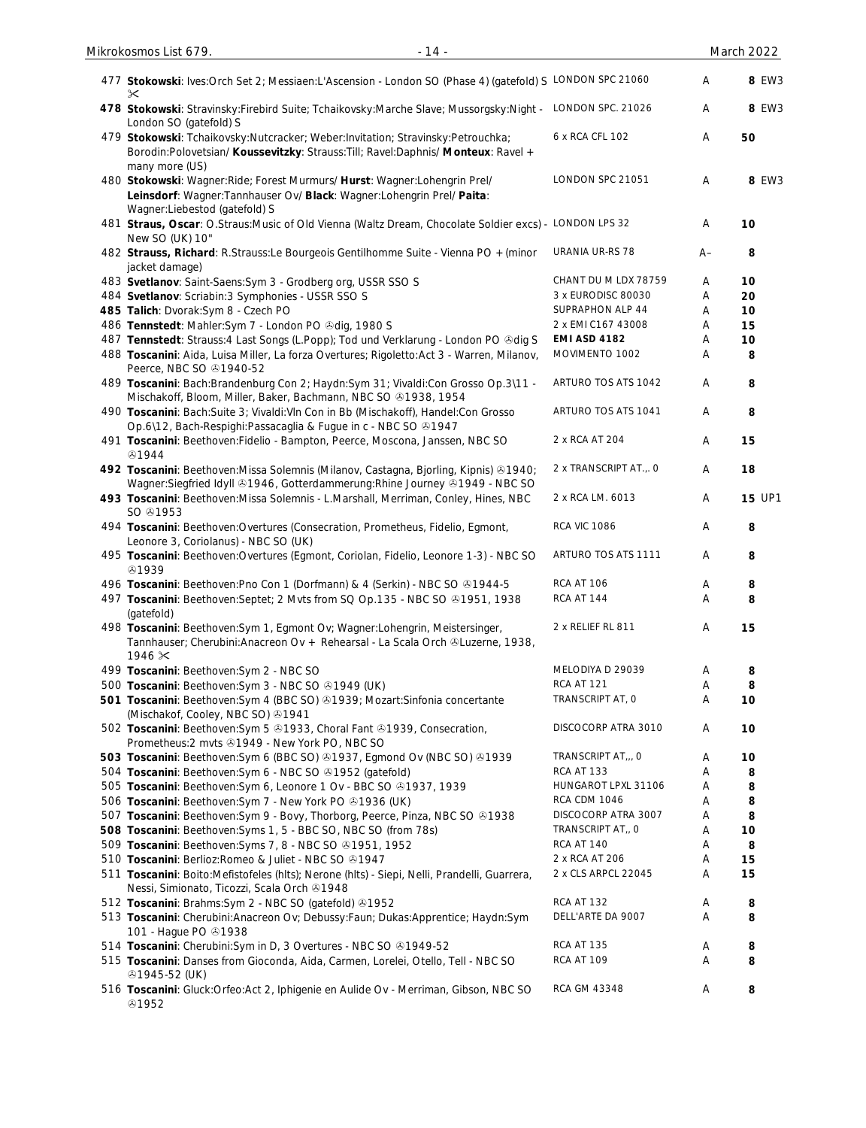| 477 Stokowski: Ives:Orch Set 2; Messiaen:L'Ascension - London SO (Phase 4) (gatefold) S LONDON SPC 21060<br>✕                                                                           |                        | Α    | 8 EW3         |
|-----------------------------------------------------------------------------------------------------------------------------------------------------------------------------------------|------------------------|------|---------------|
| 478 Stokowski: Stravinsky: Firebird Suite; Tchaikovsky: Marche Slave; Mussorgsky: Night - LONDON SPC. 21026<br>London SO (gatefold) S                                                   |                        | Α    | 8 EW3         |
| 479 Stokowski: Tchaikovsky:Nutcracker; Weber:Invitation; Stravinsky:Petrouchka;<br>Borodin:Polovetsian/ Koussevitzky: Strauss:Till; Ravel:Daphnis/ Monteux: Ravel +<br>many more (US)   | 6 x RCA CFL 102        | Α    | 50            |
| 480 Stokowski: Wagner: Ride; Forest Murmurs/ Hurst: Wagner: Lohengrin Prel/<br>Leinsdorf: Wagner: Tannhauser Ov/ Black: Wagner: Lohengrin Prel/ Paita:<br>Wagner:Liebestod (gatefold) S | LONDON SPC 21051       | A    | 8 EW3         |
| 481 Straus, Oscar: O.Straus: Music of Old Vienna (Waltz Dream, Chocolate Soldier excs) - LONDON LPS 32<br>New SO (UK) 10"                                                               |                        | Α    | 10            |
| 482 Strauss, Richard: R.Strauss:Le Bourgeois Gentilhomme Suite - Vienna PO + (minor<br>jacket damage)                                                                                   | URANIA UR-RS 78        | $A-$ | 8             |
| 483 Svetlanov: Saint-Saens: Sym 3 - Grodberg org, USSR SSO S                                                                                                                            | CHANT DU M LDX 78759   | A    | 10            |
| 484 Svetlanov: Scriabin: 3 Symphonies - USSR SSO S                                                                                                                                      | 3 x EURODISC 80030     | Α    | 20            |
| 485 Talich: Dvorak:Sym 8 - Czech PO                                                                                                                                                     | SUPRAPHON ALP 44       | A    | 10            |
| 486 Tennstedt: Mahler: Sym 7 - London PO & dig, 1980 S                                                                                                                                  | 2 x EMI C167 43008     | Α    | 15            |
| 487 Tennstedt: Strauss:4 Last Songs (L.Popp); Tod und Verklarung - London PO &dig S                                                                                                     | <b>EMI ASD 4182</b>    | Α    | 10            |
| 488 Toscanini: Aida, Luisa Miller, La forza Overtures; Rigoletto: Act 3 - Warren, Milanov,<br>Peerce, NBC SO $@1940-52$                                                                 | MOVIMENTO 1002         | Α    | 8             |
| 489 Toscanini: Bach:Brandenburg Con 2; Haydn:Sym 31; Vivaldi:Con Grosso Op.3\11 -<br>Mischakoff, Bloom, Miller, Baker, Bachmann, NBC SO 31938, 1954                                     | ARTURO TOS ATS 1042    | Α    | 8             |
| 490 Toscanini: Bach:Suite 3; Vivaldi:VIn Con in Bb (Mischakoff), Handel:Con Grosso<br>Op.6\12, Bach-Respighi:Passacaglia & Fugue in c - NBC SO +1947                                    | ARTURO TOS ATS 1041    | A    | 8             |
| 491 Toscanini: Beethoven: Fidelio - Bampton, Peerce, Moscona, Janssen, NBC SO<br>۞1944                                                                                                  | 2 x RCA AT 204         | Α    | 15            |
| 492 Toscanini: Beethoven: Missa Solemnis (Milanov, Castagna, Bjorling, Kipnis) & 1940;<br>Wagner:Siegfried Idyll @1946, Gotterdammerung:Rhine Journey @1949 - NBC SO                    | 2 x TRANSCRIPT AT.,. 0 | Α    | 18            |
| 493 Toscanini: Beethoven: Missa Solemnis - L. Marshall, Merriman, Conley, Hines, NBC<br>SO @1953                                                                                        | 2 x RCA LM. 6013       | Α    | <b>15 UP1</b> |
| 494 Toscanini: Beethoven: Overtures (Consecration, Prometheus, Fidelio, Egmont,<br>Leonore 3, Coriolanus) - NBC SO (UK)                                                                 | <b>RCA VIC 1086</b>    | Α    | 8             |
| 495 Toscanini: Beethoven: Overtures (Egmont, Coriolan, Fidelio, Leonore 1-3) - NBC SO<br>۞1939                                                                                          | ARTURO TOS ATS 1111    | Α    | 8             |
| 496 Toscanini: Beethoven: Pno Con 1 (Dorfmann) & 4 (Serkin) - NBC SO +1944-5                                                                                                            | <b>RCA AT 106</b>      | Α    | 8             |
| 497 Toscanini: Beethoven: Septet; 2 Mvts from SQ Op.135 - NBC SO @1951, 1938<br>(gatefold)                                                                                              | RCA AT 144             | A    | 8             |
| 498 Toscanini: Beethoven: Sym 1, Egmont Ov; Wagner: Lohengrin, Meistersinger,<br>Tannhauser; Cherubini: Anacreon Ov + Rehearsal - La Scala Orch & Luzerne, 1938,<br>$1946 \times$       | 2 x RELIEF RL 811      | Α    | 15            |
| 499 Toscanini: Beethoven: Sym 2 - NBC SO                                                                                                                                                | MELODIYA D 29039       | Α    | 8             |
| 500 Toscanini: Beethoven: Sym 3 - NBC SO 31949 (UK)                                                                                                                                     | <b>RCA AT 121</b>      | Α    | 8             |
| 501 Toscanini: Beethoven: Sym 4 (BBC SO) @1939; Mozart: Sinfonia concertante<br>(Mischakof, Cooley, NBC SO) 31941                                                                       | TRANSCRIPT AT, O       | Α    | 10            |
| 502 Toscanini: Beethoven: Sym 5 81933, Choral Fant 81939, Consecration,<br>Prometheus: 2 mvts 31949 - New York PO, NBC SO                                                               | DISCOCORP ATRA 3010    | Α    | 10            |
| 503 Toscanini: Beethoven: Sym 6 (BBC SO) @1937, Egmond Ov (NBC SO) @1939                                                                                                                | TRANSCRIPT AT,,, O     | Α    | 10            |
| 504 Toscanini: Beethoven: Sym 6 - NBC SO @1952 (gatefold)                                                                                                                               | RCA AT 133             | Α    | 8             |
| 505 Toscanini: Beethoven: Sym 6, Leonore 1 Ov - BBC SO @1937, 1939                                                                                                                      | HUNGAROT LPXL 31106    | Α    | 8             |
| 506 Toscanini: Beethoven: Sym 7 - New York PO +1936 (UK)                                                                                                                                | <b>RCA CDM 1046</b>    | Α    | 8             |
| 507 Toscanini: Beethoven: Sym 9 - Bovy, Thorborg, Peerce, Pinza, NBC SO & 1938                                                                                                          | DISCOCORP ATRA 3007    | Α    | 8             |
| 508 Toscanini: Beethoven: Syms 1, 5 - BBC SO, NBC SO (from 78s)                                                                                                                         | TRANSCRIPT AT,, O      | Α    | 10            |
| 509 Toscanini: Beethoven: Syms 7, 8 - NBC SO 31951, 1952                                                                                                                                | RCA AT 140             | Α    | 8             |
| 510 Toscanini: Berlioz: Romeo & Juliet - NBC SO @1947                                                                                                                                   | 2 x RCA AT 206         | Α    | 15            |
| 511 Toscanini: Boito: Mefistofeles (hlts); Nerone (hlts) - Siepi, Nelli, Prandelli, Guarrera,<br>Nessi, Simionato, Ticozzi, Scala Orch 21948                                            | 2 x CLS ARPCL 22045    | Α    | 15            |
| 512 Toscanini: Brahms: Sym 2 - NBC SO (gatefold) 01952                                                                                                                                  | RCA AT 132             | Α    | 8             |
| 513 Toscanini: Cherubini:Anacreon Ov; Debussy:Faun; Dukas:Apprentice; Haydn:Sym<br>101 - Hague PO 31938                                                                                 | DELL'ARTE DA 9007      | Α    | 8             |
| 514 Toscanini: Cherubini: Sym in D, 3 Overtures - NBC SO 31949-52                                                                                                                       | RCA AT 135             | Α    | 8             |
| 515 Toscanini: Danses from Gioconda, Aida, Carmen, Lorelei, Otello, Tell - NBC SO<br>4945-52 (UK)                                                                                       | <b>RCA AT 109</b>      | Α    | 8             |
| 516 Toscanini: Gluck: Orfeo: Act 2, Iphigenie en Aulide Ov - Merriman, Gibson, NBC SO<br>&1952                                                                                          | RCA GM 43348           | Α    | 8             |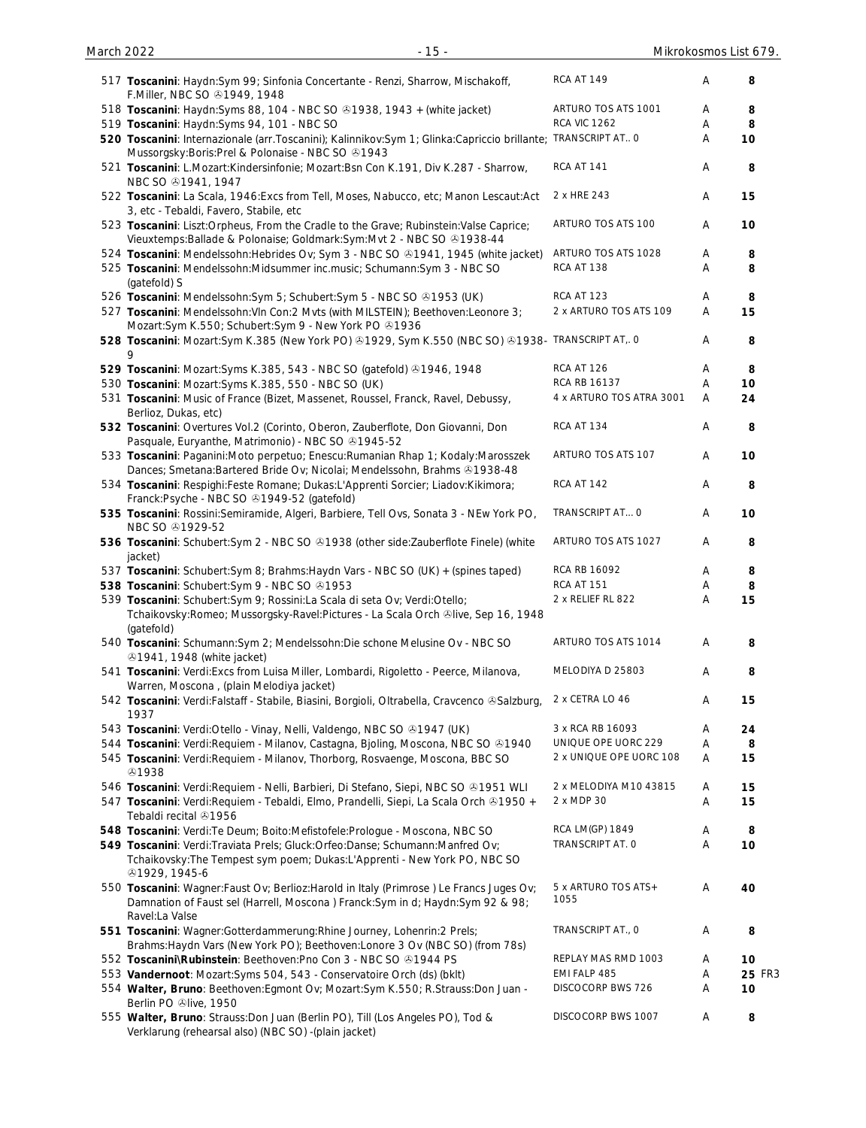| 517 Toscanini: Haydn:Sym 99; Sinfonia Concertante - Renzi, Sharrow, Mischakoff,<br>F.Miller, NBC SO 21949, 1948                                                                                                      | <b>RCA AT 149</b>            | Α | 8      |
|----------------------------------------------------------------------------------------------------------------------------------------------------------------------------------------------------------------------|------------------------------|---|--------|
| 518 Toscanini: Haydn: Syms 88, 104 - NBC SO 31938, 1943 + (white jacket)                                                                                                                                             | ARTURO TOS ATS 1001          | Α | 8      |
| 519 Toscanini: Haydn:Syms 94, 101 - NBC SO                                                                                                                                                                           | <b>RCA VIC 1262</b>          | Α | 8      |
| 520 Toscanini: Internazionale (arr. Toscanini); Kalinnikov: Sym 1; Glinka: Capriccio brillante; TRANSCRIPT AT 0<br>Mussorgsky: Boris: Prel & Polonaise - NBC SO @1943                                                |                              | Α | 10     |
| 521 Toscanini: L.Mozart:Kindersinfonie; Mozart:Bsn Con K.191, Div K.287 - Sharrow,<br>NBC SO $@1941, 1947$                                                                                                           | RCA AT 141                   | Α | 8      |
| 522 Toscanini: La Scala, 1946: Excs from Tell, Moses, Nabucco, etc; Manon Lescaut: Act<br>3, etc - Tebaldi, Favero, Stabile, etc                                                                                     | 2 x HRE 243                  | Α | 15     |
| 523 Toscanini: Liszt:Orpheus, From the Cradle to the Grave; Rubinstein:Valse Caprice;<br>Vieuxtemps: Ballade & Polonaise; Goldmark: Sym: Mvt 2 - NBC SO @1938-44                                                     | ARTURO TOS ATS 100           | Α | 10     |
| 524 Toscanini: Mendelssohn: Hebrides Ov; Sym 3 - NBC SO & 1941, 1945 (white jacket)                                                                                                                                  | ARTURO TOS ATS 1028          | Α | 8      |
| 525 Toscanini: Mendelssohn:Midsummer inc.music; Schumann:Sym 3 - NBC SO<br>(gatefold) S                                                                                                                              | RCA AT 138                   | A | 8      |
| 526 Toscanini: Mendelssohn: Sym 5; Schubert: Sym 5 - NBC SO 31953 (UK)                                                                                                                                               | <b>RCA AT 123</b>            | Α | 8      |
| 527 Toscanini: Mendelssohn: Vln Con: 2 Mvts (with MILSTEIN); Beethoven: Leonore 3;<br>Mozart:Sym K.550; Schubert:Sym 9 - New York PO @1936                                                                           | 2 x ARTURO TOS ATS 109       | A | 15     |
| 528 Toscanini: Mozart:Sym K.385 (New York PO) @1929, Sym K.550 (NBC SO) @1938- TRANSCRIPT AT,. 0                                                                                                                     |                              | A | 8      |
| 529 Toscanini: Mozart: Syms K.385, 543 - NBC SO (gatefold) 31946, 1948                                                                                                                                               | <b>RCA AT 126</b>            | Α | 8      |
| 530 Toscanini: Mozart:Syms K.385, 550 - NBC SO (UK)                                                                                                                                                                  | RCA RB 16137                 | Α | 10     |
| 531 Toscanini: Music of France (Bizet, Massenet, Roussel, Franck, Ravel, Debussy,<br>Berlioz, Dukas, etc)                                                                                                            | 4 x ARTURO TOS ATRA 3001     | A | 24     |
| 532 Toscanini: Overtures Vol.2 (Corinto, Oberon, Zauberflote, Don Giovanni, Don<br>Pasquale, Euryanthe, Matrimonio) - NBC SO 31945-52                                                                                | <b>RCA AT 134</b>            | Α | 8      |
| 533 Toscanini: Paganini:Moto perpetuo; Enescu:Rumanian Rhap 1; Kodaly:Marosszek<br>Dances; Smetana: Bartered Bride Ov; Nicolai; Mendelssohn, Brahms 31938-48                                                         | ARTURO TOS ATS 107           | Α | 10     |
| 534 Toscanini: Respighi: Feste Romane; Dukas: L'Apprenti Sorcier; Liadov: Kikimora;<br>Franck:Psyche - NBC SO 21949-52 (gatefold)                                                                                    | RCA AT 142                   | Α | 8      |
| 535 Toscanini: Rossini:Semiramide, Algeri, Barbiere, Tell Ovs, Sonata 3 - NEw York PO,<br>NBC SO @1929-52                                                                                                            | TRANSCRIPT AT O              | Α | 10     |
| 536 Toscanini: Schubert: Sym 2 - NBC SO & 1938 (other side: Zauberflote Finele) (white<br>jacket)                                                                                                                    | ARTURO TOS ATS 1027          | Α | 8      |
| 537 Toscanini: Schubert: Sym 8; Brahms: Haydn Vars - NBC SO (UK) + (spines taped)                                                                                                                                    | RCA RB 16092                 | Α | 8      |
| 538 Toscanini: Schubert: Sym 9 - NBC SO 31953                                                                                                                                                                        | RCA AT 151                   | Α | 8      |
| 539 Toscanini: Schubert: Sym 9; Rossini: La Scala di seta Ov; Verdi: Otello;<br>Tchaikovsky: Romeo; Mussorgsky-Ravel: Pictures - La Scala Orch &live, Sep 16, 1948<br>(gatefold)                                     | 2 x RELIEF RL 822            | Α | 15     |
| 540 Toscanini: Schumann: Sym 2; Mendelssohn: Die schone Melusine Ov - NBC SO<br><b>ふ1941, 1948 (white jacket)</b>                                                                                                    | ARTURO TOS ATS 1014          | Α | 8      |
| 541 Toscanini: Verdi: Excs from Luisa Miller, Lombardi, Rigoletto - Peerce, Milanova,<br>Warren, Moscona, (plain Melodiya jacket)                                                                                    | MELODIYA D 25803             | A | 8      |
| 542 Toscanini: Verdi:Falstaff - Stabile, Biasini, Borgioli, Oltrabella, Cravcenco & Salzburg,<br>1937                                                                                                                | 2 x CETRA LO 46              | Α | 15     |
| 543 Toscanini: Verdi: Otello - Vinay, Nelli, Valdengo, NBC SO 31947 (UK)                                                                                                                                             | 3 x RCA RB 16093             | A | 24     |
| 544 Toscanini: Verdi: Requiem - Milanov, Castagna, Bjoling, Moscona, NBC SO & 1940                                                                                                                                   | UNIQUE OPE UORC 229          | Α | 8      |
| 545 Toscanini: Verdi: Requiem - Milanov, Thorborg, Rosvaenge, Moscona, BBC SO<br><b>ේ</b> 1938                                                                                                                       | 2 x UNIQUE OPE UORC 108      | Α | 15     |
| 546 Toscanini: Verdi: Requiem - Nelli, Barbieri, Di Stefano, Siepi, NBC SO & 1951 WLI                                                                                                                                | 2 x MELODIYA M10 43815       | Α | 15     |
| 547 Toscanini: Verdi: Requiem - Tebaldi, Elmo, Prandelli, Siepi, La Scala Orch & 1950 +<br>Tebaldi recital 21956                                                                                                     | 2 x MDP 30                   | Α | 15     |
| 548 Toscanini: Verdi: Te Deum; Boito: Mefistofele: Prologue - Moscona, NBC SO                                                                                                                                        | RCA LM(GP) 1849              | Α | 8      |
| 549 Toscanini: Verdi:Traviata Prels; Gluck:Orfeo:Danse; Schumann:Manfred Ov;<br>Tchaikovsky: The Tempest sym poem; Dukas: L'Apprenti - New York PO, NBC SO                                                           | TRANSCRIPT AT. O             | A | 10     |
| <b>@1929, 1945-6</b><br>550 Toscanini: Wagner:Faust Ov; Berlioz:Harold in Italy (Primrose ) Le Francs Juges Ov;<br>Damnation of Faust sel (Harrell, Moscona) Franck: Sym in d; Haydn: Sym 92 & 98;<br>Ravel:La Valse | 5 x ARTURO TOS ATS +<br>1055 | A | 40     |
| 551 Toscanini: Wagner:Gotterdammerung:Rhine Journey, Lohenrin:2 Prels;                                                                                                                                               | TRANSCRIPT AT., O            | Α | 8      |
| Brahms: Haydn Vars (New York PO); Beethoven: Lonore 3 Ov (NBC SO) (from 78s)<br>552 Toscanini\Rubinstein: Beethoven:Pno Con 3 - NBC SO @1944 PS                                                                      | REPLAY MAS RMD 1003          | Α | 10     |
| 553 Vandernoot: Mozart:Syms 504, 543 - Conservatoire Orch (ds) (bklt)                                                                                                                                                | EMI FALP 485                 | Α | 25 FR3 |
| 554 Walter, Bruno: Beethoven: Egmont Ov; Mozart: Sym K.550; R.Strauss: Don Juan -                                                                                                                                    | DISCOCORP BWS 726            | Α | 10     |
| Berlin PO +live, 1950<br>555 Walter, Bruno: Strauss: Don Juan (Berlin PO), Till (Los Angeles PO), Tod &                                                                                                              | DISCOCORP BWS 1007           | Α | 8      |
| Verklarung (rehearsal also) (NBC SO) - (plain jacket)                                                                                                                                                                |                              |   |        |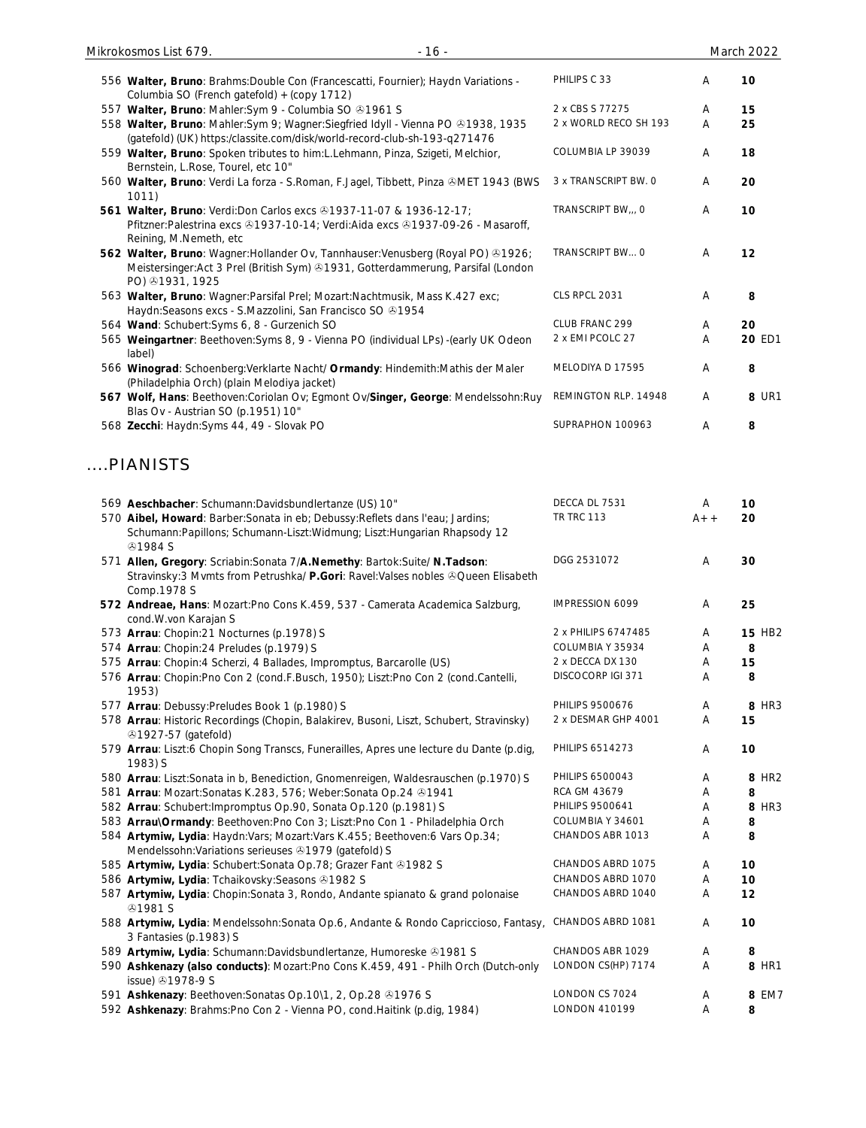| Mikrokosmos List 679.<br>$-16-$                                                                                                                                                          |                       |       | March 2022        |
|------------------------------------------------------------------------------------------------------------------------------------------------------------------------------------------|-----------------------|-------|-------------------|
| 556 Walter, Bruno: Brahms: Double Con (Francescatti, Fournier); Haydn Variations -<br>Columbia SO (French gatefold) + (copy 1712)                                                        | PHILIPS C 33          | A     | 10                |
| 557 Walter, Bruno: Mahler:Sym 9 - Columbia SO @1961 S                                                                                                                                    | 2 x CBS S 77275       | Α     | 15                |
| 558 Walter, Bruno: Mahler:Sym 9; Wagner:Siegfried Idyll - Vienna PO 31938, 1935<br>(gatefold) (UK) https:/classite.com/disk/world-record-club-sh-193-q271476                             | 2 x WORLD RECO SH 193 | Α     | 25                |
| 559 Walter, Bruno: Spoken tributes to him:L.Lehmann, Pinza, Szigeti, Melchior,<br>Bernstein, L.Rose, Tourel, etc 10"                                                                     | COLUMBIA LP 39039     | Α     | 18                |
| 560 Walter, Bruno: Verdi La forza - S.Roman, F.Jagel, Tibbett, Pinza &MET 1943 (BWS<br>1011)                                                                                             | 3 x TRANSCRIPT BW. O  | Α     | 20                |
| 561 Walter, Bruno: Verdi: Don Carlos excs 31937-11-07 & 1936-12-17;<br>Pfitzner:Palestrina excs @1937-10-14; Verdi:Aida excs @1937-09-26 - Masaroff,<br>Reining, M.Nemeth, etc           | TRANSCRIPT BW,,, O    | Α     | 10                |
| 562 Walter, Bruno: Wagner: Hollander Ov, Tannhauser: Venusberg (Royal PO) & 1926;<br>Meistersinger:Act 3 Prel (British Sym) & 1931, Gotterdammerung, Parsifal (London<br>PO) 31931, 1925 | TRANSCRIPT BW O       | A     | 12                |
| 563 Walter, Bruno: Wagner: Parsifal Prel; Mozart: Nachtmusik, Mass K.427 exc;<br>Haydn: Seasons excs - S. Mazzolini, San Francisco SO 31954                                              | CLS RPCL 2031         | Α     | 8                 |
| 564 Wand: Schubert: Syms 6, 8 - Gurzenich SO                                                                                                                                             | CLUB FRANC 299        | A     | 20                |
| 565 Weingartner: Beethoven: Syms 8, 9 - Vienna PO (individual LPs) - (early UK Odeon<br>label)                                                                                           | 2 x EMI PCOLC 27      | Α     | 20 ED1            |
| 566 Winograd: Schoenberg: Verklarte Nacht/ Ormandy: Hindemith: Mathis der Maler<br>(Philadelphia Orch) (plain Melodiya jacket)                                                           | MELODIYA D 17595      | A     | 8                 |
| 567 Wolf, Hans: Beethoven:Coriolan Ov; Egmont Ov/Singer, George: Mendelssohn:Ruy<br>Blas Ov - Austrian SO (p.1951) 10"                                                                   | REMINGTON RLP. 14948  | A     | <b>8 UR1</b>      |
| 568 Zecchi: Haydn: Syms 44, 49 - Slovak PO                                                                                                                                               | SUPRAPHON 100963      | Α     | 8                 |
| PIANISTS                                                                                                                                                                                 |                       |       |                   |
| 569 Aeschbacher: Schumann:Davidsbundlertanze (US) 10"                                                                                                                                    | DECCA DL 7531         | Α     | 10                |
| 570 Aibel, Howard: Barber: Sonata in eb; Debussy: Reflets dans l'eau; Jardins;<br>Schumann: Papillons; Schumann-Liszt: Widmung; Liszt: Hungarian Rhapsody 12<br><b>41984 S</b>           | <b>TR TRC 113</b>     | $A++$ | 20                |
| 571 Allen, Gregory: Scriabin: Sonata 7/A. Nemethy: Bartok: Suite/ N. Tadson:<br>Stravinsky: 3 Mvmts from Petrushka/ P.Gori: Ravel: Valses nobles & Queen Elisabeth<br>Comp.1978 S        | DGG 2531072           | Α     | 30                |
| 572 Andreae, Hans: Mozart: Pno Cons K.459, 537 - Camerata Academica Salzburg,<br>cond.W.von Karajan S                                                                                    | IMPRESSION 6099       | A     | 25                |
| 573 Arrau: Chopin:21 Nocturnes (p.1978) S                                                                                                                                                | 2 x PHILIPS 6747485   | Α     | <b>15 HB2</b>     |
| 574 Arrau: Chopin:24 Preludes (p.1979) S                                                                                                                                                 | COLUMBIA Y 35934      | Α     | 8                 |
| 575 Arrau: Chopin: 4 Scherzi, 4 Ballades, Impromptus, Barcarolle (US)                                                                                                                    | 2 x DECCA DX 130      | Α     | 15                |
| 576 Arrau: Chopin:Pno Con 2 (cond.F.Busch, 1950); Liszt:Pno Con 2 (cond.Cantelli,<br>1953)                                                                                               | DISCOCORP IGI 371     | Α     | 8                 |
| 577 Arrau: Debussy: Preludes Book 1 (p.1980) S                                                                                                                                           | PHILIPS 9500676       | Α     | 8 HR3             |
| 578 Arrau: Historic Recordings (Chopin, Balakirev, Busoni, Liszt, Schubert, Stravinsky)<br><b>ふ1927-57 (gatefold)</b>                                                                    | 2 x DESMAR GHP 4001   | Α     | 15                |
| 579 Arrau: Liszt:6 Chopin Song Transcs, Funerailles, Apres une lecture du Dante (p.dig,<br>1983) S                                                                                       | PHILIPS 6514273       | A     | 10                |
| 580 Arrau: Liszt:Sonata in b, Benediction, Gnomenreigen, Waldesrauschen (p.1970) S                                                                                                       | PHILIPS 6500043       | A     | 8 HR <sub>2</sub> |
| 581 Arrau: Mozart: Sonatas K.283, 576; Weber: Sonata Op.24 01941                                                                                                                         | RCA GM 43679          | A     | 8                 |
| 582 Arrau: Schubert: Impromptus Op.90, Sonata Op.120 (p.1981) S                                                                                                                          | PHILIPS 9500641       | A     | 8 HR3             |
| 583 Arrau\Ormandy: Beethoven: Pno Con 3; Liszt: Pno Con 1 - Philadelphia Orch                                                                                                            | COLUMBIA Y 34601      | Α     | 8                 |
| 584 Artymiw, Lydia: Haydn:Vars; Mozart:Vars K.455; Beethoven:6 Vars Op.34;<br>Mendelssohn: Variations serieuses 31979 (gatefold) S                                                       | CHANDOS ABR 1013      | A     | 8                 |
| 585 Artymiw, Lydia: Schubert: Sonata Op. 78; Grazer Fant @1982 S                                                                                                                         | CHANDOS ABRD 1075     | A     | 10                |
| 586 Artymiw, Lydia: Tchaikovsky: Seasons @1982 S                                                                                                                                         | CHANDOS ABRD 1070     | A     | 10                |
| 587 Artymiw, Lydia: Chopin: Sonata 3, Rondo, Andante spianato & grand polonaise<br><b>⊕1981 S</b>                                                                                        | CHANDOS ABRD 1040     | A     | 12                |
| 588 Artymiw, Lydia: Mendelssohn: Sonata Op.6, Andante & Rondo Capriccioso, Fantasy,<br>3 Fantasies (p.1983) S                                                                            | CHANDOS ABRD 1081     | A     | 10                |
| 589 Artymiw, Lydia: Schumann:Davidsbundlertanze, Humoreske 31981 S                                                                                                                       | CHANDOS ABR 1029      | Α     | 8                 |
| 590 Ashkenazy (also conducts): Mozart:Pno Cons K.459, 491 - Philh Orch (Dutch-only<br>issue) 31978-9 S                                                                                   | LONDON CS(HP) 7174    | Α     | 8 HR1             |
| 591 Ashkenazy: Beethoven: Sonatas Op. 10\1, 2, Op. 28 31976 S                                                                                                                            | LONDON CS 7024        | A     | 8 EM7             |
| 592 Ashkenazy: Brahms: Pno Con 2 - Vienna PO, cond. Haitink (p.dig, 1984)                                                                                                                | <b>LONDON 410199</b>  | Α     | 8                 |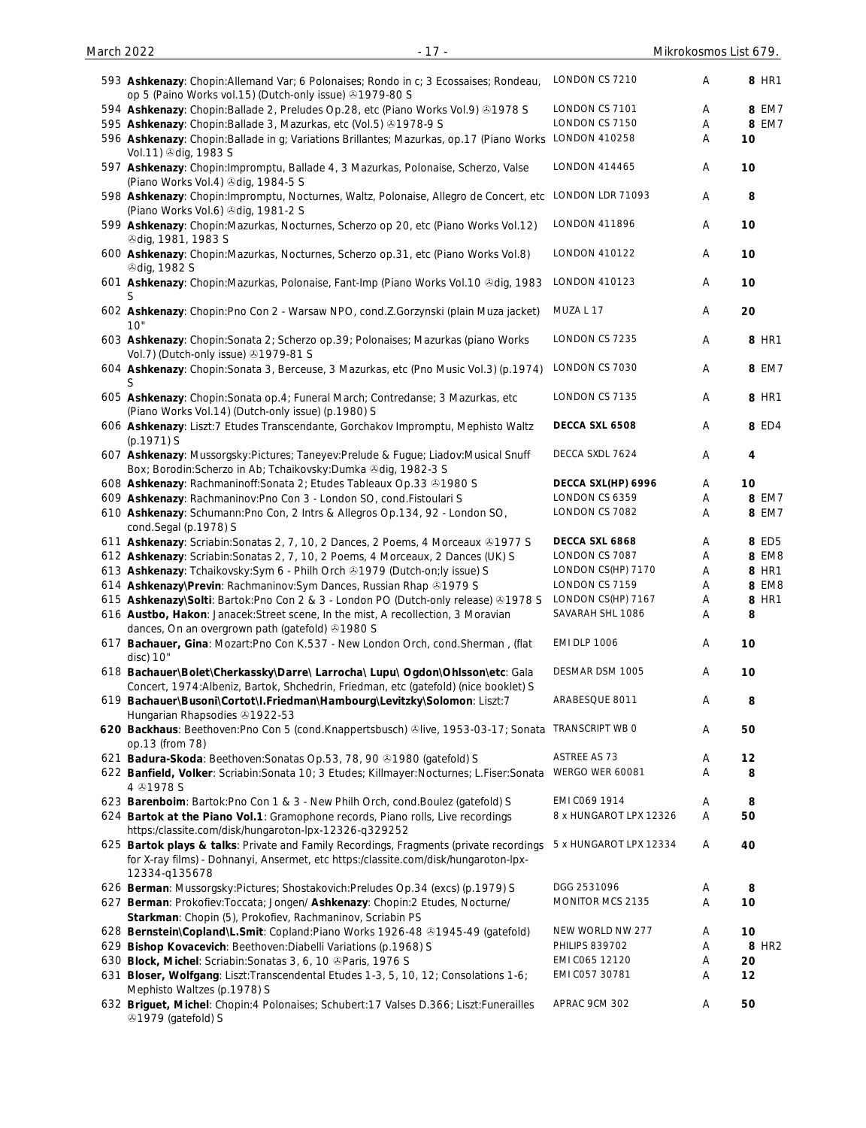| 593 Ashkenazy: Chopin: Allemand Var; 6 Polonaises; Rondo in c; 3 Ecossaises; Rondeau,<br>op 5 (Paino Works vol.15) (Dutch-only issue) 31979-80 S                                               | LONDON CS 7210         | Α                         | 8 HR1 |
|------------------------------------------------------------------------------------------------------------------------------------------------------------------------------------------------|------------------------|---------------------------|-------|
| 594 Ashkenazy: Chopin: Ballade 2, Preludes Op.28, etc (Piano Works Vol.9) 31978 S                                                                                                              | LONDON CS 7101         | A                         | 8 EM7 |
| 595 Ashkenazy: Chopin:Ballade 3, Mazurkas, etc (Vol.5) 31978-9 S                                                                                                                               | LONDON CS 7150         | Α                         | 8 EM7 |
| 596 Ashkenazy: Chopin: Ballade in g; Variations Brillantes; Mazurkas, op.17 (Piano Works LONDON 410258<br>Vol.11) +dig, 1983 S                                                                 |                        | Α                         | 10    |
| 597 Ashkenazy: Chopin: Impromptu, Ballade 4, 3 Mazurkas, Polonaise, Scherzo, Valse<br>(Piano Works Vol.4) 3dig, 1984-5 S                                                                       | LONDON 414465          | Α                         | 10    |
| 598 Ashkenazy: Chopin: Impromptu, Nocturnes, Waltz, Polonaise, Allegro de Concert, etc LONDON LDR 71093<br>(Piano Works Vol.6) & dig, 1981-2 S                                                 |                        | Α                         | 8     |
| 599 Ashkenazy: Chopin:Mazurkas, Nocturnes, Scherzo op 20, etc (Piano Works Vol.12)<br><b><i><u></u></i></b> dig, 1981, 1983 S                                                                  | LONDON 411896          | Α                         | 10    |
| 600 Ashkenazy: Chopin: Mazurkas, Nocturnes, Scherzo op.31, etc (Piano Works Vol.8)<br><b>⊙dig, 1982 S</b>                                                                                      | LONDON 410122          | Α                         | 10    |
| 601 Ashkenazy: Chopin: Mazurkas, Polonaise, Fant-Imp (Piano Works Vol. 10 & dig, 1983                                                                                                          | LONDON 410123          | Α                         | 10    |
| 602 Ashkenazy: Chopin: Pno Con 2 - Warsaw NPO, cond. Z. Gorzynski (plain Muza jacket)<br>10"                                                                                                   | MUZA L 17              | Α                         | 20    |
| 603 Ashkenazy: Chopin: Sonata 2; Scherzo op. 39; Polonaises; Mazurkas (piano Works<br>Vol.7) (Dutch-only issue) 31979-81 S                                                                     | LONDON CS 7235         | Α                         | 8 HR1 |
| 604 Ashkenazy: Chopin: Sonata 3, Berceuse, 3 Mazurkas, etc (Pno Music Vol.3) (p.1974)<br>S                                                                                                     | LONDON CS 7030         | Α                         | 8 EM7 |
| 605 Ashkenazy: Chopin: Sonata op. 4; Funeral March; Contredanse; 3 Mazurkas, etc<br>(Piano Works Vol.14) (Dutch-only issue) (p.1980) S                                                         | LONDON CS 7135         | Α                         | 8 HR1 |
| 606 Ashkenazy: Liszt:7 Etudes Transcendante, Gorchakov Impromptu, Mephisto Waltz<br>$(p.1971)$ S                                                                                               | DECCA SXL 6508         | Α                         | 8 ED4 |
| 607 Ashkenazy: Mussorgsky:Pictures; Taneyev:Prelude & Fugue; Liadov:Musical Snuff<br>Box; Borodin: Scherzo in Ab; Tchaikovsky: Dumka & dig, 1982-3 S                                           | DECCA SXDL 7624        | Α                         | 4     |
| 608 Ashkenazy: Rachmaninoff: Sonata 2; Etudes Tableaux Op.33 & 1980 S                                                                                                                          | DECCA SXL(HP) 6996     | Α                         | 10    |
| 609 Ashkenazy: Rachmaninov: Pno Con 3 - London SO, cond. Fistoulari S                                                                                                                          | LONDON CS 6359         | Α                         | 8 EM7 |
| 610 Ashkenazy: Schumann: Pno Con, 2 Intrs & Allegros Op.134, 92 - London SO,<br>cond.Segal (p.1978) S                                                                                          | LONDON CS 7082         | A                         | 8 EM7 |
| 611 Ashkenazy: Scriabin: Sonatas 2, 7, 10, 2 Dances, 2 Poems, 4 Morceaux ®1977 S                                                                                                               | DECCA SXL 6868         | Α                         | 8 ED5 |
| 612 Ashkenazy: Scriabin: Sonatas 2, 7, 10, 2 Poems, 4 Morceaux, 2 Dances (UK) S                                                                                                                | LONDON CS 7087         | Α                         | 8 EM8 |
| 613 Ashkenazy: Tchaikovsky: Sym 6 - Philh Orch & 1979 (Dutch-on; ly issue) S                                                                                                                   | LONDON CS(HP) 7170     | Α                         | 8 HR1 |
| 614 Ashkenazy\Previn: Rachmaninov:Sym Dances, Russian Rhap & 1979 S                                                                                                                            | LONDON CS 7159         | Α                         | 8 EM8 |
| 615 Ashkenazy\Solti: Bartok:Pno Con 2 & 3 - London PO (Dutch-only release) & 1978 S                                                                                                            | LONDON CS(HP) 7167     | $\boldsymbol{\mathsf{A}}$ | 8 HR1 |
| 616 Austbo, Hakon: Janacek:Street scene, In the mist, A recollection, 3 Moravian<br>dances, On an overgrown path (gatefold) 31980 S                                                            | SAVARAH SHL 1086       | Α                         | 8     |
| 617 Bachauer, Gina: Mozart:Pno Con K.537 - New London Orch, cond.Sherman, (flat<br>disc) 10"                                                                                                   | <b>EMI DLP 1006</b>    | A                         | 10    |
| 618 Bachauer\Bolet\Cherkassky\Darre\ Larrocha\ Lupu\ Ogdon\Ohlsson\etc: Gala<br>Concert, 1974:Albeniz, Bartok, Shchedrin, Friedman, etc (gatefold) (nice booklet) S                            | DESMAR DSM 1005        | Α                         | 10    |
| 619 Bachauer\Busoni\Cortot\I.Friedman\Hambourg\Levitzky\Solomon: Liszt:7<br>Hungarian Rhapsodies 31922-53                                                                                      | ARABESQUE 8011         | Α                         | 8     |
| 620 Backhaus: Beethoven:Pno Con 5 (cond.Knappertsbusch) @live, 1953-03-17; Sonata TRANSCRIPT WB 0<br>op.13 (from 78)                                                                           |                        | Α                         | 50    |
| 621 Badura-Skoda: Beethoven: Sonatas Op.53, 78, 90 31980 (gatefold) S                                                                                                                          | ASTREE AS 73           | A                         | 12    |
| 622 Banfield, Volker: Scriabin: Sonata 10; 3 Etudes; Killmayer: Nocturnes; L.Fiser: Sonata<br>4 31978 S                                                                                        | WERGO WER 60081        | Α                         | 8     |
| 623 Barenboim: Bartok: Pno Con 1 & 3 - New Philh Orch, cond. Boulez (gatefold) S                                                                                                               | EMI C069 1914          | Α                         | 8     |
| 624 Bartok at the Piano Vol.1: Gramophone records, Piano rolls, Live recordings<br>https:/classite.com/disk/hungaroton-lpx-12326-q329252                                                       | 8 x HUNGAROT LPX 12326 | Α                         | 50    |
| 625 Bartok plays & talks: Private and Family Recordings, Fragments (private recordings<br>for X-ray films) - Dohnanyi, Ansermet, etc https:/classite.com/disk/hungaroton-lpx-<br>12334-q135678 | 5 x HUNGAROT LPX 12334 | Α                         | 40    |
| 626 Berman: Mussorgsky:Pictures; Shostakovich:Preludes Op.34 (excs) (p.1979) S                                                                                                                 | DGG 2531096            | A                         | 8     |
| 627 Berman: Prokofiev: Toccata; Jongen/ Ashkenazy: Chopin: 2 Etudes, Nocturne/                                                                                                                 | MONITOR MCS 2135       | Α                         | 10    |
| Starkman: Chopin (5), Prokofiev, Rachmaninov, Scriabin PS                                                                                                                                      |                        |                           |       |
| 628 Bernstein\Copland\L.Smit: Copland:Piano Works 1926-48 31945-49 (gatefold)                                                                                                                  | NEW WORLD NW 277       | Α                         | 10    |
| 629 Bishop Kovacevich: Beethoven: Diabelli Variations (p.1968) S                                                                                                                               | <b>PHILIPS 839702</b>  | Α                         | 8 HR2 |
| 630 Block, Michel: Scriabin: Sonatas 3, 6, 10 @ Paris, 1976 S                                                                                                                                  | EMI C065 12120         | Α                         | 20    |
| 631 Bloser, Wolfgang: Liszt: Transcendental Etudes 1-3, 5, 10, 12; Consolations 1-6;                                                                                                           | EMI C057 30781         | A                         | 12    |
| Mephisto Waltzes (p.1978) S<br>632 Briguet, Michel: Chopin: 4 Polonaises; Schubert: 17 Valses D.366; Liszt: Funerailles                                                                        | APRAC 9CM 302          | Α                         | 50    |
| 31979 (gatefold) S                                                                                                                                                                             |                        |                           |       |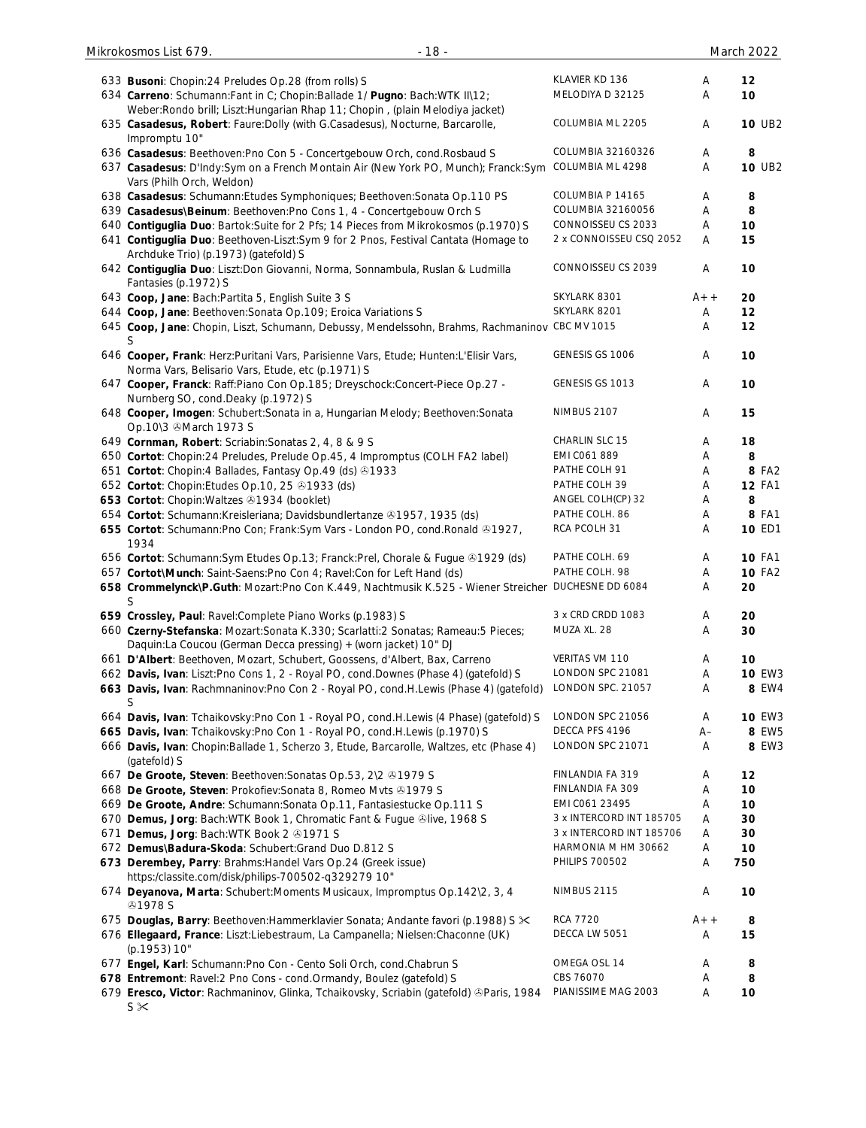| 633 Busoni: Chopin:24 Preludes Op.28 (from rolls) S                                                                                                         | KLAVIER KD 136                          | A      | 12            |
|-------------------------------------------------------------------------------------------------------------------------------------------------------------|-----------------------------------------|--------|---------------|
| 634 Carreno: Schumann: Fant in C; Chopin: Ballade 1/ Pugno: Bach: WTK II\12;                                                                                | MELODIYA D 32125                        | A      | 10            |
| Weber: Rondo brill; Liszt: Hungarian Rhap 11; Chopin, (plain Melodiya jacket)                                                                               |                                         |        |               |
| 635 Casadesus, Robert: Faure: Dolly (with G.Casadesus), Nocturne, Barcarolle,<br>Impromptu 10"                                                              | COLUMBIA ML 2205                        | Α      | <b>10 UB2</b> |
| 636 Casadesus: Beethoven: Pno Con 5 - Concertgebouw Orch, cond. Rosbaud S                                                                                   | COLUMBIA 32160326                       | Α      | 8             |
| 637 Casadesus: D'Indy:Sym on a French Montain Air (New York PO, Munch); Franck:Sym                                                                          | COLUMBIA ML 4298                        | Α      | <b>10 UB2</b> |
| Vars (Philh Orch, Weldon)                                                                                                                                   |                                         |        |               |
| 638 Casadesus: Schumann: Etudes Symphoniques; Beethoven: Sonata Op.110 PS                                                                                   | COLUMBIA P 14165                        | Α      | 8             |
| 639 Casadesus\Beinum: Beethoven:Pno Cons 1, 4 - Concertgebouw Orch S<br>640 Contiguglia Duo: Bartok: Suite for 2 Pfs; 14 Pieces from Mikrokosmos (p.1970) S | COLUMBIA 32160056<br>CONNOISSEU CS 2033 | Α<br>A | 8<br>10       |
| 641 Contiguglia Duo: Beethoven-Liszt:Sym 9 for 2 Pnos, Festival Cantata (Homage to                                                                          | 2 x CONNOISSEU CSQ 2052                 | Α      | 15            |
| Archduke Trio) (p.1973) (gatefold) S                                                                                                                        |                                         |        |               |
| 642 Contiguglia Duo: Liszt:Don Giovanni, Norma, Sonnambula, Ruslan & Ludmilla                                                                               | CONNOISSEU CS 2039                      | Α      | 10            |
| Fantasies (p.1972) S                                                                                                                                        |                                         |        |               |
| 643 Coop, Jane: Bach: Partita 5, English Suite 3 S                                                                                                          | SKYLARK 8301<br>SKYLARK 8201            | $A++$  | 20            |
| 644 Coop, Jane: Beethoven: Sonata Op. 109; Eroica Variations S                                                                                              |                                         | Α<br>Α | 12<br>12      |
| 645 Coop, Jane: Chopin, Liszt, Schumann, Debussy, Mendelssohn, Brahms, Rachmaninov CBC MV 1015<br>S                                                         |                                         |        |               |
| 646 Cooper, Frank: Herz:Puritani Vars, Parisienne Vars, Etude; Hunten:L'Elisir Vars,                                                                        | GENESIS GS 1006                         | A      | 10            |
| Norma Vars, Belisario Vars, Etude, etc (p.1971) S                                                                                                           |                                         |        |               |
| 647 Cooper, Franck: Raff:Piano Con Op.185; Dreyschock:Concert-Piece Op.27 -                                                                                 | GENESIS GS 1013                         | Α      | 10            |
| Nurnberg SO, cond.Deaky (p.1972) S                                                                                                                          | <b>NIMBUS 2107</b>                      |        |               |
| 648 Cooper, Imogen: Schubert: Sonata in a, Hungarian Melody; Beethoven: Sonata<br>Op.10\3 March 1973 S                                                      |                                         | Α      | 15            |
| 649 Cornman, Robert: Scriabin: Sonatas 2, 4, 8 & 9 S                                                                                                        | CHARLIN SLC 15                          | A      | 18            |
| 650 Cortot: Chopin:24 Preludes, Prelude Op.45, 4 Impromptus (COLH FA2 label)                                                                                | EMI C061 889                            | A      | 8             |
| 651 Cortot: Chopin: 4 Ballades, Fantasy Op. 49 (ds) 31933                                                                                                   | PATHE COLH 91                           | A      | 8 FA2         |
| 652 Cortot: Chopin: Etudes Op. 10, 25 31933 (ds)                                                                                                            | PATHE COLH 39                           | A      | <b>12 FA1</b> |
| 653 Cortot: Chopin: Waltzes 21934 (booklet)                                                                                                                 | ANGEL COLH(CP) 32                       | A      | 8             |
| 654 Cortot: Schumann: Kreisleriana; Davidsbundlertanze 21957, 1935 (ds)                                                                                     | PATHE COLH. 86                          | A      | 8 FA1         |
| 655 Cortot: Schumann: Pno Con; Frank: Sym Vars - London PO, cond. Ronald @1927,                                                                             | RCA PCOLH 31                            | A      | 10 ED1        |
| 1934                                                                                                                                                        |                                         |        |               |
| 656 Cortot: Schumann: Sym Etudes Op. 13; Franck: Prel, Chorale & Fugue ®1929 (ds)                                                                           | PATHE COLH. 69                          | A      | <b>10 FA1</b> |
| 657 Cortot\Munch: Saint-Saens:Pno Con 4; Ravel:Con for Left Hand (ds)                                                                                       | PATHE COLH. 98                          | A      | <b>10 FA2</b> |
| 658 Crommelynck\P.Guth: Mozart:Pno Con K.449, Nachtmusik K.525 - Wiener Streicher                                                                           | DUCHESNE DD 6084                        | Α      | 20            |
| S                                                                                                                                                           |                                         |        |               |
| 659 Crossley, Paul: Ravel:Complete Piano Works (p.1983) S                                                                                                   | 3 x CRD CRDD 1083                       | A      | 20            |
| 660 Czerny-Stefanska: Mozart:Sonata K.330; Scarlatti:2 Sonatas; Rameau:5 Pieces;<br>Daquin:La Coucou (German Decca pressing) + (worn jacket) 10" DJ         | MUZA XL. 28                             | Α      | 30            |
| 661 D'Albert: Beethoven, Mozart, Schubert, Goossens, d'Albert, Bax, Carreno                                                                                 | VERITAS VM 110                          | Α      | 10            |
| 662 Davis, Ivan: Liszt:Pno Cons 1, 2 - Royal PO, cond.Downes (Phase 4) (gatefold) S                                                                         | LONDON SPC 21081                        | Α      | <b>10 EW3</b> |
| 663 Davis, Ivan: Rachmnaninov:Pno Con 2 - Royal PO, cond.H.Lewis (Phase 4) (gatefold)                                                                       | LONDON SPC. 21057                       | Α      | 8 EW4         |
| S                                                                                                                                                           |                                         |        |               |
| 664 Davis, Ivan: Tchaikovsky: Pno Con 1 - Royal PO, cond. H. Lewis (4 Phase) (gatefold) S                                                                   | LONDON SPC 21056                        | Α      | <b>10 EW3</b> |
| 665 Davis, Ivan: Tchaikovsky: Pno Con 1 - Royal PO, cond. H. Lewis (p. 1970) S                                                                              | DECCA PFS 4196                          | $A-$   | 8 EW5         |
| 666 Davis, Ivan: Chopin: Ballade 1, Scherzo 3, Etude, Barcarolle, Waltzes, etc (Phase 4)                                                                    | LONDON SPC 21071                        | Α      | 8 EW3         |
| (gatefold) S                                                                                                                                                |                                         |        |               |
| 667 De Groote, Steven: Beethoven: Sonatas Op.53, 2\2 31979 S                                                                                                | FINLANDIA FA 319                        | Α      | 12            |
| 668 De Groote, Steven: Prokofiev: Sonata 8, Romeo Mvts @1979 S                                                                                              | FINLANDIA FA 309                        | Α      | 10            |
| 669 De Groote, Andre: Schumann: Sonata Op.11, Fantasiestucke Op.111 S                                                                                       | EMI CO61 23495                          | Α      | 10            |
| 670 Demus, Jorg: Bach: WTK Book 1, Chromatic Fant & Fugue ®live, 1968 S                                                                                     | 3 x INTERCORD INT 185705                | Α      | 30            |
| 671 Demus, Jorg: Bach: WTK Book 2 01971 S                                                                                                                   | 3 x INTERCORD INT 185706                | A      | 30            |
| 672 Demus\Badura-Skoda: Schubert:Grand Duo D.812 S                                                                                                          | HARMONIA M HM 30662                     | Α      | 10            |
| 673 Derembey, Parry: Brahms: Handel Vars Op.24 (Greek issue)<br>https:/classite.com/disk/philips-700502-q329279 10"                                         | <b>PHILIPS 700502</b>                   | Α      | 750           |
| 674 Deyanova, Marta: Schubert: Moments Musicaux, Impromptus Op.142\2, 3, 4                                                                                  | <b>NIMBUS 2115</b>                      | Α      | 10            |
| <b>@1978 S</b>                                                                                                                                              |                                         |        |               |
| 675 Douglas, Barry: Beethoven: Hammerklavier Sonata; Andante favori (p.1988) S $\times$                                                                     | <b>RCA 7720</b>                         | $A++$  | 8             |
| 676 Ellegaard, France: Liszt:Liebestraum, La Campanella; Nielsen:Chaconne (UK)                                                                              | DECCA LW 5051                           | Α      | 15            |
| (p.1953) 10"<br>677 Engel, Karl: Schumann: Pno Con - Cento Soli Orch, cond. Chabrun S                                                                       | OMEGA OSL 14                            | Α      | 8             |
| 678 Entremont: Ravel:2 Pno Cons - cond. Ormandy, Boulez (gatefold) S                                                                                        | CBS 76070                               | Α      | 8             |
| 679 Eresco, Victor: Rachmaninov, Glinka, Tchaikovsky, Scriabin (gatefold) ®Paris, 1984                                                                      | PIANISSIME MAG 2003                     | Α      | 10            |
|                                                                                                                                                             |                                         |        |               |

maninov, Glinka, Tchaikovsky, Scriabin (gatefold) ®Paris,  $S \times$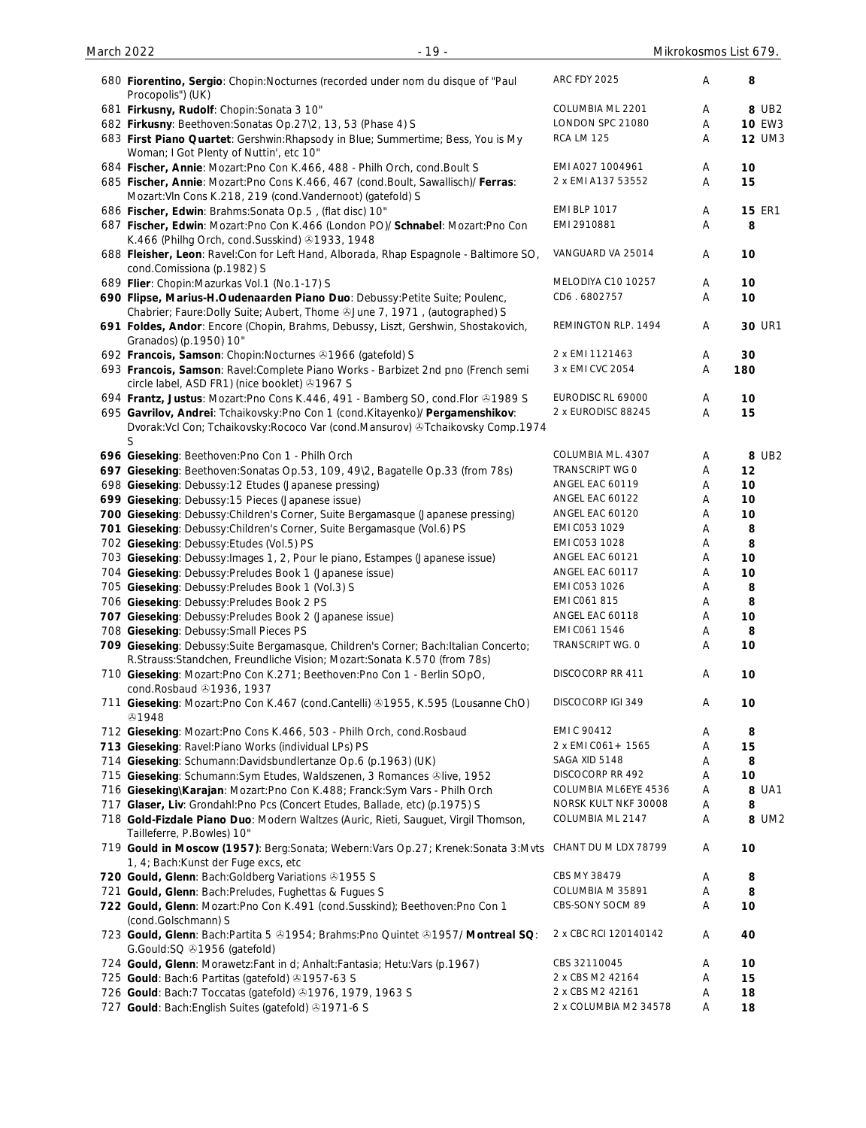| 680 Fiorentino, Sergio: Chopin: Nocturnes (recorded under nom du disque of "Paul<br>Procopolis") (UK)                                                            | <b>ARC FDY 2025</b>   | Α | 8             |
|------------------------------------------------------------------------------------------------------------------------------------------------------------------|-----------------------|---|---------------|
| 681 Firkusny, Rudolf: Chopin: Sonata 3 10"                                                                                                                       | COLUMBIA ML 2201      | A | 8 UB2         |
| 682 Firkusny: Beethoven: Sonatas Op. 27\2, 13, 53 (Phase 4) S                                                                                                    | LONDON SPC 21080      | Α | <b>10 EW3</b> |
| 683 First Piano Quartet: Gershwin: Rhapsody in Blue; Summertime; Bess, You is My<br>Woman; I Got Plenty of Nuttin', etc 10"                                      | <b>RCA LM 125</b>     | Α | <b>12 UM3</b> |
| 684 Fischer, Annie: Mozart: Pno Con K.466, 488 - Philh Orch, cond. Boult S                                                                                       | EMI A027 1004961      | Α | 10            |
| 685 Fischer, Annie: Mozart:Pno Cons K.466, 467 (cond.Boult, Sawallisch)/ Ferras:<br>Mozart: VIn Cons K.218, 219 (cond. Vandernoot) (gatefold) S                  | 2 x EMI A137 53552    | A | 15            |
| 686 Fischer, Edwin: Brahms: Sonata Op.5, (flat disc) 10"                                                                                                         | <b>EMI BLP 1017</b>   | Α | <b>15 ER1</b> |
| 687 Fischer, Edwin: Mozart:Pno Con K.466 (London PO)/ Schnabel: Mozart:Pno Con<br>K.466 (Philhg Orch, cond.Susskind) 31933, 1948                                 | EMI 2910881           | Α | 8             |
| 688 Fleisher, Leon: Ravel:Con for Left Hand, Alborada, Rhap Espagnole - Baltimore SO,<br>cond.Comissiona (p.1982) S                                              | VANGUARD VA 25014     | Α | 10            |
| 689 Flier: Chopin: Mazurkas Vol.1 (No.1-17) S                                                                                                                    | MELODIYA C10 10257    | Α | 10            |
| 690 Flipse, Marius-H.Oudenaarden Piano Duo: Debussy:Petite Suite; Poulenc,                                                                                       | CD6.6802757           | Α | 10            |
| Chabrier; Faure: Dolly Suite; Aubert, Thome @June 7, 1971, (autographed) S                                                                                       |                       |   |               |
| 691 Foldes, Andor: Encore (Chopin, Brahms, Debussy, Liszt, Gershwin, Shostakovich,<br>Granados) (p.1950) 10"                                                     | REMINGTON RLP. 1494   | A | <b>30 UR1</b> |
| 692 Francois, Samson: Chopin: Nocturnes 31966 (gatefold) S                                                                                                       | 2 x EMI 1121463       | Α | 30            |
| 693 Francois, Samson: Ravel:Complete Piano Works - Barbizet 2nd pno (French semi                                                                                 | 3 x EMI CVC 2054      | Α | 180           |
| circle label, ASD FR1) (nice booklet) 31967 S                                                                                                                    |                       |   |               |
| 694 Frantz, Justus: Mozart: Pno Cons K.446, 491 - Bamberg SO, cond. Flor & 1989 S                                                                                | EURODISC RL 69000     | A | 10            |
| 695 Gavrilov, Andrei: Tchaikovsky: Pno Con 1 (cond. Kitayenko)/ Pergamenshikov:                                                                                  | 2 x EURODISC 88245    | Α | 15            |
| Dvorak: Vcl Con; Tchaikovsky: Rococo Var (cond. Mansurov) & Tchaikovsky Comp. 1974<br>S                                                                          |                       |   |               |
| 696 Gieseking: Beethoven: Pno Con 1 - Philh Orch                                                                                                                 | COLUMBIA ML. 4307     | Α | 8 UB2         |
| 697 Gieseking: Beethoven: Sonatas Op.53, 109, 49\2, Bagatelle Op.33 (from 78s)                                                                                   | TRANSCRIPT WG 0       | Α | 12            |
| 698 Gieseking: Debussy:12 Etudes (Japanese pressing)                                                                                                             | ANGEL EAC 60119       | Α | 10            |
| 699 Gieseking: Debussy:15 Pieces (Japanese issue)                                                                                                                | ANGEL EAC 60122       | Α | 10            |
| 700 Gieseking: Debussy: Children's Corner, Suite Bergamasque (Japanese pressing)                                                                                 | ANGEL EAC 60120       | Α | 10            |
| 701 Gieseking: Debussy: Children's Corner, Suite Bergamasque (Vol.6) PS                                                                                          | EMI C053 1029         | Α | 8             |
| 702 Gieseking: Debussy: Etudes (Vol. 5) PS                                                                                                                       | EMI C053 1028         | Α | 8             |
| 703 Gieseking: Debussy: Images 1, 2, Pour le piano, Estampes (Japanese issue)                                                                                    | ANGEL EAC 60121       | Α | 10            |
| 704 Gieseking: Debussy: Preludes Book 1 (Japanese issue)                                                                                                         | ANGEL EAC 60117       | Α | 10            |
| 705 Gieseking: Debussy: Preludes Book 1 (Vol.3) S                                                                                                                | EMI C053 1026         | Α | 8             |
| 706 Gieseking: Debussy: Preludes Book 2 PS                                                                                                                       | EMI C061 815          | Α | 8             |
| 707 Gieseking: Debussy: Preludes Book 2 (Japanese issue)                                                                                                         | ANGEL EAC 60118       | A | 10            |
| 708 Gieseking: Debussy: Small Pieces PS                                                                                                                          | EMI CO61 1546         | Α | 8             |
| 709 Gieseking: Debussy: Suite Bergamasque, Children's Corner; Bach: Italian Concerto;<br>R.Strauss:Standchen, Freundliche Vision; Mozart:Sonata K.570 (from 78s) | TRANSCRIPT WG. 0      | Α | 10            |
| 710 Gieseking: Mozart: Pno Con K.271; Beethoven: Pno Con 1 - Berlin SOpO,<br>cond.Rosbaud 21936, 1937                                                            | DISCOCORP RR 411      | Α | 10            |
| 711 Gieseking: Mozart:Pno Con K.467 (cond.Cantelli) @1955, K.595 (Lousanne ChO)<br>۞1948                                                                         | DISCOCORP IGI 349     | Α | 10            |
| 712 Gieseking: Mozart: Pno Cons K.466, 503 - Philh Orch, cond. Rosbaud                                                                                           | EMI C 90412           | Α | 8             |
| 713 Gieseking: Ravel: Piano Works (individual LPs) PS                                                                                                            | 2 x EMI CO61 + 1565   | Α | 15            |
| 714 Gieseking: Schumann: Davidsbundlertanze Op.6 (p.1963) (UK)                                                                                                   | SAGA XID 5148         | Α | 8             |
| 715 Gieseking: Schumann: Sym Etudes, Waldszenen, 3 Romances Olive, 1952                                                                                          | DISCOCORP RR 492      | Α | 10            |
| 716 Gieseking\Karajan: Mozart:Pno Con K.488; Franck:Sym Vars - Philh Orch                                                                                        | COLUMBIA ML6EYE 4536  | Α | 8 UA1         |
| 717 Glaser, Liv: Grondahl: Pno Pcs (Concert Etudes, Ballade, etc) (p.1975) S                                                                                     | NORSK KULT NKF 30008  | Α | 8             |
| 718 Gold-Fizdale Piano Duo: Modern Waltzes (Auric, Rieti, Sauguet, Virgil Thomson,<br>Tailleferre, P.Bowles) 10"                                                 | COLUMBIA ML 2147      | Α | 8 UM2         |
| 719 Gould in Moscow (1957): Berg:Sonata; Webern:Vars Op.27; Krenek:Sonata 3:Mvts<br>1, 4; Bach: Kunst der Fuge excs, etc                                         | CHANT DU M LDX 78799  | Α | 10            |
| 720 Gould, Glenn: Bach: Goldberg Variations 31955 S                                                                                                              | CBS MY 38479          | Α | 8             |
| 721 Gould, Glenn: Bach: Preludes, Fughettas & Fugues S                                                                                                           | COLUMBIA M 35891      | Α | 8             |
| 722 Gould, Glenn: Mozart: Pno Con K.491 (cond. Susskind); Beethoven: Pno Con 1<br>(cond.Golschmann) S                                                            | CBS-SONY SOCM 89      | Α | 10            |
| 723 Gould, Glenn: Bach:Partita 5 @1954; Brahms:Pno Quintet @1957/ Montreal SQ:<br>G.Gould:SQ 21956 (gatefold)                                                    | 2 x CBC RCI 120140142 | A | 40            |
| 724 Gould, Glenn: Morawetz: Fant in d; Anhalt: Fantasia; Hetu: Vars (p.1967)                                                                                     | CBS 32110045          | Α | 10            |
| 725 Gould: Bach:6 Partitas (gatefold) 31957-63 S                                                                                                                 | 2 x CBS M2 42164      | Α | 15            |
| 726 Gould: Bach: 7 Toccatas (gatefold) 31976, 1979, 1963 S                                                                                                       | 2 x CBS M2 42161      | Α | 18            |
| 727 Gould: Bach: English Suites (gatefold) 31971-6 S                                                                                                             | 2 x COLUMBIA M2 34578 | Α | 18            |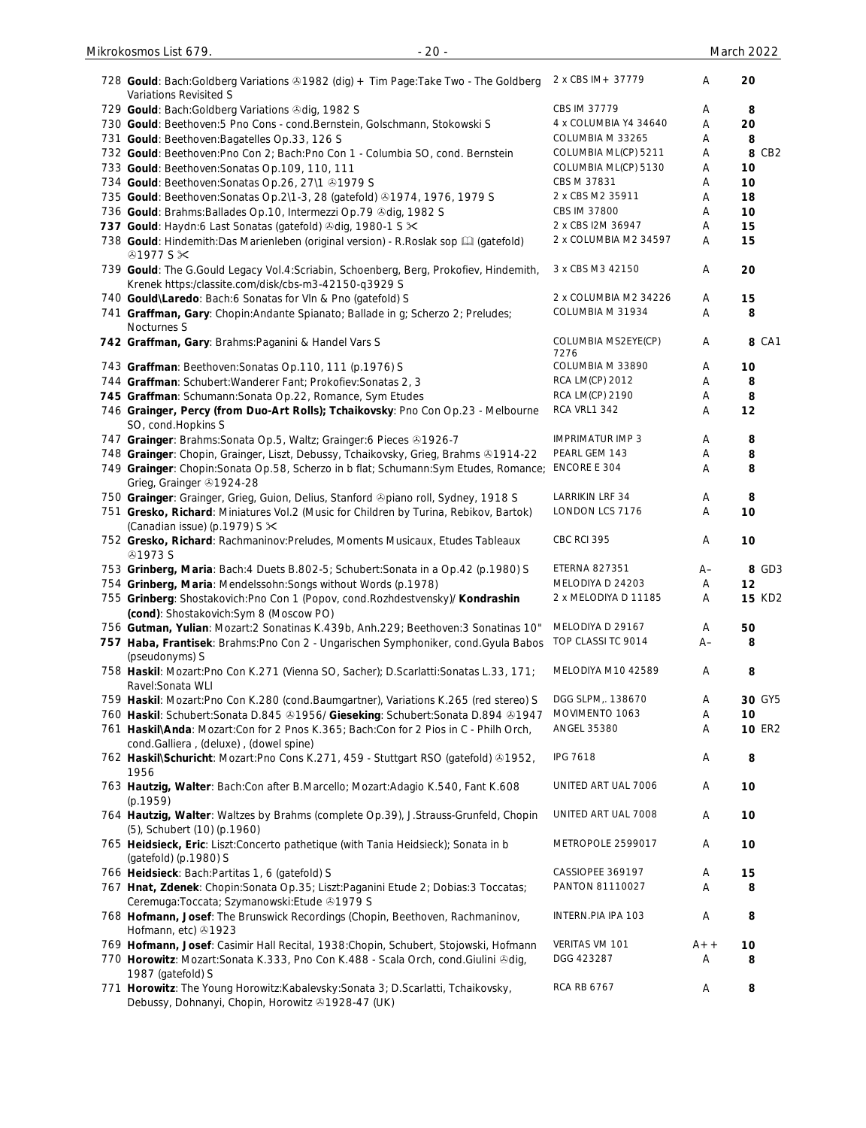| 728 Gould: Bach:Goldberg Variations & 1982 (dig) + Tim Page:Take Two - The Goldberg<br>Variations Revisited S                                                              | 2 x CBS IM + 37779           | A          | 20            |
|----------------------------------------------------------------------------------------------------------------------------------------------------------------------------|------------------------------|------------|---------------|
| 729 Gould: Bach: Goldberg Variations Odig, 1982 S                                                                                                                          | CBS IM 37779                 | Α          | 8             |
| 730 Gould: Beethoven: 5 Pno Cons - cond. Bernstein, Golschmann, Stokowski S                                                                                                | 4 x COLUMBIA Y4 34640        | Α          | 20            |
| 731 Gould: Beethoven: Bagatelles Op. 33, 126 S                                                                                                                             | COLUMBIA M 33265             | Α          | 8             |
| 732 Gould: Beethoven: Pno Con 2; Bach: Pno Con 1 - Columbia SO, cond. Bernstein                                                                                            | COLUMBIA ML(CP) 5211         | Α          | 8 CB2         |
| 733 Gould: Beethoven: Sonatas Op. 109, 110, 111                                                                                                                            | COLUMBIA ML(CP) 5130         | Α          | 10            |
| 734 Gould: Beethoven: Sonatas Op. 26, 27\1 +1979 S                                                                                                                         | CBS M 37831                  | Α          | 10            |
| 735 Gould: Beethoven: Sonatas Op. 2\1-3, 28 (gatefold) 31974, 1976, 1979 S                                                                                                 | 2 x CBS M2 35911             | Α          | 18            |
| 736 Gould: Brahms: Ballades Op.10, Intermezzi Op.79 & dig, 1982 S                                                                                                          | CBS IM 37800                 | Α          | 10            |
| 737 Gould: Haydn:6 Last Sonatas (gatefold) 3dig, 1980-1 S $\times$                                                                                                         | 2 x CBS I2M 36947            | A          | 15            |
| 738 Gould: Hindemith: Das Marienleben (original version) - R. Roslak sop [1] (gatefold)<br>$@1977S \times$                                                                 | 2 x COLUMBIA M2 34597        | A          | 15            |
| 739 Gould: The G.Gould Legacy Vol.4:Scriabin, Schoenberg, Berg, Prokofiev, Hindemith,<br>Krenek https:/classite.com/disk/cbs-m3-42150-q3929 S                              | 3 x CBS M3 42150             | Α          | 20            |
| 740 Gould\Laredo: Bach:6 Sonatas for VIn & Pno (gatefold) S                                                                                                                | 2 x COLUMBIA M2 34226        | A          | 15            |
| 741 Graffman, Gary: Chopin: Andante Spianato; Ballade in g; Scherzo 2; Preludes;<br>Nocturnes S                                                                            | COLUMBIA M 31934             | A          | 8             |
| 742 Graffman, Gary: Brahms: Paganini & Handel Vars S                                                                                                                       | COLUMBIA MS2EYE(CP)<br>7276  | A          | 8 CA1         |
| 743 Graffman: Beethoven: Sonatas Op.110, 111 (p.1976) S                                                                                                                    | COLUMBIA M 33890             | Α          | 10            |
| 744 Graffman: Schubert: Wanderer Fant; Prokofiev: Sonatas 2, 3                                                                                                             | <b>RCA LM(CP) 2012</b>       | Α          | 8             |
| 745 Graffman: Schumann: Sonata Op.22, Romance, Sym Etudes                                                                                                                  | <b>RCA LM(CP) 2190</b>       | Α          | 8             |
| 746 Grainger, Percy (from Duo-Art Rolls); Tchaikovsky: Pno Con Op.23 - Melbourne<br>SO, cond. Hopkins S                                                                    | RCA VRL1 342                 | Α          | 12            |
| 747 Grainger: Brahms: Sonata Op. 5, Waltz; Grainger: 6 Pieces & 1926-7                                                                                                     | <b>IMPRIMATUR IMP 3</b>      | Α          | 8             |
| 748 Grainger: Chopin, Grainger, Liszt, Debussy, Tchaikovsky, Grieg, Brahms & 1914-22                                                                                       | PEARL GEM 143                | Α          | 8             |
| 749 Grainger: Chopin: Sonata Op.58, Scherzo in b flat; Schumann: Sym Etudes, Romance;<br>Grieg, Grainger 31924-28                                                          | ENCORE E 304                 | Α          | 8             |
| 750 Grainger: Grainger, Grieg, Guion, Delius, Stanford ®piano roll, Sydney, 1918 S                                                                                         | LARRIKIN LRF 34              | Α          | 8             |
| 751 Gresko, Richard: Miniatures Vol.2 (Music for Children by Turina, Rebikov, Bartok)<br>(Canadian issue) (p.1979) S $\times$                                              | LONDON LCS 7176              | A          | 10            |
| 752 Gresko, Richard: Rachmaninov:Preludes, Moments Musicaux, Etudes Tableaux<br><b>@1973 S</b>                                                                             | CBC RCI 395                  | Α          | 10            |
| 753 Grinberg, Maria: Bach: 4 Duets B.802-5; Schubert: Sonata in a Op.42 (p.1980) S                                                                                         | ETERNA 827351                | $A-$       | 8 GD3         |
| 754 Grinberg, Maria: Mendelssohn: Songs without Words (p.1978)                                                                                                             | MELODIYA D 24203             | A          | 12            |
| 755 Grinberg: Shostakovich: Pno Con 1 (Popov, cond. Rozhdestvensky)/ Kondrashin<br>(cond): Shostakovich: Sym 8 (Moscow PO)                                                 | 2 x MELODIYA D 11185         | A          | <b>15 KD2</b> |
| 756 Gutman, Yulian: Mozart:2 Sonatinas K.439b, Anh.229; Beethoven:3 Sonatinas 10"                                                                                          | MELODIYA D 29167             | Α          | 50            |
| 757 Haba, Frantisek: Brahms: Pno Con 2 - Ungarischen Symphoniker, cond. Gyula Babos<br>(pseudonyms) S                                                                      | TOP CLASSI TC 9014           | A–         | 8             |
| 758 Haskil: Mozart:Pno Con K.271 (Vienna SO, Sacher); D.Scarlatti:Sonatas L.33, 171;<br>Ravel: Sonata WLI                                                                  | MELODIYA M10 42589           | Α          | 8             |
| 759 Haskil: Mozart:Pno Con K.280 (cond.Baumgartner), Variations K.265 (red stereo) S                                                                                       | DGG SLPM,. 138670            | Α          | 30 GY5        |
| 760 Haskil: Schubert:Sonata D.845 &1956/ Gieseking: Schubert:Sonata D.894 &1947                                                                                            | MOVIMENTO 1063               | Α          | 10            |
| 761 Haskil\Anda: Mozart:Con for 2 Pnos K.365; Bach:Con for 2 Pios in C - Philh Orch,<br>cond.Galliera, (deluxe), (dowel spine)                                             | ANGEL 35380                  | Α          | <b>10 ER2</b> |
| 762 Haskil\Schuricht: Mozart:Pno Cons K.271, 459 - Stuttgart RSO (gatefold) ®1952,<br>1956                                                                                 | <b>IPG 7618</b>              | Α          | 8             |
| 763 Hautzig, Walter: Bach:Con after B.Marcello; Mozart:Adagio K.540, Fant K.608<br>(p.1959)                                                                                | UNITED ART UAL 7006          | Α          | 10            |
| 764 Hautzig, Walter: Waltzes by Brahms (complete Op.39), J.Strauss-Grunfeld, Chopin<br>(5), Schubert (10) (p.1960)                                                         | UNITED ART UAL 7008          | Α          | 10            |
| 765 Heidsieck, Eric: Liszt:Concerto pathetique (with Tania Heidsieck); Sonata in b<br>(gatefold) (p.1980) S                                                                | METROPOLE 2599017            | Α          | 10            |
| 766 Heidsieck: Bach: Partitas 1, 6 (gatefold) S                                                                                                                            | CASSIOPEE 369197             | Α          | 15            |
| 767 Hnat, Zdenek: Chopin: Sonata Op.35; Liszt: Paganini Etude 2; Dobias: 3 Toccatas;                                                                                       | PANTON 81110027              | Α          | 8             |
| Ceremuga:Toccata; Szymanowski:Etude 31979 S<br>768 Hofmann, Josef: The Brunswick Recordings (Chopin, Beethoven, Rachmaninov,                                               | INTERN.PIA IPA 103           | Α          | 8             |
| Hofmann, etc) 31923                                                                                                                                                        |                              |            |               |
| 769 Hofmann, Josef: Casimir Hall Recital, 1938: Chopin, Schubert, Stojowski, Hofmann<br>770 Horowitz: Mozart:Sonata K.333, Pno Con K.488 - Scala Orch, cond.Giulini & dig, | VERITAS VM 101<br>DGG 423287 | $A++$<br>Α | 10<br>8       |
| 1987 (gatefold) S<br>771 Horowitz: The Young Horowitz: Kabalevsky: Sonata 3; D. Scarlatti, Tchaikovsky,<br>Debussy, Dohnanyi, Chopin, Horowitz & 1928-47 (UK)              | <b>RCA RB 6767</b>           | Α          | 8             |

Mikrokosmos List 679. - 20 - March 2022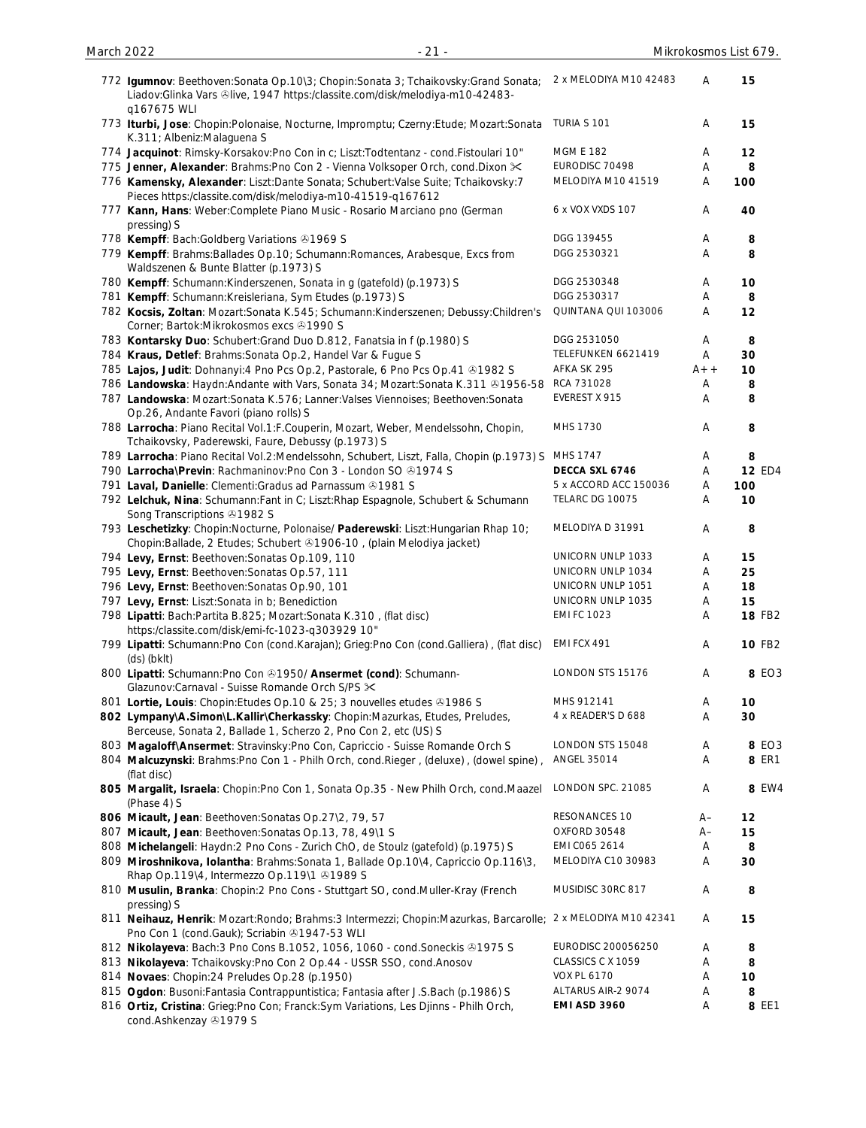| 772 Igumnov: Beethoven: Sonata Op. 10\3; Chopin: Sonata 3; Tchaikovsky: Grand Sonata;<br>Liadov: Glinka Vars &live, 1947 https:/classite.com/disk/melodiya-m10-42483-<br>q167675 WLI | 2 x MELODIYA M10 42483 | Α     | 15            |
|--------------------------------------------------------------------------------------------------------------------------------------------------------------------------------------|------------------------|-------|---------------|
| 773 Iturbi, Jose: Chopin:Polonaise, Nocturne, Impromptu; Czerny:Etude; Mozart:Sonata<br>K.311; Albeniz: Malaguena S                                                                  | TURIA S 101            | Α     | 15            |
| 774 Jacquinot: Rimsky-Korsakov: Pno Con in c; Liszt: Todtentanz - cond. Fistoulari 10"                                                                                               | <b>MGM E 182</b>       | Α     | 12            |
| 775 Jenner, Alexander: Brahms: Pno Con 2 - Vienna Volksoper Orch, cond. Dixon $\approx$                                                                                              | EURODISC 70498         | Α     | 8             |
| 776 Kamensky, Alexander: Liszt:Dante Sonata; Schubert:Valse Suite; Tchaikovsky:7<br>Pieces https:/classite.com/disk/melodiya-m10-41519-q167612                                       | MELODIYA M10 41519     | Α     | 100           |
| 777 Kann, Hans: Weber: Complete Piano Music - Rosario Marciano pno (German<br>pressing) S                                                                                            | 6 x VOX VXDS 107       | Α     | 40            |
| 778 Kempff: Bach: Goldberg Variations 31969 S                                                                                                                                        | DGG 139455             | A     | 8             |
| 779 Kempff: Brahms: Ballades Op.10; Schumann: Romances, Arabesque, Excs from<br>Waldszenen & Bunte Blatter (p.1973) S                                                                | DGG 2530321            | Α     | 8             |
| 780 Kempff: Schumann: Kinderszenen, Sonata in g (gatefold) (p.1973) S                                                                                                                | DGG 2530348            | Α     | 10            |
| 781 Kempff: Schumann: Kreisleriana, Sym Etudes (p.1973) S                                                                                                                            | DGG 2530317            | Α     | 8             |
| 782 Kocsis, Zoltan: Mozart:Sonata K.545; Schumann:Kinderszenen; Debussy:Children's<br>Corner; Bartok: Mikrokosmos excs +1990 S                                                       | QUINTANA QUI 103006    | Α     | 12            |
| 783 Kontarsky Duo: Schubert: Grand Duo D.812, Fanatsia in f (p.1980) S                                                                                                               | DGG 2531050            | Α     | 8             |
| 784 Kraus, Detlef: Brahms: Sonata Op. 2, Handel Var & Fugue S                                                                                                                        | TELEFUNKEN 6621419     | A     | 30            |
| 785 Lajos, Judit: Dohnanyi: 4 Pno Pcs Op. 2, Pastorale, 6 Pno Pcs Op. 41 @ 1982 S                                                                                                    | AFKA SK 295            | $A++$ | 10            |
| 786 Landowska: Haydn: Andante with Vars, Sonata 34; Mozart: Sonata K.311 & 1956-58                                                                                                   | RCA 731028             | Α     | 8             |
| 787 Landowska: Mozart:Sonata K.576; Lanner:Valses Viennoises; Beethoven:Sonata<br>Op.26, Andante Favori (piano rolls) S                                                              | EVEREST X 915          | Α     | 8             |
| 788 Larrocha: Piano Recital Vol.1:F.Couperin, Mozart, Weber, Mendelssohn, Chopin,<br>Tchaikovsky, Paderewski, Faure, Debussy (p.1973) S                                              | MHS 1730               | A     | 8             |
| 789 Larrocha: Piano Recital Vol.2:Mendelssohn, Schubert, Liszt, Falla, Chopin (p.1973) S                                                                                             | MHS 1747               | Α     | 8             |
| 790 Larrocha\Previn: Rachmaninov:Pno Con 3 - London SO 31974 S                                                                                                                       | DECCA SXL 6746         | Α     | <b>12 ED4</b> |
| 791 Laval, Danielle: Clementi: Gradus ad Parnassum 31981 S                                                                                                                           | 5 x ACCORD ACC 150036  | A     | 100           |
| 792 Lelchuk, Nina: Schumann: Fant in C; Liszt: Rhap Espagnole, Schubert & Schumann<br>Song Transcriptions 31982 S                                                                    | TELARC DG 10075        | Α     | 10            |
| 793 Leschetizky: Chopin:Nocturne, Polonaise/ Paderewski: Liszt:Hungarian Rhap 10;<br>Chopin:Ballade, 2 Etudes; Schubert & 1906-10, (plain Melodiya jacket)                           | MELODIYA D 31991       | Α     | 8             |
| 794 Levy, Ernst: Beethoven: Sonatas Op.109, 110                                                                                                                                      | UNICORN UNLP 1033      | Α     | 15            |
| 795 Levy, Ernst: Beethoven: Sonatas Op.57, 111                                                                                                                                       | UNICORN UNLP 1034      | A     | 25            |
| 796 Levy, Ernst: Beethoven: Sonatas Op.90, 101                                                                                                                                       | UNICORN UNLP 1051      | Α     | 18            |
| 797 Levy, Ernst: Liszt: Sonata in b; Benediction                                                                                                                                     | UNICORN UNLP 1035      | Α     | 15            |
| 798 Lipatti: Bach: Partita B.825; Mozart: Sonata K.310, (flat disc)<br>https:/classite.com/disk/emi-fc-1023-q303929 10"                                                              | <b>EMI FC 1023</b>     | Α     | <b>18 FB2</b> |
| 799 Lipatti: Schumann:Pno Con (cond.Karajan); Grieg:Pno Con (cond.Galliera), (flat disc)<br>$(ds)$ (bklt)                                                                            | EMI FCX 491            | Α     | <b>10 FB2</b> |
| 800 Lipatti: Schumann: Pno Con & 1950/ Ansermet (cond): Schumann-<br>Glazunov:Carnaval - Suisse Romande Orch S/PS $\times$                                                           | LONDON STS 15176       | Α     | 8 EO3         |
| 801 Lortie, Louis: Chopin: Etudes Op. 10 & 25; 3 nouvelles etudes @1986 S                                                                                                            | MHS 912141             | Α     | 10            |
| 802 Lympany\A.Simon\L.Kallir\Cherkassky: Chopin:Mazurkas, Etudes, Preludes,<br>Berceuse, Sonata 2, Ballade 1, Scherzo 2, Pno Con 2, etc (US) S                                       | 4 x READER'S D 688     | Α     | 30            |
| 803 Magaloff\Ansermet: Stravinsky:Pno Con, Capriccio - Suisse Romande Orch S                                                                                                         | LONDON STS 15048       | Α     | 8 EO3         |
| 804 Malcuzynski: Brahms: Pno Con 1 - Philh Orch, cond. Rieger, (deluxe), (dowel spine),<br>(flat disc)                                                                               | ANGEL 35014            | Α     | 8 ER1         |
| 805 Margalit, Israela: Chopin:Pno Con 1, Sonata Op.35 - New Philh Orch, cond.Maazel<br>(Phase 4) S                                                                                   | LONDON SPC. 21085      | Α     | 8 EW4         |
| 806 Micault, Jean: Beethoven: Sonatas Op. 27\2, 79, 57                                                                                                                               | RESONANCES 10          | $A-$  | 12            |
| 807 Micault, Jean: Beethoven: Sonatas Op.13, 78, 49\1 S                                                                                                                              | OXFORD 30548           | $A-$  | 15            |
| 808 Michelangeli: Haydn:2 Pno Cons - Zurich ChO, de Stoulz (gatefold) (p.1975) S                                                                                                     | EMI C065 2614          | Α     | 8             |
| 809 Miroshnikova, Iolantha: Brahms: Sonata 1, Ballade Op.10\4, Capriccio Op.116\3,                                                                                                   | MELODIYA C10 30983     | Α     | 30            |
| Rhap Op.119\4, Intermezzo Op.119\1 & 1989 S                                                                                                                                          |                        |       |               |
| 810 Musulin, Branka: Chopin:2 Pno Cons - Stuttgart SO, cond.Muller-Kray (French<br>pressing) S                                                                                       | MUSIDISC 30RC 817      | Α     | 8             |
| 811 Neihauz, Henrik: Mozart:Rondo; Brahms:3 Intermezzi; Chopin:Mazurkas, Barcarolle; 2 x MELODIYA M10 42341<br>Pno Con 1 (cond.Gauk); Scriabin 31947-53 WLI                          |                        | Α     | 15            |
| 812 Nikolayeva: Bach: 3 Pno Cons B.1052, 1056, 1060 - cond. Soneckis & 1975 S                                                                                                        | EURODISC 200056250     | Α     | 8             |
| 813 Nikolayeva: Tchaikovsky: Pno Con 2 Op.44 - USSR SSO, cond. Anosov                                                                                                                | CLASSICS C X 1059      | Α     | 8             |
| 814 Novaes: Chopin:24 Preludes Op.28 (p.1950)                                                                                                                                        | <b>VOX PL 6170</b>     | Α     | 10            |
| 815 Ogdon: Busoni: Fantasia Contrappuntistica; Fantasia after J.S.Bach (p.1986) S                                                                                                    | ALTARUS AIR-2 9074     | Α     | 8             |
| 816 Ortiz, Cristina: Grieg:Pno Con; Franck:Sym Variations, Les Djinns - Philh Orch,<br>cond.Ashkenzay 31979 S                                                                        | EMI ASD 3960           | A     | 8 EE1         |

March 2022 - 21 - Mikrokosmos List 679.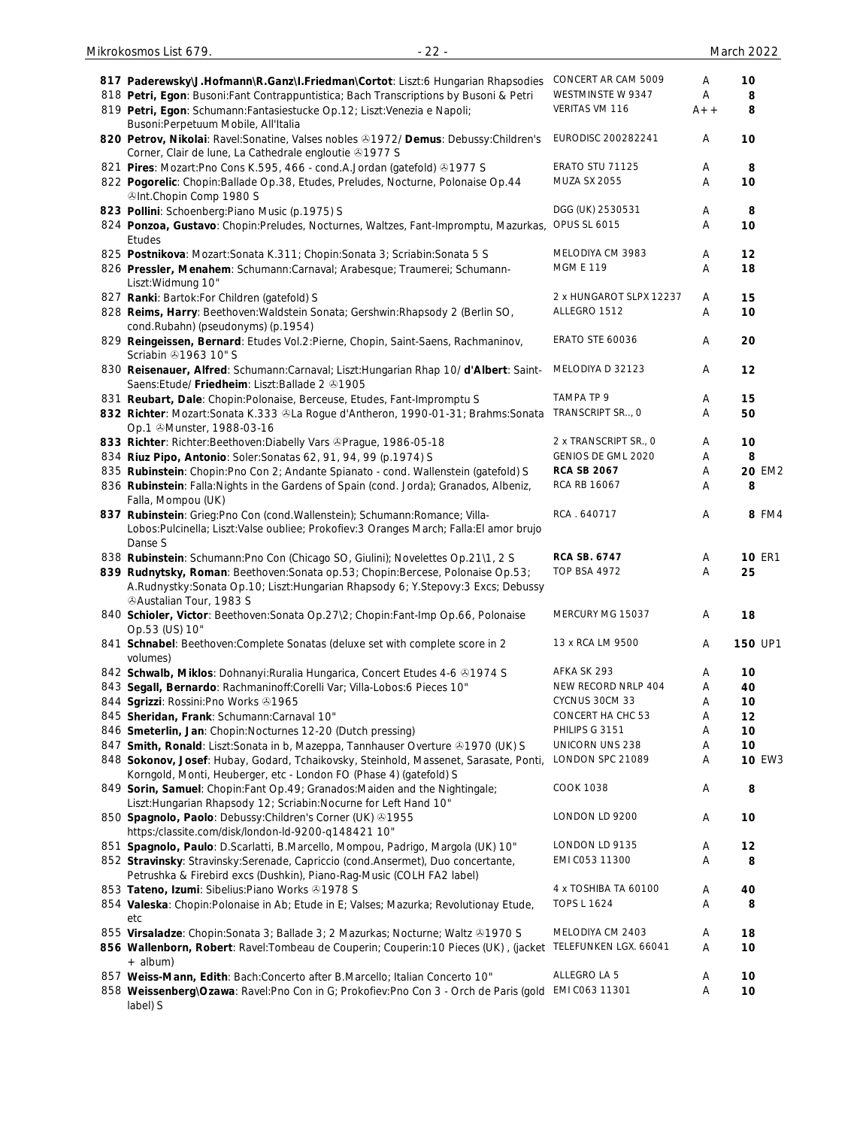| 817 Paderewsky\J.Hofmann\R.Ganz\I.Friedman\Cortot: Liszt:6 Hungarian Rhapsodies                                                                                                | CONCERT AR CAM 5009     | Α     | 10            |
|--------------------------------------------------------------------------------------------------------------------------------------------------------------------------------|-------------------------|-------|---------------|
| 818 Petri, Egon: Busoni: Fant Contrappuntistica; Bach Transcriptions by Busoni & Petri                                                                                         | WESTMINSTE W 9347       | Α     | 8             |
| 819 Petri, Egon: Schumann: Fantasiestucke Op.12; Liszt: Venezia e Napoli;<br>Busoni: Perpetuum Mobile, All'Italia                                                              | VERITAS VM 116          | $A++$ | 8             |
| 820 Petrov, Nikolai: Ravel: Sonatine, Valses nobles @1972/ Demus: Debussy: Children's<br>Corner, Clair de lune, La Cathedrale engloutie +1977 S                                | EURODISC 200282241      | Α     | 10            |
| 821 Pires: Mozart: Pno Cons K.595, 466 - cond. A. Jordan (gatefold) 31977 S                                                                                                    | ERATO STU 71125         | Α     | 8             |
| 822 Pogorelic: Chopin:Ballade Op.38, Etudes, Preludes, Nocturne, Polonaise Op.44<br><b>OInt.Chopin Comp 1980 S</b>                                                             | <b>MUZA SX 2055</b>     | Α     | 10            |
| 823 Pollini: Schoenberg: Piano Music (p.1975) S                                                                                                                                | DGG (UK) 2530531        | Α     | 8             |
| 824 Ponzoa, Gustavo: Chopin: Preludes, Nocturnes, Waltzes, Fant-Impromptu, Mazurkas,<br>Etudes                                                                                 | <b>OPUS SL 6015</b>     | Α     | 10            |
| 825 Postnikova: Mozart: Sonata K.311; Chopin: Sonata 3; Scriabin: Sonata 5 S                                                                                                   | MELODIYA CM 3983        | Α     | 12            |
| 826 Pressler, Menahem: Schumann:Carnaval; Arabesque; Traumerei; Schumann-<br>Liszt: Widmung 10"                                                                                | <b>MGM E 119</b>        | Α     | 18            |
| 827 Ranki: Bartok: For Children (gatefold) S                                                                                                                                   | 2 x HUNGAROT SLPX 12237 | Α     | 15            |
| 828 Reims, Harry: Beethoven: Waldstein Sonata; Gershwin: Rhapsody 2 (Berlin SO,<br>cond.Rubahn) (pseudonyms) (p.1954)                                                          | ALLEGRO 1512            | Α     | 10            |
| 829 Reingeissen, Bernard: Etudes Vol.2:Pierne, Chopin, Saint-Saens, Rachmaninov,<br>Scriabin 21963 10" S                                                                       | <b>ERATO STE 60036</b>  | Α     | 20            |
| 830 Reisenauer, Alfred: Schumann:Carnaval; Liszt:Hungarian Rhap 10/d'Albert: Saint-<br>Saens: Etude/ Friedheim: Liszt: Ballade 2 81905                                         | MELODIYA D 32123        | Α     | 12            |
| 831 Reubart, Dale: Chopin: Polonaise, Berceuse, Etudes, Fant-Impromptu S                                                                                                       | TAMPA TP 9              | Α     | 15            |
| 832 Richter: Mozart:Sonata K.333 &La Rogue d'Antheron, 1990-01-31; Brahms:Sonata<br>Op.1 Munster, 1988-03-16                                                                   | TRANSCRIPT SR, O        | Α     | 50            |
| 833 Richter: Richter: Beethoven: Diabelly Vars @Prague, 1986-05-18                                                                                                             | 2 x TRANSCRIPT SR., 0   | Α     | 10            |
| 834 Riuz Pipo, Antonio: Soler: Sonatas 62, 91, 94, 99 (p.1974) S                                                                                                               | GENIOS DE GML 2020      | Α     | 8             |
| 835 Rubinstein: Chopin: Pno Con 2; Andante Spianato - cond. Wallenstein (gatefold) S                                                                                           | <b>RCA SB 2067</b>      | Α     | <b>20 EM2</b> |
| 836 Rubinstein: Falla: Nights in the Gardens of Spain (cond. Jorda); Granados, Albeniz,<br>Falla, Mompou (UK)                                                                  | RCA RB 16067            | Α     | 8             |
| 837 Rubinstein: Grieg:Pno Con (cond.Wallenstein); Schumann:Romance; Villa-<br>Lobos:Pulcinella; Liszt:Valse oubliee; Prokofiev:3 Oranges March; Falla:El amor brujo<br>Danse S | RCA . 640717            | Α     | 8 FM4         |
| 838 Rubinstein: Schumann: Pno Con (Chicago SO, Giulini); Novelettes Op.21\1, 2 S                                                                                               | <b>RCA SB. 6747</b>     | Α     | <b>10 ER1</b> |
| 839 Rudnytsky, Roman: Beethoven: Sonata op.53; Chopin: Bercese, Polonaise Op.53;<br>A.Rudnystky:Sonata Op.10; Liszt:Hungarian Rhapsody 6; Y.Stepovy:3 Excs; Debussy            | <b>TOP BSA 4972</b>     | Α     | 25            |
| <b><i>@Austalian Tour, 1983 S</i></b><br>840 Schioler, Victor: Beethoven: Sonata Op.27\2; Chopin: Fant-Imp Op.66, Polonaise<br>Op.53 (US) 10"                                  | MERCURY MG 15037        | Α     | 18            |
| 841 Schnabel: Beethoven: Complete Sonatas (deluxe set with complete score in 2<br>volumes)                                                                                     | 13 x RCA LM 9500        | Α     | 150 UP1       |
| 842 Schwalb, Miklos: Dohnanyi: Ruralia Hungarica, Concert Etudes 4-6 & 1974 S                                                                                                  | AFKA SK 293             | Α     | 10            |
| 843 Segall, Bernardo: Rachmaninoff:Corelli Var; Villa-Lobos:6 Pieces 10"                                                                                                       | NEW RECORD NRLP 404     | Α     | 40            |
| 844 Sgrizzi: Rossini: Pno Works & 1965                                                                                                                                         | CYCNUS 30CM 33          | Α     | 10            |
| 845 Sheridan, Frank: Schumann:Carnaval 10"                                                                                                                                     | CONCERT HA CHC 53       | Α     | 12            |
| 846 Smeterlin, Jan: Chopin: Nocturnes 12-20 (Dutch pressing)                                                                                                                   | PHILIPS G 3151          | Α     | 10            |
| 847 Smith, Ronald: Liszt:Sonata in b, Mazeppa, Tannhauser Overture & 1970 (UK) S                                                                                               | UNICORN UNS 238         | Α     | 10            |
| 848 Sokonov, Josef: Hubay, Godard, Tchaikovsky, Steinhold, Massenet, Sarasate, Ponti,<br>Korngold, Monti, Heuberger, etc - London FO (Phase 4) (gatefold) S                    | LONDON SPC 21089        | Α     | <b>10 EW3</b> |
| 849 Sorin, Samuel: Chopin: Fant Op. 49; Granados: Maiden and the Nightingale;<br>Liszt: Hungarian Rhapsody 12; Scriabin: Nocurne for Left Hand 10"                             | <b>COOK 1038</b>        | Α     | 8             |
| 850 Spagnolo, Paolo: Debussy: Children's Corner (UK) 31955<br>https:/classite.com/disk/london-ld-9200-q148421 10"                                                              | LONDON LD 9200          | Α     | 10            |
| 851 Spagnolo, Paulo: D.Scarlatti, B.Marcello, Mompou, Padrigo, Margola (UK) 10"                                                                                                | LONDON LD 9135          | Α     | 12            |
| 852 Stravinsky: Stravinsky: Serenade, Capriccio (cond. Ansermet), Duo concertante,<br>Petrushka & Firebird excs (Dushkin), Piano-Rag-Music (COLH FA2 label)                    | EMI C053 11300          | Α     | 8             |
| 853 Tateno, Izumi: Sibelius: Piano Works 31978 S                                                                                                                               | 4 x TOSHIBA TA 60100    | Α     | 40            |
| 854 Valeska: Chopin: Polonaise in Ab; Etude in E; Valses; Mazurka; Revolutionay Etude,<br>etc                                                                                  | TOPS L 1624             | Α     | 8             |
| 855 Virsaladze: Chopin: Sonata 3; Ballade 3; 2 Mazurkas; Nocturne; Waltz @1970 S                                                                                               | MELODIYA CM 2403        | Α     | 18            |
| 856 Wallenborn, Robert: Ravel: Tombeau de Couperin; Couperin: 10 Pieces (UK), (jacket TELEFUNKEN LGX. 66041<br>+ album)                                                        |                         | Α     | 10            |
| 857 Weiss-Mann, Edith: Bach:Concerto after B.Marcello; Italian Concerto 10"                                                                                                    | ALLEGRO LA 5            | A     | 10            |
| 858 Weissenberg\Ozawa: Ravel:Pno Con in G; Prokofiev:Pno Con 3 - Orch de Paris (gold EMI C063 11301<br>label) S                                                                |                         | Α     | 10            |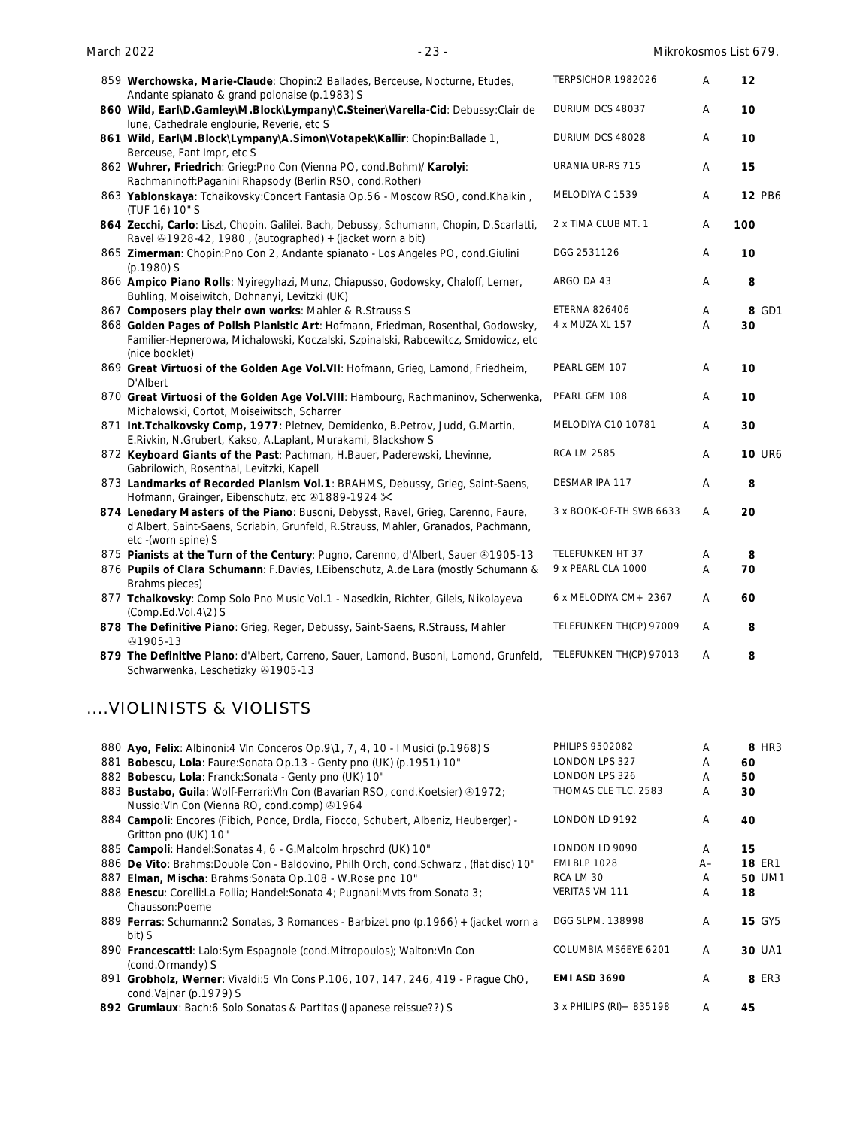| March 2022 |                                                                                                                                                                                                | $-23-$ |                         |   | Mikrokosmos List 679. |
|------------|------------------------------------------------------------------------------------------------------------------------------------------------------------------------------------------------|--------|-------------------------|---|-----------------------|
|            | 859 Werchowska, Marie-Claude: Chopin:2 Ballades, Berceuse, Nocturne, Etudes,<br>Andante spianato & grand polonaise (p.1983) S                                                                  |        | TERPSICHOR 1982026      | Α | 12                    |
|            | 860 Wild, Earl\D.Gamley\M.Block\Lympany\C.Steiner\Varella-Cid: Debussy:Clair de<br>lune, Cathedrale englourie, Reverie, etc S                                                                  |        | DURIUM DCS 48037        | Α | 10                    |
|            | 861 Wild, Earl\M.Block\Lympany\A.Simon\Votapek\Kallir: Chopin:Ballade 1,<br>Berceuse, Fant Impr, etc S                                                                                         |        | DURIUM DCS 48028        | A | 10                    |
|            | 862 Wuhrer, Friedrich: Grieg:Pno Con (Vienna PO, cond.Bohm)/ Karolyi:<br>Rachmaninoff: Paganini Rhapsody (Berlin RSO, cond. Rother)                                                            |        | URANIA UR-RS 715        | Α | 15                    |
|            | 863 Yablonskaya: Tchaikovsky:Concert Fantasia Op.56 - Moscow RSO, cond.Khaikin,<br>(TUF 16) 10" S                                                                                              |        | MELODIYA C 1539         | Α | 12 PB6                |
|            | 864 Zecchi, Carlo: Liszt, Chopin, Galilei, Bach, Debussy, Schumann, Chopin, D.Scarlatti,<br>Ravel & 1928-42, 1980, (autographed) + (jacket worn a bit)                                         |        | 2 x TIMA CLUB MT. 1     | A | 100                   |
|            | 865 Zimerman: Chopin: Pno Con 2, Andante spianato - Los Angeles PO, cond. Giulini<br>(p.1980) S                                                                                                |        | DGG 2531126             | Α | 10                    |
|            | 866 Ampico Piano Rolls: Nyiregyhazi, Munz, Chiapusso, Godowsky, Chaloff, Lerner,<br>Buhling, Moiseiwitch, Dohnanyi, Levitzki (UK)                                                              |        | ARGO DA 43              | A | 8                     |
|            | 867 Composers play their own works: Mahler & R.Strauss S                                                                                                                                       |        | <b>ETERNA 826406</b>    | Α | 8 GD1                 |
|            | 868 Golden Pages of Polish Pianistic Art: Hofmann, Friedman, Rosenthal, Godowsky,<br>Familier-Hepnerowa, Michalowski, Koczalski, Szpinalski, Rabcewitcz, Smidowicz, etc<br>(nice booklet)      |        | 4 x MUZA XL 157         | Α | 30                    |
|            | 869 Great Virtuosi of the Golden Age Vol. VII: Hofmann, Grieg, Lamond, Friedheim,<br>D'Albert                                                                                                  |        | PEARL GEM 107           | Α | 10                    |
|            | 870 Great Virtuosi of the Golden Age Vol. VIII: Hambourg, Rachmaninov, Scherwenka,<br>Michalowski, Cortot, Moiseiwitsch, Scharrer                                                              |        | PEARL GEM 108           | Α | 10                    |
|            | 871 Int. Tchaikovsky Comp, 1977: Pletnev, Demidenko, B. Petrov, Judd, G. Martin,<br>E.Rivkin, N.Grubert, Kakso, A.Laplant, Murakami, Blackshow S                                               |        | MELODIYA C10 10781      | Α | 30                    |
|            | 872 Keyboard Giants of the Past: Pachman, H.Bauer, Paderewski, Lhevinne,<br>Gabrilowich, Rosenthal, Levitzki, Kapell                                                                           |        | <b>RCA LM 2585</b>      | Α | <b>10 UR6</b>         |
|            | 873 Landmarks of Recorded Pianism Vol.1: BRAHMS, Debussy, Grieg, Saint-Saens,<br>Hofmann, Grainger, Eibenschutz, etc 31889-1924 X                                                              |        | DESMAR IPA 117          | Α | 8                     |
|            | 874 Lenedary Masters of the Piano: Busoni, Debysst, Ravel, Grieg, Carenno, Faure,<br>d'Albert, Saint-Saens, Scriabin, Grunfeld, R.Strauss, Mahler, Granados, Pachmann,<br>etc - (worn spine) S |        | 3 x BOOK-OF-TH SWB 6633 | Α | 20                    |
|            | 875 Pianists at the Turn of the Century: Pugno, Carenno, d'Albert, Sauer & 1905-13                                                                                                             |        | <b>TELEFUNKEN HT 37</b> | Α | 8                     |
|            | 876 Pupils of Clara Schumann: F.Davies, I.Eibenschutz, A.de Lara (mostly Schumann &                                                                                                            |        | 9 x PEARL CLA 1000      | Α | 70                    |
|            | Brahms pieces)                                                                                                                                                                                 |        |                         |   |                       |
|            | 877 Tchaikovsky: Comp Solo Pno Music Vol.1 - Nasedkin, Richter, Gilels, Nikolayeva<br>(Comp.Ed.Vol.4\2) S                                                                                      |        | 6 x MELODIYA CM + 2367  | Α | 60                    |
|            | 878 The Definitive Piano: Grieg, Reger, Debussy, Saint-Saens, R.Strauss, Mahler<br>⊕1905-13                                                                                                    |        | TELEFUNKEN TH(CP) 97009 | Α | 8                     |

**879 The Definitive Piano**: d'Albert, Carreno, Sauer, Lamond, Busoni, Lamond, Grunfeld, TELEFUNKEN TH(CP) 97013 A **8** Schwarwenka, Leschetizky 31905-13

## ....VIOLINISTS & VIOLISTS

| 880 Ayo, Felix: Albinoni: 4 Vln Conceros Op. 9\1, 7, 4, 10 - I Musici (p.1968) S                                                | <b>PHILIPS 9502082</b>    | A    | 8 HR3         |
|---------------------------------------------------------------------------------------------------------------------------------|---------------------------|------|---------------|
| 881 Bobescu, Lola: Faure: Sonata Op.13 - Genty pno (UK) (p.1951) 10"                                                            | <b>LONDON LPS 327</b>     | A    | 60            |
| 882 Bobescu, Lola: Franck: Sonata - Genty pno (UK) 10"                                                                          | LONDON LPS 326            | A    | 50            |
| 883 Bustabo, Guila: Wolf-Ferrari: VIn Con (Bavarian RSO, cond. Koetsier) 31972;<br>Nussio: VIn Con (Vienna RO, cond.comp) 31964 | THOMAS CLE TLC. 2583      | A    | 30            |
| 884 Campoli: Encores (Fibich, Ponce, Drdla, Fiocco, Schubert, Albeniz, Heuberger) -<br>Gritton pno (UK) 10"                     | LONDON LD 9192            | A    | 40            |
| 885 Campoli: Handel: Sonatas 4, 6 - G. Malcolm hrpschrd (UK) 10"                                                                | LONDON LD 9090            | A    | 15            |
| 886 De Vito: Brahms: Double Con - Baldovino, Philh Orch, cond. Schwarz, (flat disc) 10"                                         | <b>EMI BLP 1028</b>       | $A-$ | <b>18 ER1</b> |
| 887 Elman, Mischa: Brahms: Sonata Op. 108 - W. Rose pno 10"                                                                     | RCA LM 30                 | A    | <b>50 UM1</b> |
| 888 Enescu: Corelli:La Follia; Handel:Sonata 4; Pugnani:Mvts from Sonata 3;<br>Chausson:Poeme                                   | <b>VERITAS VM 111</b>     | A    | 18            |
| 889 Ferras: Schumann: 2 Sonatas, 3 Romances - Barbizet pno (p.1966) + (jacket worn a<br>bit) S                                  | DGG SLPM, 138998          | A    | <b>15 GY5</b> |
| 890 Francescatti: Lalo:Sym Espagnole (cond.Mitropoulos); Walton: VIn Con<br>(cond.Ormandy) S                                    | COLUMBIA MS6EYE 6201      | A    | <b>30 UA1</b> |
| 891 Grobholz, Werner: Vivaldi:5 VIn Cons P.106, 107, 147, 246, 419 - Prague ChO,<br>cond.Vajnar (p.1979) S                      | <b>EMI ASD 3690</b>       | A    | 8 ER3         |
| 892 Grumiaux: Bach:6 Solo Sonatas & Partitas (Japanese reissue??) S                                                             | 3 x PHILIPS (RI) + 835198 | A    | 45            |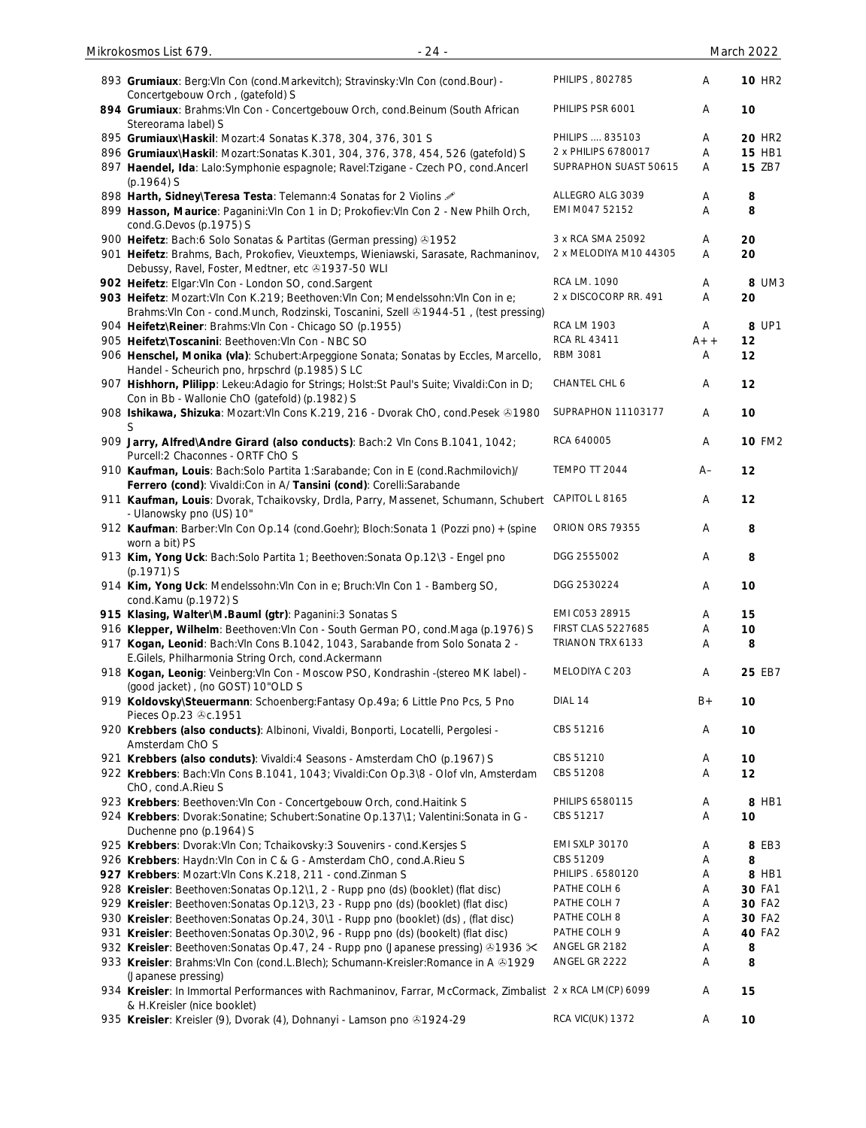| Mikrokosmos List 679.<br>$-24-$                                                                                                                                                    |                               |        | March 2022    |
|------------------------------------------------------------------------------------------------------------------------------------------------------------------------------------|-------------------------------|--------|---------------|
| 893 Grumiaux: Berg: VIn Con (cond. Markevitch); Stravinsky: VIn Con (cond. Bour) -<br>Concertgebouw Orch, (gatefold) S                                                             | PHILIPS, 802785               | Α      | <b>10 HR2</b> |
| 894 Grumiaux: Brahms: VIn Con - Concertgebouw Orch, cond. Beinum (South African<br>Stereorama label) S                                                                             | PHILIPS PSR 6001              | Α      | 10            |
| 895 Grumiaux\Haskil: Mozart:4 Sonatas K.378, 304, 376, 301 S                                                                                                                       | PHILIPS  835103               | Α      | <b>20 HR2</b> |
| 896 Grumiaux\Haskil: Mozart:Sonatas K.301, 304, 376, 378, 454, 526 (gatefold) S                                                                                                    | 2 x PHILIPS 6780017           | Α      | <b>15 HB1</b> |
| 897 Haendel, Ida: Lalo:Symphonie espagnole; Ravel:Tzigane - Czech PO, cond.Ancerl<br>$(p.1964)$ S                                                                                  | SUPRAPHON SUAST 50615         | A      | <b>15 ZB7</b> |
| 898 Harth, Sidney\Teresa Testa: Telemann: 4 Sonatas for 2 Violins 2                                                                                                                | ALLEGRO ALG 3039              | Α      | 8             |
| 899 Hasson, Maurice: Paganini: VIn Con 1 in D; Prokofiev: VIn Con 2 - New Philh Orch,<br>cond.G.Devos (p.1975) S                                                                   | EMI M047 52152                | A      | 8             |
| 900 Heifetz: Bach:6 Solo Sonatas & Partitas (German pressing) 31952                                                                                                                | 3 x RCA SMA 25092             | Α      | 20            |
| 901 Heifetz: Brahms, Bach, Prokofiev, Vieuxtemps, Wieniawski, Sarasate, Rachmaninov,<br>Debussy, Ravel, Foster, Medtner, etc +1937-50 WLI                                          | 2 x MELODIYA M10 44305        | Α      | 20            |
| 902 Heifetz: Elgar: VIn Con - London SO, cond. Sargent                                                                                                                             | RCA LM. 1090                  | Α      | 8 UM3         |
| 903 Heifetz: Mozart: VIn Con K.219; Beethoven: VIn Con; Mendelssohn: VIn Con in e;<br>Brahms: VIn Con - cond. Munch, Rodzinski, Toscanini, Szell 41944-51, (test pressing)         | 2 x DISCOCORP RR. 491         | Α      | 20            |
| 904 Heifetz\Reiner: Brahms: VIn Con - Chicago SO (p.1955)                                                                                                                          | <b>RCA LM 1903</b>            | A      | 8 UP1         |
| 905 Heifetz\Toscanini: Beethoven: VIn Con - NBC SO                                                                                                                                 | RCA RL 43411                  | $A++$  | 12            |
| 906 Henschel, Monika (vla): Schubert: Arpeggione Sonata; Sonatas by Eccles, Marcello,<br>Handel - Scheurich pno, hrpschrd (p.1985) S LC                                            | RBM 3081                      | A      | 12            |
| 907 Hishhorn, Plilipp: Lekeu:Adagio for Strings; Holst:St Paul's Suite; Vivaldi:Con in D;<br>Con in Bb - Wallonie ChO (gatefold) (p.1982) S                                        | CHANTEL CHL 6                 | Α      | 12            |
| 908 Ishikawa, Shizuka: Mozart: VIn Cons K.219, 216 - Dvorak ChO, cond. Pesek @1980<br>S                                                                                            | SUPRAPHON 11103177            | Α      | 10            |
| 909 Jarry, Alfred\Andre Girard (also conducts): Bach:2 VIn Cons B.1041, 1042;<br>Purcell:2 Chaconnes - ORTF ChO S                                                                  | RCA 640005                    | Α      | <b>10 FM2</b> |
| 910 Kaufman, Louis: Bach:Solo Partita 1:Sarabande; Con in E (cond.Rachmilovich)/<br>Ferrero (cond): Vivaldi:Con in A/ Tansini (cond): Corelli:Sarabande                            | TEMPO TT 2044                 | A–     | 12            |
| 911 Kaufman, Louis: Dvorak, Tchaikovsky, Drdla, Parry, Massenet, Schumann, Schubert<br>- Ulanowsky pno (US) 10"                                                                    | CAPITOL L 8165                | A      | 12            |
| 912 Kaufman: Barber: VIn Con Op.14 (cond.Goehr); Bloch:Sonata 1 (Pozzi pno) + (spine<br>worn a bit) PS                                                                             | ORION ORS 79355               | Α      | 8             |
| 913 Kim, Yong Uck: Bach:Solo Partita 1; Beethoven:Sonata Op.12\3 - Engel pno<br>$(p.1971)$ S                                                                                       | DGG 2555002                   | Α      | 8             |
| 914 Kim, Yong Uck: Mendelssohn: Vln Con in e; Bruch: Vln Con 1 - Bamberg SO,<br>cond.Kamu (p.1972) S                                                                               | DGG 2530224                   | A      | 10            |
| 915 Klasing, Walter\M.Bauml (gtr): Paganini:3 Sonatas S                                                                                                                            | EMI C053 28915                | Α      | 15            |
| 916 Klepper, Wilhelm: Beethoven: Vln Con - South German PO, cond. Maga (p.1976) S                                                                                                  | <b>FIRST CLAS 5227685</b>     | Α      | 10            |
| 917 Kogan, Leonid: Bach: Vln Cons B.1042, 1043, Sarabande from Solo Sonata 2 -<br>E.Gilels, Philharmonia String Orch, cond.Ackermann                                               | TRIANON TRX 6133              | Α      | 8             |
| 918 Kogan, Leonig: Veinberg: VIn Con - Moscow PSO, Kondrashin -(stereo MK label) -<br>(good jacket), (no GOST) 10"OLD S                                                            | MELODIYA C 203                | Α      | 25 EB7        |
| 919 Koldovsky\Steuermann: Schoenberg:Fantasy Op.49a; 6 Little Pno Pcs, 5 Pno<br>Pieces Op.23 &c.1951                                                                               | DIAL 14                       | $B+$   | 10            |
| 920 Krebbers (also conducts): Albinoni, Vivaldi, Bonporti, Locatelli, Pergolesi -<br>Amsterdam ChO S                                                                               | CBS 51216                     | Α      | 10            |
| 921 Krebbers (also conduts): Vivaldi:4 Seasons - Amsterdam ChO (p.1967) S                                                                                                          | CBS 51210                     | Α      | 10            |
| 922 Krebbers: Bach: VIn Cons B.1041, 1043; Vivaldi: Con Op.3\8 - Olof vIn, Amsterdam<br>ChO, cond.A.Rieu S                                                                         | CBS 51208                     | Α      | 12            |
| 923 Krebbers: Beethoven: VIn Con - Concertgebouw Orch, cond. Haitink S                                                                                                             | PHILIPS 6580115               | Α      | 8 HB1         |
| 924 Krebbers: Dvorak:Sonatine; Schubert:Sonatine Op.137\1; Valentini:Sonata in G -<br>Duchenne pno (p.1964) S                                                                      | CBS 51217                     | Α      | 10            |
| 925 Krebbers: Dvorak: Vln Con; Tchaikovsky: 3 Souvenirs - cond. Kersjes S                                                                                                          | <b>EMI SXLP 30170</b>         | Α      | 8 EB3         |
| 926 Krebbers: Haydn: VIn Con in C & G - Amsterdam ChO, cond. A. Rieu S                                                                                                             | CBS 51209                     | Α      | 8             |
| 927 Krebbers: Mozart: VIn Cons K.218, 211 - cond. Zinman S                                                                                                                         | PHILIPS . 6580120             | Α      | 8 HB1         |
| 928 Kreisler: Beethoven: Sonatas Op. 12\1, 2 - Rupp pno (ds) (booklet) (flat disc)                                                                                                 | PATHE COLH 6                  | Α      | 30 FA1        |
| 929 Kreisler: Beethoven: Sonatas Op.12\3, 23 - Rupp pno (ds) (booklet) (flat disc)                                                                                                 | PATHE COLH 7                  | Α      | 30 FA2        |
| 930 Kreisler: Beethoven: Sonatas Op.24, 30\1 - Rupp pno (booklet) (ds), (flat disc)                                                                                                | PATHE COLH 8                  | Α      | 30 FA2        |
| 931 Kreisler: Beethoven: Sonatas Op. 30\2, 96 - Rupp pno (ds) (bookelt) (flat disc)                                                                                                | PATHE COLH 9<br>ANGEL GR 2182 | A      | <b>40 FA2</b> |
| 932 Kreisler: Beethoven: Sonatas Op.47, 24 - Rupp pno (Japanese pressing) ⊕1936 $\times$<br>933 Kreisler: Brahms: VIn Con (cond. L. Blech); Schumann-Kreisler: Romance in A & 1929 | ANGEL GR 2222                 | Α<br>Α | 8<br>8        |
| (Japanese pressing)<br>934 Kreisler: In Immortal Performances with Rachmaninov, Farrar, McCormack, Zimbalist 2 x RCA LM(CP) 6099                                                   |                               | Α      | 15            |
| & H.Kreisler (nice booklet)<br>935 Kreisler: Kreisler (9), Dvorak (4), Dohnanyi - Lamson pno +1924-29                                                                              | <b>RCA VIC(UK) 1372</b>       | Α      | 10            |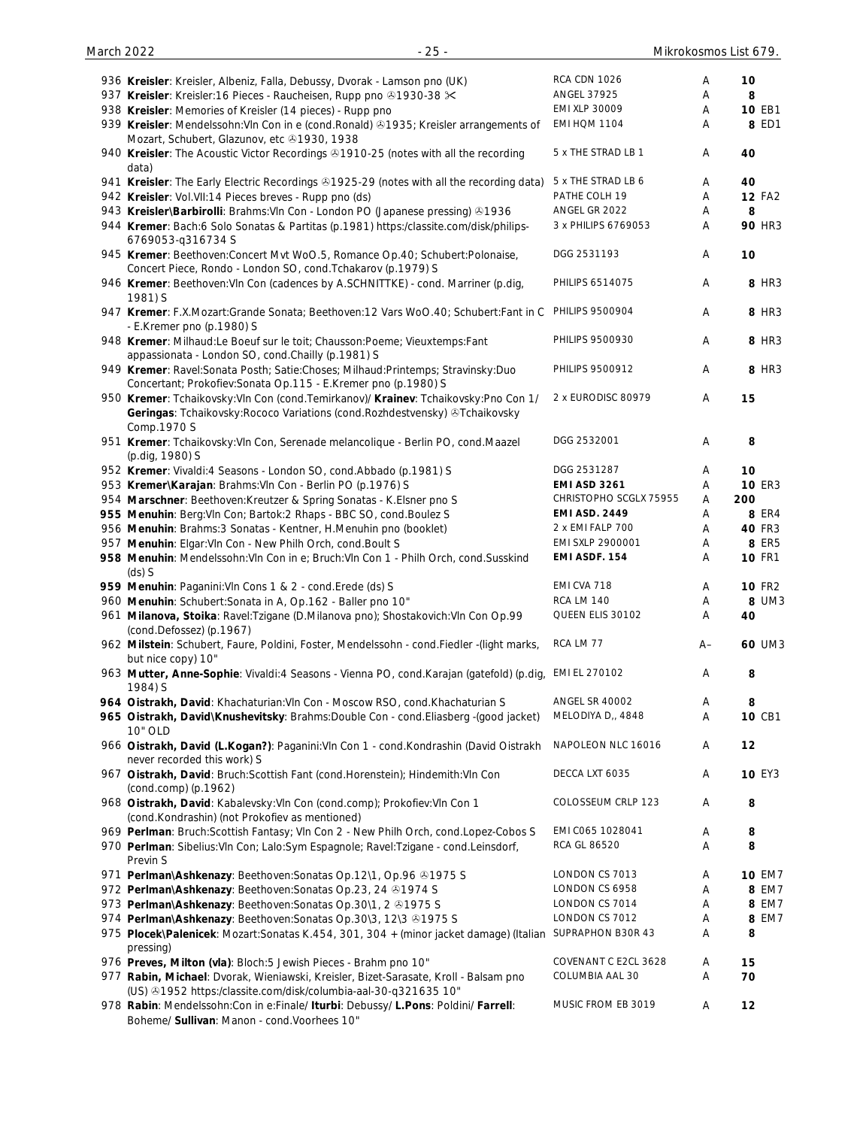| 936 Kreisler: Kreisler, Albeniz, Falla, Debussy, Dvorak - Lamson pno (UK)                                                                                                             | <b>RCA CDN 1026</b>    | Α    | 10            |
|---------------------------------------------------------------------------------------------------------------------------------------------------------------------------------------|------------------------|------|---------------|
| 937 Kreisler: Kreisler: 16 Pieces - Raucheisen, Rupp pno 21930-38 $\times$                                                                                                            | ANGEL 37925            | Α    | 8             |
| 938 Kreisler: Memories of Kreisler (14 pieces) - Rupp pno                                                                                                                             | EMI XLP 30009          | A    | 10 EB1        |
| 939 Kreisler: Mendelssohn: VIn Con in e (cond. Ronald) 21935; Kreisler arrangements of<br>Mozart, Schubert, Glazunov, etc 31930, 1938                                                 | <b>EMI HQM 1104</b>    | Α    | 8 ED1         |
| 940 Kreisler: The Acoustic Victor Recordings ®1910-25 (notes with all the recording<br>data)                                                                                          | 5 x THE STRAD LB 1     | Α    | 40            |
| 941 Kreisler: The Early Electric Recordings & 1925-29 (notes with all the recording data)                                                                                             | 5 x THE STRAD LB 6     | Α    | 40            |
| 942 Kreisler: Vol. VII: 14 Pieces breves - Rupp pno (ds)                                                                                                                              | PATHE COLH 19          | Α    | <b>12 FA2</b> |
| 943 Kreisler\Barbirolli: Brahms: VIn Con - London PO (Japanese pressing) 81936                                                                                                        | ANGEL GR 2022          | Α    | 8             |
| 944 Kremer: Bach:6 Solo Sonatas & Partitas (p.1981) https:/classite.com/disk/philips-<br>6769053-q316734 S                                                                            | 3 x PHILIPS 6769053    | Α    | <b>90 HR3</b> |
| 945 Kremer: Beethoven:Concert Mvt WoO.5, Romance Op.40; Schubert:Polonaise,<br>Concert Piece, Rondo - London SO, cond. Tchakarov (p.1979) S                                           | DGG 2531193            | Α    | 10            |
| 946 Kremer: Beethoven: VIn Con (cadences by A.SCHNITTKE) - cond. Marriner (p.dig,<br>1981) S                                                                                          | PHILIPS 6514075        | Α    | 8 HR3         |
| 947 Kremer: F.X.Mozart:Grande Sonata; Beethoven:12 Vars WoO.40; Schubert:Fant in C<br>- E.Kremer pno (p.1980) S                                                                       | PHILIPS 9500904        | Α    | 8 HR3         |
| 948 Kremer: Milhaud:Le Boeuf sur le toit; Chausson:Poeme; Vieuxtemps:Fant<br>appassionata - London SO, cond. Chailly (p. 1981) S                                                      | PHILIPS 9500930        | Α    | 8 HR3         |
| 949 Kremer: Ravel:Sonata Posth; Satie:Choses; Milhaud:Printemps; Stravinsky:Duo<br>Concertant; Prokofiev: Sonata Op.115 - E. Kremer pno (p.1980) S                                    | PHILIPS 9500912        | Α    | 8 HR3         |
| 950 Kremer: Tchaikovsky: VIn Con (cond. Temirkanov)/ Krainev: Tchaikovsky: Pno Con 1/<br>Geringas: Tchaikovsky: Rococo Variations (cond. Rozhdestvensky) & Tchaikovsky<br>Comp.1970 S | 2 x EURODISC 80979     | Α    | 15            |
| 951 Kremer: Tchaikovsky: Vln Con, Serenade melancolique - Berlin PO, cond. Maazel<br>(p.dig, 1980) S                                                                                  | DGG 2532001            | Α    | 8             |
| 952 Kremer: Vivaldi:4 Seasons - London SO, cond.Abbado (p.1981) S                                                                                                                     | DGG 2531287            | Α    | 10            |
| 953 Kremer\Karajan: Brahms: VIn Con - Berlin PO (p.1976) S                                                                                                                            | <b>EMI ASD 3261</b>    | A    | <b>10 ER3</b> |
| 954 Marschner: Beethoven: Kreutzer & Spring Sonatas - K. Elsner pno S                                                                                                                 | CHRISTOPHO SCGLX 75955 | Α    | 200           |
| 955 Menuhin: Berg: VIn Con; Bartok: 2 Rhaps - BBC SO, cond. Boulez S                                                                                                                  | <b>EMI ASD. 2449</b>   | A    | <b>8 ER4</b>  |
| 956 Menuhin: Brahms: 3 Sonatas - Kentner, H.Menuhin pno (booklet)                                                                                                                     | 2 x EMI FALP 700       | Α    | 40 FR3        |
| 957 Menuhin: Elgar: VIn Con - New Philh Orch, cond. Boult S                                                                                                                           | EMI SXLP 2900001       | A    | 8 ER5         |
| 958 Menuhin: Mendelssohn: VIn Con in e; Bruch: VIn Con 1 - Philh Orch, cond. Susskind<br>$(ds)$ S                                                                                     | EMI ASDF. 154          | Α    | <b>10 FR1</b> |
| 959 Menuhin: Paganini: VIn Cons 1 & 2 - cond. Erede (ds) S                                                                                                                            | EMI CVA 718            | A    | <b>10 FR2</b> |
| 960 Menuhin: Schubert: Sonata in A, Op. 162 - Baller pno 10"                                                                                                                          | <b>RCA LM 140</b>      | A    | 8 UM3         |
| 961 Milanova, Stoika: Ravel: Tzigane (D. Milanova pno); Shostakovich: Vln Con Op. 99<br>(cond.Defossez) (p.1967)                                                                      | QUEEN ELIS 30102       | Α    | 40            |
| 962 Milstein: Schubert, Faure, Poldini, Foster, Mendelssohn - cond.Fiedler -(light marks,<br>but nice copy) 10"                                                                       | RCA LM 77              | $A-$ | 60 UM3        |
| 963 Mutter, Anne-Sophie: Vivaldi:4 Seasons - Vienna PO, cond.Karajan (gatefold) (p.dig,<br>1984) S                                                                                    | EMI EL 270102          | Α    | 8             |
| 964 Oistrakh, David: Khachaturian: Vln Con - Moscow RSO, cond. Khachaturian S                                                                                                         | <b>ANGEL SR 40002</b>  | A    | 8             |
| 965 Oistrakh, David\Knushevitsky: Brahms:Double Con - cond.Eliasberg -(good jacket)<br>10" OLD                                                                                        | MELODIYA D,, 4848      | Α    | 10 CB1        |
| 966 Oistrakh, David (L.Kogan?): Paganini: Vln Con 1 - cond. Kondrashin (David Oistrakh<br>never recorded this work) S                                                                 | NAPOLEON NLC 16016     | Α    | 12            |
| 967 Oistrakh, David: Bruch: Scottish Fant (cond. Horenstein); Hindemith: VIn Con<br>(cond.comp) (p.1962)                                                                              | DECCA LXT 6035         | Α    | <b>10 EY3</b> |
| 968 Oistrakh, David: Kabalevsky: Vln Con (cond.comp); Prokofiev: Vln Con 1<br>(cond.Kondrashin) (not Prokofiev as mentioned)                                                          | COLOSSEUM CRLP 123     | Α    | 8             |
| 969 Perlman: Bruch:Scottish Fantasy; VIn Con 2 - New Philh Orch, cond.Lopez-Cobos S                                                                                                   | EMI C065 1028041       | Α    | 8             |
| 970 Perlman: Sibelius: VIn Con; Lalo: Sym Espagnole; Ravel: Tzigane - cond. Leinsdorf,<br>Previn S                                                                                    | RCA GL 86520           | Α    | 8             |
| 971 Perlman\Ashkenazy: Beethoven:Sonatas Op.12\1, Op.96 & 1975 S                                                                                                                      | LONDON CS 7013         | Α    | <b>10 EM7</b> |
| 972 Perlman\Ashkenazy: Beethoven: Sonatas Op.23, 24 31974 S                                                                                                                           | LONDON CS 6958         | Α    | 8 EM7         |
| 973 Perlman\Ashkenazy: Beethoven: Sonatas Op.30\1, 2 31975 S                                                                                                                          | LONDON CS 7014         | Α    | 8 EM7         |
| 974 Perlman\Ashkenazy: Beethoven: Sonatas Op.30\3, 12\3 & 1975 S                                                                                                                      | LONDON CS 7012         | Α    | 8 EM7         |
| 975 Plocek\Palenicek: Mozart:Sonatas K.454, 301, 304 + (minor jacket damage) (Italian<br>pressing)                                                                                    | SUPRAPHON B30R 43      | Α    | 8             |
| 976 Preves, Milton (vla): Bloch: 5 Jewish Pieces - Brahm pno 10"                                                                                                                      | COVENANT C E2CL 3628   | A    | 15            |
| 977 Rabin, Michael: Dvorak, Wieniawski, Kreisler, Bizet-Sarasate, Kroll - Balsam pno<br>(US) +1952 https:/classite.com/disk/columbia-aal-30-q321635 10"                               | COLUMBIA AAL 30        | A    | 70            |
| 978 Rabin: Mendelssohn:Con in e:Finale/ Iturbi: Debussy/ L.Pons: Poldini/ Farrell:                                                                                                    | MUSIC FROM EB 3019     | Α    | 12            |

Boheme/ **Sullivan**: Manon - cond.Voorhees 10"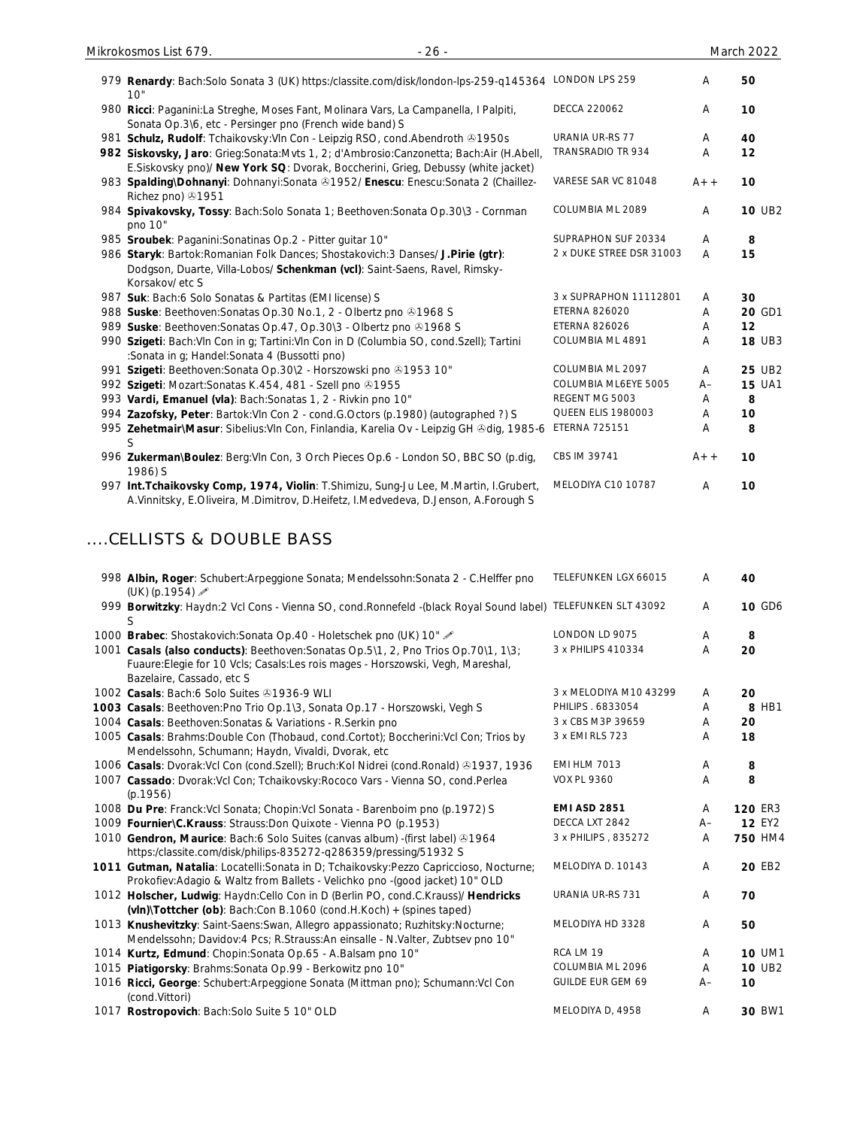| 979 Renardy: Bach:Solo Sonata 3 (UK) https:/classite.com/disk/london-lps-259-q145364 LONDON LPS 259                                                                                                                                            |                           | Α     | 50             |
|------------------------------------------------------------------------------------------------------------------------------------------------------------------------------------------------------------------------------------------------|---------------------------|-------|----------------|
| 10"                                                                                                                                                                                                                                            |                           |       |                |
| 980 Ricci: Paganini:La Streghe, Moses Fant, Molinara Vars, La Campanella, I Palpiti,<br>Sonata Op.3\6, etc - Persinger pno (French wide band) S                                                                                                | <b>DECCA 220062</b>       | Α     | 10             |
| 981 Schulz, Rudolf: Tchaikovsky: Vln Con - Leipzig RSO, cond. Abendroth 31950s                                                                                                                                                                 | URANIA UR-RS 77           | Α     | 40             |
| 982 Siskovsky, Jaro: Grieg: Sonata: Mvts 1, 2; d'Ambrosio: Canzonetta; Bach: Air (H. Abell,                                                                                                                                                    | TRANSRADIO TR 934         | Α     | 12             |
| E.Siskovsky pno)/ New York SQ: Dvorak, Boccherini, Grieg, Debussy (white jacket)<br>983 Spalding\Dohnanyi: Dohnanyi:Sonata &1952/ Enescu: Enescu:Sonata 2 (Chaillez-<br>Richez pno) 31951                                                      | VARESE SAR VC 81048       | $A++$ | 10             |
| 984 Spivakovsky, Tossy: Bach:Solo Sonata 1; Beethoven:Sonata Op.30\3 - Cornman<br>pno 10"                                                                                                                                                      | COLUMBIA ML 2089          | Α     | <b>10 UB2</b>  |
| 985 Sroubek: Paganini: Sonatinas Op.2 - Pitter guitar 10"                                                                                                                                                                                      | SUPRAPHON SUF 20334       | A     | 8              |
| 986 Staryk: Bartok: Romanian Folk Dances; Shostakovich: 3 Danses/ J. Pirie (gtr):<br>Dodgson, Duarte, Villa-Lobos/ Schenkman (vcl): Saint-Saens, Ravel, Rimsky-<br>Korsakov/ etc S                                                             | 2 x DUKE STREE DSR 31003  | Α     | 15             |
| 987 Suk: Bach:6 Solo Sonatas & Partitas (EMI license) S                                                                                                                                                                                        | 3 x SUPRAPHON 11112801    | A     | 30             |
| 988 Suske: Beethoven: Sonatas Op. 30 No. 1, 2 - Olbertz pno @1968 S                                                                                                                                                                            | <b>ETERNA 826020</b>      | Α     | 20 GD1         |
| 989 Suske: Beethoven: Sonatas Op. 47, Op. 30\3 - Olbertz pno 31968 S                                                                                                                                                                           | <b>ETERNA 826026</b>      | Α     | 12             |
| 990 Szigeti: Bach: VIn Con in g; Tartini: VIn Con in D (Columbia SO, cond. Szell); Tartini<br>:Sonata in g; Handel:Sonata 4 (Bussotti pno)                                                                                                     | COLUMBIA ML 4891          | Α     | <b>18 UB3</b>  |
| 991 Szigeti: Beethoven: Sonata Op. 30\2 - Horszowski pno 31953 10"                                                                                                                                                                             | COLUMBIA ML 2097          | Α     | 25 UB2         |
| 992 Szigeti: Mozart: Sonatas K.454, 481 - Szell pno 31955                                                                                                                                                                                      | COLUMBIA ML6EYE 5005      | A–    | <b>15 UA1</b>  |
| 993 Vardi, Emanuel (vla): Bach: Sonatas 1, 2 - Rivkin pno 10"                                                                                                                                                                                  | REGENT MG 5003            | Α     | 8              |
| 994 Zazofsky, Peter: Bartok: Vln Con 2 - cond. G. Octors (p. 1980) (autographed ?) S                                                                                                                                                           | <b>QUEEN ELIS 1980003</b> | Α     | 10             |
| 995 Zehetmair\Masur: Sibelius: VIn Con, Finlandia, Karelia Ov - Leipzig GH &dig, 1985-6                                                                                                                                                        | <b>ETERNA 725151</b>      | Α     | 8              |
| 996 Zukerman\Boulez: Berg:Vln Con, 3 Orch Pieces Op.6 - London SO, BBC SO (p.dig,<br>1986) S                                                                                                                                                   | CBS IM 39741              | $A++$ | 10             |
| 997 Int. Tchaikovsky Comp, 1974, Violin: T.Shimizu, Sung-Ju Lee, M.Martin, I.Grubert,<br>A.Vinnitsky, E.Oliveira, M.Dimitrov, D.Heifetz, I.Medvedeva, D.Jenson, A.Forough S                                                                    | MELODIYA C10 10787        | Α     | 10             |
| 998 Albin, Roger: Schubert: Arpeggione Sonata; Mendelssohn: Sonata 2 - C. Helffer pno<br>(UK) (p.1954)                                                                                                                                         | TELEFUNKEN LGX 66015      | Α     | 40             |
| 999 Borwitzky: Haydn:2 Vcl Cons - Vienna SO, cond.Ronnefeld -(black Royal Sound label) TELEFUNKEN SLT 43092<br>S                                                                                                                               |                           | Α     | <b>10 GD6</b>  |
| 1000 Brabec: Shostakovich: Sonata Op. 40 - Holetschek pno (UK) 10"                                                                                                                                                                             | LONDON LD 9075            | A     | 8              |
| 1001 Casals (also conducts): Beethoven: Sonatas Op. 5\1, 2, Pno Trios Op. 70\1, 1\3;<br>Fuaure: Elegie for 10 Vcls; Casals: Les rois mages - Horszowski, Vegh, Mareshal,<br>Bazelaire, Cassado, etc S                                          | 3 x PHILIPS 410334        | Α     | 20             |
| 1002 Casals: Bach:6 Solo Suites 31936-9 WLI                                                                                                                                                                                                    | 3 x MELODIYA M10 43299    | A     | 20             |
| 1003 Casals: Beethoven: Pno Trio Op. 1\3, Sonata Op. 17 - Horszowski, Vegh S                                                                                                                                                                   | PHILIPS . 6833054         | Α     | 8 HB1          |
| 1004 Casals: Beethoven: Sonatas & Variations - R. Serkin pno                                                                                                                                                                                   | 3 x CBS M3P 39659         | Α     | 20             |
| 1005 Casals: Brahms: Double Con (Thobaud, cond. Cortot); Boccherini: Vcl Con; Trios by<br>Mendelssohn, Schumann; Haydn, Vivaldi, Dvorak, etc                                                                                                   | 3 x EMI RLS 723           | Α     | 18             |
| 1006 Casals: Dvorak: Vcl Con (cond. Szell); Bruch: Kol Nidrei (cond. Ronald) 31937, 1936                                                                                                                                                       | <b>EMI HLM 7013</b>       | Α     | 8              |
| 1007 Cassado: Dvorak: Vcl Con; Tchaikovsky: Rococo Vars - Vienna SO, cond. Perlea<br>(p.1956)                                                                                                                                                  | <b>VOX PL 9360</b>        | Α     | 8              |
| 1008 Du Pre: Franck: Vcl Sonata; Chopin: Vcl Sonata - Barenboim pno (p.1972) S                                                                                                                                                                 | <b>EMI ASD 2851</b>       | Α     | 120 ER3        |
| 1009 Fournier\C.Krauss: Strauss: Don Quixote - Vienna PO (p.1953)                                                                                                                                                                              | DECCA LXT 2842            | A–    | <b>12 EY2</b>  |
| 1010 Gendron, Maurice: Bach:6 Solo Suites (canvas album) -(first label) 31964                                                                                                                                                                  | 3 x PHILIPS, 835272       | Α     | <b>750 HM4</b> |
| https:/classite.com/disk/philips-835272-q286359/pressing/51932 S<br>1011 Gutman, Natalia: Locatelli: Sonata in D; Tchaikovsky: Pezzo Capriccioso, Nocturne;                                                                                    | MELODIYA D. 10143         | Α     | 20 EB2         |
| Prokofiev:Adagio & Waltz from Ballets - Velichko pno -(good jacket) 10" OLD<br>1012 Holscher, Ludwig: Haydn:Cello Con in D (Berlin PO, cond.C.Krauss)/ Hendricks                                                                               | URANIA UR-RS 731          | Α     | 70             |
| $(vIn)\$ Tottcher $(ob)$ : Bach:Con B.1060 (cond.H.Koch) + (spines taped)<br>1013 Knushevitzky: Saint-Saens: Swan, Allegro appassionato; Ruzhitsky: Nocturne;<br>Mendelssohn; Davidov:4 Pcs; R.Strauss:An einsalle - N.Valter, Zubtsev pno 10" | MELODIYA HD 3328          | Α     | 50             |
| 1014 Kurtz, Edmund: Chopin: Sonata Op.65 - A. Balsam pno 10"                                                                                                                                                                                   | RCA LM 19                 | Α     | <b>10 UM1</b>  |
| 1015 Piatigorsky: Brahms: Sonata Op. 99 - Berkowitz pno 10"                                                                                                                                                                                    | COLUMBIA ML 2096          | Α     | <b>10 UB2</b>  |
| 1016 Ricci, George: Schubert: Arpeggione Sonata (Mittman pno); Schumann: Vcl Con                                                                                                                                                               | GUILDE EUR GEM 69         | $A-$  | 10             |
| (cond.Vittori)<br>1017 Rostropovich: Bach: Solo Suite 5 10" OLD                                                                                                                                                                                | MELODIYA D, 4958          | A     | 30 BW1         |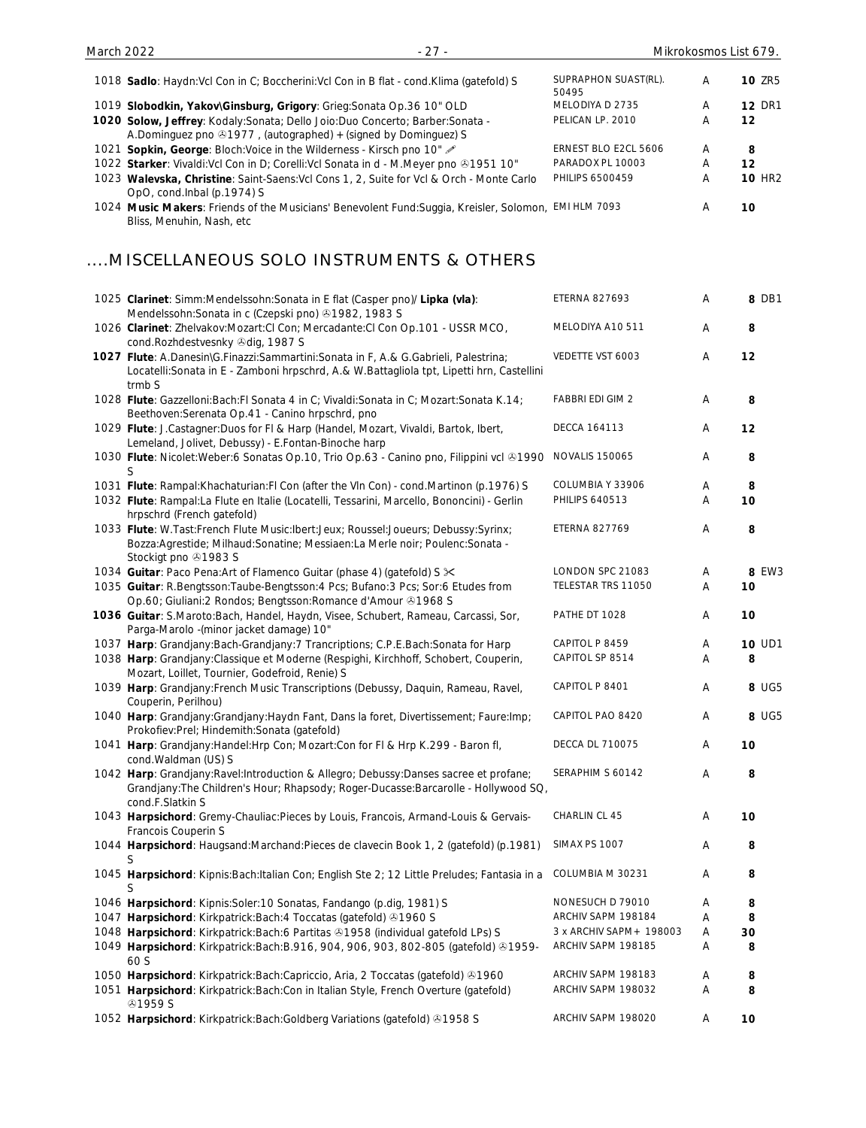| 1018 Sadlo: Haydn: Vcl Con in C; Boccherini: Vcl Con in B flat - cond. Klima (gatefold) S                                                                                                          | SUPRAPHON SUAST(RL).<br>50495                 | A      | <b>10 ZR5</b> |
|----------------------------------------------------------------------------------------------------------------------------------------------------------------------------------------------------|-----------------------------------------------|--------|---------------|
| 1019 Slobodkin, Yakov\Ginsburg, Grigory: Grieg:Sonata Op.36 10" OLD                                                                                                                                | MELODIYA D 2735                               | Α      | <b>12 DR1</b> |
| 1020 Solow, Jeffrey: Kodaly: Sonata; Dello Joio: Duo Concerto; Barber: Sonata -<br>A.Dominguez pno $@1977$ , (autographed) + (signed by Dominguez) S                                               | PELICAN LP. 2010                              | Α      | 12            |
| 1021 Sopkin, George: Bloch: Voice in the Wilderness - Kirsch pno 10"                                                                                                                               | ERNEST BLO E2CL 5606                          | Α      | 8             |
| 1022 Starker: Vivaldi: Vcl Con in D; Corelli: Vcl Sonata in d - M. Meyer pno ®1951 10"                                                                                                             | PARADOX PL 10003                              | Α      | 12            |
| 1023 Walevska, Christine: Saint-Saens: Vcl Cons 1, 2, Suite for Vcl & Orch - Monte Carlo                                                                                                           | PHILIPS 6500459                               | A      | <b>10 HR2</b> |
| OpO, cond.Inbal (p.1974) S<br>1024 Music Makers: Friends of the Musicians' Benevolent Fund: Suggia, Kreisler, Solomon, EMI HLM 7093<br>Bliss, Menuhin, Nash, etc                                   |                                               | Α      | 10            |
| MISCELLANEOUS SOLO INSTRUMENTS & OTHERS                                                                                                                                                            |                                               |        |               |
| 1025 Clarinet: Simm:Mendelssohn:Sonata in E flat (Casper pno)/ Lipka (vla):<br>Mendelssohn: Sonata in c (Czepski pno) 31982, 1983 S                                                                | <b>ETERNA 827693</b>                          | Α      | 8 DB1         |
| 1026 Clarinet: Zhelvakov:Mozart:Cl Con; Mercadante:Cl Con Op.101 - USSR MCO,<br>cond.Rozhdestvesnky 3dig, 1987 S                                                                                   | MELODIYA A10 511                              | Α      | 8             |
| 1027 Flute: A.Danesin\G.Finazzi:Sammartini:Sonata in F, A.& G.Gabrieli, Palestrina;<br>Locatelli: Sonata in E - Zamboni hrpschrd, A.& W. Battagliola tpt, Lipetti hrn, Castellini<br>trmb S        | VEDETTE VST 6003                              | Α      | 12            |
| 1028 Flute: Gazzelloni: Bach: Fl Sonata 4 in C; Vivaldi: Sonata in C; Mozart: Sonata K. 14;<br>Beethoven: Serenata Op. 41 - Canino hrpschrd, pno                                                   | <b>FABBRI EDI GIM 2</b>                       | A      | 8             |
| 1029 Flute: J.Castagner: Duos for FI & Harp (Handel, Mozart, Vivaldi, Bartok, Ibert,<br>Lemeland, Jolivet, Debussy) - E.Fontan-Binoche harp                                                        | <b>DECCA 164113</b>                           | Α      | 12            |
| 1030 Flute: Nicolet: Weber: 6 Sonatas Op.10, Trio Op.63 - Canino pno, Filippini vcl @1990<br>S                                                                                                     | <b>NOVALIS 150065</b>                         | Α      | 8             |
| 1031 Flute: Rampal: Khachaturian: FI Con (after the VIn Con) - cond. Martinon (p. 1976) S                                                                                                          | COLUMBIA Y 33906                              | Α      | 8             |
| 1032 Flute: Rampal:La Flute en Italie (Locatelli, Tessarini, Marcello, Bononcini) - Gerlin<br>hrpschrd (French gatefold)                                                                           | <b>PHILIPS 640513</b>                         | A      | 10            |
| 1033 Flute: W.Tast:French Flute Music:Ibert:Jeux; Roussel:Joueurs; Debussy:Syrinx;<br>Bozza:Agrestide; Milhaud:Sonatine; Messiaen:La Merle noir; Poulenc:Sonata -<br>Stockigt pno 31983 S          | <b>ETERNA 827769</b>                          | Α      | 8             |
| 1034 Guitar: Paco Pena: Art of Flamenco Guitar (phase 4) (gatefold) S $\times$                                                                                                                     | LONDON SPC 21083                              | Α      | 8 EW3         |
| 1035 Guitar: R.Bengtsson: Taube-Bengtsson: 4 Pcs; Bufano: 3 Pcs; Sor: 6 Etudes from<br>Op.60; Giuliani:2 Rondos; Bengtsson: Romance d'Amour & 1968 S                                               | TELESTAR TRS 11050                            | Α      | 10            |
| 1036 Guitar: S.Maroto:Bach, Handel, Haydn, Visee, Schubert, Rameau, Carcassi, Sor,<br>Parga-Marolo - (minor jacket damage) 10"                                                                     | PATHE DT 1028                                 | Α      | 10            |
| 1037 Harp: Grandjany:Bach-Grandjany:7 Trancriptions; C.P.E.Bach:Sonata for Harp                                                                                                                    | CAPITOL P 8459                                | Α      | <b>10 UD1</b> |
| 1038 Harp: Grandjany:Classique et Moderne (Respighi, Kirchhoff, Schobert, Couperin,<br>Mozart, Loillet, Tournier, Godefroid, Renie) S                                                              | CAPITOL SP 8514                               | Α      | 8             |
| 1039 Harp: Grandjany: French Music Transcriptions (Debussy, Daquin, Rameau, Ravel,<br>Couperin, Perilhou)                                                                                          | CAPITOL P 8401                                | Α      | 8 UG5         |
| 1040 Harp: Grandjany:Grandjany:Haydn Fant, Dans la foret, Divertissement; Faure:Imp;<br>Prokofiev:Prel; Hindemith:Sonata (gatefold)                                                                | CAPITOL PAO 8420                              | Α      | 8 UG5         |
| 1041 Harp: Grandjany: Handel: Hrp Con; Mozart: Con for FI & Hrp K.299 - Baron fl,<br>cond. Waldman (US) S                                                                                          | DECCA DL 710075                               | Α      | 10            |
| 1042 Harp: Grandjany: Ravel: Introduction & Allegro; Debussy: Danses sacree et profane;<br>Grandjany: The Children's Hour; Rhapsody; Roger-Ducasse: Barcarolle - Hollywood SQ,<br>cond.F.Slatkin S | SERAPHIM S 60142                              | Α      | 8             |
| 1043 Harpsichord: Gremy-Chauliac:Pieces by Louis, Francois, Armand-Louis & Gervais-<br>Francois Couperin S                                                                                         | CHARLIN CL 45                                 | Α      | 10            |
| 1044 Harpsichord: Haugsand:Marchand:Pieces de clavecin Book 1, 2 (gatefold) (p.1981)<br>S                                                                                                          | SIMAX PS 1007                                 | Α      | 8             |
| 1045 Harpsichord: Kipnis: Bach: Italian Con; English Ste 2; 12 Little Preludes; Fantasia in a<br>S                                                                                                 | COLUMBIA M 30231                              | Α      | 8             |
| 1046 Harpsichord: Kipnis: Soler: 10 Sonatas, Fandango (p.dig, 1981) S                                                                                                                              | NONESUCH D 79010                              | Α      | 8             |
| 1047 Harpsichord: Kirkpatrick: Bach: 4 Toccatas (gatefold) 31960 S                                                                                                                                 | ARCHIV SAPM 198184<br>3 x ARCHIV SAPM+ 198003 | Α      | 8             |
| 1048 Harpsichord: Kirkpatrick: Bach: 6 Partitas 31958 (individual gatefold LPs) S<br>1049 Harpsichord: Kirkpatrick: Bach: B.916, 904, 906, 903, 802-805 (gatefold) & 1959-                         | ARCHIV SAPM 198185                            | Α<br>Α | 30<br>8       |
| 60 S                                                                                                                                                                                               |                                               |        |               |
| 1050 Harpsichord: Kirkpatrick: Bach: Capriccio, Aria, 2 Toccatas (gatefold) 31960                                                                                                                  | ARCHIV SAPM 198183                            | Α      | 8             |
| 1051 Harpsichord: Kirkpatrick: Bach: Con in Italian Style, French Overture (gatefold)<br><b>@1959 S</b>                                                                                            | ARCHIV SAPM 198032                            | Α      | 8             |
| 1052 Harpsichord: Kirkpatrick: Bach: Goldberg Variations (gatefold) 31958 S                                                                                                                        | ARCHIV SAPM 198020                            | Α      | 10            |

March 2022 - 27 - Mikrokosmos List 679.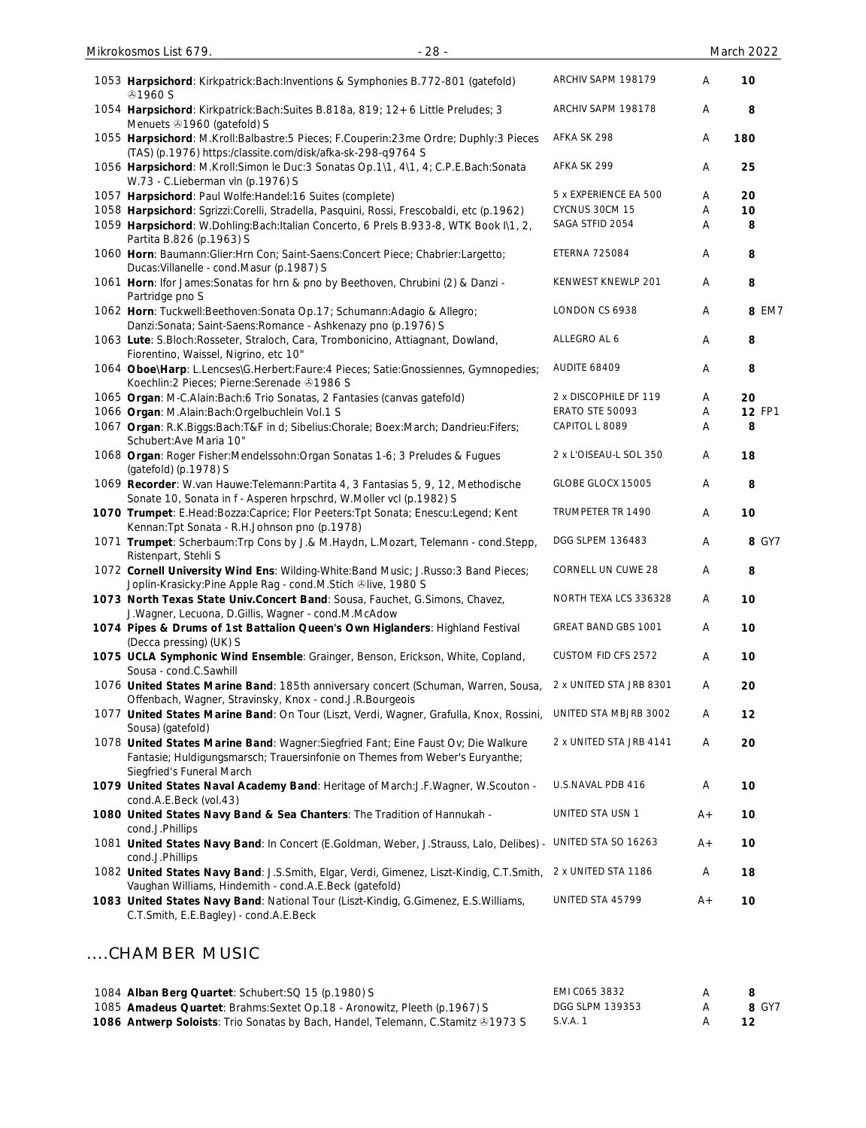| 1053 Harpsichord: Kirkpatrick: Bach: Inventions & Symphonies B.772-801 (gatefold)<br><b>⊕1960 S</b>                                                                                             | ARCHIV SAPM 198179      | Α     | 10            |
|-------------------------------------------------------------------------------------------------------------------------------------------------------------------------------------------------|-------------------------|-------|---------------|
| 1054 Harpsichord: Kirkpatrick: Bach: Suites B.818a, 819; 12+6 Little Preludes; 3<br>Menuets 31960 (gatefold) S                                                                                  | ARCHIV SAPM 198178      | Α     | 8             |
| 1055 Harpsichord: M.Kroll:Balbastre:5 Pieces; F.Couperin:23me Ordre; Duphly:3 Pieces<br>(TAS) (p.1976) https:/classite.com/disk/afka-sk-298-q9764 S                                             | AFKA SK 298             | Α     | 180           |
| 1056 Harpsichord: M.Kroll:Simon le Duc:3 Sonatas Op.1\1, 4\1, 4; C.P.E.Bach:Sonata<br>W.73 - C.Lieberman vln (p.1976) S                                                                         | AFKA SK 299             | Α     | 25            |
| 1057 Harpsichord: Paul Wolfe: Handel: 16 Suites (complete)                                                                                                                                      | 5 x EXPERIENCE EA 500   | Α     | 20            |
| 1058 Harpsichord: Sgrizzi:Corelli, Stradella, Pasquini, Rossi, Frescobaldi, etc (p.1962)                                                                                                        | CYCNUS 30CM 15          | A     | 10            |
| 1059 Harpsichord: W.Dohling:Bach:Italian Concerto, 6 Prels B.933-8, WTK Book I\1, 2,<br>Partita B.826 (p.1963) S                                                                                | SAGA STFID 2054         | Α     | 8             |
| 1060 Horn: Baumann: Glier: Hrn Con; Saint-Saens: Concert Piece; Chabrier: Largetto;<br>Ducas: Villanelle - cond. Masur (p. 1987) S                                                              | <b>ETERNA 725084</b>    | A     | 8             |
| 1061 Horn: Ifor James: Sonatas for hrn & pno by Beethoven, Chrubini (2) & Danzi -<br>Partridge pno S                                                                                            | KENWEST KNEWLP 201      | A     | 8             |
| 1062 Horn: Tuckwell: Beethoven: Sonata Op.17; Schumann: Adagio & Allegro;<br>Danzi:Sonata; Saint-Saens:Romance - Ashkenazy pno (p.1976) S                                                       | LONDON CS 6938          | Α     | 8 EM7         |
| 1063 Lute: S.Bloch:Rosseter, Straloch, Cara, Trombonicino, Attiagnant, Dowland,<br>Fiorentino, Waissel, Nigrino, etc 10"                                                                        | ALLEGRO AL 6            | Α     | 8             |
| 1064 Oboe\Harp: L.Lencses\G.Herbert:Faure:4 Pieces; Satie:Gnossiennes, Gymnopedies;<br>Koechlin: 2 Pieces; Pierne: Serenade 31986 S                                                             | AUDITE 68409            | A     | 8             |
| 1065 Organ: M-C.Alain:Bach:6 Trio Sonatas, 2 Fantasies (canvas gatefold)                                                                                                                        | 2 x DISCOPHILE DF 119   | A     | 20            |
| 1066 Organ: M.Alain:Bach:Orgelbuchlein Vol.1 S                                                                                                                                                  | <b>ERATO STE 50093</b>  | Α     | <b>12 FP1</b> |
| 1067 Organ: R.K.Biggs:Bach:T&F in d; Sibelius:Chorale; Boex:March; Dandrieu:Fifers;<br>Schubert: Ave Maria 10"                                                                                  | CAPITOL L 8089          | Α     | 8             |
| 1068 Organ: Roger Fisher:Mendelssohn: Organ Sonatas 1-6; 3 Preludes & Fugues<br>(gatefold) (p.1978) S                                                                                           | 2 x L'OISEAU-L SOL 350  | Α     | 18            |
| 1069 Recorder: W.van Hauwe: Telemann: Partita 4, 3 Fantasias 5, 9, 12, Methodische<br>Sonate 10, Sonata in f - Asperen hrpschrd, W.Moller vcl (p.1982) S                                        | GLOBE GLOCX 15005       | Α     | 8             |
| 1070 Trumpet: E.Head:Bozza:Caprice; Flor Peeters:Tpt Sonata; Enescu:Legend; Kent<br>Kennan: Tpt Sonata - R.H.Johnson pno (p.1978)                                                               | TRUMPETER TR 1490       | Α     | 10            |
| 1071 Trumpet: Scherbaum: Trp Cons by J.& M. Haydn, L. Mozart, Telemann - cond. Stepp,<br>Ristenpart, Stehli S                                                                                   | DGG SLPEM 136483        | Α     | 8 GY7         |
| 1072 Cornell University Wind Ens: Wilding-White: Band Music; J. Russo: 3 Band Pieces;<br>Joplin-Krasicky:Pine Apple Rag - cond.M.Stich @live, 1980 S                                            | CORNELL UN CUWE 28      | A     | 8             |
| 1073 North Texas State Univ. Concert Band: Sousa, Fauchet, G. Simons, Chavez,<br>J. Wagner, Lecuona, D. Gillis, Wagner - cond. M. McAdow                                                        | NORTH TEXA LCS 336328   | A     | 10            |
| 1074 Pipes & Drums of 1st Battalion Queen's Own Higlanders: Highland Festival<br>(Decca pressing) (UK) S                                                                                        | GREAT BAND GBS 1001     | Α     | 10            |
| 1075 UCLA Symphonic Wind Ensemble: Grainger, Benson, Erickson, White, Copland,<br>Sousa - cond.C.Sawhill                                                                                        | CUSTOM FID CFS 2572     | Α     | 10            |
| 1076 United States Marine Band: 185th anniversary concert (Schuman, Warren, Sousa,<br>Offenbach, Wagner, Stravinsky, Knox - cond.J.R.Bourgeois                                                  | 2 x UNITED STA JRB 8301 | A     | 20            |
| 1077 United States Marine Band: On Tour (Liszt, Verdi, Wagner, Grafulla, Knox, Rossini,<br>Sousa) (gatefold)                                                                                    | UNITED STA MBJRB 3002   | Α     | 12            |
| 1078 United States Marine Band: Wagner: Siegfried Fant; Eine Faust Ov; Die Walkure<br>Fantasie; Huldigungsmarsch; Trauersinfonie on Themes from Weber's Euryanthe;<br>Siegfried's Funeral March | 2 x UNITED STA JRB 4141 | Α     | 20            |
| 1079 United States Naval Academy Band: Heritage of March: J.F. Wagner, W. Scouton -<br>cond.A.E.Beck (vol.43)                                                                                   | U.S.NAVAL PDB 416       | Α     | 10            |
| 1080 United States Navy Band & Sea Chanters: The Tradition of Hannukah -<br>cond.J.Phillips                                                                                                     | UNITED STA USN 1        | $A +$ | 10            |
| 1081 United States Navy Band: In Concert (E.Goldman, Weber, J.Strauss, Lalo, Delibes) -<br>cond.J.Phillips                                                                                      | UNITED STA SO 16263     | $A +$ | 10            |
| 1082 United States Navy Band: J.S.Smith, Elgar, Verdi, Gimenez, Liszt-Kindig, C.T.Smith,<br>Vaughan Williams, Hindemith - cond.A.E.Beck (gatefold)                                              | 2 x UNITED STA 1186     | Α     | 18            |
| 1083 United States Navy Band: National Tour (Liszt-Kindig, G.Gimenez, E.S.Williams,<br>C.T.Smith, E.E.Bagley) - cond.A.E.Beck                                                                   | UNITED STA 45799        | $A +$ | 10            |
| CHAMBER MUSIC                                                                                                                                                                                   |                         |       |               |

| 1084 Alban Berg Quartet: Schubert: SQ 15 (p.1980) S                                     | EMI C065 3832   |       |
|-----------------------------------------------------------------------------------------|-----------------|-------|
| 1085 Amadeus Quartet: Brahms: Sextet Op. 18 - Aronowitz, Pleeth (p. 1967) S             | DGG SLPM 139353 | 8 GY7 |
| <b>1086 Antwerp Soloists:</b> Trio Sonatas by Bach, Handel, Telemann, C.Stamitz @1973 S | S.V.A. 1        |       |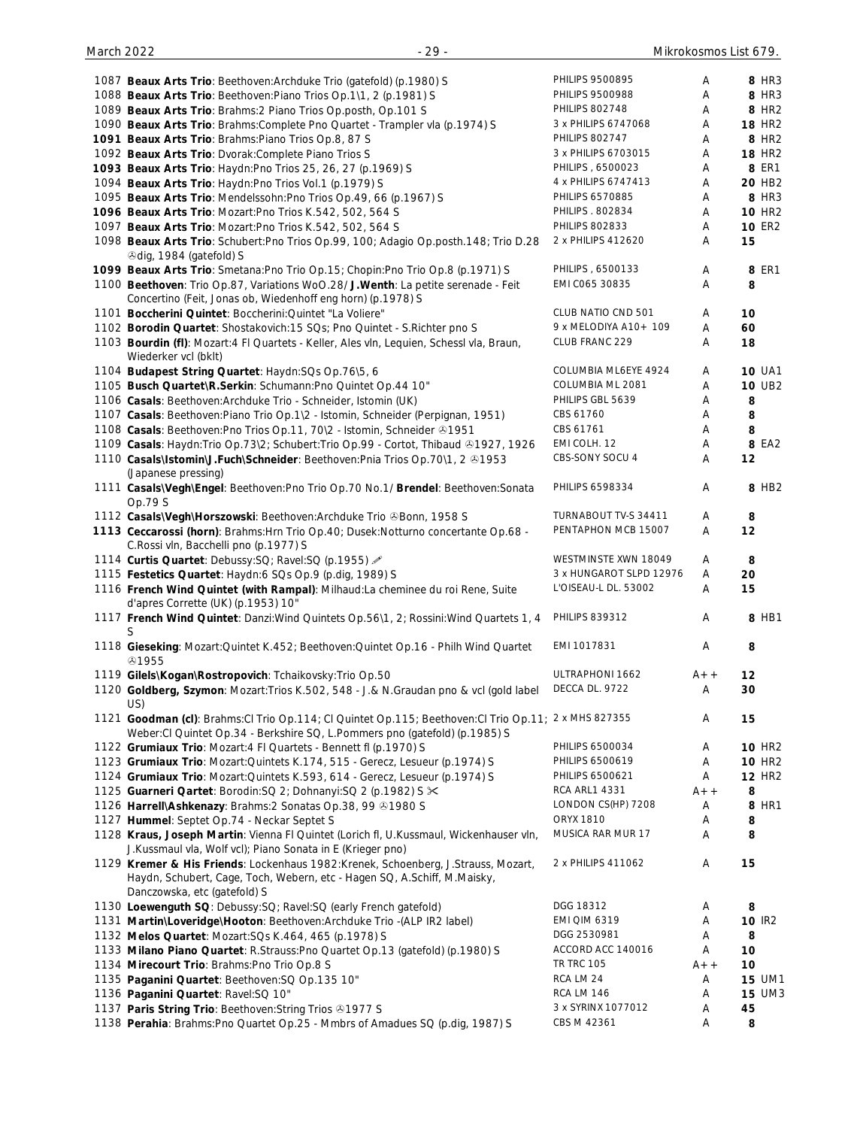| 1087 Beaux Arts Trio: Beethoven: Archduke Trio (gatefold) (p.1980) S                                                                      | PHILIPS 9500895                   | Α      | 8 HR3              |
|-------------------------------------------------------------------------------------------------------------------------------------------|-----------------------------------|--------|--------------------|
| 1088 Beaux Arts Trio: Beethoven: Piano Trios Op. 1\1, 2 (p. 1981) S                                                                       | PHILIPS 9500988                   | Α      | 8 HR3              |
|                                                                                                                                           |                                   |        |                    |
| 1089 Beaux Arts Trio: Brahms: 2 Piano Trios Op.posth, Op.101 S                                                                            | <b>PHILIPS 802748</b>             | Α      | 8 HR <sub>2</sub>  |
| 1090 Beaux Arts Trio: Brahms: Complete Pno Quartet - Trampler vla (p.1974) S                                                              | 3 x PHILIPS 6747068               | Α      | <b>18 HR2</b>      |
| 1091 Beaux Arts Trio: Brahms: Piano Trios Op.8, 87 S                                                                                      | <b>PHILIPS 802747</b>             | Α      | 8 HR2              |
|                                                                                                                                           |                                   |        |                    |
| 1092 Beaux Arts Trio: Dvorak: Complete Piano Trios S                                                                                      | 3 x PHILIPS 6703015               | Α      | <b>18 HR2</b>      |
| 1093 Beaux Arts Trio: Haydn: Pno Trios 25, 26, 27 (p.1969) S                                                                              | PHILIPS, 6500023                  | Α      | <b>8 ER1</b>       |
| 1094 Beaux Arts Trio: Haydn:Pno Trios Vol.1 (p.1979) S                                                                                    | 4 x PHILIPS 6747413               | Α      | 20 HB <sub>2</sub> |
|                                                                                                                                           |                                   |        |                    |
| 1095 Beaux Arts Trio: Mendelssohn: Pno Trios Op.49, 66 (p.1967) S                                                                         | PHILIPS 6570885                   | Α      | 8 HR3              |
| 1096 Beaux Arts Trio: Mozart: Pno Trios K.542, 502, 564 S                                                                                 | PHILIPS . 802834                  | Α      | <b>10 HR2</b>      |
| 1097 Beaux Arts Trio: Mozart: Pno Trios K.542, 502, 564 S                                                                                 | <b>PHILIPS 802833</b>             | Α      | <b>10 ER2</b>      |
|                                                                                                                                           |                                   |        |                    |
| 1098 Beaux Arts Trio: Schubert: Pno Trios Op.99, 100; Adagio Op.posth. 148; Trio D.28                                                     | 2 x PHILIPS 412620                | Α      | 15                 |
| <b><i></i></b> Odig, 1984 (gatefold) S                                                                                                    |                                   |        |                    |
| 1099 Beaux Arts Trio: Smetana: Pno Trio Op.15; Chopin: Pno Trio Op.8 (p.1971) S                                                           | PHILIPS, 6500133                  | Α      | 8 ER1              |
|                                                                                                                                           |                                   |        |                    |
| 1100 Beethoven: Trio Op.87, Variations WoO.28/ J. Wenth: La petite serenade - Feit                                                        | EMI C065 30835                    | Α      | 8                  |
| Concertino (Feit, Jonas ob, Wiedenhoff eng horn) (p.1978) S                                                                               |                                   |        |                    |
| 1101 Boccherini Quintet: Boccherini: Quintet "La Voliere"                                                                                 | CLUB NATIO CND 501                | Α      | 10                 |
|                                                                                                                                           |                                   |        |                    |
| 1102 Borodin Quartet: Shostakovich: 15 SQs; Pno Quintet - S. Richter pno S                                                                | 9 x MELODIYA A10+ 109             | Α      | 60                 |
| 1103 Bourdin (fl): Mozart: 4 Fl Quartets - Keller, Ales vln, Lequien, Schessl vla, Braun,                                                 | CLUB FRANC 229                    | Α      | 18                 |
|                                                                                                                                           |                                   |        |                    |
| Wiederker vcl (bklt)                                                                                                                      |                                   |        |                    |
| 1104 Budapest String Quartet: Haydn: SQs Op. 76\5, 6                                                                                      | COLUMBIA ML6EYE 4924              | Α      | <b>10 UA1</b>      |
| 1105 Busch Quartet\R.Serkin: Schumann:Pno Quintet Op.44 10"                                                                               | COLUMBIA ML 2081                  | Α      | <b>10 UB2</b>      |
|                                                                                                                                           |                                   |        |                    |
| 1106 Casals: Beethoven: Archduke Trio - Schneider, Istomin (UK)                                                                           | PHILIPS GBL 5639                  | Α      | 8                  |
| 1107 Casals: Beethoven: Piano Trio Op. 1\2 - Istomin, Schneider (Perpignan, 1951)                                                         | CBS 61760                         | Α      | 8                  |
| 1108 Casals: Beethoven: Pno Trios Op.11, 70\2 - Istomin, Schneider 31951                                                                  | CBS 61761                         | Α      | 8                  |
|                                                                                                                                           |                                   |        |                    |
| 1109 Casals: Haydn:Trio Op.73\2; Schubert:Trio Op.99 - Cortot, Thibaud ®1927, 1926                                                        | EMI COLH. 12                      | Α      | 8 EA2              |
| 1110 Casals\Istomin\J.Fuch\Schneider: Beethoven:Pnia Trios Op.70\1, 2 &1953                                                               | CBS-SONY SOCU 4                   | Α      | 12                 |
|                                                                                                                                           |                                   |        |                    |
| (Japanese pressing)                                                                                                                       |                                   |        |                    |
| 1111 Casals\Vegh\Engel: Beethoven:Pno Trio Op.70 No.1/ Brendel: Beethoven:Sonata                                                          | PHILIPS 6598334                   | Α      | 8 HB2              |
| Op.79 S                                                                                                                                   |                                   |        |                    |
|                                                                                                                                           | TURNABOUT TV-S 34411              |        |                    |
| 1112 Casals\Vegh\Horszowski: Beethoven:Archduke Trio & Bonn, 1958 S                                                                       |                                   | Α      | 8                  |
| 1113 Ceccarossi (horn): Brahms: Hrn Trio Op.40; Dusek: Notturno concertante Op.68 -                                                       | PENTAPHON MCB 15007               | Α      | 12                 |
| C.Rossi vln, Bacchelli pno (p.1977) S                                                                                                     |                                   |        |                    |
|                                                                                                                                           | WESTMINSTE XWN 18049              |        |                    |
| 1114 Curtis Quartet: Debussy: SQ; Ravel: SQ (p.1955)                                                                                      |                                   | Α      | 8                  |
| 1115 Festetics Quartet: Haydn:6 SQs Op.9 (p.dig, 1989) S                                                                                  | 3 x HUNGAROT SLPD 12976           | Α      | 20                 |
| 1116 French Wind Quintet (with Rampal): Milhaud:La cheminee du roi Rene, Suite                                                            | L'OISEAU-L DL. 53002              | Α      | 15                 |
|                                                                                                                                           |                                   |        |                    |
| d'apres Corrette (UK) (p.1953) 10"                                                                                                        |                                   |        |                    |
|                                                                                                                                           |                                   |        | 8 HB1              |
|                                                                                                                                           |                                   | Α      |                    |
| 1117 French Wind Quintet: Danzi: Wind Quintets Op.56\1, 2; Rossini: Wind Quartets 1, 4 PHILIPS 839312                                     |                                   |        |                    |
| S                                                                                                                                         |                                   |        |                    |
| 1118 Gieseking: Mozart: Quintet K.452; Beethoven: Quintet Op.16 - Philh Wind Quartet                                                      | EMI 1017831                       | Α      | 8                  |
| ⊙1955                                                                                                                                     |                                   |        |                    |
|                                                                                                                                           |                                   |        |                    |
| 1119 Gilels\Kogan\Rostropovich: Tchaikovsky: Trio Op.50                                                                                   | ULTRAPHONI 1662                   | $A++$  | 12                 |
| 1120 Goldberg, Szymon: Mozart: Trios K.502, 548 - J.& N.Graudan pno & vcl (gold label                                                     | DECCA DL. 9722                    | Α      | 30                 |
|                                                                                                                                           |                                   |        |                    |
| US)                                                                                                                                       |                                   |        |                    |
| 1121 Goodman (cl): Brahms: Cl Trio Op. 114; Cl Quintet Op. 115; Beethoven: Cl Trio Op. 11; 2 x MHS 827355                                 |                                   | Α      | 15                 |
| Weber:Cl Quintet Op.34 - Berkshire SQ, L.Pommers pno (gatefold) (p.1985) S                                                                |                                   |        |                    |
|                                                                                                                                           | PHILIPS 6500034                   | Α      | <b>10 HR2</b>      |
| 1122 Grumiaux Trio: Mozart: 4 FI Quartets - Bennett fl (p.1970) S                                                                         |                                   |        |                    |
| 1123 Grumiaux Trio: Mozart: Quintets K.174, 515 - Gerecz, Lesueur (p.1974) S                                                              | PHILIPS 6500619                   | Α      | <b>10 HR2</b>      |
| 1124 Grumiaux Trio: Mozart: Quintets K.593, 614 - Gerecz, Lesueur (p.1974) S                                                              | PHILIPS 6500621                   | Α      | <b>12 HR2</b>      |
|                                                                                                                                           | <b>RCA ARL1 4331</b>              | $A++$  |                    |
| 1125 Guarneri Qartet: Borodin: SQ 2; Dohnanyi: SQ 2 (p.1982) S $\times$                                                                   |                                   |        | 8                  |
| 1126 Harrell\Ashkenazy: Brahms: 2 Sonatas Op.38, 99 31980 S                                                                               | LONDON CS(HP) 7208                | Α      | 8 HR1              |
| 1127 Hummel: Septet Op.74 - Neckar Septet S                                                                                               | ORYX 1810                         | Α      | 8                  |
|                                                                                                                                           |                                   |        |                    |
| 1128 Kraus, Joseph Martin: Vienna Fl Quintet (Lorich fl, U.Kussmaul, Wickenhauser vln,                                                    | MUSICA RAR MUR 17                 | Α      | 8                  |
| J.Kussmaul vla, Wolf vcl); Piano Sonata in E (Krieger pno)                                                                                |                                   |        |                    |
| 1129 Kremer & His Friends: Lockenhaus 1982:Krenek, Schoenberg, J.Strauss, Mozart,                                                         | 2 x PHILIPS 411062                | Α      | 15                 |
|                                                                                                                                           |                                   |        |                    |
| Haydn, Schubert, Cage, Toch, Webern, etc - Hagen SQ, A.Schiff, M.Maisky,                                                                  |                                   |        |                    |
| Danczowska, etc (gatefold) S                                                                                                              |                                   |        |                    |
| 1130 Loewenguth SQ: Debussy:SQ; Ravel:SQ (early French gatefold)                                                                          | DGG 18312                         | Α      | 8                  |
|                                                                                                                                           | <b>EMI QIM 6319</b>               | Α      |                    |
| 1131 Martin\Loveridge\Hooton: Beethoven:Archduke Trio -(ALP IR2 label)                                                                    |                                   |        | 10 IR2             |
| 1132 Melos Quartet: Mozart: SQs K.464, 465 (p.1978) S                                                                                     | DGG 2530981                       | Α      | 8                  |
| 1133 Milano Piano Quartet: R.Strauss: Pno Quartet Op.13 (gatefold) (p.1980) S                                                             | ACCORD ACC 140016                 | Α      | 10                 |
|                                                                                                                                           | <b>TR TRC 105</b>                 | $A++$  |                    |
| 1134 Mirecourt Trio: Brahms: Pno Trio Op.8 S                                                                                              |                                   |        | 10                 |
| 1135 Paganini Quartet: Beethoven: SQ Op.135 10"                                                                                           | RCA LM 24                         | Α      | <b>15 UM1</b>      |
| 1136 Paganini Quartet: Ravel:SQ 10"                                                                                                       | <b>RCA LM 146</b>                 | Α      | <b>15 UM3</b>      |
|                                                                                                                                           |                                   |        |                    |
| 1137 Paris String Trio: Beethoven: String Trios 31977 S<br>1138 Perahia: Brahms: Pno Quartet Op. 25 - Mmbrs of Amadues SQ (p.dig, 1987) S | 3 x SYRINX 1077012<br>CBS M 42361 | Α<br>Α | 45<br>8            |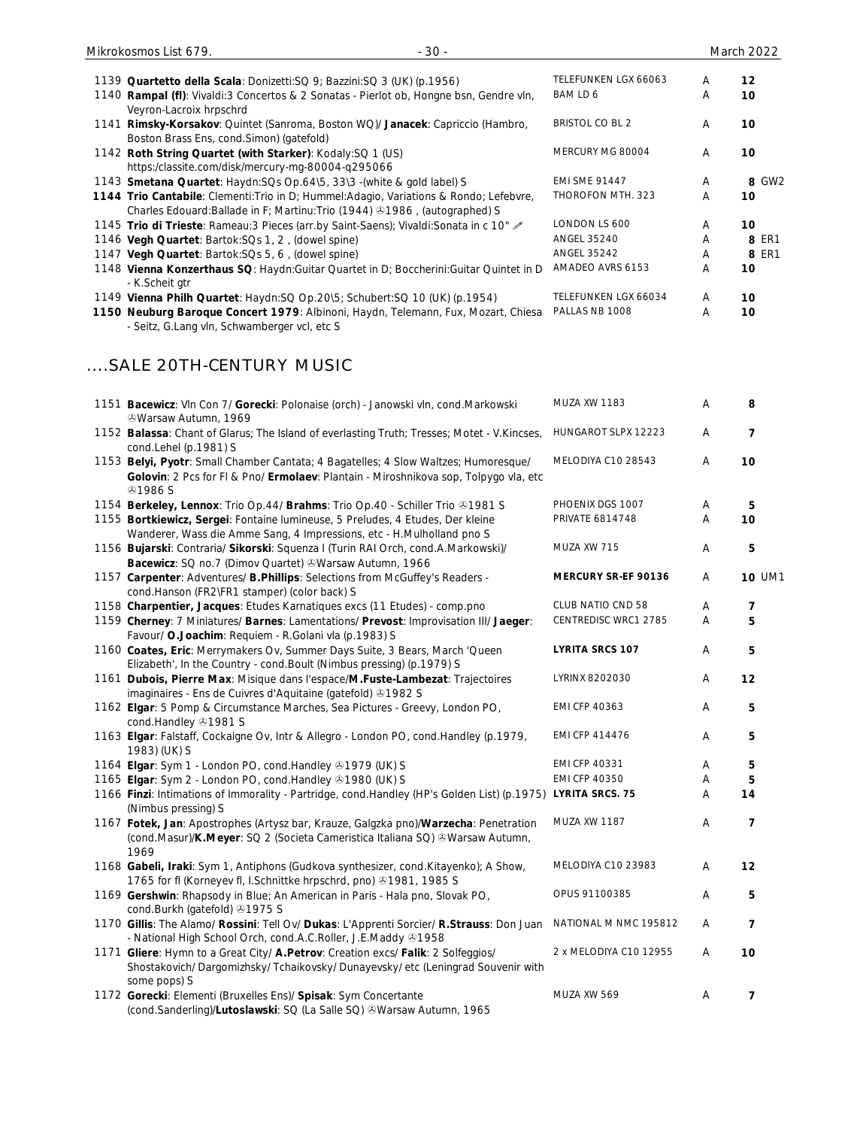| Mikrokosmos List 679.                                                                                          | $-30-$                                                                                                                                                                |                        |   | <b>March 2022</b> |
|----------------------------------------------------------------------------------------------------------------|-----------------------------------------------------------------------------------------------------------------------------------------------------------------------|------------------------|---|-------------------|
| 1139 Quartetto della Scala: Donizetti: SQ 9; Bazzini: SQ 3 (UK) (p.1956)                                       |                                                                                                                                                                       | TELEFUNKEN LGX 66063   | A | 12                |
| Veyron-Lacroix hrpschrd                                                                                        | 1140 Rampal (fl): Vivaldi: 3 Concertos & 2 Sonatas - Pierlot ob, Hongne bsn, Gendre vln,                                                                              | BAM LD 6               | A | 10                |
| Boston Brass Ens, cond. Simon) (gatefold)                                                                      | 1141 Rimsky-Korsakov: Quintet (Sanroma, Boston WQ)/ Janacek: Capriccio (Hambro,                                                                                       | <b>BRISTOL CO BL 2</b> | A | 10                |
| 1142 Roth String Quartet (with Starker): Kodaly:SQ 1 (US)<br>https:/classite.com/disk/mercury-mg-80004-q295066 |                                                                                                                                                                       | MERCURY MG 80004       | A | 10                |
| 1143 Smetana Quartet: Haydn: SQs Op. 64\5, 33\3 -(white & gold label) S                                        |                                                                                                                                                                       | <b>EMI SME 91447</b>   | A | 8 GW2             |
|                                                                                                                | 1144 Trio Cantabile: Clementi: Trio in D; Hummel: Adagio, Variations & Rondo; Lefebvre,<br>Charles Edouard: Ballade in F; Martinu: Trio (1944) @1986, (autographed) S | THOROFON MTH. 323      | A | 10                |
|                                                                                                                | 1145 Trio di Trieste: Rameau: 3 Pieces (arr.by Saint-Saens); Vivaldi: Sonata in c 10"                                                                                 | LONDON LS 600          | A | 10                |
| 1146 Vegh Quartet: Bartok: SQs 1, 2, (dowel spine)                                                             |                                                                                                                                                                       | <b>ANGEL 35240</b>     | A | 8 ER1             |
| 1147 Vegh Quartet: Bartok: SQs 5, 6, (dowel spine)                                                             |                                                                                                                                                                       | <b>ANGEL 35242</b>     | A | 8 ER1             |
| - K.Scheit gtr                                                                                                 | 1148 Vienna Konzerthaus SQ: Haydn: Guitar Quartet in D; Boccherini: Guitar Quintet in D                                                                               | AMADEO AVRS 6153       | A | 10                |

1149 **Vienna Philh Quartet**: Haydn:SQ Op.20\5; Schubert:SQ 10 (UK) (p.1954) TELEFUNKEN LGX 66034 A **10**

### ....SALE 20TH-CENTURY MUSIC

| 1151 Bacewicz: Vln Con 7/ Gorecki: Polonaise (orch) - Janowski vln, cond.Markowski<br><b><i><b>@Warsaw Autumn, 1969</b></i></b>                                                         | <b>MUZA XW 1183</b>    | А | 8              |
|-----------------------------------------------------------------------------------------------------------------------------------------------------------------------------------------|------------------------|---|----------------|
| 1152 Balassa: Chant of Glarus; The Island of everlasting Truth; Tresses; Motet - V.Kincses,<br>cond.Lehel (p.1981) S                                                                    | HUNGAROT SLPX 12223    | A | $\overline{7}$ |
| 1153 Belyi, Pyotr: Small Chamber Cantata; 4 Bagatelles; 4 Slow Waltzes; Humoresque/<br>Golovin: 2 Pcs for FI & Pno/ Ermolaev: Plantain - Miroshnikova sop, Tolpygo vla, etc<br>&0.1986S | MELODIYA C10 28543     | Α | 10             |
| 1154 Berkeley, Lennox: Trio Op.44/ Brahms: Trio Op.40 - Schiller Trio &1981 S                                                                                                           | PHOENIX DGS 1007       | Α | 5              |
| 1155 Bortkiewicz, Sergei: Fontaine lumineuse, 5 Preludes, 4 Etudes, Der kleine                                                                                                          | <b>PRIVATE 6814748</b> | Α | 10             |
| Wanderer, Wass die Amme Sang, 4 Impressions, etc - H.Mulholland pno S                                                                                                                   |                        |   |                |
| 1156 Bujarski: Contraria/ Sikorski: Squenza I (Turin RAI Orch, cond.A.Markowski)/                                                                                                       | MUZA XW 715            | Α | 5              |
| Bacewicz: SQ no.7 (Dimov Quartet) & Warsaw Autumn, 1966                                                                                                                                 |                        |   |                |
| 1157 Carpenter: Adventures/ B.Phillips: Selections from McGuffey's Readers -<br>cond.Hanson (FR2\FR1 stamper) (color back) S                                                            | MERCURY SR-EF 90136    | Α | <b>10 UM1</b>  |
| 1158 Charpentier, Jacques: Etudes Karnatiques excs (11 Etudes) - comp.pno                                                                                                               | CLUB NATIO CND 58      | Α | 7              |
| 1159 Cherney: 7 Miniatures/ Barnes: Lamentations/ Prevost: Improvisation III/ Jaeger:                                                                                                   | CENTREDISC WRC1 2785   | A | 5              |
| Favour/ O.Joachim: Requiem - R.Golani vla (p.1983) S                                                                                                                                    |                        |   |                |
| 1160 Coates, Eric: Merrymakers Ov, Summer Days Suite, 3 Bears, March 'Queen                                                                                                             | <b>LYRITA SRCS 107</b> | Α | 5              |
| Elizabeth', In the Country - cond. Boult (Nimbus pressing) (p.1979) S                                                                                                                   |                        |   |                |
| 1161 Dubois, Pierre Max: Misique dans l'espace/M.Fuste-Lambezat: Trajectoires                                                                                                           | LYRINX 8202030         | Α | 12             |
| imaginaires - Ens de Cuivres d'Aquitaine (gatefold) +1982 S                                                                                                                             |                        |   |                |
| 1162 Elgar: 5 Pomp & Circumstance Marches, Sea Pictures - Greevy, London PO,<br>cond.Handley 21981 S                                                                                    | EMI CFP 40363          | Α | 5              |
| 1163 Elgar: Falstaff, Cockaigne Ov, Intr & Allegro - London PO, cond. Handley (p.1979,<br>1983) (UK) S                                                                                  | EMI CFP 414476         | Α | 5              |
| 1164 Elgar: Sym 1 - London PO, cond.Handley 31979 (UK) S                                                                                                                                | EMI CFP 40331          | Α | 5              |
| 1165 Elgar: Sym 2 - London PO, cond. Handley 31980 (UK) S                                                                                                                               | <b>EMI CFP 40350</b>   | А | 5              |
| 1166 Finzi: Intimations of Immorality - Partridge, cond. Handley (HP's Golden List) (p.1975) LYRITA SRCS. 75<br>(Nimbus pressing) S                                                     |                        | А | 14             |
| 1167 Fotek, Jan: Apostrophes (Artysz bar, Krauze, Galgzka pno)/Warzecha: Penetration                                                                                                    | MUZA XW 1187           | Α | $\overline{7}$ |
| (cond.Masur)/K.Meyer: SQ 2 (Societa Cameristica Italiana SQ) & Warsaw Autumn,<br>1969                                                                                                   |                        |   |                |
| 1168 Gabeli, Iraki: Sym 1, Antiphons (Gudkova synthesizer, cond.Kitayenko); A Show,<br>1765 for fl (Korneyev fl, I.Schnittke hrpschrd, pno) 31981, 1985 S                               | MELODIYA C10 23983     | Α | 12             |
| 1169 Gershwin: Rhapsody in Blue; An American in Paris - Hala pno, Slovak PO,<br>cond.Burkh (gatefold) 31975 S                                                                           | OPUS 91100385          | Α | 5              |
| 1170 Gillis: The Alamo/ Rossini: Tell Ov/ Dukas: L'Apprenti Sorcier/ R.Strauss: Don Juan<br>- National High School Orch, cond.A.C.Roller, J.E.Maddy 31958                               | NATIONAL M NMC 195812  | A | $\overline{7}$ |
| 1171 Gliere: Hymn to a Great City/ A. Petrov: Creation excs/ Falik: 2 Solfeggios/                                                                                                       | 2 x MELODIYA C10 12955 | Α | 10             |
| Shostakovich/ Dargomizhsky/ Tchaikovsky/ Dunayevsky/ etc (Leningrad Souvenir with<br>some pops) S                                                                                       |                        |   |                |
| 1172 Gorecki: Elementi (Bruxelles Ens)/ Spisak: Sym Concertante                                                                                                                         | MUZA XW 569            | Α | 7              |
| (cond.Sanderling)/Lutoslawski: SQ (La Salle SQ) & Warsaw Autumn, 1965                                                                                                                   |                        |   |                |

**<sup>1150</sup> Neuburg Baroque Concert 1979**: Albinoni, Haydn, Telemann, Fux, Mozart, Chiesa PALLAS NB 1008 A **10** - Seitz, G.Lang vln, Schwamberger vcl, etc S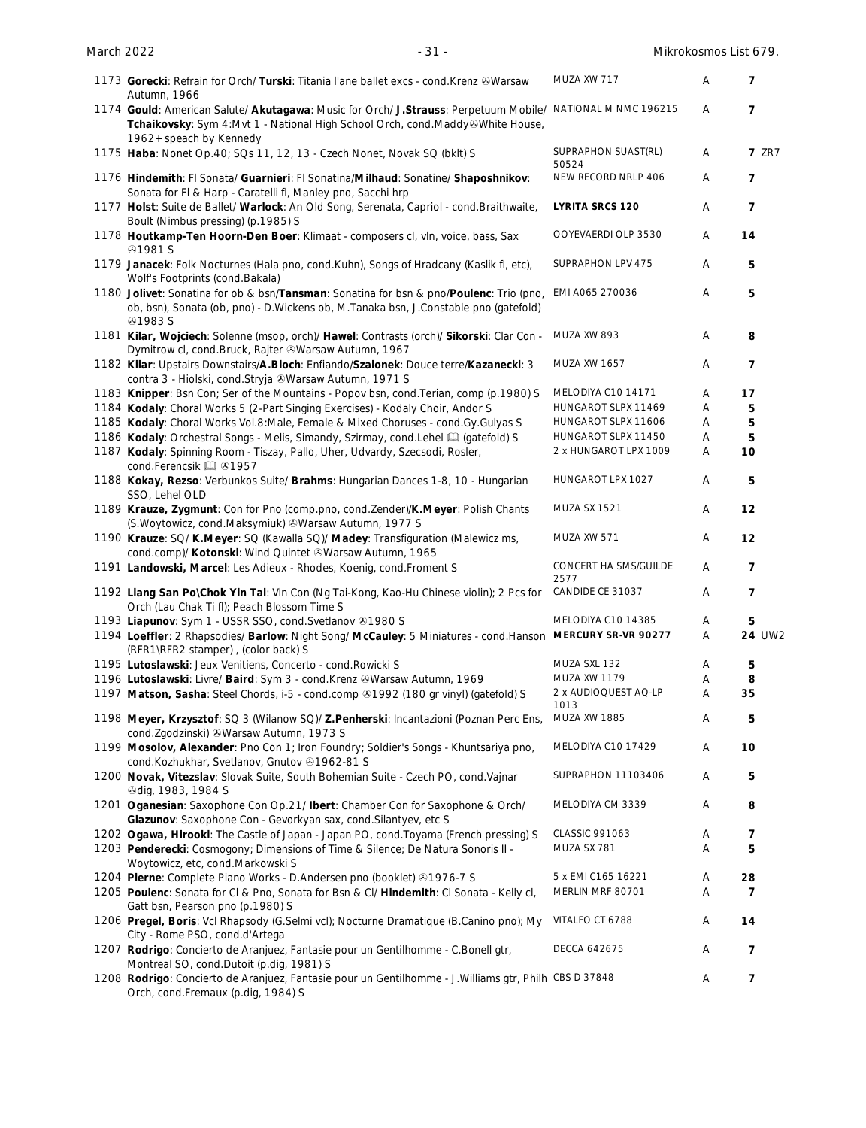| 1173 Gorecki: Refrain for Orch/ Turski: Titania l'ane ballet excs - cond. Krenz & Warsaw<br>Autumn, 1966                                                                                                                | MUZA XW 717                            | A                         | 7                    |
|-------------------------------------------------------------------------------------------------------------------------------------------------------------------------------------------------------------------------|----------------------------------------|---------------------------|----------------------|
| 1174 Gould: American Salute/ Akutagawa: Music for Orch/ J.Strauss: Perpetuum Mobile/ NATIONAL M NMC 196215<br>Tchaikovsky: Sym 4:Mvt 1 - National High School Orch, cond.Maddy&White House,<br>1962 + speach by Kennedy |                                        | Α                         | $\overline{7}$       |
| 1175 Haba: Nonet Op.40; SQs 11, 12, 13 - Czech Nonet, Novak SQ (bklt) S                                                                                                                                                 | SUPRAPHON SUAST(RL)<br>50524           | Α                         | <b>7 ZR7</b>         |
| 1176 Hindemith: FI Sonata/ Guarnieri: FI Sonatina/Milhaud: Sonatine/ Shaposhnikov:<br>Sonata for FI & Harp - Caratelli fl, Manley pno, Sacchi hrp                                                                       | NEW RECORD NRLP 406                    | A                         | $\overline{7}$       |
| 1177 Holst: Suite de Ballet/ Warlock: An Old Song, Serenata, Capriol - cond. Braithwaite,<br>Boult (Nimbus pressing) (p.1985) S                                                                                         | <b>LYRITA SRCS 120</b>                 | A                         | $\overline{7}$       |
| 1178 Houtkamp-Ten Hoorn-Den Boer: Klimaat - composers cl, vln, voice, bass, Sax<br><b><i></i></b> 91981 S                                                                                                               | OOYEVAERDI OLP 3530                    | A                         | 14                   |
| 1179 Janacek: Folk Nocturnes (Hala pno, cond.Kuhn), Songs of Hradcany (Kaslik fl, etc),<br>Wolf's Footprints (cond.Bakala)                                                                                              | SUPRAPHON LPV 475                      | Α                         | 5                    |
| 1180 Jolivet: Sonatina for ob & bsn/Tansman: Sonatina for bsn & pno/Poulenc: Trio (pno,<br>ob, bsn), Sonata (ob, pno) - D.Wickens ob, M.Tanaka bsn, J.Constable pno (gatefold)<br><b>41983 S</b>                        | EMI A065 270036                        | Α                         | 5                    |
| 1181 Kilar, Wojciech: Solenne (msop, orch)/ Hawel: Contrasts (orch)/ Sikorski: Clar Con -<br>Dymitrow cl, cond.Bruck, Rajter & Warsaw Autumn, 1967                                                                      | MUZA XW 893                            | Α                         | 8                    |
| 1182 Kilar: Upstairs Downstairs/A.Bloch: Enfiando/Szalonek: Douce terre/Kazanecki: 3<br>contra 3 - Hiolski, cond.Stryja & Warsaw Autumn, 1971 S                                                                         | <b>MUZA XW 1657</b>                    | Α                         | $\overline{7}$       |
| 1183 Knipper: Bsn Con; Ser of the Mountains - Popov bsn, cond. Terian, comp (p.1980) S                                                                                                                                  | MELODIYA C10 14171                     | Α                         | 17                   |
| 1184 Kodaly: Choral Works 5 (2-Part Singing Exercises) - Kodaly Choir, Andor S                                                                                                                                          | HUNGAROT SLPX 11469                    | A                         | 5                    |
| 1185 Kodaly: Choral Works Vol.8: Male, Female & Mixed Choruses - cond.Gy.Gulyas S                                                                                                                                       | HUNGAROT SLPX 11606                    | Α                         | 5                    |
|                                                                                                                                                                                                                         | HUNGAROT SLPX 11450                    |                           | 5                    |
| 1186 Kodaly: Orchestral Songs - Melis, Simandy, Szirmay, cond.Lehel [1] (gatefold) S                                                                                                                                    |                                        | Α                         |                      |
| 1187 Kodaly: Spinning Room - Tiszay, Pallo, Uher, Udvardy, Szecsodi, Rosler,<br>cond.Ferencsik [1] 31957                                                                                                                | 2 x HUNGAROT LPX 1009                  | Α                         | 10                   |
| 1188 Kokay, Rezso: Verbunkos Suite/ Brahms: Hungarian Dances 1-8, 10 - Hungarian<br>SSO, Lehel OLD                                                                                                                      | HUNGAROT LPX 1027                      | Α                         | 5                    |
| 1189 Krauze, Zygmunt: Con for Pno (comp.pno, cond.Zender)/K.Meyer: Polish Chants<br>(S. Woytowicz, cond. Maksymiuk) & Warsaw Autumn, 1977 S                                                                             | <b>MUZA SX 1521</b>                    | Α                         | 12                   |
| 1190 Krauze: SQ/ K.Meyer: SQ (Kawalla SQ)/ Madey: Transfiguration (Malewicz ms,<br>cond.comp)/ Kotonski: Wind Quintet & Warsaw Autumn, 1965                                                                             | MUZA XW 571                            | Α                         | 12                   |
| 1191 Landowski, Marcel: Les Adieux - Rhodes, Koenig, cond. Froment S                                                                                                                                                    | CONCERT HA SMS/GUILDE<br>2577          | A                         | 7                    |
| 1192 Liang San Po\Chok Yin Tai: Vln Con (Ng Tai-Kong, Kao-Hu Chinese violin); 2 Pcs for<br>Orch (Lau Chak Ti fl); Peach Blossom Time S                                                                                  | CANDIDE CE 31037                       | Α                         | 7                    |
| 1193 Liapunov: Sym 1 - USSR SSO, cond. Svetlanov @1980 S                                                                                                                                                                | MELODIYA C10 14385                     | Α                         | 5                    |
| 1194 Loeffler: 2 Rhapsodies/ Barlow: Night Song/ McCauley: 5 Miniatures - cond. Hanson MERCURY SR-VR 90277<br>(RFR1\RFR2 stamper), (color back) S                                                                       |                                        | $\boldsymbol{\mathsf{A}}$ | 24 UW2               |
| 1195 Lutoslawski: Jeux Venitiens, Concerto - cond. Rowicki S                                                                                                                                                            | MUZA SXL 132                           | Α                         | 5                    |
| 1196 Lutoslawski: Livre/ Baird: Sym 3 - cond.Krenz & Warsaw Autumn, 1969                                                                                                                                                | MUZA XW 1179                           | Α                         | 8                    |
| 1197 Matson, Sasha: Steel Chords, i-5 - cond.comp 41992 (180 gr vinyl) (gatefold) S                                                                                                                                     | 2 x AUDIOQUEST AQ-LP<br>1013           | $\boldsymbol{\mathsf{A}}$ | 35                   |
| 1198 Meyer, Krzysztof: SQ 3 (Wilanow SQ)/ Z.Penherski: Incantazioni (Poznan Perc Ens,<br>cond.Zgodzinski) & Warsaw Autumn, 1973 S                                                                                       | MUZA XW 1885                           | Α                         | 5                    |
| 1199 Mosolov, Alexander: Pno Con 1; Iron Foundry; Soldier's Songs - Khuntsariya pno,<br>cond.Kozhukhar, Svetlanov, Gnutov +1962-81 S                                                                                    | MELODIYA C10 17429                     | Α                         | 10                   |
| 1200 Novak, Vitezslav: Slovak Suite, South Bohemian Suite - Czech PO, cond. Vajnar<br><b><i>@dig, 1983, 1984 S</i></b>                                                                                                  | SUPRAPHON 11103406                     | A                         | 5                    |
| 1201 Oganesian: Saxophone Con Op.21/ Ibert: Chamber Con for Saxophone & Orch/<br>Glazunov: Saxophone Con - Gevorkyan sax, cond. Silantyev, etc S                                                                        | MELODIYA CM 3339                       | Α                         | 8                    |
| 1202 Ogawa, Hirooki: The Castle of Japan - Japan PO, cond. Toyama (French pressing) S                                                                                                                                   | CLASSIC 991063                         | Α                         | 7                    |
| 1203 Penderecki: Cosmogony; Dimensions of Time & Silence; De Natura Sonoris II -                                                                                                                                        | MUZA SX 781                            | Α                         | 5                    |
| Woytowicz, etc, cond.Markowski S                                                                                                                                                                                        |                                        |                           |                      |
| 1204 Pierne: Complete Piano Works - D.Andersen pno (booklet) 31976-7 S<br>1205 Poulenc: Sonata for CI & Pno, Sonata for Bsn & CI/ Hindemith: CI Sonata - Kelly cl,                                                      | 5 x EMI C165 16221<br>MERLIN MRF 80701 | Α<br>Α                    | 28<br>$\overline{7}$ |
| Gatt bsn, Pearson pno (p.1980) S<br>1206 Pregel, Boris: Vcl Rhapsody (G.Selmi vcl); Nocturne Dramatique (B.Canino pno); My                                                                                              | VITALFO CT 6788                        | Α                         | 14                   |
| City - Rome PSO, cond.d'Artega                                                                                                                                                                                          |                                        |                           |                      |
| 1207 Rodrigo: Concierto de Aranjuez, Fantasie pour un Gentilhomme - C.Bonell gtr,<br>Montreal SO, cond.Dutoit (p.dig, 1981) S                                                                                           | DECCA 642675                           | Α                         | 7                    |
| 1208 Rodrigo: Concierto de Aranjuez, Fantasie pour un Gentilhomme - J. Williams gtr, Philh CBS D 37848<br>Orch, cond.Fremaux (p.dig, 1984) S                                                                            |                                        | Α                         | 7                    |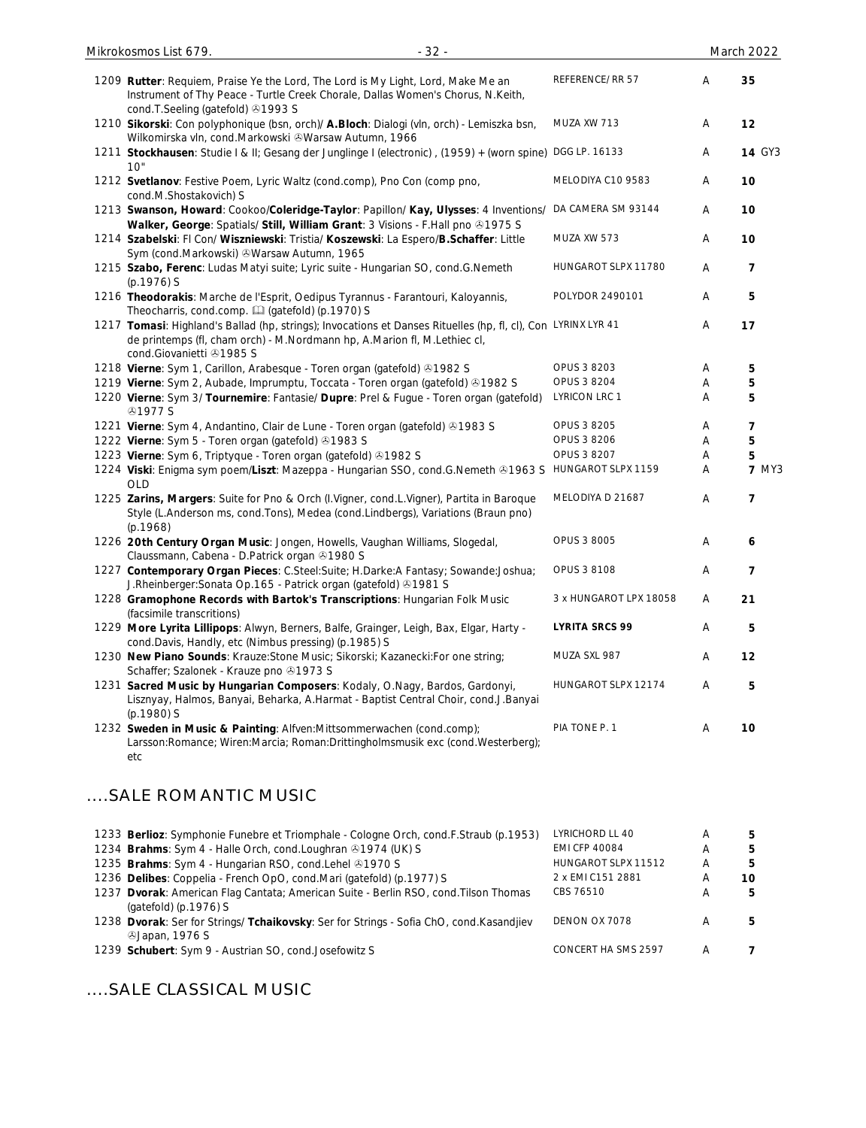| $-32-$<br>Mikrokosmos List 679.                                                                                                                                                                                       |                        |   | March 2022     |
|-----------------------------------------------------------------------------------------------------------------------------------------------------------------------------------------------------------------------|------------------------|---|----------------|
| 1209 Rutter: Requiem, Praise Ye the Lord, The Lord is My Light, Lord, Make Me an<br>Instrument of Thy Peace - Turtle Creek Chorale, Dallas Women's Chorus, N.Keith,                                                   | REFERENCE/RR 57        | Α | 35             |
| cond.T.Seeling (gatefold) 31993 S<br>1210 Sikorski: Con polyphonique (bsn, orch)/ A.Bloch: Dialogi (vln, orch) - Lemiszka bsn,<br>Wilkomirska vln, cond.Markowski &Warsaw Autumn, 1966                                | MUZA XW 713            | Α | 12             |
| 1211 Stockhausen: Studie I & II; Gesang der Junglinge I (electronic), (1959) + (worn spine) DGG LP. 16133<br>10"                                                                                                      |                        | A | <b>14 GY3</b>  |
| 1212 Svetlanov: Festive Poem, Lyric Waltz (cond.comp), Pno Con (comp pno,<br>cond.M.Shostakovich) S                                                                                                                   | MELODIYA C10 9583      | Α | 10             |
| 1213 Swanson, Howard: Cookoo/Coleridge-Taylor: Papillon/ Kay, Ulysses: 4 Inventions/<br>Walker, George: Spatials/ Still, William Grant: 3 Visions - F.Hall pno @1975 S                                                | DA CAMERA SM 93144     | Α | 10             |
| 1214 Szabelski: FI Con/ Wiszniewski: Tristia/ Koszewski: La Espero/B.Schaffer: Little<br>Sym (cond.Markowski) & Warsaw Autumn, 1965                                                                                   | MUZA XW 573            | Α | 10             |
| 1215 Szabo, Ferenc: Ludas Matyi suite; Lyric suite - Hungarian SO, cond.G.Nemeth<br>$(p.1976)$ S                                                                                                                      | HUNGAROT SLPX 11780    | A | 7              |
| 1216 Theodorakis: Marche de l'Esprit, Oedipus Tyrannus - Farantouri, Kaloyannis,<br>Theocharris, cond.comp. [1] (gatefold) (p.1970) S                                                                                 | POLYDOR 2490101        | Α | 5              |
| 1217 Tomasi: Highland's Ballad (hp, strings); Invocations et Danses Rituelles (hp, fl, cl), Con LYRINX LYR 41<br>de printemps (fl, cham orch) - M.Nordmann hp, A.Marion fl, M.Lethiec cl,<br>cond.Giovanietti 31985 S |                        | Α | 17             |
| 1218 Vierne: Sym 1, Carillon, Arabesque - Toren organ (gatefold) 31982 S                                                                                                                                              | OPUS 3 8203            | Α | 5              |
| 1219 Vierne: Sym 2, Aubade, Imprumptu, Toccata - Toren organ (gatefold) & 1982 S                                                                                                                                      | OPUS 3 8204            | Α | 5              |
| 1220 Vierne: Sym 3/ Tournemire: Fantasie/ Dupre: Prel & Fugue - Toren organ (gatefold)<br><b>@1977 S</b>                                                                                                              | <b>LYRICON LRC 1</b>   | Α | 5              |
| 1221 Vierne: Sym 4, Andantino, Clair de Lune - Toren organ (gatefold) 31983 S                                                                                                                                         | OPUS 3 8205            | A | 7              |
| 1222 Vierne: Sym 5 - Toren organ (gatefold) 31983 S                                                                                                                                                                   | OPUS 3 8206            | Α | 5              |
| 1223 Vierne: Sym 6, Triptyque - Toren organ (gatefold) 31982 S                                                                                                                                                        | OPUS 3 8207            | Α | 5              |
| 1224 Viski: Enigma sym poem/Liszt: Mazeppa - Hungarian SSO, cond.G.Nemeth & 1963 S HUNGAROT SLPX 1159<br><b>OLD</b>                                                                                                   |                        | Α | <b>7 MY3</b>   |
| 1225 Zarins, Margers: Suite for Pno & Orch (I.Vigner, cond.L.Vigner), Partita in Baroque<br>Style (L.Anderson ms, cond.Tons), Medea (cond.Lindbergs), Variations (Braun pno)<br>(p.1968)                              | MELODIYA D 21687       | Α | $\overline{7}$ |
| 1226 20th Century Organ Music: Jongen, Howells, Vaughan Williams, Slogedal,<br>Claussmann, Cabena - D.Patrick organ & 1980 S                                                                                          | OPUS 3 8005            | Α | 6              |
| 1227 Contemporary Organ Pieces: C.Steel:Suite; H.Darke:A Fantasy; Sowande:Joshua;<br>J.Rheinberger: Sonata Op.165 - Patrick organ (gatefold) @1981 S                                                                  | OPUS 3 8108            | Α | 7              |
| 1228 Gramophone Records with Bartok's Transcriptions: Hungarian Folk Music<br>(facsimile transcritions)                                                                                                               | 3 x HUNGAROT LPX 18058 | Α | 21             |
| 1229 More Lyrita Lillipops: Alwyn, Berners, Balfe, Grainger, Leigh, Bax, Elgar, Harty -<br>cond.Davis, Handly, etc (Nimbus pressing) (p.1985) S                                                                       | <b>LYRITA SRCS 99</b>  | A | 5              |
| 1230 New Piano Sounds: Krauze: Stone Music; Sikorski; Kazanecki: For one string;<br>Schaffer; Szalonek - Krauze pno 31973 S                                                                                           | MUZA SXL 987           | A | 12             |
| 1231 Sacred Music by Hungarian Composers: Kodaly, O.Nagy, Bardos, Gardonyi,<br>Lisznyay, Halmos, Banyai, Beharka, A.Harmat - Baptist Central Choir, cond.J.Banyai<br>(p.1980) S                                       | HUNGAROT SLPX 12174    | A | 5              |
| 1232 Sweden in Music & Painting: Alfven:Mittsommerwachen (cond.comp);<br>Larsson:Romance; Wiren:Marcia; Roman:Drittingholmsmusik exc (cond.Westerberg);<br>etc                                                        | PIA TONE P. 1          | A | 10             |

## ....SALE ROMANTIC MUSIC

| 1233 Berlioz: Symphonie Funebre et Triomphale - Cologne Orch, cond.F.Straub (p.1953)                                     | LYRICHORD LL 40      | Α | 5  |
|--------------------------------------------------------------------------------------------------------------------------|----------------------|---|----|
| 1234 Brahms: Sym 4 - Halle Orch, cond. Loughran 31974 (UK) S                                                             | <b>EMI CFP 40084</b> | A | 5. |
| 1235 Brahms: Sym 4 - Hungarian RSO, cond. Lehel @1970 S                                                                  | HUNGAROT SLPX 11512  | Α | 5. |
| 1236 Delibes: Coppelia - French OpO, cond.Mari (gatefold) (p.1977) S                                                     | 2 x EMI C151 2881    |   | 10 |
| 1237 Dvorak: American Flag Cantata; American Suite - Berlin RSO, cond. Tilson Thomas<br>(gatefold) $(p.1976)$ S          | CBS 76510            | A | 5. |
| 1238 Dvorak: Ser for Strings/ Tchaikovsky: Ser for Strings - Sofia ChO, cond. Kasandjiev<br><b><i>SJapan, 1976 S</i></b> | DENON OX 7078        |   | 5  |
| 1239 Schubert: Sym 9 - Austrian SO, cond.Josefowitz S                                                                    | CONCERT HA SMS 2597  |   |    |

....SALE CLASSICAL MUSIC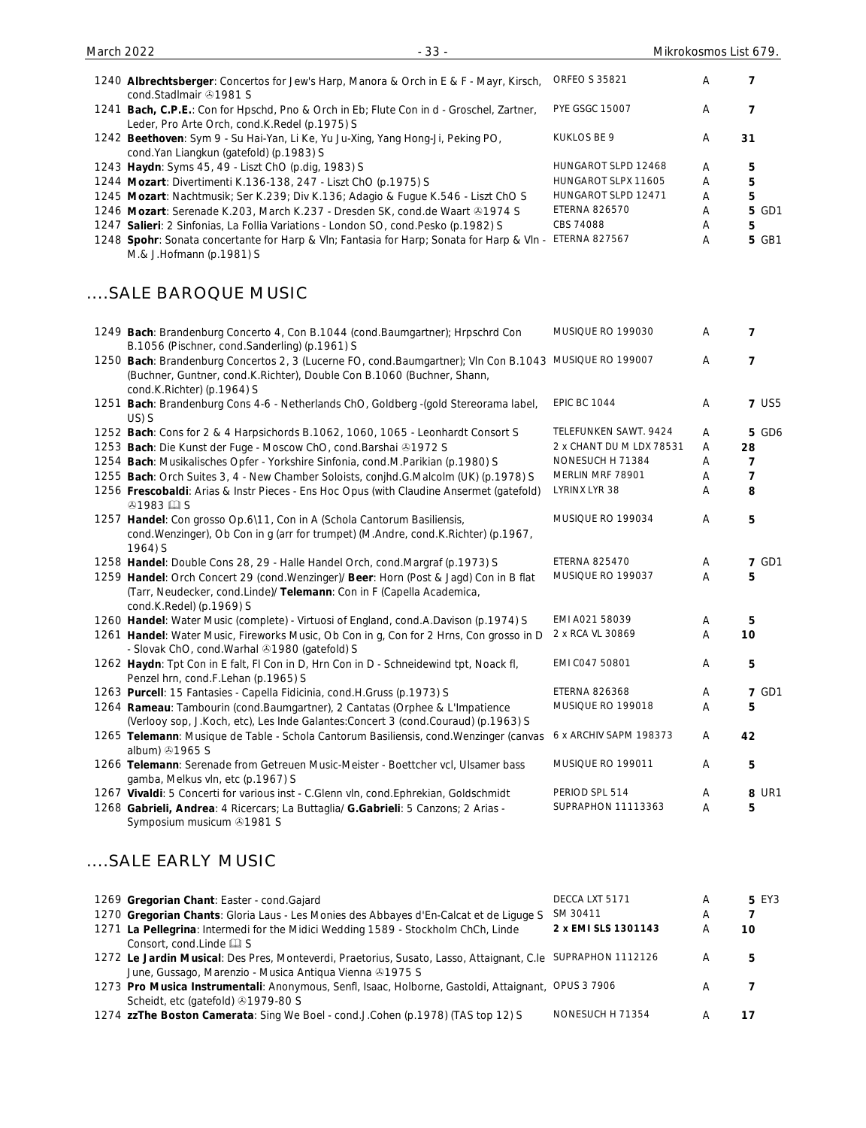| 1240 Albrechtsberger: Concertos for Jew's Harp, Manora & Orch in E & F - Mayr, Kirsch,<br>cond.StadImair 21981 S                                                                                               | <b>ORFEO S 35821</b>     | Α | 7              |
|----------------------------------------------------------------------------------------------------------------------------------------------------------------------------------------------------------------|--------------------------|---|----------------|
| 1241 Bach, C.P.E.: Con for Hpschd, Pno & Orch in Eb; Flute Con in d - Groschel, Zartner,<br>Leder, Pro Arte Orch, cond.K.Redel (p.1975) S                                                                      | <b>PYE GSGC 15007</b>    | Α | 7              |
| 1242 Beethoven: Sym 9 - Su Hai-Yan, Li Ke, Yu Ju-Xing, Yang Hong-Ji, Peking PO,<br>cond.Yan Liangkun (gatefold) (p.1983) S                                                                                     | KUKLOS BE 9              | A | 31             |
| 1243 Haydn: Syms 45, 49 - Liszt ChO (p.dig, 1983) S                                                                                                                                                            | HUNGAROT SLPD 12468      | Α | 5              |
| 1244 Mozart: Divertimenti K.136-138, 247 - Liszt ChO (p.1975) S                                                                                                                                                | HUNGAROT SLPX 11605      | Α | 5              |
| 1245 Mozart: Nachtmusik; Ser K.239; Div K.136; Adagio & Fugue K.546 - Liszt ChO S                                                                                                                              | HUNGAROT SLPD 12471      | Α | 5              |
| 1246 Mozart: Serenade K.203, March K.237 - Dresden SK, cond.de Waart ®1974 S                                                                                                                                   | <b>ETERNA 826570</b>     | Α | <b>5 GD1</b>   |
| 1247 Salieri: 2 Sinfonias, La Follia Variations - London SO, cond.Pesko (p.1982) S                                                                                                                             | CBS 74088                | Α | 5              |
| 1248 Spohr: Sonata concertante for Harp & VIn; Fantasia for Harp; Sonata for Harp & VIn -<br>M.& J.Hofmann (p.1981) S                                                                                          | <b>ETERNA 827567</b>     | Α | <b>5 GB1</b>   |
| SALE BAROQUE MUSIC                                                                                                                                                                                             |                          |   |                |
| 1249 Bach: Brandenburg Concerto 4, Con B.1044 (cond.Baumgartner); Hrpschrd Con<br>B.1056 (Pischner, cond.Sanderling) (p.1961) S                                                                                | MUSIQUE RO 199030        | Α | 7              |
| 1250 Bach: Brandenburg Concertos 2, 3 (Lucerne FO, cond.Baumgartner); VIn Con B.1043 MUSIQUE RO 199007<br>(Buchner, Guntner, cond.K.Richter), Double Con B.1060 (Buchner, Shann,<br>cond.K.Richter) (p.1964) S |                          | Α | 7              |
| 1251 Bach: Brandenburg Cons 4-6 - Netherlands ChO, Goldberg -(gold Stereorama label,<br>US) S                                                                                                                  | <b>EPIC BC 1044</b>      | Α | <b>7 US5</b>   |
| 1252 Bach: Cons for 2 & 4 Harpsichords B.1062, 1060, 1065 - Leonhardt Consort S                                                                                                                                | TELEFUNKEN SAWT. 9424    | Α | <b>5 GD6</b>   |
| 1253 Bach: Die Kunst der Fuge - Moscow ChO, cond. Barshai @1972 S                                                                                                                                              | 2 x CHANT DU M LDX 78531 | Α | 28             |
| 1254 Bach: Musikalisches Opfer - Yorkshire Sinfonia, cond.M.Parikian (p.1980) S                                                                                                                                | NONESUCH H 71384         | Α | $\overline{7}$ |
| 1255 Bach: Orch Suites 3, 4 - New Chamber Soloists, conjhd.G.Malcolm (UK) (p.1978) S                                                                                                                           | MERLIN MRF 78901         | Α | $\overline{7}$ |
| 1256 Frescobaldi: Arias & Instr Pieces - Ens Hoc Opus (with Claudine Ansermet (gatefold)<br><b><i>A</i></b> 1983 <b>QI</b> S                                                                                   | LYRINX LYR 38            | Α | 8              |
| 1257 Handel: Con grosso Op.6\11, Con in A (Schola Cantorum Basiliensis,<br>cond. Wenzinger), Ob Con in g (arr for trumpet) (M.Andre, cond. K.Richter) (p.1967,<br>1964) S                                      | MUSIQUE RO 199034        | Α | 5              |
| 1258 Handel: Double Cons 28, 29 - Halle Handel Orch, cond.Margraf (p.1973) S                                                                                                                                   | <b>ETERNA 825470</b>     | A | <b>7 GD1</b>   |
| 1259 Handel: Orch Concert 29 (cond. Wenzinger)/ Beer: Horn (Post & Jagd) Con in B flat<br>(Tarr, Neudecker, cond.Linde)/ Telemann: Con in F (Capella Academica,<br>cond.K.Redel) (p.1969) S                    | MUSIQUE RO 199037        | Α | 5              |
| 1260 Handel: Water Music (complete) - Virtuosi of England, cond.A.Davison (p.1974) S                                                                                                                           | EMI A021 58039           | Α | 5              |
| 1261 Handel: Water Music, Fireworks Music, Ob Con in g, Con for 2 Hrns, Con grosso in D<br>- Slovak ChO, cond. Warhal 31980 (gatefold) S                                                                       | 2 x RCA VL 30869         | Α | 10             |
| 1262 Haydn: Tpt Con in E falt, FI Con in D, Hrn Con in D - Schneidewind tpt, Noack fl,<br>Penzel hrn, cond.F.Lehan (p.1965) S                                                                                  | EMI C047 50801           | Α | 5              |
| 1263 Purcell: 15 Fantasies - Capella Fidicinia, cond.H.Gruss (p.1973) S                                                                                                                                        | <b>ETERNA 826368</b>     | Α | <b>7 GD1</b>   |
| 1264 Rameau: Tambourin (cond. Baumgartner), 2 Cantatas (Orphee & L'Impatience<br>(Verlooy sop, J.Koch, etc), Les Inde Galantes: Concert 3 (cond. Couraud) (p.1963) S                                           | MUSIQUE RO 199018        | Α | 5              |
| 1265 Telemann: Musique de Table - Schola Cantorum Basiliensis, cond. Wenzinger (canvas<br>album) 31965 S                                                                                                       | 6 x ARCHIV SAPM 198373   | A | 42             |
| 1266 Telemann: Serenade from Getreuen Music-Meister - Boettcher vcl, Ulsamer bass<br>gamba, Melkus vln, etc (p.1967) S                                                                                         | MUSIQUE RO 199011        | Α | 5              |
| 1267 Vivaldi: 5 Concerti for various inst - C.Glenn vln, cond.Ephrekian, Goldschmidt                                                                                                                           | PERIOD SPL 514           | Α | 8 UR1          |
| 1268 Gabrieli, Andrea: 4 Ricercars; La Buttaglia/ G.Gabrieli: 5 Canzons; 2 Arias -<br>Symposium musicum 31981 S                                                                                                | SUPRAPHON 11113363       | Α | 5              |
| SALE EARLY MUSIC                                                                                                                                                                                               |                          |   |                |
| 1269 Gregorian Chant: Easter - cond. Gajard                                                                                                                                                                    | DECCA LXT 5171           | A | <b>5 EY3</b>   |
| 1270 Gregorian Chants: Gloria Laus - Les Monies des Abbayes d'En-Calcat et de Liguge S                                                                                                                         | SM 30411                 | Α | 7              |
| 1271 La Pellegrina: Intermedi for the Midici Wedding 1589 - Stockholm ChCh, Linde<br>Consort, cond.Linde La S                                                                                                  | 2 x EMI SLS 1301143      | Α | 10             |
| 1272 Le Jardin Musical: Des Pres, Monteverdi, Praetorius, Susato, Lasso, Attaignant, C.le SUPRAPHON 1112126<br>June, Gussago, Marenzio - Musica Antiqua Vienna & 1975 S                                        |                          | A | 5              |
| 1273 Pro Musica Instrumentali: Anonymous, Senfl, Isaac, Holborne, Gastoldi, Attaignant, OPUS 3 7906<br>Scheidt, etc (gatefold) 31979-80 S                                                                      |                          | Α | 7              |

1274 **zzThe Boston Camerata**: Sing We Boel - cond.J.Cohen (p.1978) (TAS top 12) S NONESUCH H 71354 A 17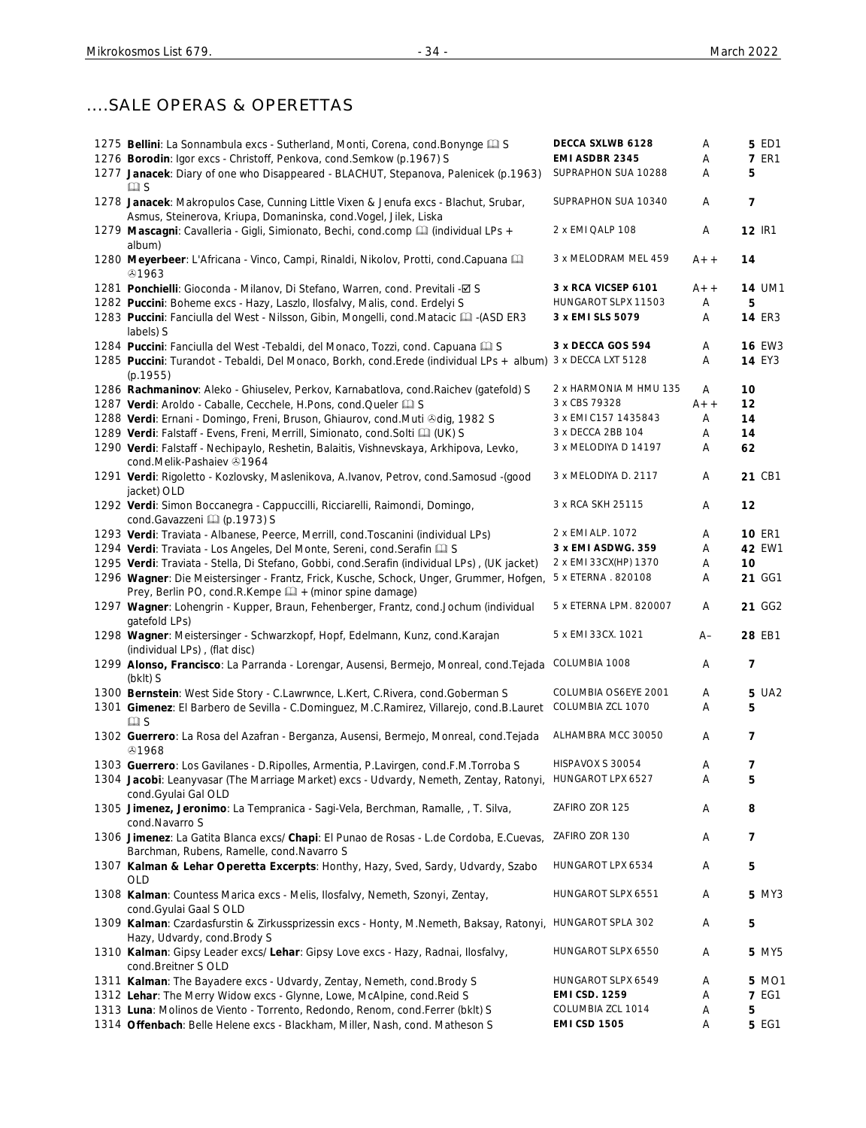# ....SALE OPERAS & OPERETTAS

| 1275 Bellini: La Sonnambula excs - Sutherland, Monti, Corena, cond. Bonynge Q S                                                                                    | DECCA SXLWB 6128<br>EMI ASDBR 2345 | Α     | <b>5 ED1</b>   |
|--------------------------------------------------------------------------------------------------------------------------------------------------------------------|------------------------------------|-------|----------------|
| 1276 Borodin: Igor excs - Christoff, Penkova, cond. Semkow (p.1967) S                                                                                              |                                    | Α     | <b>7 ER1</b>   |
| 1277 Janacek: Diary of one who Disappeared - BLACHUT, Stepanova, Palenicek (p.1963)                                                                                | SUPRAPHON SUA 10288                | A     | 5              |
| $\square$ S<br>1278 Janacek: Makropulos Case, Cunning Little Vixen & Jenufa excs - Blachut, Srubar,                                                                | SUPRAPHON SUA 10340                | Α     | $\overline{7}$ |
| Asmus, Steinerova, Kriupa, Domaninska, cond. Vogel, Jilek, Liska<br>1279 Mascagni: Cavalleria - Gigli, Simionato, Bechi, cond.comp [1] (individual LPs +<br>album) | 2 x EMI QALP 108                   | Α     | <b>12 IR1</b>  |
| 1280 Meyerbeer: L'Africana - Vinco, Campi, Rinaldi, Nikolov, Protti, cond.Capuana [11]<br>&1963                                                                    | 3 x MELODRAM MEL 459               | $A++$ | 14             |
| 1281 Ponchielli: Gioconda - Milanov, Di Stefano, Warren, cond. Previtali -Ø S                                                                                      | 3 x RCA VICSEP 6101                | $A++$ | <b>14 UM1</b>  |
| 1282 Puccini: Boheme excs - Hazy, Laszlo, Ilosfalvy, Malis, cond. Erdelyi S                                                                                        | HUNGAROT SLPX 11503                | Α     | 5              |
| 1283 Puccini: Fanciulla del West - Nilsson, Gibin, Mongelli, cond. Matacic [ GI -(ASD ER3<br>labels) S                                                             | 3 x EMI SLS 5079                   | Α     | <b>14 ER3</b>  |
| 1284 Puccini: Fanciulla del West - Tebaldi, del Monaco, Tozzi, cond. Capuana Q S                                                                                   | 3 x DECCA GOS 594                  | Α     | <b>16 EW3</b>  |
| 1285 Puccini: Turandot - Tebaldi, Del Monaco, Borkh, cond. Erede (individual LPs + album)                                                                          | 3 x DECCA LXT 5128                 | Α     | <b>14 EY3</b>  |
| (p.1955)                                                                                                                                                           |                                    |       |                |
| 1286 Rachmaninov: Aleko - Ghiuselev, Perkov, Karnabatlova, cond. Raichev (gatefold) S                                                                              | 2 x HARMONIA M HMU 135             | A     | 10             |
| 1287 Verdi: Aroldo - Caballe, Cecchele, H.Pons, cond.Queler [1] S                                                                                                  | 3 x CBS 79328                      | $A++$ | 12             |
| 1288 Verdi: Ernani - Domingo, Freni, Bruson, Ghiaurov, cond.Muti & dig, 1982 S                                                                                     | 3 x EMI C157 1435843               | Α     | 14             |
| 1289 Verdi: Falstaff - Evens, Freni, Merrill, Simionato, cond. Solti [1] (UK) S                                                                                    | 3 x DECCA 2BB 104                  | Α     | 14             |
| 1290 Verdi: Falstaff - Nechipaylo, Reshetin, Balaitis, Vishnevskaya, Arkhipova, Levko,<br>cond.Melik-Pashaiev +1964                                                | 3 x MELODIYA D 14197               | Α     | 62             |
| 1291 Verdi: Rigoletto - Kozlovsky, Maslenikova, A.Ivanov, Petrov, cond.Samosud - (good<br>jacket) OLD                                                              | 3 x MELODIYA D. 2117               | Α     | 21 CB1         |
| 1292 Verdi: Simon Boccanegra - Cappuccilli, Ricciarelli, Raimondi, Domingo,<br>cond.Gavazzeni [1] (p.1973) S                                                       | 3 x RCA SKH 25115                  | Α     | 12             |
| 1293 Verdi: Traviata - Albanese, Peerce, Merrill, cond. Toscanini (individual LPs)                                                                                 | 2 x EMI ALP. 1072                  | Α     | <b>10 ER1</b>  |
| 1294 Verdi: Traviata - Los Angeles, Del Monte, Sereni, cond. Serafin [1] S                                                                                         | 3 x EMI ASDWG. 359                 | Α     | 42 EW1         |
| 1295 Verdi: Traviata - Stella, Di Stefano, Gobbi, cond. Serafin (individual LPs), (UK jacket)                                                                      | 2 x EMI 33CX(HP) 1370              | Α     | 10             |
| 1296 Wagner: Die Meistersinger - Frantz, Frick, Kusche, Schock, Unger, Grummer, Hofgen,                                                                            | 5 x ETERNA . 820108                | Α     | 21 GG1         |
| Prey, Berlin PO, cond.R.Kempe [14] + (minor spine damage)                                                                                                          |                                    |       |                |
| 1297 Wagner: Lohengrin - Kupper, Braun, Fehenberger, Frantz, cond.Jochum (individual<br>gatefold LPs)                                                              | 5 x ETERNA LPM. 820007             | Α     | 21 GG2         |
| 1298 Wagner: Meistersinger - Schwarzkopf, Hopf, Edelmann, Kunz, cond.Karajan<br>(individual LPs), (flat disc)                                                      | 5 x EMI 33CX. 1021                 | $A-$  | 28 EB1         |
| 1299 Alonso, Francisco: La Parranda - Lorengar, Ausensi, Bermejo, Monreal, cond. Tejada COLUMBIA 1008<br>$(bklt)$ S                                                |                                    | A     | 7              |
| 1300 Bernstein: West Side Story - C.Lawrwnce, L.Kert, C.Rivera, cond.Goberman S                                                                                    | COLUMBIA OS6EYE 2001               | Α     | 5 UA2          |
| 1301 Gimenez: El Barbero de Sevilla - C.Dominguez, M.C.Ramirez, Villarejo, cond.B.Lauret<br>$\square$ S                                                            | COLUMBIA ZCL 1070                  | Α     | 5              |
| 1302 Guerrero: La Rosa del Azafran - Berganza, Ausensi, Bermejo, Monreal, cond. Tejada<br>@1968                                                                    | ALHAMBRA MCC 30050                 | Α     | 7              |
| 1303 Guerrero: Los Gavilanes - D. Ripolles, Armentia, P. Lavirgen, cond. F. M. Torroba S                                                                           | HISPAVOX S 30054                   | Α     | 7              |
| 1304 Jacobi: Leanyvasar (The Marriage Market) excs - Udvardy, Nemeth, Zentay, Ratonyi,<br>cond.Gyulai Gal OLD                                                      | HUNGAROT LPX 6527                  | Α     | 5              |
| 1305 Jimenez, Jeronimo: La Tempranica - Sagi-Vela, Berchman, Ramalle, , T. Silva,<br>cond.Navarro S                                                                | ZAFIRO ZOR 125                     | Α     | 8              |
| 1306 Jimenez: La Gatita Blanca excs/ Chapi: El Punao de Rosas - L.de Cordoba, E.Cuevas,<br>Barchman, Rubens, Ramelle, cond.Navarro S                               | ZAFIRO ZOR 130                     | Α     | 7              |
| 1307 Kalman & Lehar Operetta Excerpts: Honthy, Hazy, Sved, Sardy, Udvardy, Szabo<br><b>OLD</b>                                                                     | HUNGAROT LPX 6534                  | Α     | 5              |
| 1308 Kalman: Countess Marica excs - Melis, Ilosfalvy, Nemeth, Szonyi, Zentay,<br>cond.Gyulai Gaal S OLD                                                            | HUNGAROT SLPX 6551                 | Α     | <b>5 MY3</b>   |
| 1309 Kalman: Czardasfurstin & Zirkussprizessin excs - Honty, M.Nemeth, Baksay, Ratonyi,<br>Hazy, Udvardy, cond. Brody S                                            | HUNGAROT SPLA 302                  | Α     | 5              |
| 1310 Kalman: Gipsy Leader excs/ Lehar: Gipsy Love excs - Hazy, Radnai, Ilosfalvy,<br>cond.Breitner S OLD                                                           | HUNGAROT SLPX 6550                 | Α     | 5 MY5          |
| 1311 Kalman: The Bayadere excs - Udvardy, Zentay, Nemeth, cond. Brody S                                                                                            | HUNGAROT SLPX 6549                 | Α     | 5 MO1          |
| 1312 Lehar: The Merry Widow excs - Glynne, Lowe, McAlpine, cond. Reid S                                                                                            | <b>EMI CSD. 1259</b>               | Α     | <b>7 EG1</b>   |
| 1313 Luna: Molinos de Viento - Torrento, Redondo, Renom, cond.Ferrer (bklt) S                                                                                      | COLUMBIA ZCL 1014                  | Α     | 5              |
| 1314 Offenbach: Belle Helene excs - Blackham, Miller, Nash, cond. Matheson S                                                                                       | <b>EMI CSD 1505</b>                | Α     | <b>5 EG1</b>   |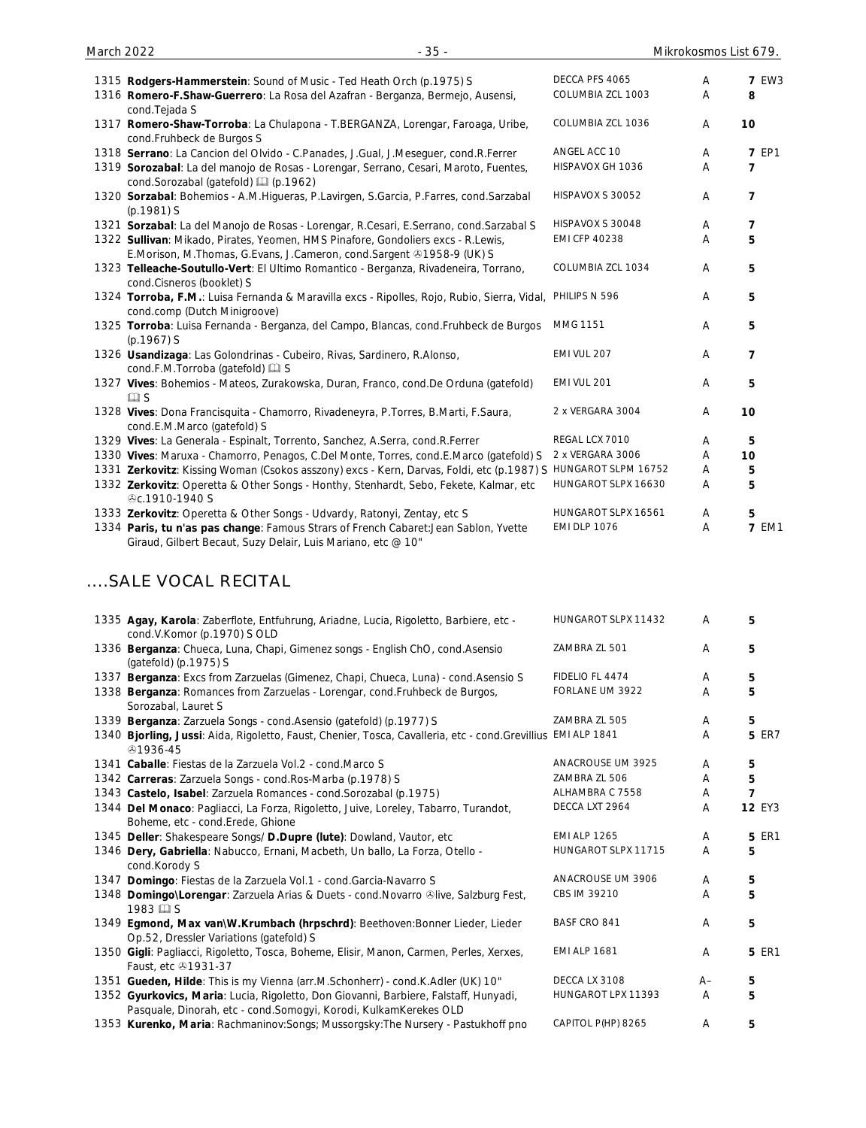| March 2022 | $-35-$                                                                                                                                                   |                      | Mikrokosmos List 679. |               |
|------------|----------------------------------------------------------------------------------------------------------------------------------------------------------|----------------------|-----------------------|---------------|
|            | 1315 Rodgers-Hammerstein: Sound of Music - Ted Heath Orch (p.1975) S                                                                                     | DECCA PFS 4065       | Α                     | <b>7 EW3</b>  |
|            | 1316 Romero-F.Shaw-Guerrero: La Rosa del Azafran - Berganza, Bermejo, Ausensi,<br>cond. Tejada S                                                         | COLUMBIA ZCL 1003    | Α                     | 8             |
|            | 1317 Romero-Shaw-Torroba: La Chulapona - T.BERGANZA, Lorengar, Faroaga, Uribe,<br>cond.Fruhbeck de Burgos S                                              | COLUMBIA ZCL 1036    | Α                     | 10            |
|            | 1318 Serrano: La Cancion del Olvido - C.Panades, J.Gual, J.Meseguer, cond.R.Ferrer                                                                       | ANGEL ACC 10         | Α                     | <b>7 EP1</b>  |
|            | 1319 Sorozabal: La del manojo de Rosas - Lorengar, Serrano, Cesari, Maroto, Fuentes,<br>cond.Sorozabal (gatefold) [1] (p.1962)                           | HISPAVOX GH 1036     | Α                     | 7             |
|            | 1320 Sorzabal: Bohemios - A.M.Higueras, P.Lavirgen, S.Garcia, P.Farres, cond.Sarzabal<br>(p.1981) S                                                      | HISPAVOX S 30052     | Α                     | 7             |
|            | 1321 Sorzabal: La del Manojo de Rosas - Lorengar, R.Cesari, E.Serrano, cond.Sarzabal S                                                                   | HISPAVOX S 30048     | A                     | 7             |
|            | 1322 Sullivan: Mikado, Pirates, Yeomen, HMS Pinafore, Gondoliers excs - R.Lewis,<br>E.Morison, M.Thomas, G.Evans, J.Cameron, cond.Sargent 21958-9 (UK) S | <b>EMI CFP 40238</b> | Α                     | 5             |
|            | 1323 Telleache-Soutullo-Vert: El Ultimo Romantico - Berganza, Rivadeneira, Torrano,<br>cond.Cisneros (booklet) S                                         | COLUMBIA ZCL 1034    | Α                     | 5             |
|            | 1324 Torroba, F.M.: Luisa Fernanda & Maravilla excs - Ripolles, Rojo, Rubio, Sierra, Vidal,<br>cond.comp (Dutch Minigroove)                              | PHILIPS N 596        | Α                     | 5             |
|            | 1325 Torroba: Luisa Fernanda - Berganza, del Campo, Blancas, cond.Fruhbeck de Burgos<br>$(p.1967)$ S                                                     | MMG 1151             | Α                     | 5             |
|            | 1326 Usandizaga: Las Golondrinas - Cubeiro, Rivas, Sardinero, R.Alonso,<br>cond.F.M.Torroba (gatefold) [2] S                                             | EMI VUL 207          | Α                     | 7             |
|            | 1327 Vives: Bohemios - Mateos, Zurakowska, Duran, Franco, cond.De Orduna (gatefold)<br>$\square$ S                                                       | EMI VUL 201          | Α                     | 5             |
|            | 1328 Vives: Dona Francisquita - Chamorro, Rivadeneyra, P.Torres, B.Marti, F.Saura,<br>cond.E.M.Marco (gatefold) S                                        | 2 x VERGARA 3004     | Α                     | 10            |
|            | 1329 Vives: La Generala - Espinalt, Torrento, Sanchez, A.Serra, cond.R.Ferrer                                                                            | REGAL LCX 7010       | Α                     | 5             |
|            | 1330 Vives: Maruxa - Chamorro, Penagos, C.Del Monte, Torres, cond.E.Marco (gatefold) S                                                                   | 2 x VERGARA 3006     | Α                     | 10            |
|            | 1331 Zerkovitz: Kissing Woman (Csokos asszony) excs - Kern, Darvas, Foldi, etc (p.1987) S HUNGAROT SLPM 16752                                            |                      | Α                     | 5             |
|            | 1332 Zerkovitz: Operetta & Other Songs - Honthy, Stenhardt, Sebo, Fekete, Kalmar, etc<br><b><i></i></b> C.1910-1940 S                                    | HUNGAROT SLPX 16630  | Α                     | 5             |
|            | 1333 Zerkovitz: Operetta & Other Songs - Udvardy, Ratonyi, Zentay, etc S                                                                                 | HUNGAROT SLPX 16561  | A                     | 5             |
|            | 1334 Paris, tu n'as pas change: Famous Strars of French Cabaret: Jean Sablon, Yvette<br>Giraud, Gilbert Becaut, Suzy Delair, Luis Mariano, etc @ 10"     | <b>EMI DLP 1076</b>  | Α                     | <b>7 EM1</b>  |
|            | SALE VOCAL RECITAL                                                                                                                                       |                      |                       |               |
|            | 1335 Agay, Karola: Zaberflote, Entfuhrung, Ariadne, Lucia, Rigoletto, Barbiere, etc -<br>cond.V.Komor (p.1970) S OLD                                     | HUNGAROT SLPX 11432  | A                     | 5             |
|            | 1336 Berganza: Chueca, Luna, Chapi, Gimenez songs - English ChO, cond.Asensio<br>(gatefold) (p.1975) S                                                   | ZAMBRA ZL 501        | A                     | 5             |
|            | 1337 Berganza: Excs from Zarzuelas (Gimenez, Chapi, Chueca, Luna) - cond.Asensio S                                                                       | FIDELIO FL 4474      | Α                     | 5             |
|            | 1338 Berganza: Romances from Zarzuelas - Lorengar, cond.Fruhbeck de Burgos,<br>Sorozabal, Lauret S                                                       | FORLANE UM 3922      | A                     | 5             |
|            | 1339 Berganza: Zarzuela Songs - cond.Asensio (gatefold) (p.1977) S                                                                                       | ZAMBRA ZL 505        | Α                     | 5             |
|            | 1340 Bjorling, Jussi: Aida, Rigoletto, Faust, Chenier, Tosca, Cavalleria, etc - cond. Grevillius EMI ALP 1841<br>51936-45                                |                      | A                     | <b>5 ER7</b>  |
|            | 1341 Caballe: Fiestas de la Zarzuela Vol.2 - cond.Marco S                                                                                                | ANACROUSE UM 3925    | A                     | 5             |
|            | 1342 Carreras: Zarzuela Songs - cond. Ros-Marba (p.1978) S                                                                                               | ZAMBRA ZL 506        | Α                     | 5             |
|            | 1343 Castelo, Isabel: Zarzuela Romances - cond. Sorozabal (p.1975)                                                                                       | ALHAMBRA C 7558      | Α                     | 7             |
|            | 1344 Del Monaco: Pagliacci, La Forza, Rigoletto, Juive, Loreley, Tabarro, Turandot,<br>Boheme, etc - cond.Erede, Ghione                                  | DECCA LXT 2964       | Α                     | <b>12 EY3</b> |
|            | 1345 Deller: Shakespeare Songs/ D.Dupre (lute): Dowland, Vautor, etc                                                                                     | <b>EMI ALP 1265</b>  | Α                     | <b>5 ER1</b>  |
|            | 1346 Dery, Gabriella: Nabucco, Ernani, Macbeth, Un ballo, La Forza, Otello -<br>cond.Korody S                                                            | HUNGAROT SLPX 11715  | A                     | 5             |
|            | 1347 Domingo: Fiestas de la Zarzuela Vol.1 - cond. Garcia-Navarro S                                                                                      | ANACROUSE UM 3906    | Α                     | 5             |

CBS IM 39210 A **5**

BASF CRO 841 **A** 5

HUNGAROT LPX 11393 A **5**

EMI ALP 1681 A **5** ER1

- 1348 **Domingo\Lorengar**: Zarzuela Arias & Duets cond.Novarro live, Salzburg Fest,  $1983 \overset{\bullet}{\boxplus}$  S 1349 **Egmond, Max van\W.Krumbach (hrpschrd)**: Beethoven:Bonner Lieder, Lieder Op.52, Dressler Variations (gatefold) S
- 1350 **Gigli**: Pagliacci, Rigoletto, Tosca, Boheme, Elisir, Manon, Carmen, Perles, Xerxes, Faust, etc 31931-37
- 1351 **Gueden, Hilde**: This is my Vienna (arr.M.Schonherr) cond.K.Adler (UK) 10" DECCA LX 3108 A– **5**
- 1352 **Gyurkovics, Maria**: Lucia, Rigoletto, Don Giovanni, Barbiere, Falstaff, Hunyadi, Pasquale, Dinorah, etc - cond.Somogyi, Korodi, KulkamKerekes OLD
- 1353 **Kurenko, Maria**: Rachmaninov:Songs; Mussorgsky:The Nursery Pastukhoff pno CAPITOL P(HP) 8265 A **5**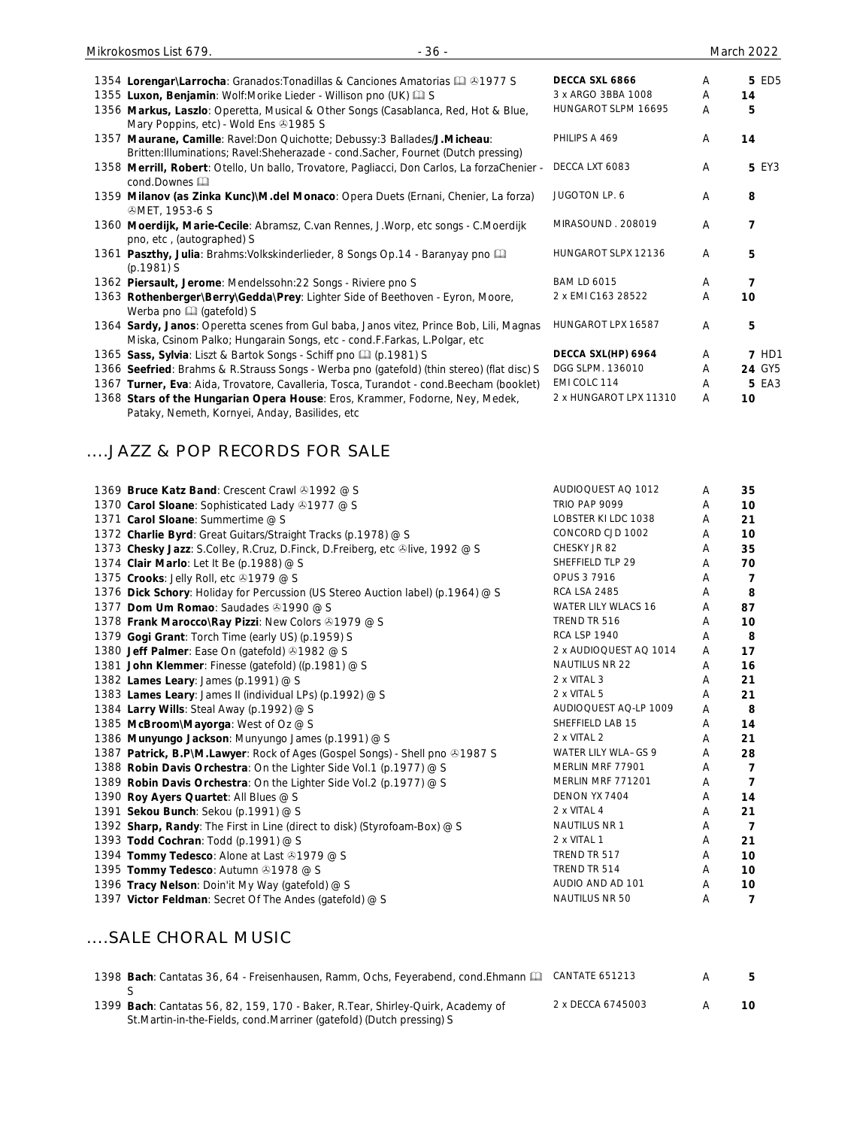| $-36-$<br>Mikrokosmos List 679.                                                                                                                                     |                        |   | March 2022   |
|---------------------------------------------------------------------------------------------------------------------------------------------------------------------|------------------------|---|--------------|
| 1354 Lorengar\Larrocha: Granados: Tonadillas & Canciones Amatorias 4 41977 S                                                                                        | DECCA SXL 6866         | A | 5 ED5        |
| 1355 Luxon, Benjamin: Wolf:Morike Lieder - Willison pno (UK) C S                                                                                                    | 3 x ARGO 3BBA 1008     | A | 14           |
| 1356 Markus, Laszlo: Operetta, Musical & Other Songs (Casablanca, Red, Hot & Blue,<br>Mary Poppins, etc) - Wold Ens +1985 S                                         | HUNGAROT SLPM 16695    | A | 5            |
| 1357 Maurane, Camille: Ravel:Don Quichotte; Debussy:3 Ballades/J.Micheau:<br>Britten: Illuminations; Ravel: Sheherazade - cond. Sacher, Fournet (Dutch pressing)    | PHILIPS A 469          | A | 14           |
| 1358 Merrill, Robert: Otello, Un ballo, Trovatore, Pagliacci, Don Carlos, La forzaChenier -<br>$cond.Downes \n\Box$                                                 | DECCA LXT 6083         | A | 5 EY3        |
| 1359 Milanov (as Zinka Kunc)\M.del Monaco: Opera Duets (Ernani, Chenier, La forza)<br><b><i>GMET, 1953-6 S</i></b>                                                  | JUGOTON LP. 6          | A | 8            |
| 1360 Moerdijk, Marie-Cecile: Abramsz, C.van Rennes, J.Worp, etc songs - C.Moerdijk<br>pno, etc, (autographed) S                                                     | MIRASOUND. 208019      | A | 7            |
| 1361 Paszthy, Julia: Brahms: Volkskinderlieder, 8 Songs Op.14 - Baranyay pno<br>$(p.1981)$ S                                                                        | HUNGAROT SLPX 12136    | A | 5            |
| 1362 Piersault, Jerome: Mendelssohn: 22 Songs - Riviere pno S                                                                                                       | <b>BAM LD 6015</b>     | A | 7            |
| 1363 Rothenberger\Berry\Gedda\Prey: Lighter Side of Beethoven - Eyron, Moore,<br>Werba pno [4] (gatefold) S                                                         | 2 x EMI C163 28522     | A | 10           |
| 1364 Sardy, Janos: Operetta scenes from Gul baba, Janos vitez, Prince Bob, Lili, Magnas<br>Miska, Csinom Palko; Hungarain Songs, etc - cond.F.Farkas, L.Polgar, etc | HUNGAROT LPX 16587     | A | 5            |
| 1365 Sass, Sylvia: Liszt & Bartok Songs - Schiff pno [1] (p.1981) S                                                                                                 | DECCA SXL(HP) 6964     | A | <b>7 HD1</b> |
| 1366 Seefried: Brahms & R.Strauss Songs - Werba pno (gatefold) (thin stereo) (flat disc) S                                                                          | DGG SLPM. 136010       | A | 24 GY5       |
| 1367 Turner, Eva: Aida, Trovatore, Cavalleria, Tosca, Turandot - cond. Beecham (booklet)                                                                            | EMI COLC 114           | A | <b>5 EA3</b> |
| 1368 Stars of the Hungarian Opera House: Eros, Krammer, Fodorne, Ney, Medek,                                                                                        | 2 x HUNGAROT LPX 11310 | A | 10           |

#### ....JAZZ & POP RECORDS FOR SALE

Pataky, Nemeth, Kornyei, Anday, Basilides, etc

| 1369 Bruce Katz Band: Crescent Crawl 31992 @ S                                  | AUDIOQUEST AQ 1012         | A | 35             |
|---------------------------------------------------------------------------------|----------------------------|---|----------------|
| 1370 Carol Sloane: Sophisticated Lady 31977 @ S                                 | TRIO PAP 9099              | Α | 10             |
| 1371 Carol Sloane: Summertime @ S                                               | LOBSTER KI LDC 1038        | A | 21             |
| 1372 Charlie Byrd: Great Guitars/Straight Tracks (p.1978) @ S                   | CONCORD CJD 1002           | Α | 10             |
| 1373 Chesky Jazz: S.Colley, R.Cruz, D.Finck, D.Freiberg, etc ®live, 1992 @ S    | CHESKY JR 82               | Α | 35             |
| 1374 Clair Marlo: Let It Be (p.1988) @ S                                        | SHEFFIELD TLP 29           | Α | 70             |
| 1375 Crooks: Jelly Roll, etc 31979 @ S                                          | OPUS 3 7916                | A | $\overline{7}$ |
| 1376 Dick Schory: Holiday for Percussion (US Stereo Auction label) (p.1964) @ S | <b>RCA LSA 2485</b>        | A | 8              |
| 1377 Dom Um Romao: Saudades 31990 @ S                                           | <b>WATER LILY WLACS 16</b> | Α | 87             |
| 1378 Frank Marocco\Ray Pizzi: New Colors 31979 @ S                              | TREND TR 516               | A | 10             |
| 1379 Gogi Grant: Torch Time (early US) (p.1959) S                               | <b>RCA LSP 1940</b>        | A | 8              |
| 1380 Jeff Palmer: Ease On (gatefold) 31982 @ S                                  | 2 x AUDIOQUEST AQ 1014     | A | 17             |
| 1381 John Klemmer: Finesse (gatefold) ((p.1981) @ S                             | NAUTILUS NR 22             | Α | 16             |
| 1382 Lames Leary: James (p.1991) @ S                                            | 2 x VITAL 3                | A | 21             |
| 1383 Lames Leary: James II (individual LPs) (p.1992) @ S                        | 2 x VITAL 5                | A | 21             |
| 1384 Larry Wills: Steal Away (p.1992) @ S                                       | AUDIOQUEST AQ-LP 1009      | A | 8              |
| 1385 McBroom\Mayorga: West of Oz @ S                                            | SHEFFIELD LAB 15           | A | 14             |
| 1386 Munyungo Jackson: Munyungo James (p.1991) @ S                              | 2 x VITAL 2                | A | 21             |
| 1387 Patrick, B.P\M.Lawyer: Rock of Ages (Gospel Songs) - Shell pno $@1987$ S   | WATER LILY WLA-GS 9        | A | 28             |
| 1388 Robin Davis Orchestra: On the Lighter Side Vol.1 (p.1977) @ S              | MERLIN MRF 77901           | A | $\overline{7}$ |
| 1389 Robin Davis Orchestra: On the Lighter Side Vol.2 (p.1977) @ S              | MERLIN MRF 771201          | A | $\overline{7}$ |
| 1390 Roy Ayers Quartet: All Blues @ S                                           | DENON YX 7404              | A | 14             |
| 1391 Sekou Bunch: Sekou (p.1991) @ S                                            | 2 x VITAL 4                | A | 21             |
| 1392 Sharp, Randy: The First in Line (direct to disk) (Styrofoam-Box) @ S       | NAUTILUS NR 1              | A | $\overline{7}$ |
| 1393 Todd Cochran: Todd (p.1991) @ S                                            | 2 x VITAL 1                | A | 21             |
| 1394 Tommy Tedesco: Alone at Last 31979 @ S                                     | TREND TR 517               | A | 10             |
| 1395 Tommy Tedesco: Autumn 31978 @ S                                            | TREND TR 514               | A | 10             |
| 1396 Tracy Nelson: Doin'it My Way (gatefold) @ S                                | AUDIO AND AD 101           | A | 10             |
| 1397 Victor Feldman: Secret Of The Andes (gatefold) @ S                         | NAUTILUS NR 50             | A | $\overline{7}$ |
|                                                                                 |                            |   |                |

### ....SALE CHORAL MUSIC

| 1398 Bach: Cantatas 36, 64 - Freisenhausen, Ramm, Ochs, Feyerabend, cond. Ehmann [1] CANTATE 651213 |                   | .5  |
|-----------------------------------------------------------------------------------------------------|-------------------|-----|
|                                                                                                     |                   |     |
| 1399 Bach: Cantatas 56, 82, 159, 170 - Baker, R.Tear, Shirley-Quirk, Academy of                     | 2 x DECCA 6745003 | 10. |
| St. Martin-in-the-Fields, cond. Marriner (gatefold) (Dutch pressing) S                              |                   |     |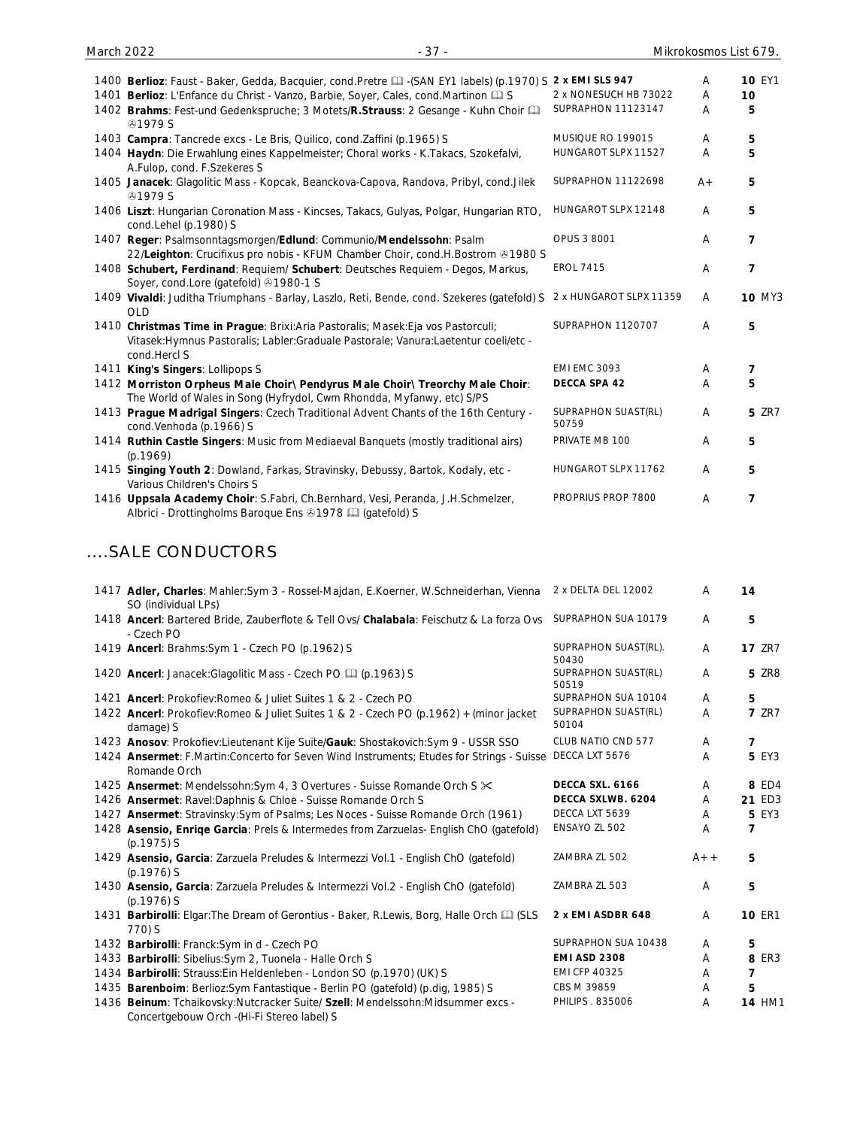| 1400 Berlioz: Faust - Baker, Gedda, Bacquier, cond. Pretre [1] - (SAN EY1 labels) (p.1970) S 2 x EMI SLS 947                                                                             |                              | A     | <b>10 EY1</b>  |
|------------------------------------------------------------------------------------------------------------------------------------------------------------------------------------------|------------------------------|-------|----------------|
| 1401 Berlioz: L'Enfance du Christ - Vanzo, Barbie, Soyer, Cales, cond.Martinon Q S                                                                                                       | 2 x NONESUCH HB 73022        | A     | 10             |
| 1402 Brahms: Fest-und Gedenkspruche; 3 Motets/R.Strauss: 2 Gesange - Kuhn Choir [1]<br><b>@1979 S</b>                                                                                    | SUPRAPHON 11123147           | A     | 5              |
| 1403 Campra: Tancrede excs - Le Bris, Quilico, cond. Zaffini (p. 1965) S                                                                                                                 | MUSIQUE RO 199015            | A     | 5              |
| 1404 Haydn: Die Erwahlung eines Kappelmeister; Choral works - K.Takacs, Szokefalvi,<br>A.Fulop, cond. F.Szekeres S                                                                       | HUNGAROT SLPX 11527          | A     | 5              |
| 1405 Janacek: Glagolitic Mass - Kopcak, Beanckova-Capova, Randova, Pribyl, cond.Jilek<br><b>@1979 S</b>                                                                                  | <b>SUPRAPHON 11122698</b>    | $A +$ | 5              |
| 1406 Liszt: Hungarian Coronation Mass - Kincses, Takacs, Gulyas, Polgar, Hungarian RTO,<br>cond.Lehel (p.1980) S                                                                         | HUNGAROT SLPX 12148          | Α     | 5              |
| 1407 Reger: Psalmsonntagsmorgen/Edlund: Communio/Mendelssohn: Psalm                                                                                                                      | <b>OPUS 3 8001</b>           | A     | $\overline{7}$ |
| 22/Leighton: Crucifixus pro nobis - KFUM Chamber Choir, cond.H.Bostrom &1980 S                                                                                                           |                              |       |                |
| 1408 Schubert, Ferdinand: Requiem/ Schubert: Deutsches Requiem - Degos, Markus,<br>Soyer, cond.Lore (gatefold) 31980-1 S                                                                 | <b>EROL 7415</b>             | Α     | 7              |
| 1409 Vivaldi: Juditha Triumphans - Barlay, Laszlo, Reti, Bende, cond. Szekeres (gatefold) S<br><b>OLD</b>                                                                                | 2 x HUNGAROT SLPX 11359      | A     | <b>10 MY3</b>  |
| 1410 Christmas Time in Prague: Brixi:Aria Pastoralis; Masek:Eja vos Pastorculi;<br>Vitasek: Hymnus Pastoralis; Labler: Graduale Pastorale; Vanura: Laetentur coeli/etc -<br>cond.Hercl S | SUPRAPHON 1120707            | A     | 5              |
| 1411 King's Singers: Lollipops S                                                                                                                                                         | <b>EMI EMC 3093</b>          | Α     | 7              |
| 1412 Morriston Orpheus Male Choir\ Pendyrus Male Choir\ Treorchy Male Choir:<br>The World of Wales in Song (Hyfrydol, Cwm Rhondda, Myfanwy, etc) S/PS                                    | DECCA SPA 42                 | A     | 5              |
| 1413 Prague Madrigal Singers: Czech Traditional Advent Chants of the 16th Century -<br>cond.Venhoda (p.1966) S                                                                           | SUPRAPHON SUAST(RL)<br>50759 | A     | <b>5 ZR7</b>   |
| 1414 Ruthin Castle Singers: Music from Mediaeval Banquets (mostly traditional airs)<br>(p.1969)                                                                                          | PRIVATE MB 100               | A     | 5              |
| 1415 Singing Youth 2: Dowland, Farkas, Stravinsky, Debussy, Bartok, Kodaly, etc -<br>Various Children's Choirs S                                                                         | HUNGAROT SLPX 11762          | A     | 5              |
| 1416 Uppsala Academy Choir: S.Fabri, Ch.Bernhard, Vesi, Peranda, J.H.Schmelzer,<br>Albrici - Drottingholms Baroque Ens & 1978 [12] (gatefold) S                                          | PROPRIUS PROP 7800           | A     | $\overline{7}$ |

### ....SALE CONDUCTORS

| 1417 Adler, Charles: Mahler:Sym 3 - Rossel-Majdan, E.Koerner, W.Schneiderhan, Vienna<br>SO (individual LPs)                   | 2 x DELTA DEL 12002           | A     | 14             |
|-------------------------------------------------------------------------------------------------------------------------------|-------------------------------|-------|----------------|
| 1418 Ancerl: Bartered Bride, Zauberflote & Tell Ovs/ Chalabala: Feischutz & La forza Ovs<br>- Czech PO                        | SUPRAPHON SUA 10179           | A     | 5              |
| 1419 Ancerl: Brahms: Sym 1 - Czech PO (p.1962) S                                                                              | SUPRAPHON SUAST(RL).<br>50430 | A     | <b>17 ZR7</b>  |
| 1420 Ancerl: Janacek: Glagolitic Mass - Czech PO [1] (p.1963) S                                                               | SUPRAPHON SUAST(RL)<br>50519  | A     | <b>5 ZR8</b>   |
| 1421 Ancerl: Prokofiev: Romeo & Juliet Suites 1 & 2 - Czech PO                                                                | SUPRAPHON SUA 10104           | A     | 5              |
| 1422 Ancerl: Prokofiev: Romeo & Juliet Suites 1 & 2 - Czech PO (p. 1962) + (minor jacket<br>damage) S                         | SUPRAPHON SUAST(RL)<br>50104  | A     | <b>7 ZR7</b>   |
| 1423 Anosov: Prokofiev: Lieutenant Kije Suite/Gauk: Shostakovich: Sym 9 - USSR SSO                                            | CLUB NATIO CND 577            | Α     | $\overline{7}$ |
| 1424 Ansermet: F.Martin:Concerto for Seven Wind Instruments; Etudes for Strings - Suisse<br>Romande Orch                      | DECCA LXT 5676                | Α     | <b>5 EY3</b>   |
| 1425 Ansermet: Mendelssohn: Sym 4, 3 Overtures - Suisse Romande Orch S $\times$                                               | DECCA SXL. 6166               | A     | 8 ED4          |
| 1426 Ansermet: Ravel: Daphnis & Chloe - Suisse Romande Orch S                                                                 | DECCA SXLWB. 6204             | Α     | 21 ED3         |
| 1427 Ansermet: Stravinsky: Sym of Psalms; Les Noces - Suisse Romande Orch (1961)                                              | DECCA LXT 5639                | A     | 5 EY3          |
| 1428 Asensio, Enriqe Garcia: Prels & Intermedes from Zarzuelas- English ChO (gatefold)<br>$(p.1975)$ S                        | ENSAYO ZL 502                 | Α     | $\overline{ }$ |
| 1429 Asensio, Garcia: Zarzuela Preludes & Intermezzi Vol.1 - English ChO (gatefold)<br>$(p.1976)$ S                           | ZAMBRA ZL 502                 | $A++$ | 5              |
| 1430 Asensio, Garcia: Zarzuela Preludes & Intermezzi Vol.2 - English ChO (gatefold)<br>$(p.1976)$ S                           | ZAMBRA ZL 503                 | A     | 5              |
| 1431 Barbirolli: Elgar: The Dream of Gerontius - Baker, R.Lewis, Borg, Halle Orch [1] (SLS<br>770) S                          | 2 x EMI ASDBR 648             | A     | <b>10 ER1</b>  |
| 1432 Barbirolli: Franck: Sym in d - Czech PO                                                                                  | SUPRAPHON SUA 10438           | A     | 5              |
| 1433 Barbirolli: Sibelius: Sym 2, Tuonela - Halle Orch S                                                                      | <b>EMI ASD 2308</b>           | Α     | <b>8 ER3</b>   |
| 1434 Barbirolli: Strauss: Ein Heldenleben - London SO (p.1970) (UK) S                                                         | <b>EMI CFP 40325</b>          | A     | 7              |
| 1435 Barenboim: Berlioz: Sym Fantastique - Berlin PO (gatefold) (p.dig, 1985) S                                               | CBS M 39859                   | A     | 5              |
| 1436 Beinum: Tchaikovsky:Nutcracker Suite/ Szell: Mendelssohn:Midsummer excs -<br>Concertgebouw Orch - (Hi-Fi Stereo label) S | PHILIPS . 835006              | Α     | <b>14 HM1</b>  |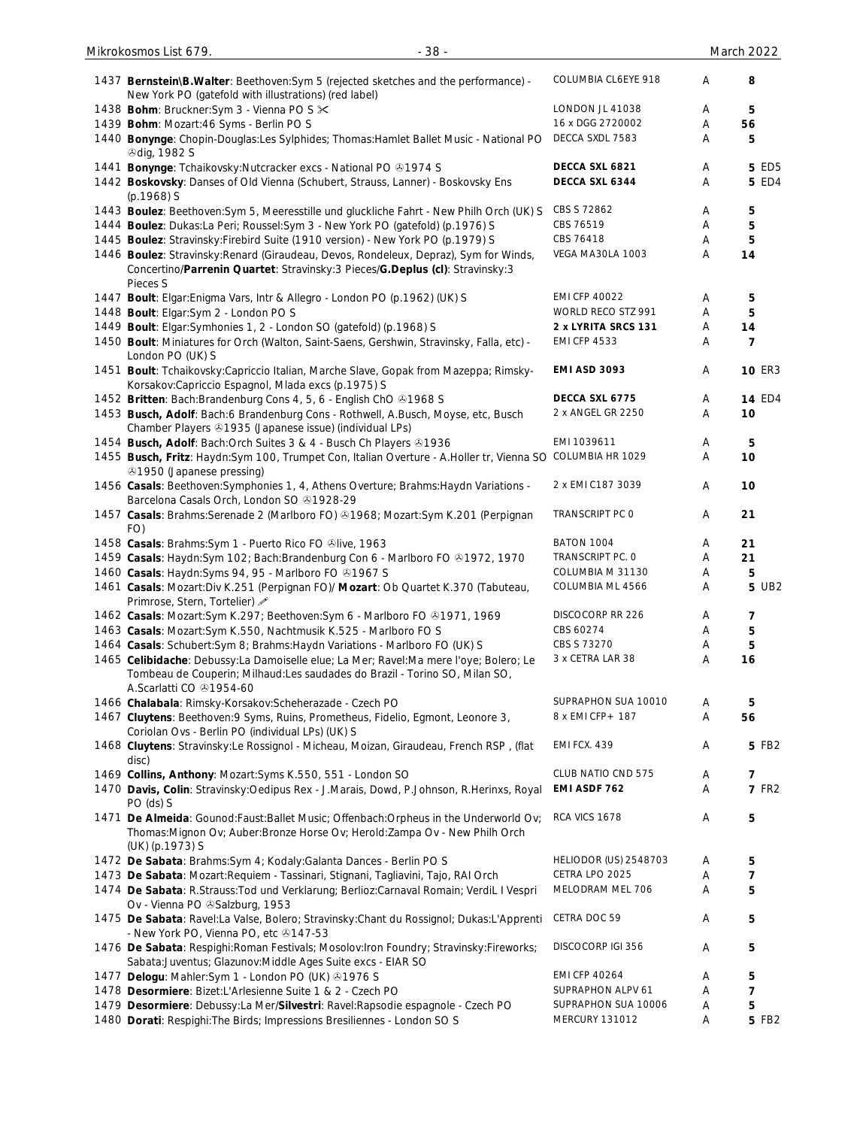| 1437 Bernstein\B.Walter: Beethoven: Sym 5 (rejected sketches and the performance) -<br>New York PO (gatefold with illustrations) (red label)                                                   | COLUMBIA CL6EYE 918          | Α | 8              |
|------------------------------------------------------------------------------------------------------------------------------------------------------------------------------------------------|------------------------------|---|----------------|
| 1438 Bohm: Bruckner: Sym 3 - Vienna PO S $\times$                                                                                                                                              | LONDON JL 41038              | Α | 5              |
| 1439 Bohm: Mozart:46 Syms - Berlin PO S                                                                                                                                                        | 16 x DGG 2720002             | Α | 56             |
| 1440 Bonynge: Chopin-Douglas:Les Sylphides; Thomas:Hamlet Ballet Music - National PO<br><b><i>®dig, 1982 S</i></b>                                                                             | DECCA SXDL 7583              | Α | 5              |
| 1441 Bonynge: Tchaikovsky: Nutcracker excs - National PO @1974 S                                                                                                                               | DECCA SXL 6821               | Α | <b>5 ED5</b>   |
| 1442 Boskovsky: Danses of Old Vienna (Schubert, Strauss, Lanner) - Boskovsky Ens<br>$(p.1968)$ S                                                                                               | DECCA SXL 6344               | Α | <b>5 ED4</b>   |
| 1443 Boulez: Beethoven: Sym 5, Meeresstille und gluckliche Fahrt - New Philh Orch (UK) S                                                                                                       | CBS S 72862                  | A | 5              |
| 1444 Boulez: Dukas:La Peri; Roussel:Sym 3 - New York PO (gatefold) (p.1976) S                                                                                                                  | CBS 76519                    | Α | 5              |
| 1445 Boulez: Stravinsky: Firebird Suite (1910 version) - New York PO (p.1979) S                                                                                                                | CBS 76418                    | Α | 5              |
| 1446 Boulez: Stravinsky: Renard (Giraudeau, Devos, Rondeleux, Depraz), Sym for Winds,<br>Concertino/Parrenin Quartet: Stravinsky:3 Pieces/G.Deplus (cl): Stravinsky:3<br>Pieces S              | VEGA MA30LA 1003             | A | 14             |
| 1447 Boult: Elgar: Enigma Vars, Intr & Allegro - London PO (p.1962) (UK) S                                                                                                                     | <b>EMI CFP 40022</b>         | Α | 5              |
| 1448 Boult: Elgar: Sym 2 - London PO S                                                                                                                                                         | WORLD RECO STZ 991           | Α | 5              |
| 1449 Boult: Elgar: Symhonies 1, 2 - London SO (gatefold) (p.1968) S                                                                                                                            | 2 x LYRITA SRCS 131          | A | 14             |
| 1450 Boult: Miniatures for Orch (Walton, Saint-Saens, Gershwin, Stravinsky, Falla, etc) -<br>London PO (UK) S                                                                                  | <b>EMI CFP 4533</b>          | Α | $\overline{7}$ |
| 1451 Boult: Tchaikovsky: Capriccio Italian, Marche Slave, Gopak from Mazeppa; Rimsky-<br>Korsakov:Capriccio Espagnol, Mlada excs (p.1975) S                                                    | <b>EMI ASD 3093</b>          | Α | <b>10 ER3</b>  |
| 1452 Britten: Bach: Brandenburg Cons 4, 5, 6 - English ChO ®1968 S                                                                                                                             | DECCA SXL 6775               | A | <b>14 ED4</b>  |
| 1453 Busch, Adolf: Bach:6 Brandenburg Cons - Rothwell, A.Busch, Moyse, etc, Busch<br>Chamber Players & 1935 (Japanese issue) (individual LPs)                                                  | 2 x ANGEL GR 2250            | Α | 10             |
| 1454 Busch, Adolf: Bach: Orch Suites 3 & 4 - Busch Ch Players 31936                                                                                                                            | EMI 1039611                  | Α | 5              |
| 1455 Busch, Fritz: Haydn:Sym 100, Trumpet Con, Italian Overture - A.Holler tr, Vienna SO COLUMBIA HR 1029<br>⊕1950 (Japanese pressing)                                                         |                              | Α | 10             |
| 1456 Casals: Beethoven: Symphonies 1, 4, Athens Overture; Brahms: Haydn Variations -<br>Barcelona Casals Orch, London SO 31928-29                                                              | 2 x EMI C187 3039            | Α | 10             |
| 1457 Casals: Brahms: Serenade 2 (Marlboro FO) @1968; Mozart: Sym K.201 (Perpignan<br>FO)                                                                                                       | TRANSCRIPT PC O              | A | 21             |
| 1458 Casals: Brahms: Sym 1 - Puerto Rico FO &live, 1963                                                                                                                                        | BATON 1004                   | A | 21             |
| 1459 Casals: Haydn:Sym 102; Bach:Brandenburg Con 6 - Marlboro FO ®1972, 1970                                                                                                                   | TRANSCRIPT PC. O             | A | 21             |
| 1460 Casals: Haydn:Syms 94, 95 - Marlboro FO 31967 S                                                                                                                                           | COLUMBIA M 31130             | Α | 5              |
| 1461 Casals: Mozart:Div K.251 (Perpignan FO)/ Mozart: Ob Quartet K.370 (Tabuteau,<br>Primrose, Stern, Tortelier) 2                                                                             | COLUMBIA ML 4566             | Α | 5 UB2          |
| 1462 Casals: Mozart:Sym K.297; Beethoven:Sym 6 - Marlboro FO @1971, 1969                                                                                                                       | DISCOCORP RR 226             | Α | 7              |
| 1463 Casals: Mozart:Sym K.550, Nachtmusik K.525 - Marlboro FO S                                                                                                                                | CBS 60274                    | A | 5              |
| 1464 Casals: Schubert: Sym 8; Brahms: Haydn Variations - Marlboro FO (UK) S                                                                                                                    | CBS S 73270                  | A | 5              |
| 1465 Celibidache: Debussy:La Damoiselle elue; La Mer; Ravel:Ma mere l'oye; Bolero; Le<br>Tombeau de Couperin; Milhaud:Les saudades do Brazil - Torino SO, Milan SO,<br>A.Scarlatti CO 31954-60 | 3 x CETRA LAR 38             | A | 16             |
| 1466 Chalabala: Rimsky-Korsakov: Scheherazade - Czech PO                                                                                                                                       | SUPRAPHON SUA 10010          | Α | 5              |
| 1467 Cluytens: Beethoven: 9 Syms, Ruins, Prometheus, Fidelio, Egmont, Leonore 3,<br>Coriolan Ovs - Berlin PO (individual LPs) (UK) S                                                           | 8 x EMI CFP + 187            | Α | 56             |
| 1468 Cluytens: Stravinsky:Le Rossignol - Micheau, Moizan, Giraudeau, French RSP, (flat<br>disc)                                                                                                | EMI FCX. 439                 | A | 5 FB2          |
| 1469 Collins, Anthony: Mozart: Syms K.550, 551 - London SO                                                                                                                                     | CLUB NATIO CND 575           | Α | 7              |
| 1470 Davis, Colin: Stravinsky: Oedipus Rex - J. Marais, Dowd, P. Johnson, R. Herinxs, Royal<br>PO (ds) S                                                                                       | EMI ASDF 762                 | Α | <b>7 FR2</b>   |
| 1471 De Almeida: Gounod: Faust: Ballet Music; Offenbach: Orpheus in the Underworld Ov;<br>Thomas: Mignon Ov; Auber: Bronze Horse Ov; Herold: Zampa Ov - New Philh Orch<br>(UK) (p.1973) S      | RCA VICS 1678                | Α | 5              |
| 1472 De Sabata: Brahms: Sym 4; Kodaly: Galanta Dances - Berlin PO S                                                                                                                            | <b>HELIODOR (US) 2548703</b> | A | 5              |
| 1473 De Sabata: Mozart: Requiem - Tassinari, Stignani, Tagliavini, Tajo, RAI Orch                                                                                                              | CETRA LPO 2025               | Α | 7              |
| 1474 De Sabata: R.Strauss: Tod und Verklarung; Berlioz: Carnaval Romain; VerdiL I Vespri<br>Ov - Vienna PO & Salzburg, 1953                                                                    | MELODRAM MEL 706             | Α | 5              |
| 1475 De Sabata: Ravel:La Valse, Bolero; Stravinsky:Chant du Rossignol; Dukas:L'Apprenti<br>- New York PO, Vienna PO, etc +147-53                                                               | CETRA DOC 59                 | A | 5              |
| 1476 De Sabata: Respighi: Roman Festivals; Mosolov: Iron Foundry; Stravinsky: Fireworks;<br>Sabata: Juventus; Glazunov: Middle Ages Suite excs - EIAR SO                                       | DISCOCORP IGI 356            | Α | 5              |
| 1477 Delogu: Mahler:Sym 1 - London PO (UK) 31976 S                                                                                                                                             | <b>EMI CFP 40264</b>         | A | 5              |
| 1478 Desormiere: Bizet:L'Arlesienne Suite 1 & 2 - Czech PO                                                                                                                                     | SUPRAPHON ALPV 61            | Α | 7              |
| 1479 Desormiere: Debussy:La Mer/Silvestri: Ravel:Rapsodie espagnole - Czech PO                                                                                                                 | SUPRAPHON SUA 10006          | A | 5              |
| 1480 Dorati: Respighi: The Birds; Impressions Bresiliennes - London SO S                                                                                                                       | MERCURY 131012               | Α | 5 FB2          |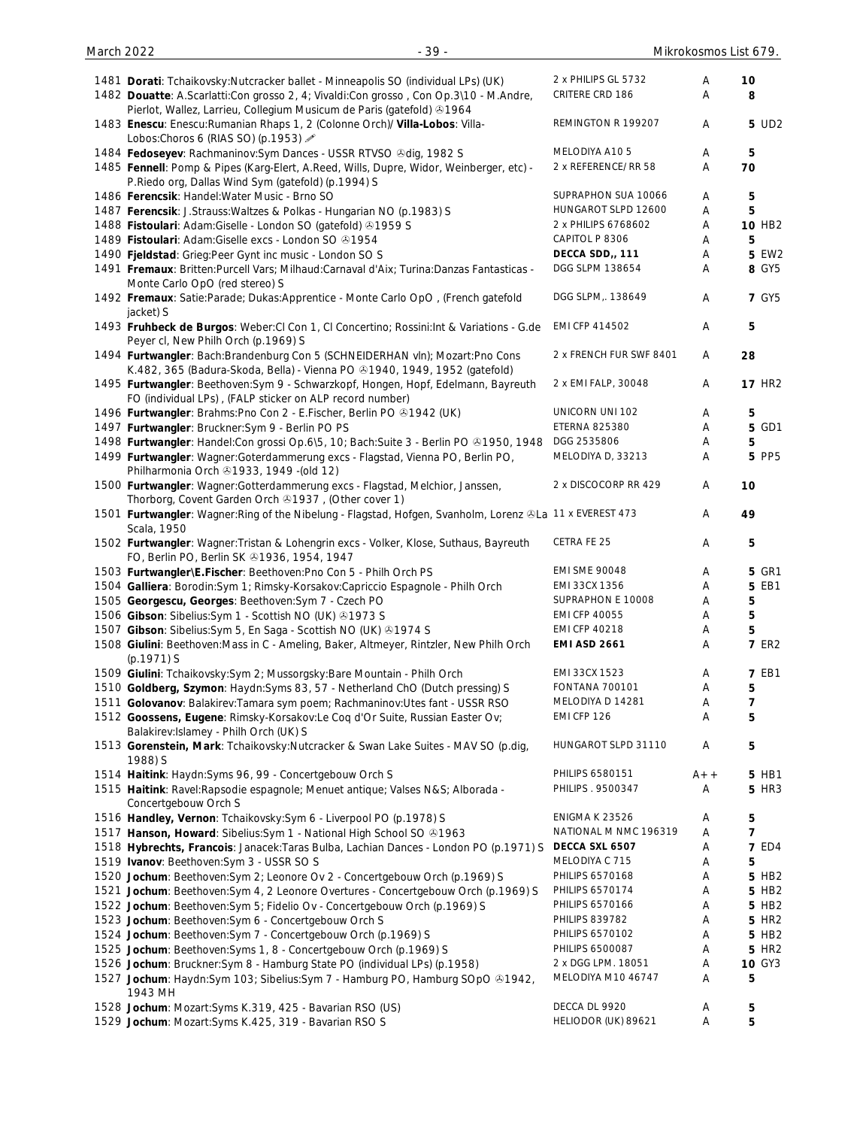| 1481 Dorati: Tchaikovsky: Nutcracker ballet - Minneapolis SO (individual LPs) (UK)<br>1482 Douatte: A.Scarlatti:Con grosso 2, 4; Vivaldi:Con grosso, Con Op.3\10 - M.Andre,                | 2 x PHILIPS GL 5732<br>CRITERE CRD 186 | Α<br>A | 10<br>8            |
|--------------------------------------------------------------------------------------------------------------------------------------------------------------------------------------------|----------------------------------------|--------|--------------------|
| Pierlot, Wallez, Larrieu, Collegium Musicum de Paris (gatefold) 31964<br>1483 Enescu: Enescu: Rumanian Rhaps 1, 2 (Colonne Orch)/ Villa-Lobos: Villa-<br>Lobos:Choros 6 (RIAS SO) (p.1953) | REMINGTON R 199207                     | Α      | 5 UD2              |
| 1484 Fedoseyev: Rachmaninov: Sym Dances - USSR RTVSO & dig, 1982 S                                                                                                                         | MELODIYA A105                          | Α      | 5                  |
| 1485 Fennell: Pomp & Pipes (Karg-Elert, A.Reed, Wills, Dupre, Widor, Weinberger, etc) -<br>P.Riedo org, Dallas Wind Sym (gatefold) (p.1994) S                                              | 2 x REFERENCE/RR 58                    | Α      | 70                 |
| 1486 Ferencsik: Handel: Water Music - Brno SO                                                                                                                                              | SUPRAPHON SUA 10066                    | Α      | 5                  |
| 1487 Ferencsik: J.Strauss: Waltzes & Polkas - Hungarian NO (p.1983) S                                                                                                                      | HUNGAROT SLPD 12600                    | Α      | 5                  |
| 1488 Fistoulari: Adam: Giselle - London SO (gatefold) 31959 S                                                                                                                              | 2 x PHILIPS 6768602                    | Α      | 10 HB <sub>2</sub> |
| 1489 Fistoulari: Adam: Giselle excs - London SO @1954                                                                                                                                      | CAPITOL P 8306                         | Α      | 5                  |
| 1490 Fjeldstad: Grieg:Peer Gynt inc music - London SO S                                                                                                                                    | DECCA SDD,, 111                        | Α      | <b>5 EW2</b>       |
| 1491 Fremaux: Britten: Purcell Vars; Milhaud: Carnaval d'Aix; Turina: Danzas Fantasticas -<br>Monte Carlo OpO (red stereo) S                                                               | DGG SLPM 138654                        | Α      | 8 GY5              |
| 1492 Fremaux: Satie: Parade; Dukas: Apprentice - Monte Carlo OpO, (French gatefold<br>jacket) S                                                                                            | DGG SLPM,. 138649                      | Α      | <b>7 GY5</b>       |
| 1493 Fruhbeck de Burgos: Weber: CI Con 1, CI Concertino; Rossini: Int & Variations - G.de<br>Peyer cl, New Philh Orch (p.1969) S                                                           | EMI CFP 414502                         | Α      | 5                  |
| 1494 Furtwangler: Bach:Brandenburg Con 5 (SCHNEIDERHAN vln); Mozart:Pno Cons<br>K.482, 365 (Badura-Skoda, Bella) - Vienna PO +1940, 1949, 1952 (gatefold)                                  | 2 x FRENCH FUR SWF 8401                | Α      | 28                 |
| 1495 Furtwangler: Beethoven: Sym 9 - Schwarzkopf, Hongen, Hopf, Edelmann, Bayreuth<br>FO (individual LPs), (FALP sticker on ALP record number)                                             | 2 x EMI FALP, 30048                    | Α      | <b>17 HR2</b>      |
| 1496 Furtwangler: Brahms: Pno Con 2 - E. Fischer, Berlin PO 31942 (UK)                                                                                                                     | UNICORN UNI 102                        | Α      | 5                  |
| 1497 Furtwangler: Bruckner: Sym 9 - Berlin PO PS                                                                                                                                           | ETERNA 825380                          | Α      | 5 GD1              |
| 1498 Furtwangler: Handel: Con grossi Op.6\5, 10; Bach: Suite 3 - Berlin PO ®1950, 1948                                                                                                     | DGG 2535806                            | Α      | 5                  |
| 1499 Furtwangler: Wagner:Goterdammerung excs - Flagstad, Vienna PO, Berlin PO,<br>Philharmonia Orch 21933, 1949 - (old 12)                                                                 | MELODIYA D, 33213                      | A      | 5 PP5              |
| 1500 Furtwangler: Wagner: Gotterdammerung excs - Flagstad, Melchior, Janssen,<br>Thorborg, Covent Garden Orch 31937, (Other cover 1)                                                       | 2 x DISCOCORP RR 429                   | Α      | 10                 |
| 1501 Furtwangler: Wagner: Ring of the Nibelung - Flagstad, Hofgen, Svanholm, Lorenz & La 11 x EVEREST 473<br>Scala, 1950                                                                   |                                        | Α      | 49                 |
| 1502 Furtwangler: Wagner: Tristan & Lohengrin excs - Volker, Klose, Suthaus, Bayreuth<br>FO, Berlin PO, Berlin SK 21936, 1954, 1947                                                        | CETRA FE 25                            | Α      | 5                  |
| 1503 Furtwangler\E.Fischer: Beethoven:Pno Con 5 - Philh Orch PS                                                                                                                            | <b>EMI SME 90048</b>                   | Α      | <b>5 GR1</b>       |
| 1504 Galliera: Borodin: Sym 1; Rimsky-Korsakov: Capriccio Espagnole - Philh Orch                                                                                                           | EMI 33CX 1356                          | Α      | 5 EB1              |
| 1505 Georgescu, Georges: Beethoven: Sym 7 - Czech PO                                                                                                                                       | SUPRAPHON E 10008                      | Α      | 5                  |
| 1506 Gibson: Sibelius: Sym 1 - Scottish NO (UK) 31973 S                                                                                                                                    | <b>EMI CFP 40055</b>                   | Α      | 5                  |
| 1507 Gibson: Sibelius: Sym 5, En Saga - Scottish NO (UK) 31974 S                                                                                                                           | <b>EMI CFP 40218</b>                   | Α      | 5                  |
| 1508 Giulini: Beethoven: Mass in C - Ameling, Baker, Altmeyer, Rintzler, New Philh Orch<br>$(p.1971)$ S                                                                                    | <b>EMI ASD 2661</b>                    | Α      | <b>7 ER2</b>       |
| 1509 Giulini: Tchaikovsky:Sym 2; Mussorgsky:Bare Mountain - Philh Orch                                                                                                                     | EMI 33CX 1523<br><b>FONTANA 700101</b> | Α      | <b>7 EB1</b>       |
| 1510 Goldberg, Szymon: Haydn: Syms 83, 57 - Netherland ChO (Dutch pressing) S<br>1511 Golovanov: Balakirev: Tamara sym poem; Rachmaninov: Utes fant - USSR RSO                             | MELODIYA D 14281                       | Α<br>Α | 5<br>7             |
| 1512 Goossens, Eugene: Rimsky-Korsakov:Le Coq d'Or Suite, Russian Easter Ov;                                                                                                               | EMI CFP 126                            | Α      | 5                  |
| Balakirev: Islamey - Philh Orch (UK) S<br>1513 Gorenstein, Mark: Tchaikovsky:Nutcracker & Swan Lake Suites - MAV SO (p.dig,                                                                | HUNGAROT SLPD 31110                    | Α      | 5                  |
| 1988) S                                                                                                                                                                                    |                                        |        |                    |
| 1514 Haitink: Haydn:Syms 96, 99 - Concertgebouw Orch S                                                                                                                                     | PHILIPS 6580151                        | $A++$  | 5 HB1              |
| 1515 Haitink: Ravel: Rapsodie espagnole; Menuet antique; Valses N&S Alborada -                                                                                                             | PHILIPS . 9500347                      | Α      | 5 HR3              |
| Concertgebouw Orch S                                                                                                                                                                       |                                        |        |                    |
| 1516 Handley, Vernon: Tchaikovsky:Sym 6 - Liverpool PO (p.1978) S                                                                                                                          | <b>ENIGMA K 23526</b>                  | Α      | 5                  |
| 1517 Hanson, Howard: Sibelius: Sym 1 - National High School SO @1963                                                                                                                       | NATIONAL M NMC 196319                  | Α      | $\overline{7}$     |
| 1518 Hybrechts, Francois: Janacek:Taras Bulba, Lachian Dances - London PO (p.1971) S                                                                                                       | DECCA SXL 6507                         | Α      | <b>7 ED4</b>       |
| 1519 Ivanov: Beethoven: Sym 3 - USSR SO S                                                                                                                                                  | MELODIYA C 715                         | Α      | 5                  |
| 1520 Jochum: Beethoven: Sym 2; Leonore Ov 2 - Concertgebouw Orch (p.1969) S                                                                                                                | PHILIPS 6570168<br>PHILIPS 6570174     | Α      | 5 HB2              |
| 1521 Jochum: Beethoven: Sym 4, 2 Leonore Overtures - Concertgebouw Orch (p.1969) S                                                                                                         | PHILIPS 6570166                        | Α<br>Α | 5 HB2<br>5 HB2     |
| 1522 Jochum: Beethoven: Sym 5; Fidelio Ov - Concertgebouw Orch (p.1969) S<br>1523 Jochum: Beethoven: Sym 6 - Concertgebouw Orch S                                                          | <b>PHILIPS 839782</b>                  | Α      | 5 HR <sub>2</sub>  |
| 1524 Jochum: Beethoven: Sym 7 - Concertgebouw Orch (p.1969) S                                                                                                                              | PHILIPS 6570102                        | Α      | 5 HB2              |
| 1525 Jochum: Beethoven: Syms 1, 8 - Concertgebouw Orch (p.1969) S                                                                                                                          | PHILIPS 6500087                        | Α      | 5 HR <sub>2</sub>  |
| 1526 Jochum: Bruckner: Sym 8 - Hamburg State PO (individual LPs) (p.1958)                                                                                                                  | 2 x DGG LPM. 18051                     | Α      | <b>10 GY3</b>      |
| 1527 Jochum: Haydn:Sym 103; Sibelius:Sym 7 - Hamburg PO, Hamburg SOpO & 1942,                                                                                                              | MELODIYA M10 46747                     | Α      | 5                  |
| 1943 MH<br>1528 Jochum: Mozart: Syms K.319, 425 - Bavarian RSO (US)                                                                                                                        | DECCA DL 9920                          |        |                    |
| 1529 Jochum: Mozart:Syms K.425, 319 - Bavarian RSO S                                                                                                                                       | HELIODOR (UK) 89621                    | A<br>Α | 5<br>5             |
|                                                                                                                                                                                            |                                        |        |                    |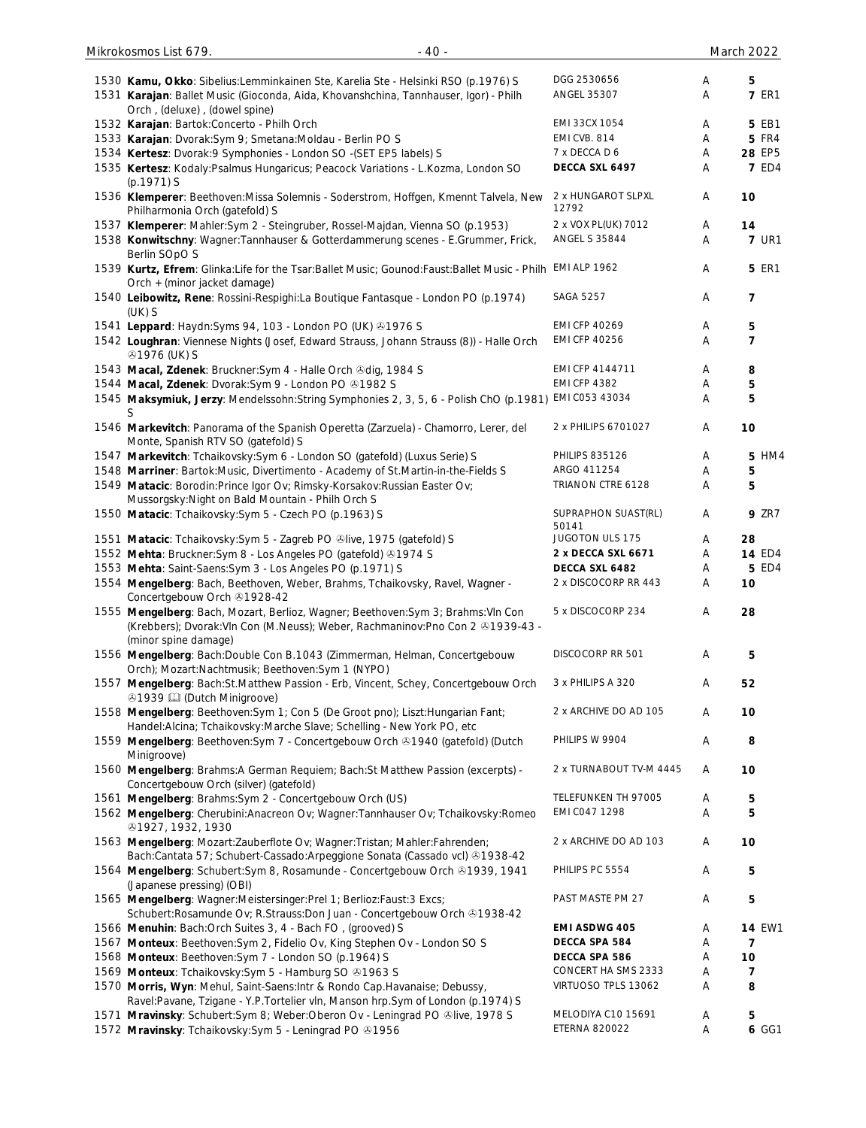| 1530 Kamu, Okko: Sibelius: Lemminkainen Ste, Karelia Ste - Helsinki RSO (p. 1976) S<br>1531 Karajan: Ballet Music (Gioconda, Aida, Khovanshchina, Tannhauser, Igor) - Philh<br>Orch, (deluxe), (dowel spine) | DGG 2530656<br>ANGEL 35307                 | Α<br>A | 5<br><b>7 ER1</b>   |
|--------------------------------------------------------------------------------------------------------------------------------------------------------------------------------------------------------------|--------------------------------------------|--------|---------------------|
| 1532 Karajan: Bartok: Concerto - Philh Orch                                                                                                                                                                  | EMI 33CX 1054                              | Α      | 5 EB1               |
| 1533 Karajan: Dvorak: Sym 9; Smetana: Moldau - Berlin PO S                                                                                                                                                   | EMI CVB. 814                               | Α      | <b>5 FR4</b>        |
| 1534 Kertesz: Dvorak: 9 Symphonies - London SO -(SET EP5 labels) S                                                                                                                                           | 7 x DECCA D 6                              | Α      | 28 EP5              |
| 1535 Kertesz: Kodaly: Psalmus Hungaricus; Peacock Variations - L. Kozma, London SO<br>$(p.1971)$ S                                                                                                           | DECCA SXL 6497                             | Α      | <b>7 ED4</b>        |
| 1536 Klemperer: Beethoven: Missa Solemnis - Soderstrom, Hoffgen, Kmennt Talvela, New<br>Philharmonia Orch (gatefold) S                                                                                       | 2 x HUNGAROT SLPXL<br>12792                | Α      | 10                  |
| 1537 Klemperer: Mahler: Sym 2 - Steingruber, Rossel-Majdan, Vienna SO (p.1953)                                                                                                                               | 2 x VOX PL(UK) 7012                        | Α      | 14                  |
| 1538 Konwitschny: Wagner: Tannhauser & Gotterdammerung scenes - E.Grummer, Frick,<br>Berlin SOpO S                                                                                                           | <b>ANGEL S 35844</b>                       | Α      | <b>7 UR1</b>        |
| 1539 Kurtz, Efrem: Glinka: Life for the Tsar: Ballet Music; Gounod: Faust: Ballet Music - Philh EMI ALP 1962<br>Orch + (minor jacket damage)                                                                 |                                            | A      | <b>5 ER1</b>        |
| 1540 Leibowitz, Rene: Rossini-Respighi:La Boutique Fantasque - London PO (p.1974)<br>$(UK)$ S                                                                                                                | <b>SAGA 5257</b>                           | Α      | 7                   |
| 1541 Leppard: Haydn: Syms 94, 103 - London PO (UK) 31976 S                                                                                                                                                   | <b>EMI CFP 40269</b>                       | Α      | 5                   |
| 1542 Loughran: Viennese Nights (Josef, Edward Strauss, Johann Strauss (8)) - Halle Orch<br><b>31976 (UK) S</b>                                                                                               | <b>EMI CFP 40256</b>                       | Α      | $\overline{7}$      |
| 1543 Macal, Zdenek: Bruckner: Sym 4 - Halle Orch & dig, 1984 S                                                                                                                                               | EMI CFP 4144711                            | Α      | 8                   |
| 1544 Macal, Zdenek: Dvorak:Sym 9 - London PO +1982 S                                                                                                                                                         | <b>EMI CFP 4382</b>                        | Α      | 5                   |
| 1545 Maksymiuk, Jerzy: Mendelssohn:String Symphonies 2, 3, 5, 6 - Polish ChO (p.1981)<br>S                                                                                                                   | EMI C053 43034                             | Α      | 5                   |
| 1546 Markevitch: Panorama of the Spanish Operetta (Zarzuela) - Chamorro, Lerer, del<br>Monte, Spanish RTV SO (gatefold) S                                                                                    | 2 x PHILIPS 6701027                        | Α      | 10                  |
| 1547 Markevitch: Tchaikovsky: Sym 6 - London SO (gatefold) (Luxus Serie) S                                                                                                                                   | <b>PHILIPS 835126</b>                      | A      | 5 HM4               |
| 1548 Marriner: Bartok: Music, Divertimento - Academy of St. Martin-in-the-Fields S                                                                                                                           | ARGO 411254                                | Α      | 5                   |
| 1549 Matacic: Borodin: Prince Igor Ov; Rimsky-Korsakov: Russian Easter Ov;<br>Mussorgsky: Night on Bald Mountain - Philh Orch S                                                                              | TRIANON CTRE 6128                          | Α      | 5                   |
| 1550 Matacic: Tchaikovsky: Sym 5 - Czech PO (p.1963) S                                                                                                                                                       | SUPRAPHON SUAST(RL)<br>50141               | Α      | <b>9 ZR7</b>        |
| 1551 Matacic: Tchaikovsky: Sym 5 - Zagreb PO @live, 1975 (gatefold) S                                                                                                                                        | JUGOTON ULS 175<br>2 x DECCA SXL 6671      | Α<br>Α | 28<br><b>14 ED4</b> |
| 1552 Mehta: Bruckner: Sym 8 - Los Angeles PO (gatefold) 31974 S<br>1553 Mehta: Saint-Saens: Sym 3 - Los Angeles PO (p.1971) S                                                                                | DECCA SXL 6482                             | Α      | <b>5 ED4</b>        |
| 1554 Mengelberg: Bach, Beethoven, Weber, Brahms, Tchaikovsky, Ravel, Wagner -<br>Concertgebouw Orch 21928-42                                                                                                 | 2 x DISCOCORP RR 443                       | Α      | 10                  |
| 1555 Mengelberg: Bach, Mozart, Berlioz, Wagner; Beethoven: Sym 3; Brahms: VIn Con<br>(Krebbers); Dvorak: VIn Con (M. Neuss); Weber, Rachmaninov: Pno Con 2 81939-43 -                                        | 5 x DISCOCORP 234                          | Α      | 28                  |
| (minor spine damage)<br>1556 Mengelberg: Bach:Double Con B.1043 (Zimmerman, Helman, Concertgebouw                                                                                                            | DISCOCORP RR 501                           | A      | 5                   |
| Orch); Mozart:Nachtmusik; Beethoven:Sym 1 (NYPO)<br>1557 Mengelberg: Bach:St.Matthew Passion - Erb, Vincent, Schey, Concertgebouw Orch<br><b>ふ1939 □ (Dutch Minigroove)</b>                                  | 3 x PHILIPS A 320                          | Α      | 52                  |
| 1558 Mengelberg: Beethoven: Sym 1; Con 5 (De Groot pno); Liszt: Hungarian Fant;<br>Handel: Alcina; Tchaikovsky: Marche Slave; Schelling - New York PO, etc                                                   | 2 x ARCHIVE DO AD 105                      | Α      | 10                  |
| 1559 Mengelberg: Beethoven: Sym 7 - Concertgebouw Orch @1940 (gatefold) (Dutch<br>Minigroove)                                                                                                                | PHILIPS W 9904                             | Α      | 8                   |
| 1560 Mengelberg: Brahms:A German Requiem; Bach:St Matthew Passion (excerpts) -<br>Concertgebouw Orch (silver) (gatefold)                                                                                     | 2 x TURNABOUT TV-M 4445                    | Α      | 10                  |
| 1561 Mengelberg: Brahms: Sym 2 - Concertgebouw Orch (US)                                                                                                                                                     | TELEFUNKEN TH 97005                        | Α      | 5                   |
| 1562 Mengelberg: Cherubini: Anacreon Ov; Wagner: Tannhauser Ov; Tchaikovsky: Romeo<br>4927, 1932, 1930                                                                                                       | EMI CO47 1298                              | Α      | 5                   |
| 1563 Mengelberg: Mozart: Zauberflote Ov; Wagner: Tristan; Mahler: Fahrenden;<br>Bach:Cantata 57; Schubert-Cassado:Arpeggione Sonata (Cassado vcl) @1938-42                                                   | 2 x ARCHIVE DO AD 103                      | Α      | 10                  |
| 1564 Mengelberg: Schubert:Sym 8, Rosamunde - Concertgebouw Orch ®1939, 1941<br>(Japanese pressing) (OBI)                                                                                                     | PHILIPS PC 5554                            | Α      | 5                   |
| 1565 Mengelberg: Wagner: Meistersinger: Prel 1; Berlioz: Faust: 3 Excs;<br>Schubert: Rosamunde Ov; R. Strauss: Don Juan - Concertgebouw Orch @1938-42                                                        | PAST MASTE PM 27                           | Α      | 5                   |
| 1566 Menuhin: Bach: Orch Suites 3, 4 - Bach FO, (grooved) S                                                                                                                                                  | <b>EMI ASDWG 405</b>                       | Α      | <b>14 EW1</b>       |
| 1567 Monteux: Beethoven: Sym 2, Fidelio Ov, King Stephen Ov - London SO S                                                                                                                                    | DECCA SPA 584                              | Α      | $\overline{7}$      |
| 1568 Monteux: Beethoven: Sym 7 - London SO (p.1964) S                                                                                                                                                        | DECCA SPA 586                              | Α      | 10                  |
| 1569 Monteux: Tchaikovsky: Sym 5 - Hamburg SO 31963 S                                                                                                                                                        | CONCERT HA SMS 2333                        | Α      | 7                   |
| 1570 Morris, Wyn: Mehul, Saint-Saens: Intr & Rondo Cap. Havanaise; Debussy,<br>Ravel:Pavane, Tzigane - Y.P.Tortelier vln, Manson hrp.Sym of London (p.1974) S                                                | VIRTUOSO TPLS 13062                        | A      | 8                   |
| 1571 Mravinsky: Schubert:Sym 8; Weber:Oberon Ov - Leningrad PO &live, 1978 S<br>1572 Mravinsky: Tchaikovsky: Sym 5 - Leningrad PO & 1956                                                                     | MELODIYA C10 15691<br><b>ETERNA 820022</b> | Α<br>Α | 5<br>6 GG1          |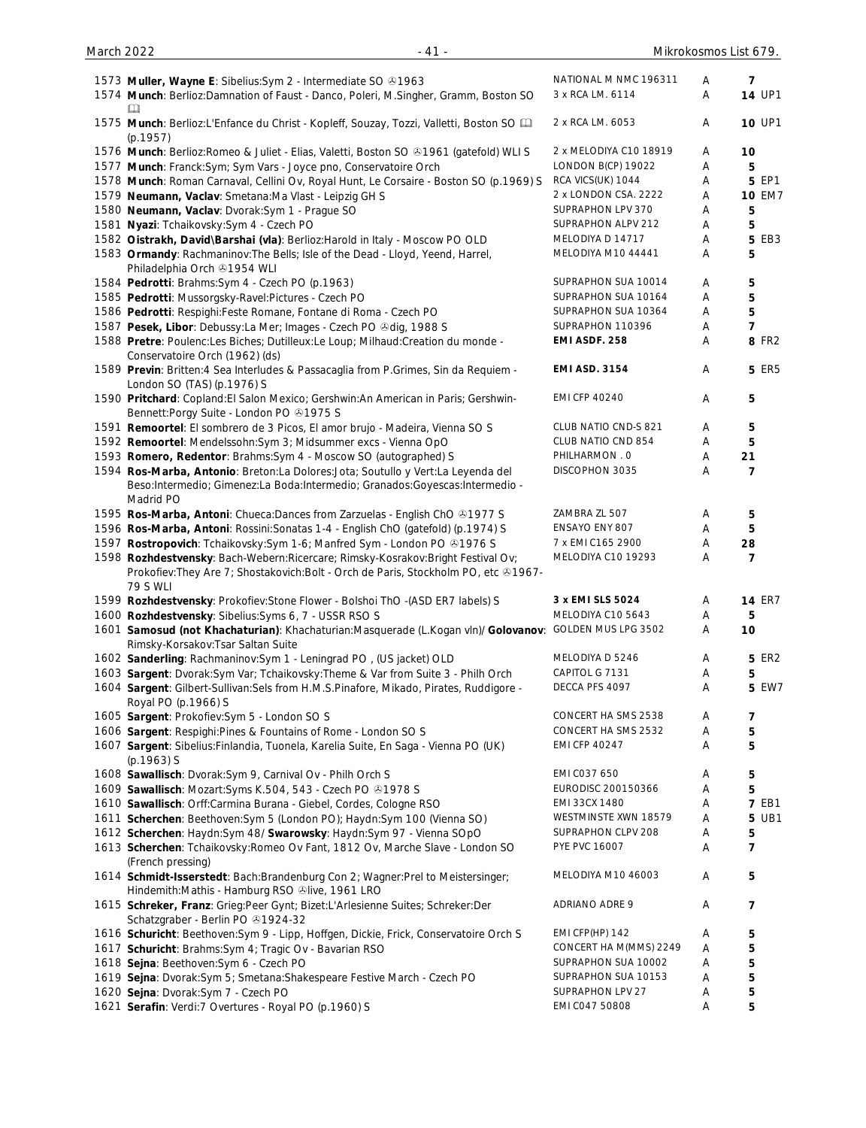| 1573 Muller, Wayne E: Sibelius: Sym 2 - Intermediate SO 31963<br>1574 Munch: Berlioz:Damnation of Faust - Danco, Poleri, M.Singher, Gramm, Boston SO<br>Ш                                   | NATIONAL M NMC 196311<br>3 x RCA LM. 6114 | A<br>Α | $\overline{7}$<br><b>14 UP1</b> |
|---------------------------------------------------------------------------------------------------------------------------------------------------------------------------------------------|-------------------------------------------|--------|---------------------------------|
| 1575 Munch: Berlioz:L'Enfance du Christ - Kopleff, Souzay, Tozzi, Valletti, Boston SO [11]<br>(p.1957)                                                                                      | 2 x RCA LM. 6053                          | A      | 10 UP1                          |
| 1576 Munch: Berlioz: Romeo & Juliet - Elias, Valetti, Boston SO & 1961 (gatefold) WLI S                                                                                                     | 2 x MELODIYA C10 18919                    | Α      | 10                              |
| 1577 Munch: Franck: Sym; Sym Vars - Joyce pno, Conservatoire Orch                                                                                                                           | LONDON B(CP) 19022                        | Α      | 5                               |
| 1578 Munch: Roman Carnaval, Cellini Ov, Royal Hunt, Le Corsaire - Boston SO (p.1969) S                                                                                                      | RCA VICS(UK) 1044                         | Α      | 5 EP1                           |
| 1579 Neumann, Vaclav: Smetana:Ma Vlast - Leipzig GH S                                                                                                                                       | 2 x LONDON CSA. 2222                      | Α      | <b>10 EM7</b>                   |
| 1580 Neumann, Vaclav: Dvorak:Sym 1 - Prague SO                                                                                                                                              | SUPRAPHON LPV 370                         | Α      | 5                               |
| 1581 Nyazi: Tchaikovsky: Sym 4 - Czech PO                                                                                                                                                   | SUPRAPHON ALPV 212                        | Α      | 5                               |
| 1582 Oistrakh, David\Barshai (vla): Berlioz: Harold in Italy - Moscow PO OLD                                                                                                                | MELODIYA D 14717                          | Α      | 5 EB3                           |
| 1583 Ormandy: Rachmaninov: The Bells; Isle of the Dead - Lloyd, Yeend, Harrel,                                                                                                              | MELODIYA M10 44441                        | A      | 5                               |
| Philadelphia Orch +1954 WLI                                                                                                                                                                 | SUPRAPHON SUA 10014                       | Α      |                                 |
| 1584 Pedrotti: Brahms: Sym 4 - Czech PO (p.1963)                                                                                                                                            | SUPRAPHON SUA 10164                       |        | 5                               |
| 1585 Pedrotti: Mussorgsky-Ravel:Pictures - Czech PO                                                                                                                                         | SUPRAPHON SUA 10364                       | A      | 5                               |
| 1586 Pedrotti: Respighi: Feste Romane, Fontane di Roma - Czech PO                                                                                                                           |                                           | Α      | 5                               |
| 1587 Pesek, Libor: Debussy:La Mer; Images - Czech PO & dig, 1988 S                                                                                                                          | SUPRAPHON 110396                          | Α      | 7                               |
| 1588 Pretre: Poulenc:Les Biches; Dutilleux:Le Loup; Milhaud:Creation du monde -                                                                                                             | EMI ASDF. 258                             | Α      | <b>8 FR2</b>                    |
| Conservatoire Orch (1962) (ds)<br>1589 Previn: Britten: 4 Sea Interludes & Passacaglia from P.Grimes, Sin da Requiem -                                                                      | <b>EMI ASD. 3154</b>                      | A      | <b>5 ER5</b>                    |
| London SO (TAS) (p.1976) S<br>1590 Pritchard: Copland: El Salon Mexico; Gershwin: An American in Paris; Gershwin-                                                                           | <b>EMI CFP 40240</b>                      | Α      | 5                               |
| Bennett: Porgy Suite - London PO 21975 S                                                                                                                                                    | CLUB NATIO CND-S 821                      |        |                                 |
| 1591 Remoortel: El sombrero de 3 Picos, El amor brujo - Madeira, Vienna SO S                                                                                                                | CLUB NATIO CND 854                        | A      | 5                               |
| 1592 Remoortel: Mendelssohn: Sym 3; Midsummer excs - Vienna OpO                                                                                                                             |                                           | A      | 5                               |
| 1593 Romero, Redentor: Brahms: Sym 4 - Moscow SO (autographed) S                                                                                                                            | PHILHARMON . 0                            | Α      | 21                              |
| 1594 Ros-Marba, Antonio: Breton:La Dolores:Jota; Soutullo y Vert:La Leyenda del<br>Beso:Intermedio; Gimenez:La Boda:Intermedio; Granados:Goyescas:Intermedio -<br>Madrid PO                 | DISCOPHON 3035                            | Α      | 7                               |
| 1595 Ros-Marba, Antoni: Chueca:Dances from Zarzuelas - English ChO & 1977 S                                                                                                                 | ZAMBRA ZL 507                             | A      | 5                               |
| 1596 Ros-Marba, Antoni: Rossini: Sonatas 1-4 - English ChO (gatefold) (p.1974) S                                                                                                            | ENSAYO ENY 807                            | Α      | 5                               |
| 1597 Rostropovich: Tchaikovsky: Sym 1-6; Manfred Sym - London PO @1976 S                                                                                                                    | 7 x EMI C165 2900                         | Α      | 28                              |
| 1598 Rozhdestvensky: Bach-Webern: Ricercare; Rimsky-Kosrakov: Bright Festival Ov;<br>Prokofiev: They Are 7; Shostakovich: Bolt - Orch de Paris, Stockholm PO, etc +1967-<br><b>79 S WLI</b> | MELODIYA C10 19293                        | Α      | 7                               |
| 1599 Rozhdestvensky: Prokofiev: Stone Flower - Bolshoi ThO -(ASD ER7 labels) S                                                                                                              | 3 x EMI SLS 5024                          | Α      | <b>14 ER7</b>                   |
| 1600 Rozhdestvensky: Sibelius: Syms 6, 7 - USSR RSO S                                                                                                                                       | MELODIYA C10 5643                         | A      |                                 |
| 1601 Samosud (not Khachaturian): Khachaturian: Masquerade (L.Kogan vln)/ Golovanov: GOLDEN MUS LPG 3502<br>Rimsky-Korsakov: Tsar Saltan Suite                                               |                                           | A      | 10                              |
| 1602 Sanderling: Rachmaninov: Sym 1 - Leningrad PO, (US jacket) OLD                                                                                                                         | MELODIYA D 5246                           | A      | 5 ER2                           |
| 1603 Sargent: Dvorak:Sym Var; Tchaikovsky: Theme & Var from Suite 3 - Philh Orch                                                                                                            | CAPITOL G 7131                            | Α      | 5                               |
| 1604 Sargent: Gilbert-Sullivan: Sels from H.M.S.Pinafore, Mikado, Pirates, Ruddigore -<br>Royal PO (p.1966) S                                                                               | DECCA PFS 4097                            | Α      | 5 EW7                           |
| 1605 Sargent: Prokofiev: Sym 5 - London SO S                                                                                                                                                | CONCERT HA SMS 2538                       | A      | 7                               |
| 1606 Sargent: Respighi: Pines & Fountains of Rome - London SO S                                                                                                                             | CONCERT HA SMS 2532                       | A      | 5                               |
| 1607 Sargent: Sibelius: Finlandia, Tuonela, Karelia Suite, En Saga - Vienna PO (UK)<br>$(p.1963)$ S                                                                                         | <b>EMI CFP 40247</b>                      | Α      | 5                               |
| 1608 Sawallisch: Dvorak: Sym 9, Carnival Ov - Philh Orch S                                                                                                                                  | EMI C037 650                              | Α      | 5                               |
| 1609 Sawallisch: Mozart: Syms K.504, 543 - Czech PO & 1978 S                                                                                                                                | EURODISC 200150366                        | A      | 5                               |
| 1610 Sawallisch: Orff:Carmina Burana - Giebel, Cordes, Cologne RSO                                                                                                                          | EMI 33CX 1480                             | Α      | <b>7 EB1</b>                    |
| 1611 Scherchen: Beethoven: Sym 5 (London PO); Haydn: Sym 100 (Vienna SO)                                                                                                                    | WESTMINSTE XWN 18579                      | Α      | 5 UB1                           |
| 1612 Scherchen: Haydn:Sym 48/ Swarowsky: Haydn:Sym 97 - Vienna SOpO                                                                                                                         | SUPRAPHON CLPV 208                        | A      | 5                               |
|                                                                                                                                                                                             | PYE PVC 16007                             | A      | 7                               |
| 1613 Scherchen: Tchaikovsky: Romeo Ov Fant, 1812 Ov, Marche Slave - London SO<br>(French pressing)                                                                                          | MELODIYA M10 46003                        |        |                                 |
| 1614 Schmidt-Isserstedt: Bach:Brandenburg Con 2; Wagner:Prel to Meistersinger;<br>Hindemith: Mathis - Hamburg RSO Olive, 1961 LRO                                                           |                                           | Α      | 5                               |
| 1615 Schreker, Franz: Grieg:Peer Gynt; Bizet:L'Arlesienne Suites; Schreker:Der<br>Schatzgraber - Berlin PO 31924-32                                                                         | ADRIANO ADRE 9                            | A      | 7                               |
| 1616 Schuricht: Beethoven: Sym 9 - Lipp, Hoffgen, Dickie, Frick, Conservatoire Orch S                                                                                                       | EMI CFP(HP) 142                           | Α      | 5                               |
| 1617 Schuricht: Brahms: Sym 4; Tragic Ov - Bavarian RSO                                                                                                                                     | CONCERT HA M(MMS) 2249                    | A      | 5                               |
| 1618 Sejna: Beethoven: Sym 6 - Czech PO                                                                                                                                                     | SUPRAPHON SUA 10002                       | Α      | 5                               |
| 1619 Sejna: Dvorak: Sym 5; Smetana: Shakespeare Festive March - Czech PO                                                                                                                    | SUPRAPHON SUA 10153                       | A      | 5                               |
| 1620 Sejna: Dvorak: Sym 7 - Czech PO                                                                                                                                                        | SUPRAPHON LPV 27                          | A      | 5                               |
| 1621 Serafin: Verdi: 7 Overtures - Royal PO (p.1960) S                                                                                                                                      | EMI C047 50808                            | A      | 5                               |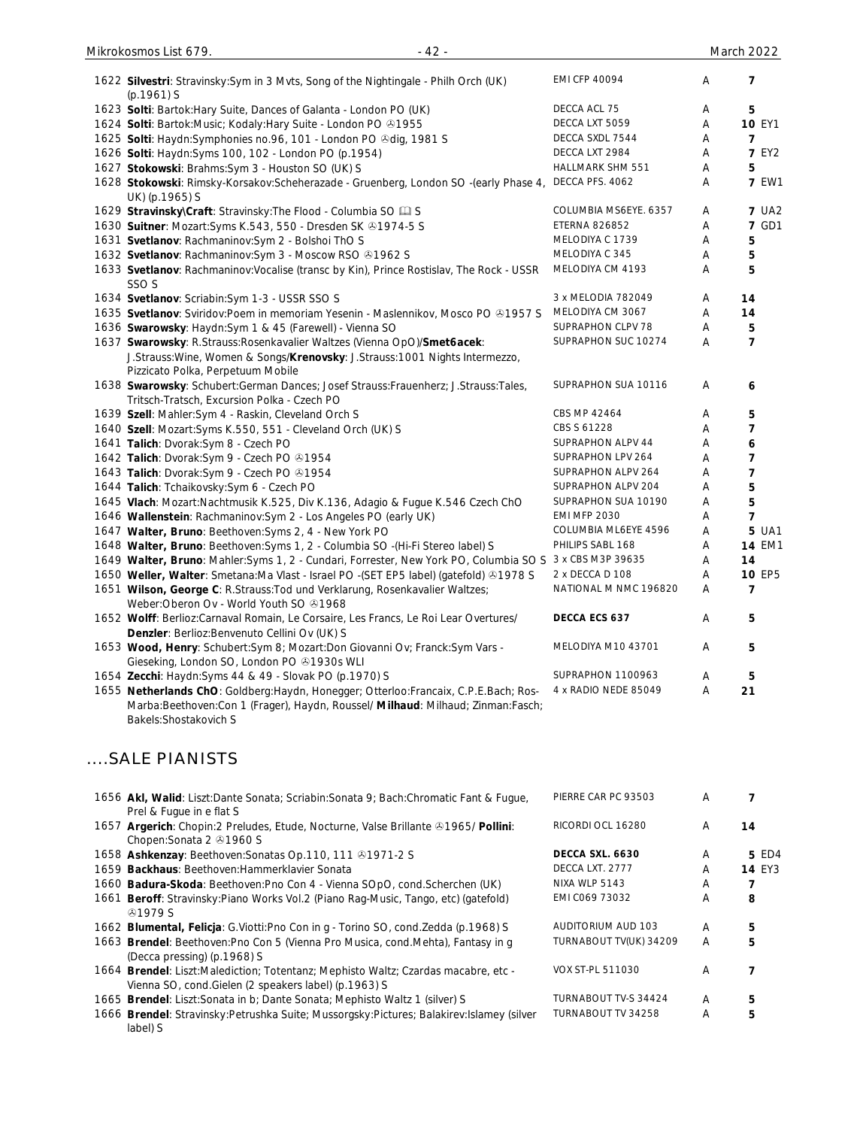| 1622 Silvestri: Stravinsky: Sym in 3 Mvts, Song of the Nightingale - Philh Orch (UK)<br>$(p.1961)$ S                              | <b>EMI CFP 40094</b>    | Α | 7             |
|-----------------------------------------------------------------------------------------------------------------------------------|-------------------------|---|---------------|
| 1623 Solti: Bartok: Hary Suite, Dances of Galanta - London PO (UK)                                                                | DECCA ACL 75            | A | 5             |
| 1624 Solti: Bartok: Music; Kodaly: Hary Suite - London PO 31955                                                                   | DECCA LXT 5059          | Α | <b>10 EY1</b> |
| 1625 Solti: Haydn: Symphonies no. 96, 101 - London PO & dig, 1981 S                                                               | DECCA SXDL 7544         | Α | 7             |
| 1626 Solti: Haydn: Syms 100, 102 - London PO (p.1954)                                                                             | DECCA LXT 2984          | Α | <b>7 EY2</b>  |
| 1627 Stokowski: Brahms: Sym 3 - Houston SO (UK) S                                                                                 | <b>HALLMARK SHM 551</b> | Α | 5             |
| 1628 Stokowski: Rimsky-Korsakov:Scheherazade - Gruenberg, London SO -(early Phase 4,<br>UK) (p.1965) S                            | DECCA PFS. 4062         | Α | <b>7 EW1</b>  |
| 1629 Stravinsky\Craft: Stravinsky: The Flood - Columbia SO La S                                                                   | COLUMBIA MS6EYE. 6357   | Α | <b>7 UA2</b>  |
| 1630 Suitner: Mozart: Syms K. 543, 550 - Dresden SK @1974-5 S                                                                     | <b>ETERNA 826852</b>    | Α | <b>7 GD1</b>  |
| 1631 Svetlanov: Rachmaninov: Sym 2 - Bolshoi ThO S                                                                                | MELODIYA C 1739         | Α | 5             |
| 1632 Svetlanov: Rachmaninov: Sym 3 - Moscow RSO @1962 S                                                                           | MELODIYA C 345          | Α | 5             |
| 1633 Svetlanov: Rachmaninov: Vocalise (transc by Kin), Prince Rostislav, The Rock - USSR<br>SSO <sub>S</sub>                      | MELODIYA CM 4193        | Α | 5             |
| 1634 Svetlanov: Scriabin: Sym 1-3 - USSR SSO S                                                                                    | 3 x MELODIA 782049      | Α | 14            |
| 1635 Svetlanov: Sviridov: Poem in memoriam Yesenin - Maslennikov, Mosco PO 21957 S                                                | MELODIYA CM 3067        | Α | 14            |
| 1636 Swarowsky: Haydn:Sym 1 & 45 (Farewell) - Vienna SO                                                                           | SUPRAPHON CLPV 78       | Α | 5             |
| 1637 Swarowsky: R.Strauss: Rosenkavalier Waltzes (Vienna OpO)/Smet6acek:                                                          | SUPRAPHON SUC 10274     | Α | 7             |
| J.Strauss: Wine, Women & Songs/Krenovsky: J.Strauss: 1001 Nights Intermezzo,<br>Pizzicato Polka, Perpetuum Mobile                 |                         |   |               |
| 1638 Swarowsky: Schubert:German Dances; Josef Strauss:Frauenherz; J.Strauss:Tales,<br>Tritsch-Tratsch, Excursion Polka - Czech PO | SUPRAPHON SUA 10116     | A | 6             |
| 1639 Szell: Mahler: Sym 4 - Raskin, Cleveland Orch S                                                                              | CBS MP 42464            | Α | 5             |
| 1640 Szell: Mozart: Syms K.550, 551 - Cleveland Orch (UK) S                                                                       | CBS S 61228             | A | 7             |
| 1641 Talich: Dvorak: Sym 8 - Czech PO                                                                                             | SUPRAPHON ALPV 44       | Α | 6             |
| 1642 Talich: Dvorak: Sym 9 - Czech PO 31954                                                                                       | SUPRAPHON LPV 264       | Α | 7             |
| 1643 Talich: Dvorak:Sym 9 - Czech PO @1954                                                                                        | SUPRAPHON ALPV 264      | A | 7             |
| 1644 Talich: Tchaikovsky: Sym 6 - Czech PO                                                                                        | SUPRAPHON ALPV 204      | Α | 5             |
| 1645 Vlach: Mozart:Nachtmusik K.525, Div K.136, Adagio & Fugue K.546 Czech ChO                                                    | SUPRAPHON SUA 10190     | Α | 5             |
| 1646 Wallenstein: Rachmaninov: Sym 2 - Los Angeles PO (early UK)                                                                  | <b>EMI MFP 2030</b>     | Α | 7             |
| 1647 Walter, Bruno: Beethoven: Syms 2, 4 - New York PO                                                                            | COLUMBIA ML6EYE 4596    | Α | 5 UA1         |
| 1648 Walter, Bruno: Beethoven: Syms 1, 2 - Columbia SO -(Hi-Fi Stereo label) S                                                    | PHILIPS SABL 168        | Α | <b>14 EM1</b> |
| 1649 Walter, Bruno: Mahler: Syms 1, 2 - Cundari, Forrester, New York PO, Columbia SO S                                            | 3 x CBS M3P 39635       | Α | 14            |
| 1650 Weller, Walter: Smetana:Ma Vlast - Israel PO -(SET EP5 label) (gatefold) @1978 S                                             | 2 x DECCA D 108         | Α | <b>10 EP5</b> |
| 1651 Wilson, George C: R.Strauss: Tod und Verklarung, Rosenkavalier Waltzes;<br>Weber: Oberon Ov - World Youth SO 31968           | NATIONAL M NMC 196820   | Α | 7             |
| 1652 Wolff: Berlioz:Carnaval Romain, Le Corsaire, Les Francs, Le Roi Lear Overtures/                                              | DECCA ECS 637           | A | 5             |
| Denzler: Berlioz: Benvenuto Cellini Ov (UK) S                                                                                     |                         |   |               |
| 1653 Wood, Henry: Schubert: Sym 8; Mozart: Don Giovanni Ov; Franck: Sym Vars -<br>Gieseking, London SO, London PO 21930s WLI      | MELODIYA M10 43701      | Α | 5             |
| 1654 Zecchi: Haydn: Syms 44 & 49 - Slovak PO (p.1970) S                                                                           | SUPRAPHON 1100963       | A | 5             |
| 1655 Netherlands ChO: Goldberg: Haydn, Honegger; Otterloo: Francaix, C.P.E. Bach; Ros-                                            | 4 x RADIO NEDE 85049    | Α | 21            |
| Marba:Beethoven:Con 1 (Frager), Haydn, Roussel/ Milhaud: Milhaud; Zinman:Fasch;                                                   |                         |   |               |

Mikrokosmos List 679. - 42 - March 2022

....SALE PIANISTS

Bakels:Shostakovich S

| 1656 Akl, Walid: Liszt:Dante Sonata; Scriabin:Sonata 9; Bach:Chromatic Fant & Fugue,<br>Prel & Fugue in e flat S                            | PIERRE CAR PC 93503    | A |               |
|---------------------------------------------------------------------------------------------------------------------------------------------|------------------------|---|---------------|
| 1657 Argerich: Chopin:2 Preludes, Etude, Nocturne, Valse Brillante 31965/ Pollini:<br>Chopen: Sonata 2 31960 S                              | RICORDI OCL 16280      | A | 14            |
| 1658 Ashkenzay: Beethoven: Sonatas Op. 110, 111 0 1971-2 S                                                                                  | DECCA SXL, 6630        | A | 5 ED4         |
| 1659 Backhaus: Beethoven: Hammerklavier Sonata                                                                                              | DECCA LXT. 2777        | A | <b>14 EY3</b> |
| 1660 Badura-Skoda: Beethoven: Pno Con 4 - Vienna SOpO, cond. Scherchen (UK)                                                                 | NIXA WLP 5143          | A |               |
| 1661 Beroff: Stravinsky: Piano Works Vol. 2 (Piano Rag-Music, Tango, etc) (gatefold)<br>&0.1979S                                            | EMI C069 73032         | A | 8             |
| 1662 Blumental, Felicja: G.Viotti:Pno Con in g - Torino SO, cond.Zedda (p.1968) S                                                           | AUDITORIUM AUD 103     | A | 5             |
| 1663 Brendel: Beethoven: Pno Con 5 (Vienna Pro Musica, cond. Mehta), Fantasy in g<br>(Decca pressing) (p.1968) S                            | TURNABOUT TV(UK) 34209 | A | 5             |
| 1664 Brendel: Liszt: Malediction; Totentanz; Mephisto Waltz; Czardas macabre, etc -<br>Vienna SO, cond.Gielen (2 speakers label) (p.1963) S | VOX ST-PL 511030       | A |               |
| 1665 Brendel: Liszt: Sonata in b; Dante Sonata; Mephisto Waltz 1 (silver) S                                                                 | TURNABOUT TV-S 34424   | A | 5             |
| 1666 Brendel: Stravinsky: Petrushka Suite; Mussorgsky: Pictures; Balakirev: Islamey (silver<br>label) S                                     | TURNABOUT TV 34258     | A | 5             |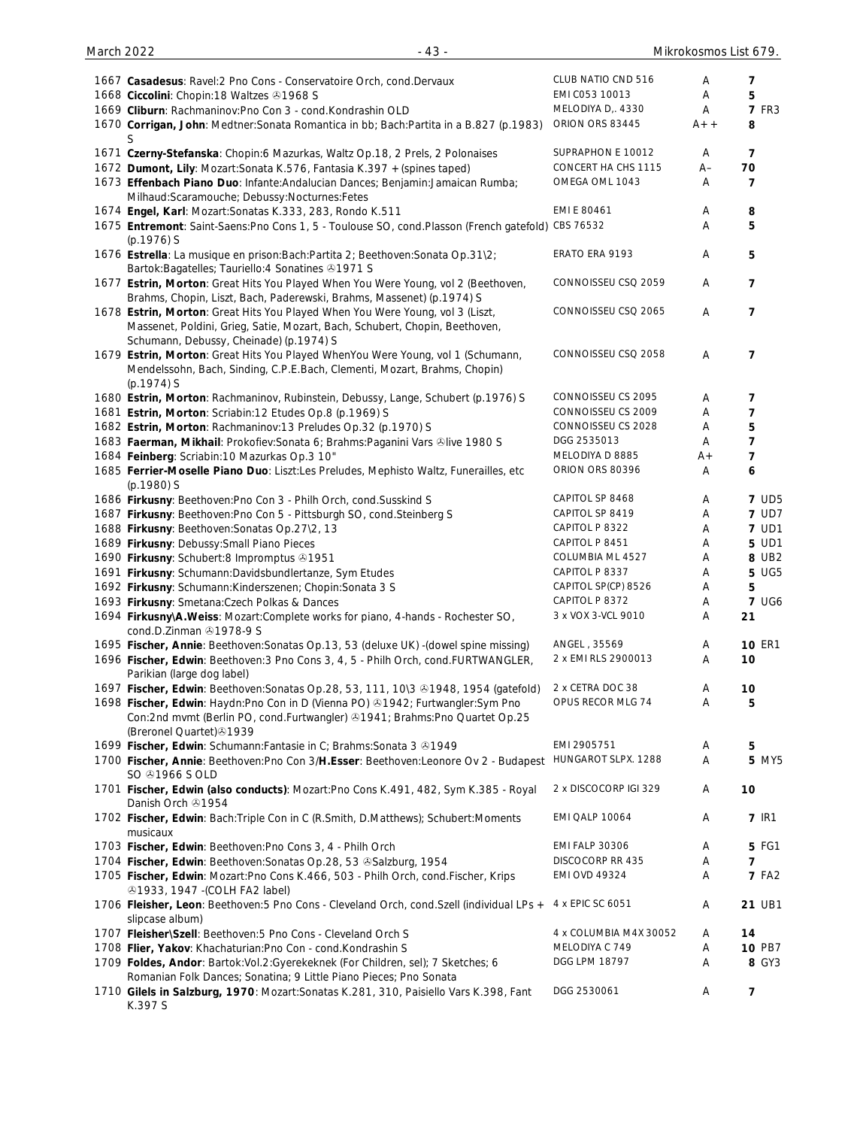| 1667 Casadesus: Ravel: 2 Pno Cons - Conservatoire Orch, cond. Dervaux                                                  | CLUB NATIO CND 516     | Α     | 7              |
|------------------------------------------------------------------------------------------------------------------------|------------------------|-------|----------------|
| 1668 Ciccolini: Chopin: 18 Waltzes 31968 S                                                                             | EMI C053 10013         | A     | 5              |
| 1669 Cliburn: Rachmaninov: Pno Con 3 - cond. Kondrashin OLD                                                            | MELODIYA D., 4330      | A     | <b>7 FR3</b>   |
| 1670 Corrigan, John: Medtner:Sonata Romantica in bb; Bach:Partita in a B.827 (p.1983)                                  | ORION ORS 83445        | $A++$ | 8              |
| S                                                                                                                      |                        |       |                |
| 1671 Czerny-Stefanska: Chopin:6 Mazurkas, Waltz Op.18, 2 Prels, 2 Polonaises                                           | SUPRAPHON E 10012      | A     | 7              |
| 1672 Dumont, Lily: Mozart: Sonata K.576, Fantasia K.397 + (spines taped)                                               | CONCERT HA CHS 1115    | A–    | 70             |
| 1673 Effenbach Piano Duo: Infante: Andalucian Dances; Benjamin: Jamaican Rumba;                                        | OMEGA OML 1043         | A     | 7              |
| Milhaud:Scaramouche; Debussy:Nocturnes:Fetes                                                                           |                        |       |                |
| 1674 Engel, Karl: Mozart: Sonatas K.333, 283, Rondo K.511                                                              | EMI E 80461            | A     | 8              |
| 1675 Entremont: Saint-Saens: Pno Cons 1, 5 - Toulouse SO, cond. Plasson (French gatefold)                              | CBS 76532              | A     | 5              |
| (p.1976) S                                                                                                             |                        |       |                |
| 1676 Estrella: La musique en prison: Bach: Partita 2; Beethoven: Sonata Op. 31\2;                                      | ERATO ERA 9193         | Α     | 5              |
| Bartok: Bagatelles; Tauriello: 4 Sonatines 31971 S                                                                     |                        |       |                |
| 1677 Estrin, Morton: Great Hits You Played When You Were Young, vol 2 (Beethoven,                                      | CONNOISSEU CSQ 2059    | Α     | 7              |
| Brahms, Chopin, Liszt, Bach, Paderewski, Brahms, Massenet) (p.1974) S                                                  | CONNOISSEU CSQ 2065    |       |                |
| 1678 Estrin, Morton: Great Hits You Played When You Were Young, vol 3 (Liszt,                                          |                        | A     | 7              |
| Massenet, Poldini, Grieg, Satie, Mozart, Bach, Schubert, Chopin, Beethoven,<br>Schumann, Debussy, Cheinade) (p.1974) S |                        |       |                |
| 1679 Estrin, Morton: Great Hits You Played WhenYou Were Young, vol 1 (Schumann,                                        | CONNOISSEU CSQ 2058    | A     | 7              |
| Mendelssohn, Bach, Sinding, C.P.E.Bach, Clementi, Mozart, Brahms, Chopin)                                              |                        |       |                |
| $(p.1974)$ S                                                                                                           |                        |       |                |
| 1680 Estrin, Morton: Rachmaninov, Rubinstein, Debussy, Lange, Schubert (p.1976) S                                      | CONNOISSEU CS 2095     | Α     | 7              |
| 1681 Estrin, Morton: Scriabin:12 Etudes Op.8 (p.1969) S                                                                | CONNOISSEU CS 2009     | A     | $\overline{7}$ |
| 1682 Estrin, Morton: Rachmaninov:13 Preludes Op.32 (p.1970) S                                                          | CONNOISSEU CS 2028     | Α     | 5              |
| 1683 Faerman, Mikhail: Prokofiev: Sonata 6; Brahms: Paganini Vars ®live 1980 S                                         | DGG 2535013            | Α     | $\overline{7}$ |
| 1684 Feinberg: Scriabin: 10 Mazurkas Op.3 10"                                                                          | MELODIYA D 8885        | A+    | 7              |
| 1685 Ferrier-Moselle Piano Duo: Liszt:Les Preludes, Mephisto Waltz, Funerailles, etc                                   | ORION ORS 80396        | Α     | 6              |
| (p.1980) S                                                                                                             |                        |       |                |
| 1686 Firkusny: Beethoven: Pno Con 3 - Philh Orch, cond. Susskind S                                                     | CAPITOL SP 8468        | Α     | <b>7 UD5</b>   |
| 1687 Firkusny: Beethoven: Pno Con 5 - Pittsburgh SO, cond. Steinberg S                                                 | CAPITOL SP 8419        | Α     | <b>7 UD7</b>   |
| 1688 Firkusny: Beethoven: Sonatas Op.27\2, 13                                                                          | CAPITOL P 8322         | Α     | <b>7 UD1</b>   |
| 1689 Firkusny: Debussy: Small Piano Pieces                                                                             | CAPITOL P 8451         | Α     | 5 UD1          |
| 1690 Firkusny: Schubert:8 Impromptus 31951                                                                             | COLUMBIA ML 4527       | Α     | 8 UB2          |
| 1691 Firkusny: Schumann: Davidsbundlertanze, Sym Etudes                                                                | CAPITOL P 8337         | Α     | 5 UG5          |
| 1692 Firkusny: Schumann: Kinderszenen; Chopin: Sonata 3 S                                                              | CAPITOL SP(CP) 8526    | Α     | 5              |
| 1693 Firkusny: Smetana: Czech Polkas & Dances                                                                          | CAPITOL P 8372         | Α     | <b>7 UG6</b>   |
| 1694 Firkusny\A.Weiss: Mozart:Complete works for piano, 4-hands - Rochester SO,                                        | 3 x VOX 3-VCL 9010     | Α     | 21             |
| cond.D.Zinman 21978-9 S                                                                                                |                        |       |                |
| 1695 Fischer, Annie: Beethoven: Sonatas Op.13, 53 (deluxe UK) - (dowel spine missing)                                  | ANGEL, 35569           | A     | <b>10 ER1</b>  |
| 1696 Fischer, Edwin: Beethoven: 3 Pno Cons 3, 4, 5 - Philh Orch, cond.FURTWANGLER,                                     | 2 x EMI RLS 2900013    | Α     | 10             |
| Parikian (large dog label)                                                                                             |                        |       |                |
| 1697 Fischer, Edwin: Beethoven: Sonatas Op.28, 53, 111, 10\3 & 1948, 1954 (gatefold)                                   | 2 x CETRA DOC 38       | A     | 10             |
| 1698 Fischer, Edwin: Haydn: Pno Con in D (Vienna PO) 31942; Furtwangler: Sym Pno                                       | OPUS RECOR MLG 74      | Α     | 5              |
| Con:2nd mvmt (Berlin PO, cond.Furtwangler) @1941; Brahms:Pno Quartet Op.25                                             |                        |       |                |
| (Breronel Quartet) 31939                                                                                               |                        |       |                |
| 1699 Fischer, Edwin: Schumann: Fantasie in C; Brahms: Sonata 3 81949                                                   | EMI 2905751            | Α     | 5              |
| 1700 Fischer, Annie: Beethoven: Pno Con 3/H. Esser: Beethoven: Leonore Ov 2 - Budapest                                 | HUNGAROT SLPX. 1288    | A     | <b>5 MY5</b>   |
| SO $@1966$ S OLD                                                                                                       |                        |       |                |
| 1701 Fischer, Edwin (also conducts): Mozart:Pno Cons K.491, 482, Sym K.385 - Royal                                     | 2 x DISCOCORP IGI 329  | A     | 10             |
| Danish Orch & 1954                                                                                                     |                        |       |                |
| 1702 Fischer, Edwin: Bach:Triple Con in C (R.Smith, D.Matthews); Schubert:Moments                                      | EMI QALP 10064         | Α     | <b>7 IR1</b>   |
| musicaux                                                                                                               |                        |       |                |
| 1703 Fischer, Edwin: Beethoven: Pno Cons 3, 4 - Philh Orch                                                             | <b>EMI FALP 30306</b>  | A     | 5 FG1          |
| 1704 Fischer, Edwin: Beethoven: Sonatas Op. 28, 53 & Salzburg, 1954                                                    | DISCOCORP RR 435       | A     | $\overline{7}$ |
| 1705 Fischer, Edwin: Mozart:Pno Cons K.466, 503 - Philh Orch, cond.Fischer, Krips                                      | <b>EMI OVD 49324</b>   | Α     | <b>7 FA2</b>   |
| 21933, 1947 - (COLH FA2 label)                                                                                         |                        |       |                |
| 1706 Fleisher, Leon: Beethoven: 5 Pno Cons - Cleveland Orch, cond. Szell (individual LPs + 4 x EPIC SC 6051            |                        | Α     | 21 UB1         |
| slipcase album)                                                                                                        |                        |       |                |
| 1707 Fleisher\Szell: Beethoven: 5 Pno Cons - Cleveland Orch S                                                          | 4 x COLUMBIA M4X 30052 | A     | 14             |
| 1708 Flier, Yakov: Khachaturian: Pno Con - cond. Kondrashin S                                                          | MELODIYA C 749         | Α     | 10 PB7         |
| 1709 Foldes, Andor: Bartok: Vol. 2: Gyerekeknek (For Children, sel); 7 Sketches; 6                                     | DGG LPM 18797          | Α     | 8 GY3          |
| Romanian Folk Dances; Sonatina; 9 Little Piano Pieces; Pno Sonata                                                      | DGG 2530061            |       |                |
| 1710 Gilels in Salzburg, 1970: Mozart: Sonatas K.281, 310, Paisiello Vars K.398, Fant<br>K.397 S                       |                        | Α     | $\overline{7}$ |
|                                                                                                                        |                        |       |                |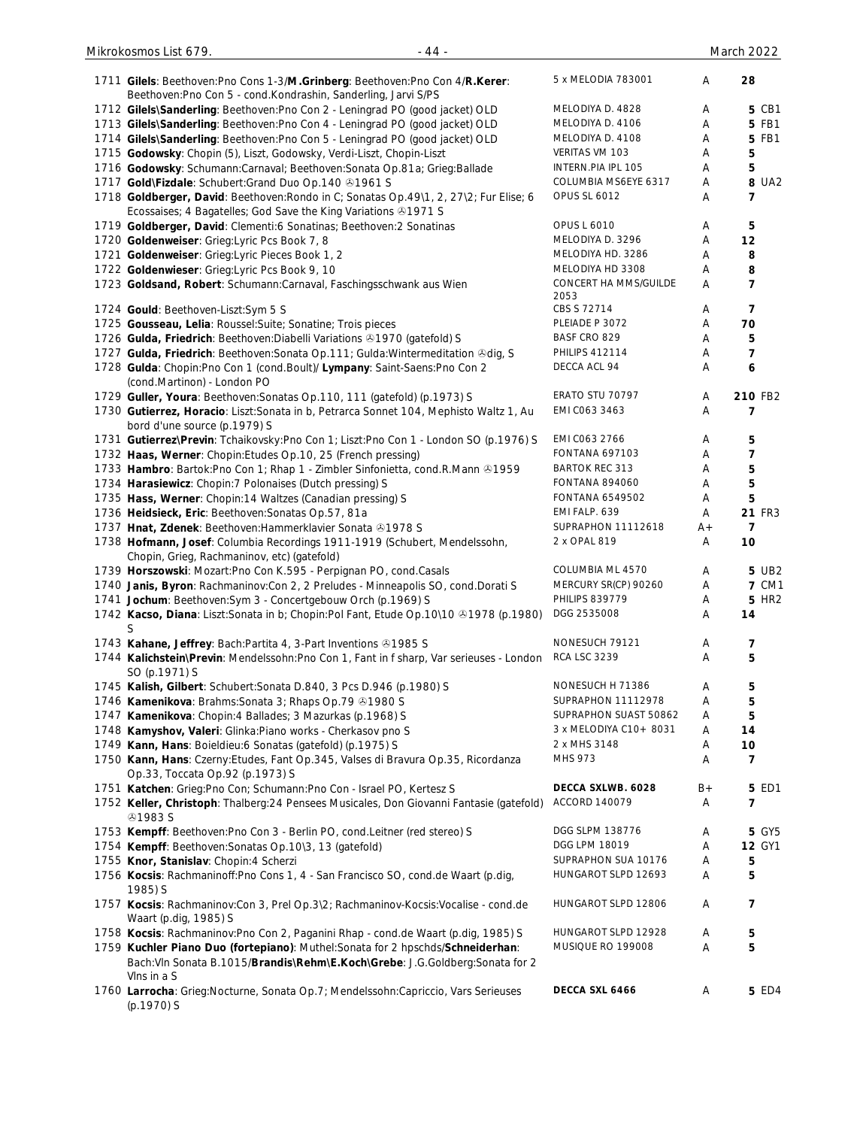| 1711 Gilels: Beethoven: Pno Cons 1-3/M. Grinberg: Beethoven: Pno Con 4/R. Kerer:<br>Beethoven: Pno Con 5 - cond. Kondrashin, Sanderling, Jarvi S/PS | 5 x MELODIA 783001     | Α     | 28               |
|-----------------------------------------------------------------------------------------------------------------------------------------------------|------------------------|-------|------------------|
| 1712 Gilels\Sanderling: Beethoven:Pno Con 2 - Leningrad PO (good jacket) OLD                                                                        | MELODIYA D. 4828       | Α     | 5 CB1            |
| 1713 Gilels\Sanderling: Beethoven:Pno Con 4 - Leningrad PO (good jacket) OLD                                                                        | MELODIYA D. 4106       | Α     | 5 FB1            |
| 1714 Gilels\Sanderling: Beethoven:Pno Con 5 - Leningrad PO (good jacket) OLD                                                                        | MELODIYA D. 4108       | Α     | 5 FB1            |
| 1715 Godowsky: Chopin (5), Liszt, Godowsky, Verdi-Liszt, Chopin-Liszt                                                                               | VERITAS VM 103         | Α     | 5                |
| 1716 Godowsky: Schumann:Carnaval; Beethoven:Sonata Op.81a; Grieg:Ballade                                                                            | INTERN.PIA IPL 105     | Α     | 5                |
| 1717 Gold\Fizdale: Schubert: Grand Duo Op. 140 81961 S                                                                                              | COLUMBIA MS6EYE 6317   | Α     | <b>8 UA2</b>     |
| 1718 Goldberger, David: Beethoven: Rondo in C; Sonatas Op. 49\1, 2, 27\2; Fur Elise; 6                                                              | <b>OPUS SL 6012</b>    | Α     | 7                |
| Ecossaises; 4 Bagatelles; God Save the King Variations ®1971 S                                                                                      |                        |       |                  |
| 1719 Goldberger, David: Clementi:6 Sonatinas; Beethoven:2 Sonatinas                                                                                 | <b>OPUS L 6010</b>     | Α     | 5                |
| 1720 Goldenweiser: Grieg:Lyric Pcs Book 7, 8                                                                                                        | MELODIYA D. 3296       | Α     | 12               |
| 1721 Goldenweiser: Grieg:Lyric Pieces Book 1, 2                                                                                                     | MELODIYA HD. 3286      | Α     | 8                |
| 1722 Goldenwieser: Grieg:Lyric Pcs Book 9, 10                                                                                                       | MELODIYA HD 3308       | Α     | 8                |
| 1723 Goldsand, Robert: Schumann: Carnaval, Faschingsschwank aus Wien                                                                                | CONCERT HA MMS/GUILDE  | Α     | $\overline{7}$   |
|                                                                                                                                                     | 2053                   |       |                  |
| 1724 Gould: Beethoven-Liszt:Sym 5 S                                                                                                                 | CBS S 72714            | Α     | 7                |
| 1725 Gousseau, Lelia: Roussel: Suite; Sonatine; Trois pieces                                                                                        | PLEIADE P 3072         | Α     | 70               |
| 1726 Gulda, Friedrich: Beethoven: Diabelli Variations @1970 (gatefold) S                                                                            | BASF CRO 829           | Α     | 5                |
| 1727 Gulda, Friedrich: Beethoven: Sonata Op.111; Gulda: Wintermeditation & dig, S                                                                   | <b>PHILIPS 412114</b>  | A     | 7                |
| 1728 Gulda: Chopin: Pno Con 1 (cond. Boult)/ Lympany: Saint-Saens: Pno Con 2                                                                        | DECCA ACL 94           | Α     | $\boldsymbol{6}$ |
| (cond.Martinon) - London PO                                                                                                                         |                        |       |                  |
| 1729 Guller, Youra: Beethoven: Sonatas Op.110, 111 (gatefold) (p.1973) S                                                                            | ERATO STU 70797        | Α     | 210 FB2          |
| 1730 Gutierrez, Horacio: Liszt:Sonata in b, Petrarca Sonnet 104, Mephisto Waltz 1, Au<br>bord d'une source (p.1979) S                               | EMI C063 3463          | Α     | 7                |
| 1731 Gutierrez\Previn: Tchaikovsky:Pno Con 1; Liszt:Pno Con 1 - London SO (p.1976) S                                                                | EMI C063 2766          | Α     | 5                |
| 1732 Haas, Werner: Chopin: Etudes Op. 10, 25 (French pressing)                                                                                      | <b>FONTANA 697103</b>  | Α     | 7                |
| 1733 Hambro: Bartok: Pno Con 1; Rhap 1 - Zimbler Sinfonietta, cond. R. Mann @1959                                                                   | <b>BARTOK REC 313</b>  | Α     | 5                |
| 1734 Harasiewicz: Chopin: 7 Polonaises (Dutch pressing) S                                                                                           | FONTANA 894060         | Α     | 5                |
| 1735 Hass, Werner: Chopin:14 Waltzes (Canadian pressing) S                                                                                          | FONTANA 6549502        | Α     | 5                |
| 1736 Heidsieck, Eric: Beethoven: Sonatas Op.57, 81a                                                                                                 | EMI FALP. 639          | Α     | 21 FR3           |
|                                                                                                                                                     | SUPRAPHON 11112618     | $A +$ | $\overline{7}$   |
| 1737 Hnat, Zdenek: Beethoven: Hammerklavier Sonata 21978 S                                                                                          | 2 x OPAL 819           |       |                  |
| 1738 Hofmann, Josef: Columbia Recordings 1911-1919 (Schubert, Mendelssohn,<br>Chopin, Grieg, Rachmaninov, etc) (gatefold)                           |                        | Α     | 10               |
| 1739 Horszowski: Mozart:Pno Con K.595 - Perpignan PO, cond.Casals                                                                                   | COLUMBIA ML 4570       | Α     | 5 UB2            |
| 1740 Janis, Byron: Rachmaninov:Con 2, 2 Preludes - Minneapolis SO, cond.Dorati S                                                                    | MERCURY SR(CP) 90260   | Α     | <b>7 CM1</b>     |
| 1741 Jochum: Beethoven: Sym 3 - Concertgebouw Orch (p.1969) S                                                                                       | <b>PHILIPS 839779</b>  | Α     | <b>5 HR2</b>     |
| 1742 Kacso, Diana: Liszt:Sonata in b; Chopin:Pol Fant, Etude Op.10\10 & 1978 (p.1980)                                                               | DGG 2535008            | Α     | 14               |
| S                                                                                                                                                   |                        |       |                  |
| 1743 Kahane, Jeffrey: Bach: Partita 4, 3-Part Inventions 31985 S                                                                                    | NONESUCH 79121         | Α     | 7                |
| 1744 Kalichstein\Previn: Mendelssohn:Pno Con 1, Fant in f sharp, Var serieuses - London                                                             | <b>RCA LSC 3239</b>    | Α     | 5                |
| SO (p.1971) S                                                                                                                                       |                        |       |                  |
| 1745 Kalish, Gilbert: Schubert: Sonata D.840, 3 Pcs D.946 (p.1980) S                                                                                | NONESUCH H 71386       | Α     | 5                |
| 1746 Kamenikova: Brahms: Sonata 3; Rhaps Op. 79 @ 1980 S                                                                                            | SUPRAPHON 11112978     | Α     | 5                |
| 1747 Kamenikova: Chopin: 4 Ballades; 3 Mazurkas (p.1968) S                                                                                          | SUPRAPHON SUAST 50862  | Α     | 5                |
| 1748 Kamyshov, Valeri: Glinka: Piano works - Cherkasov pno S                                                                                        | 3 x MELODIYA C10+ 8031 | A     | 14               |
| 1749 Kann, Hans: Boieldieu:6 Sonatas (gatefold) (p.1975) S                                                                                          | 2 x MHS 3148           | Α     | 10               |
| 1750 Kann, Hans: Czerny: Etudes, Fant Op.345, Valses di Bravura Op.35, Ricordanza                                                                   | MHS 973                | Α     | 7                |
| Op.33, Toccata Op.92 (p.1973) S                                                                                                                     |                        |       |                  |
| 1751 Katchen: Grieg: Pno Con; Schumann: Pno Con - Israel PO, Kertesz S                                                                              | DECCA SXLWB. 6028      | $B+$  | 5 ED1            |
| 1752 Keller, Christoph: Thalberg: 24 Pensees Musicales, Don Giovanni Fantasie (gatefold)                                                            | ACCORD 140079          | Α     | 7                |
| <b>⊕1983 S</b>                                                                                                                                      |                        |       |                  |
|                                                                                                                                                     | DGG SLPM 138776        |       |                  |
| 1753 Kempff: Beethoven: Pno Con 3 - Berlin PO, cond. Leitner (red stereo) S                                                                         |                        | Α     | 5 GY5            |
| 1754 Kempff: Beethoven: Sonatas Op. 10\3, 13 (gatefold)                                                                                             | DGG LPM 18019          | Α     | <b>12 GY1</b>    |
| 1755 Knor, Stanislav: Chopin: 4 Scherzi                                                                                                             | SUPRAPHON SUA 10176    | Α     | 5                |
| 1756 Kocsis: Rachmaninoff: Pno Cons 1, 4 - San Francisco SO, cond.de Waart (p.dig,<br>1985) S                                                       | HUNGAROT SLPD 12693    | Α     | 5                |
| 1757 Kocsis: Rachmaninov:Con 3, Prel Op.3\2; Rachmaninov-Kocsis: Vocalise - cond.de<br>Waart (p.dig, 1985) S                                        | HUNGAROT SLPD 12806    | A     | 7                |
| 1758 Kocsis: Rachmaninov: Pno Con 2, Paganini Rhap - cond.de Waart (p.dig, 1985) S                                                                  | HUNGAROT SLPD 12928    | A     | 5                |
|                                                                                                                                                     | MUSIQUE RO 199008      | Α     | 5                |
| 1759 Kuchler Piano Duo (fortepiano): Muthel: Sonata for 2 hpschds/Schneiderhan:                                                                     |                        |       |                  |
| Bach: VIn Sonata B.1015/Brandis\Rehm\E.Koch\Grebe: J.G.Goldberg: Sonata for 2                                                                       |                        |       |                  |
| Vins in a S<br>1760 Larrocha: Grieg: Nocturne, Sonata Op.7; Mendelssohn: Capriccio, Vars Serieuses                                                  | DECCA SXL 6466         | Α     | 5 ED4            |
| (p.1970) S                                                                                                                                          |                        |       |                  |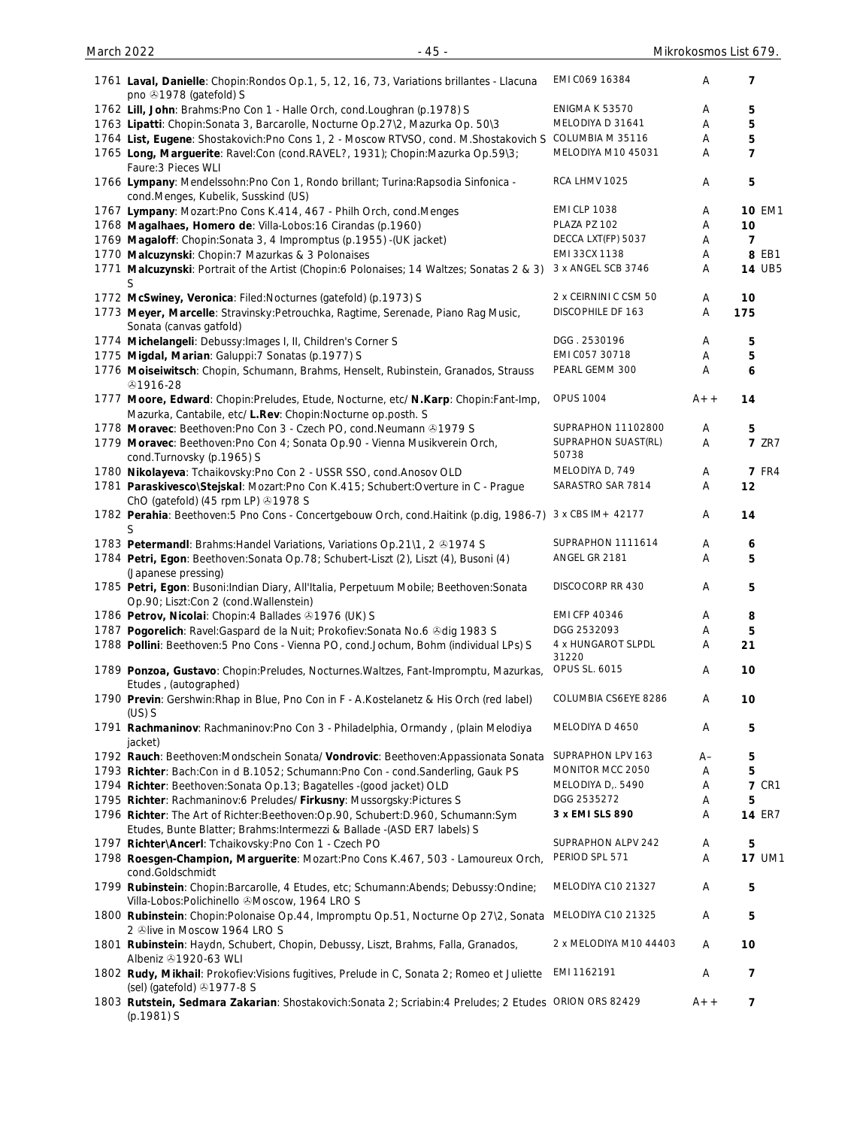| 1761 Laval, Danielle: Chopin: Rondos Op.1, 5, 12, 16, 73, Variations brillantes - Llacuna<br>pno +1978 (gatefold) S                                             | EMI C069 16384               | Α     | 7              |
|-----------------------------------------------------------------------------------------------------------------------------------------------------------------|------------------------------|-------|----------------|
| 1762 Lill, John: Brahms: Pno Con 1 - Halle Orch, cond. Loughran (p.1978) S                                                                                      | <b>ENIGMA K 53570</b>        | Α     | 5              |
| 1763 Lipatti: Chopin: Sonata 3, Barcarolle, Nocturne Op.27\2, Mazurka Op. 50\3                                                                                  | MELODIYA D 31641             | Α     | 5              |
| 1764 List, Eugene: Shostakovich: Pno Cons 1, 2 - Moscow RTVSO, cond. M. Shostakovich S                                                                          | COLUMBIA M 35116             | Α     | 5              |
|                                                                                                                                                                 |                              |       |                |
| 1765 Long, Marguerite: Ravel:Con (cond.RAVEL?, 1931); Chopin:Mazurka Op.59\3;<br>Faure: 3 Pieces WLI                                                            | MELODIYA M10 45031           | Α     | $\overline{7}$ |
| 1766 Lympany: Mendelssohn: Pno Con 1, Rondo brillant; Turina: Rapsodia Sinfonica -<br>cond.Menges, Kubelik, Susskind (US)                                       | RCA LHMV 1025                | A     | 5              |
| 1767 Lympany: Mozart: Pno Cons K.414, 467 - Philh Orch, cond. Menges                                                                                            | <b>EMI CLP 1038</b>          | Α     | <b>10 EM1</b>  |
| 1768 Magalhaes, Homero de: Villa-Lobos: 16 Cirandas (p.1960)                                                                                                    | PLAZA PZ 102                 | Α     | 10             |
| 1769 Magaloff: Chopin: Sonata 3, 4 Impromptus (p.1955) - (UK jacket)                                                                                            | DECCA LXT(FP) 5037           | Α     | $\overline{7}$ |
| 1770 Malcuzynski: Chopin: 7 Mazurkas & 3 Polonaises                                                                                                             | EMI 33CX 1138                | Α     | 8 EB1          |
| 1771 Malcuzynski: Portrait of the Artist (Chopin: 6 Polonaises; 14 Waltzes; Sonatas 2 & 3)                                                                      | 3 x ANGEL SCB 3746           | Α     | <b>14 UB5</b>  |
| S                                                                                                                                                               |                              |       |                |
| 1772 McSwiney, Veronica: Filed:Nocturnes (gatefold) (p.1973) S                                                                                                  | 2 x CEIRNINI C CSM 50        | A     | 10             |
| 1773 Meyer, Marcelle: Stravinsky: Petrouchka, Ragtime, Serenade, Piano Rag Music,<br>Sonata (canvas gatfold)                                                    | DISCOPHILE DF 163            | A     | 175            |
| 1774 Michelangeli: Debussy: Images I, II, Children's Corner S                                                                                                   | DGG. 2530196                 | Α     | 5              |
| 1775 Migdal, Marian: Galuppi: 7 Sonatas (p.1977) S                                                                                                              | EMI C057 30718               | Α     | 5              |
| 1776 Moiseiwitsch: Chopin, Schumann, Brahms, Henselt, Rubinstein, Granados, Strauss                                                                             | PEARL GEMM 300               | Α     | 6              |
| \$1916-28                                                                                                                                                       |                              |       |                |
| 1777 Moore, Edward: Chopin:Preludes, Etude, Nocturne, etc/ N.Karp: Chopin:Fant-Imp,<br>Mazurka, Cantabile, etc/ L.Rev: Chopin: Nocturne op.posth. S             | <b>OPUS 1004</b>             | $A++$ | 14             |
| 1778 Moravec: Beethoven: Pno Con 3 - Czech PO, cond. Neumann @1979 S                                                                                            | SUPRAPHON 11102800           | Α     | 5              |
| 1779 Moravec: Beethoven: Pno Con 4; Sonata Op. 90 - Vienna Musikverein Orch,                                                                                    | SUPRAPHON SUAST(RL)<br>50738 | Α     | <b>7 ZR7</b>   |
| cond.Turnovsky (p.1965) S                                                                                                                                       |                              |       |                |
| 1780 Nikolayeva: Tchaikovsky: Pno Con 2 - USSR SSO, cond. Anosov OLD                                                                                            | MELODIYA D, 749              | Α     | <b>7 FR4</b>   |
| 1781 Paraskivesco\Stejskal: Mozart:Pno Con K.415; Schubert:Overture in C - Prague<br>ChO (gatefold) (45 rpm LP) 31978 S                                         | SARASTRO SAR 7814            | A     | 12             |
| 1782 Perahia: Beethoven: 5 Pno Cons - Concertgebouw Orch, cond. Haitink (p.dig, 1986-7)<br>S                                                                    | 3 x CBS IM + 42177           | Α     | 14             |
| 1783 Petermandl: Brahms: Handel Variations, Variations Op. 21\1, 2 31974 S                                                                                      | SUPRAPHON 1111614            | Α     | 6              |
| 1784 Petri, Egon: Beethoven: Sonata Op. 78; Schubert-Liszt (2), Liszt (4), Busoni (4)<br>(Japanese pressing)                                                    | ANGEL GR 2181                | A     | 5              |
| 1785 Petri, Egon: Busoni:Indian Diary, All'Italia, Perpetuum Mobile; Beethoven:Sonata<br>Op.90; Liszt:Con 2 (cond.Wallenstein)                                  | DISCOCORP RR 430             | Α     | 5              |
| 1786 Petrov, Nicolai: Chopin: 4 Ballades & 1976 (UK) S                                                                                                          | <b>EMI CFP 40346</b>         | Α     | 8              |
|                                                                                                                                                                 | DGG 2532093                  |       |                |
| 1787 Pogorelich: Ravel: Gaspard de la Nuit; Prokofiev: Sonata No.6 & dig 1983 S                                                                                 |                              | Α     | 5              |
| 1788 Pollini: Beethoven: 5 Pno Cons - Vienna PO, cond.Jochum, Bohm (individual LPs) S                                                                           | 4 x HUNGAROT SLPDL<br>31220  | Α     | 21             |
| 1789 Ponzoa, Gustavo: Chopin: Preludes, Nocturnes. Waltzes, Fant-Impromptu, Mazurkas,<br>Etudes, (autographed)                                                  | OPUS SL. 6015                | Α     | 10             |
| 1790 Previn: Gershwin: Rhap in Blue, Pno Con in F - A. Kostelanetz & His Orch (red label)<br>$(US)$ S                                                           | COLUMBIA CS6EYE 8286         | Α     | 10             |
| 1791 Rachmaninov: Rachmaninov: Pno Con 3 - Philadelphia, Ormandy, (plain Melodiya<br>jacket)                                                                    | MELODIYA D 4650              | Α     | 5              |
| 1792 Rauch: Beethoven: Mondschein Sonata/ Vondrovic: Beethoven: Appassionata Sonata                                                                             | SUPRAPHON LPV 163            | A–    | 5              |
| 1793 Richter: Bach:Con in d B.1052; Schumann:Pno Con - cond.Sanderling, Gauk PS                                                                                 | MONITOR MCC 2050             | Α     | 5              |
| 1794 Richter: Beethoven: Sonata Op. 13; Bagatelles - (good jacket) OLD                                                                                          | MELODIYA D, 5490             | Α     | <b>7 CR1</b>   |
| 1795 Richter: Rachmaninov:6 Preludes/ Firkusny: Mussorgsky:Pictures S                                                                                           | DGG 2535272                  | Α     | 5              |
|                                                                                                                                                                 |                              |       |                |
| 1796 Richter: The Art of Richter: Beethoven: Op. 90, Schubert: D. 960, Schumann: Sym<br>Etudes, Bunte Blatter; Brahms: Intermezzi & Ballade -(ASD ER7 labels) S | 3 x EMI SLS 890              | Α     | <b>14 ER7</b>  |
| 1797 Richter\Ancerl: Tchaikovsky:Pno Con 1 - Czech PO                                                                                                           | SUPRAPHON ALPV 242           | Α     | 5              |
| 1798 Roesgen-Champion, Marguerite: Mozart:Pno Cons K.467, 503 - Lamoureux Orch,                                                                                 | PERIOD SPL 571               | Α     | <b>17 UM1</b>  |
| cond.Goldschmidt                                                                                                                                                |                              |       |                |
| 1799 Rubinstein: Chopin: Barcarolle, 4 Etudes, etc; Schumann: Abends; Debussy: Ondine;<br>Villa-Lobos: Polichinello & Moscow, 1964 LRO S                        | MELODIYA C10 21327           | Α     | 5              |
| 1800 Rubinstein: Chopin: Polonaise Op. 44, Impromptu Op. 51, Nocturne Op 27\2, Sonata<br>2 Olive in Moscow 1964 LRO S                                           | MELODIYA C10 21325           | Α     | 5              |
| 1801 Rubinstein: Haydn, Schubert, Chopin, Debussy, Liszt, Brahms, Falla, Granados,<br>Albeniz 31920-63 WLI                                                      | 2 x MELODIYA M10 44403       | Α     | 10             |
| 1802 Rudy, Mikhail: Prokofiev: Visions fugitives, Prelude in C, Sonata 2; Romeo et Juliette                                                                     | EMI 1162191                  | Α     | 7              |
| (sel) (gatefold) 31977-8 S<br>1803 Rutstein, Sedmara Zakarian: Shostakovich: Sonata 2; Scriabin: 4 Preludes; 2 Etudes ORION ORS 82429                           |                              | $A++$ | 7              |
| (p.1981) S                                                                                                                                                      |                              |       |                |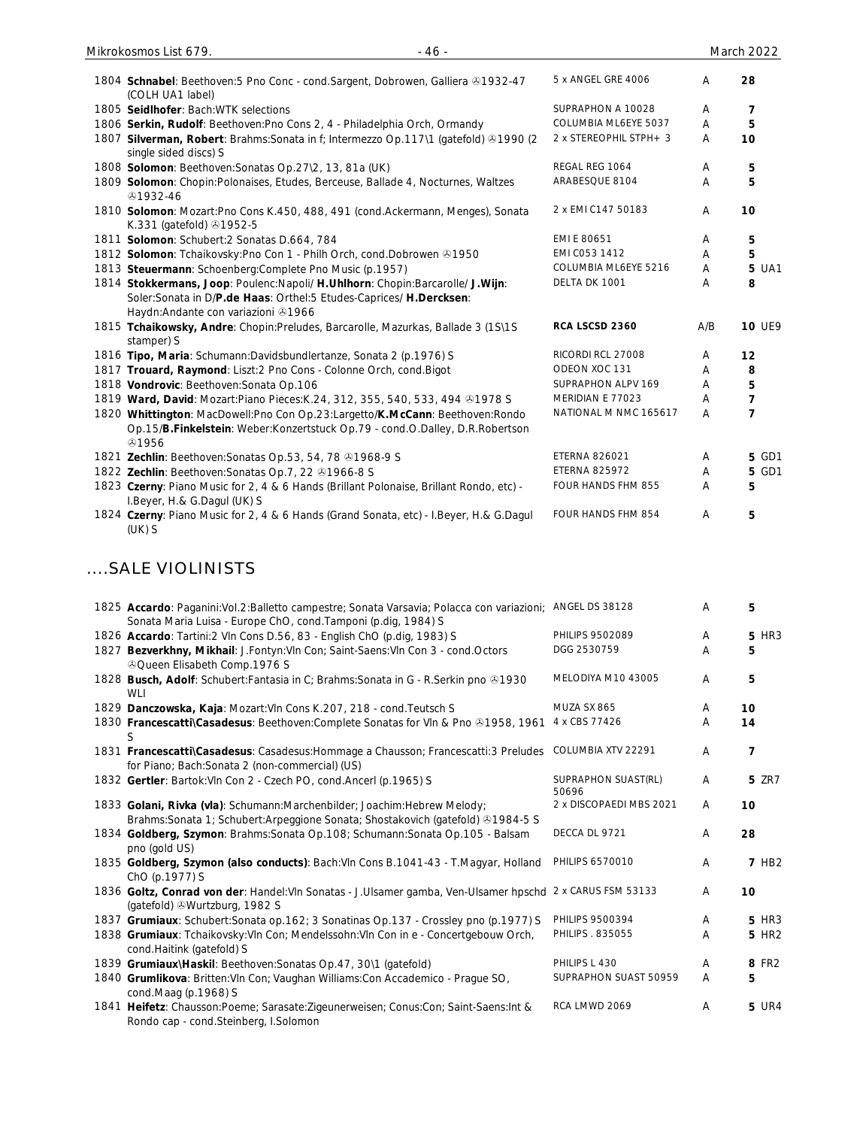| 1804 Schnabel: Beethoven: 5 Pno Conc - cond. Sargent, Dobrowen, Galliera & 1932-47<br>(COLH UA1 label)                 | 5 x ANGEL GRE 4006     | Α   | 28             |
|------------------------------------------------------------------------------------------------------------------------|------------------------|-----|----------------|
| 1805 Seidlhofer: Bach: WTK selections                                                                                  | SUPRAPHON A 10028      | A   | 7              |
| 1806 Serkin, Rudolf: Beethoven: Pno Cons 2, 4 - Philadelphia Orch, Ormandy                                             | COLUMBIA ML6EYE 5037   | A   | 5              |
| 1807 Silverman, Robert: Brahms: Sonata in f; Intermezzo Op.117\1 (gatefold) & 1990 (2<br>single sided discs) S         | 2 x STEREOPHIL STPH+ 3 | A   | 10             |
| 1808 Solomon: Beethoven: Sonatas Op. 27\2, 13, 81a (UK)                                                                | REGAL REG 1064         | Α   | 5              |
| 1809 Solomon: Chopin: Polonaises, Etudes, Berceuse, Ballade 4, Nocturnes, Waltzes<br>1932-46                           | ARABESQUE 8104         | Α   | 5              |
| 1810 Solomon: Mozart:Pno Cons K.450, 488, 491 (cond.Ackermann, Menges), Sonata<br>K.331 (gatefold) 31952-5             | 2 x EMI C147 50183     | A   | 10             |
| 1811 Solomon: Schubert: 2 Sonatas D.664, 784                                                                           | EMI E 80651            | A   | 5              |
| 1812 Solomon: Tchaikovsky: Pno Con 1 - Philh Orch, cond. Dobrowen 31950                                                | EMI C053 1412          | A   | 5              |
| 1813 Steuermann: Schoenberg: Complete Pno Music (p.1957)                                                               | COLUMBIA ML6EYE 5216   | A   | 5 UA1          |
| 1814 Stokkermans, Joop: Poulenc:Napoli/ H.Uhlhorn: Chopin:Barcarolle/ J.Wijn:                                          | DELTA DK 1001          | A   | 8              |
| Soler:Sonata in D/P.de Haas: Orthel:5 Etudes-Caprices/ H.Dercksen:<br>Haydn: Andante con variazioni 31966              |                        |     |                |
| 1815 Tchaikowsky, Andre: Chopin: Preludes, Barcarolle, Mazurkas, Ballade 3 (1S\1S<br>stamper) S                        | RCA LSCSD 2360         | A/B | <b>10 UE9</b>  |
| 1816 Tipo, Maria: Schumann:Davidsbundlertanze, Sonata 2 (p.1976) S                                                     | RICORDI RCL 27008      | Α   | 12             |
| 1817 Trouard, Raymond: Liszt:2 Pno Cons - Colonne Orch, cond. Bigot                                                    | ODEON XOC 131          | A   | 8              |
| 1818 Vondrovic: Beethoven: Sonata Op.106                                                                               | SUPRAPHON ALPV 169     | A   | 5              |
| 1819 Ward, David: Mozart:Piano Pieces: K.24, 312, 355, 540, 533, 494 & 1978 S                                          | MERIDIAN E 77023       | Α   | 7              |
| 1820 Whittington: MacDowell:Pno Con Op.23:Largetto/K.McCann: Beethoven:Rondo                                           | NATIONAL M NMC 165617  | A   | $\overline{7}$ |
| Op.15/B.Finkelstein: Weber:Konzertstuck Op.79 - cond.O.Dalley, D.R.Robertson<br><b>ේ</b> 1956                          |                        |     |                |
| 1821 Zechlin: Beethoven: Sonatas Op. 53, 54, 78 81968-9 S                                                              | <b>ETERNA 826021</b>   | A   | 5 GD1          |
| 1822 Zechlin: Beethoven: Sonatas Op. 7, 22 31966-8 S                                                                   | <b>ETERNA 825972</b>   | A   | 5 GD1          |
| 1823 Czerny: Piano Music for 2, 4 & 6 Hands (Brillant Polonaise, Brillant Rondo, etc) -<br>I.Beyer, H.& G.Dagul (UK) S | FOUR HANDS FHM 855     | A   | 5              |
| 1824 Czerny: Piano Music for 2, 4 & 6 Hands (Grand Sonata, etc) - I.Beyer, H.& G.Dagul<br>$(UK)$ S                     | FOUR HANDS FHM 854     | A   | 5              |

# ....SALE VIOLINISTS

| <b>5 HR3</b>      |
|-------------------|
|                   |
| 5                 |
| 5                 |
| 10                |
| 14                |
| 7                 |
| <b>5 ZR7</b>      |
| 10                |
| 28                |
| <b>7 HB2</b>      |
| 10                |
| <b>5 HR3</b>      |
| 5 HR <sub>2</sub> |
| 8 FR2             |
| 5                 |
| <b>5 UR4</b>      |
|                   |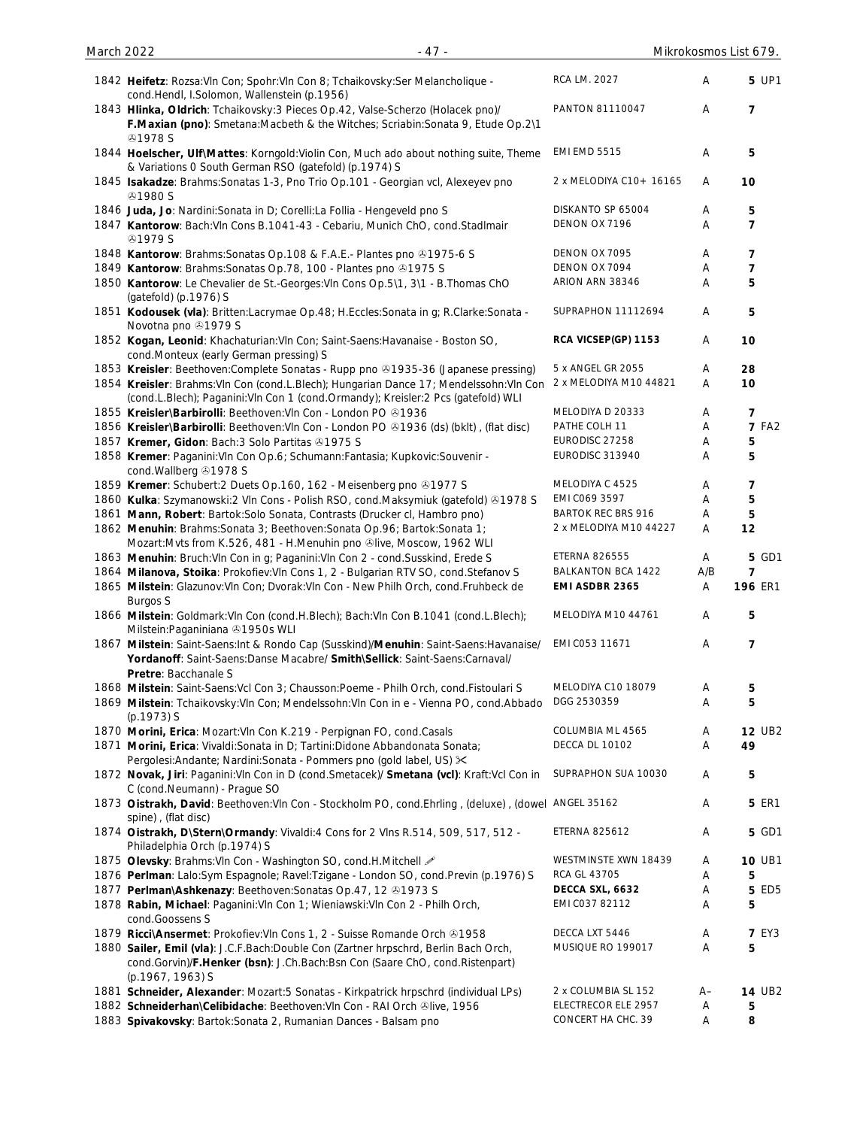| Mikrokosmos List 67 |  |
|---------------------|--|
|                     |  |

| March 2022 | $-47-$                                                                                                                                                                                       |                           |     | Mikrokosmos List 679. |
|------------|----------------------------------------------------------------------------------------------------------------------------------------------------------------------------------------------|---------------------------|-----|-----------------------|
|            | 1842 Heifetz: Rozsa: VIn Con; Spohr: VIn Con 8; Tchaikovsky: Ser Melancholique -<br>cond.Hendl, I.Solomon, Wallenstein (p.1956)                                                              | RCA LM. 2027              | Α   | 5 UP1                 |
|            | 1843 Hlinka, Oldrich: Tchaikovsky: 3 Pieces Op.42, Valse-Scherzo (Holacek pno)/<br>F.Maxian (pno): Smetana:Macbeth & the Witches; Scriabin:Sonata 9, Etude Op.2\1<br><b>41978 S</b>          | PANTON 81110047           | Α   | $\overline{7}$        |
|            | 1844 Hoelscher, Ulf\Mattes: Korngold: Violin Con, Much ado about nothing suite, Theme<br>& Variations O South German RSO (gatefold) (p.1974) S                                               | <b>EMI EMD 5515</b>       | A   | 5                     |
|            | 1845 Isakadze: Brahms: Sonatas 1-3, Pno Trio Op.101 - Georgian vcl, Alexeyev pno<br><b>@1980 S</b>                                                                                           | 2 x MELODIYA C10+ 16165   | A   | 10                    |
|            | 1846 Juda, Jo: Nardini: Sonata in D; Corelli: La Follia - Hengeveld pno S                                                                                                                    | DISKANTO SP 65004         | Α   | 5                     |
|            | 1847 Kantorow: Bach: VIn Cons B. 1041-43 - Cebariu, Munich ChO, cond. Stadlmair<br><b>@1979 S</b>                                                                                            | DENON OX 7196             | Α   | $\overline{7}$        |
|            | 1848 Kantorow: Brahms: Sonatas Op. 108 & F.A.E.- Plantes pno 31975-6 S                                                                                                                       | DENON OX 7095             | Α   | 7                     |
|            | 1849 Kantorow: Brahms: Sonatas Op. 78, 100 - Plantes pno 31975 S                                                                                                                             | DENON OX 7094             | Α   | $\overline{7}$        |
|            | 1850 Kantorow: Le Chevalier de St.-Georges: VIn Cons Op. 5\1, 3\1 - B. Thomas ChO<br>(gatefold) (p.1976) S                                                                                   | ARION ARN 38346           | Α   | 5                     |
|            | 1851 Kodousek (vla): Britten:Lacrymae Op.48; H.Eccles:Sonata in g; R.Clarke:Sonata -<br>Novotna pno 31979 S                                                                                  | SUPRAPHON 11112694        | Α   | 5                     |
|            | 1852 Kogan, Leonid: Khachaturian: VIn Con; Saint-Saens: Havanaise - Boston SO,<br>cond.Monteux (early German pressing) S                                                                     | RCA VICSEP(GP) 1153       | Α   | 10                    |
|            | 1853 Kreisler: Beethoven: Complete Sonatas - Rupp pno @1935-36 (Japanese pressing)                                                                                                           | 5 x ANGEL GR 2055         | Α   | 28                    |
|            | 1854 Kreisler: Brahms: VIn Con (cond.L.Blech); Hungarian Dance 17; Mendelssohn: VIn Con<br>(cond.L.Blech); Paganini:VIn Con 1 (cond.Ormandy); Kreisler:2 Pcs (gatefold) WLI                  | 2 x MELODIYA M10 44821    | Α   | 10                    |
|            | 1855 Kreisler\Barbirolli: Beethoven: VIn Con - London PO @1936                                                                                                                               | MELODIYA D 20333          | Α   | $\overline{7}$        |
|            | 1856 Kreisler\Barbirolli: Beethoven: VIn Con - London PO 31936 (ds) (bklt), (flat disc)                                                                                                      | PATHE COLH 11             | A   | <b>7 FA2</b>          |
|            | 1857 Kremer, Gidon: Bach: 3 Solo Partitas 31975 S                                                                                                                                            | EURODISC 27258            | Α   | 5                     |
|            | 1858 Kremer: Paganini: VIn Con Op.6; Schumann: Fantasia; Kupkovic: Souvenir -<br>cond. Wallberg 31978 S                                                                                      | EURODISC 313940           | Α   | 5                     |
|            | 1859 Kremer: Schubert: 2 Duets Op. 160, 162 - Meisenberg pno 31977 S                                                                                                                         | MELODIYA C 4525           | Α   | 7                     |
|            | 1860 Kulka: Szymanowski: 2 Vln Cons - Polish RSO, cond. Maksymiuk (gatefold) & 1978 S                                                                                                        | EMI C069 3597             | A   | 5                     |
|            | 1861 Mann, Robert: Bartok: Solo Sonata, Contrasts (Drucker cl, Hambro pno)                                                                                                                   | <b>BARTOK REC BRS 916</b> | A   | 5                     |
|            | 1862 Menuhin: Brahms: Sonata 3; Beethoven: Sonata Op. 96; Bartok: Sonata 1;<br>Mozart: Mvts from K.526, 481 - H. Menuhin pno @live, Moscow, 1962 WLI                                         | 2 x MELODIYA M10 44227    | A   | 12                    |
|            | 1863 Menuhin: Bruch: VIn Con in g; Paganini: VIn Con 2 - cond. Susskind, Erede S                                                                                                             | <b>ETERNA 826555</b>      | A   | <b>5 GD1</b>          |
|            | 1864 Milanova, Stoika: Prokofiev: VIn Cons 1, 2 - Bulgarian RTV SO, cond. Stefanov S                                                                                                         | BALKANTON BCA 1422        | A/B | $\overline{7}$        |
|            | 1865 Milstein: Glazunov: Vln Con; Dvorak: Vln Con - New Philh Orch, cond. Fruhbeck de<br>Burgos S                                                                                            | EMI ASDBR 2365            | A   | <b>196 ER1</b>        |
|            | 1866 Milstein: Goldmark: VIn Con (cond.H.Blech); Bach: VIn Con B.1041 (cond.L.Blech);<br>Milstein: Paganiniana & 1950s WLI                                                                   | MELODIYA M10 44761        | Α   | 5                     |
|            | 1867 Milstein: Saint-Saens:Int & Rondo Cap (Susskind)/Menuhin: Saint-Saens: Havanaise/<br>Yordanoff: Saint-Saens:Danse Macabre/ Smith\Sellick: Saint-Saens:Carnaval/<br>Pretre: Bacchanale S | EMI C053 11671            | A   | $\overline{7}$        |
|            | 1868 Milstein: Saint-Saens: Vcl Con 3; Chausson: Poeme - Philh Orch, cond. Fistoulari S                                                                                                      | MELODIYA C10 18079        | A   | 5                     |
|            | 1869 Milstein: Tchaikovsky: Vln Con; Mendelssohn: Vln Con in e - Vienna PO, cond. Abbado<br>(p.1973) S                                                                                       | DGG 2530359               | Α   | 5                     |
|            | 1870 Morini, Erica: Mozart: VIn Con K.219 - Perpignan FO, cond. Casals                                                                                                                       | COLUMBIA ML 4565          | Α   | <b>12 UB2</b>         |
|            | 1871 Morini, Erica: Vivaldi: Sonata in D; Tartini: Didone Abbandonata Sonata;<br>Pergolesi:Andante; Nardini:Sonata - Pommers pno (gold label, US) $\times$                                   | DECCA DL 10102            | Α   | 49                    |
|            | 1872 Novak, Jiri: Paganini: VIn Con in D (cond. Smetacek)/ Smetana (vcl): Kraft: Vcl Con in<br>C (cond.Neumann) - Prague SO                                                                  | SUPRAPHON SUA 10030       | A   | 5                     |
|            | 1873 Oistrakh, David: Beethoven: VIn Con - Stockholm PO, cond. Ehrling, (deluxe), (dowel ANGEL 35162<br>spine), (flat disc)                                                                  |                           | Α   | <b>5 ER1</b>          |
|            | 1874 Oistrakh, D\Stern\Ormandy: Vivaldi:4 Cons for 2 VIns R.514, 509, 517, 512 -<br>Philadelphia Orch (p.1974) S                                                                             | ETERNA 825612             | A   | <b>5 GD1</b>          |
|            | 1875 Olevsky: Brahms: Vln Con - Washington SO, cond.H.Mitchell                                                                                                                               | WESTMINSTE XWN 18439      | A   | <b>10 UB1</b>         |
|            | 1876 Perlman: Lalo:Sym Espagnole; Ravel:Tzigane - London SO, cond.Previn (p.1976) S                                                                                                          | RCA GL 43705              | Α   | 5                     |
|            | 1877 Perlman\Ashkenazy: Beethoven: Sonatas Op.47, 12 01973 S                                                                                                                                 | DECCA SXL, 6632           | Α   | <b>5 ED5</b>          |
|            | 1878 Rabin, Michael: Paganini: Vln Con 1; Wieniawski: Vln Con 2 - Philh Orch,<br>cond.Goossens S                                                                                             | EMI CO37 82112            | Α   | 5                     |
|            | 1879 Ricci\Ansermet: Prokofiev: VIn Cons 1, 2 - Suisse Romande Orch & 1958                                                                                                                   | DECCA LXT 5446            | A   | <b>7 EY3</b>          |
|            | 1880 Sailer, Emil (vla): J.C.F.Bach:Double Con (Zartner hrpschrd, Berlin Bach Orch,<br>cond.Gorvin)/F.Henker (bsn): J.Ch.Bach:Bsn Con (Saare ChO, cond.Ristenpart)<br>(p.1967, 1963) S       | MUSIQUE RO 199017         | Α   | 5                     |

1881 **Schneider, Alexander**: Mozart:5 Sonatas - Kirkpatrick hrpschrd (individual LPs) 2 x COLUMBIA SL 152 A– 14 UB2<br>1882 Schneiderhan\Celibidache: Beethoven: VIn Con - RAI Orch ®live, 1956 ELECTRECOR ELE 2957 A 5 1882 **Schneiderhan\Celibidache**: Beethoven:Vln Con - RAI Orch ®live, 1956 ELECTRECOR ELE 2957 A 5<br>1883 Spivakovsky: Bartok:Sonata 2, Rumanian Dances - Balsam pno CONCERT HA CHC. 39 A 8

1883 Spivakovsky: Bartok: Sonata 2, Rumanian Dances - Balsam pno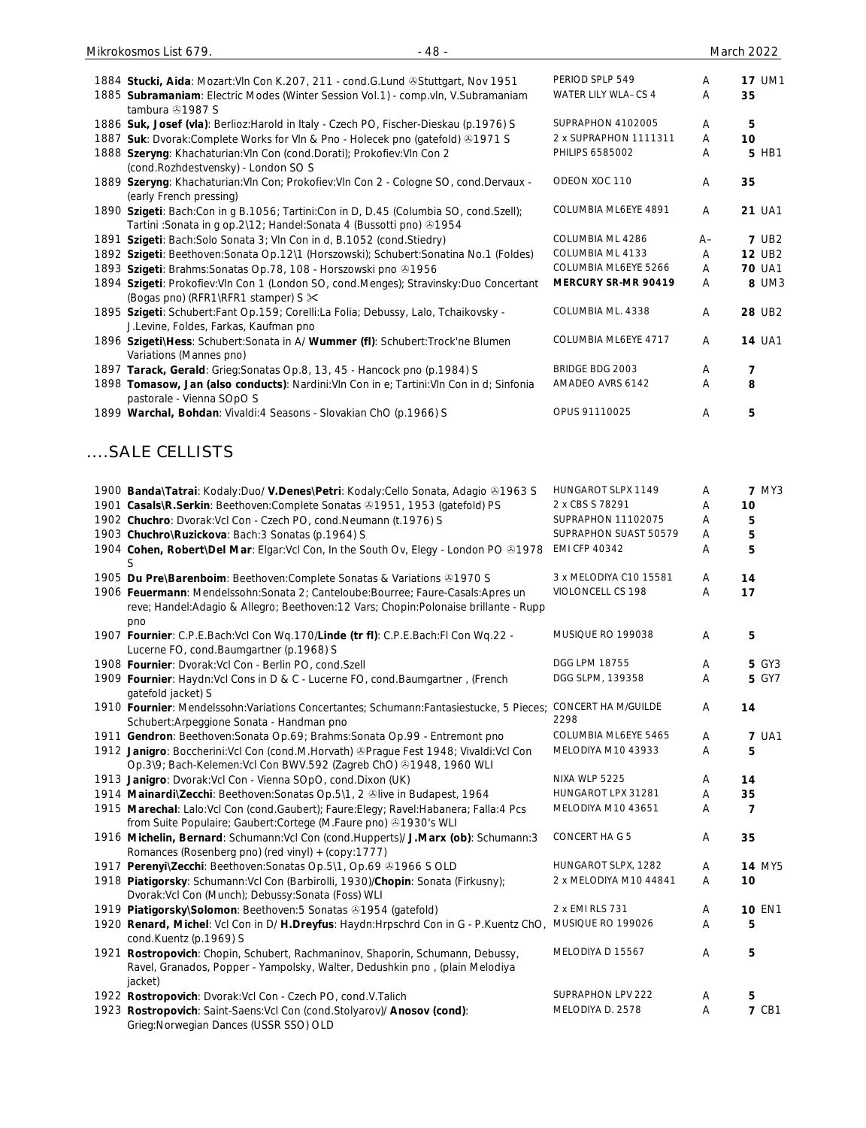| 1884 Stucki, Aida: Mozart: Vln Con K.207, 211 - cond. G. Lund @Stuttgart, Nov 1951                           | PERIOD SPLP 549        | A    | <b>17 UM1</b>  |
|--------------------------------------------------------------------------------------------------------------|------------------------|------|----------------|
| 1885 Subramaniam: Electric Modes (Winter Session Vol.1) - comp.vln, V.Subramaniam                            | WATER LILY WLA-CS 4    | Α    | 35             |
| tambura 41987 S                                                                                              |                        |      |                |
| 1886 Suk, Josef (vla): Berlioz: Harold in Italy - Czech PO, Fischer-Dieskau (p.1976) S                       | SUPRAPHON 4102005      | A    | 5              |
| 1887 Suk: Dvorak:Complete Works for Vln & Pno - Holecek pno (gatefold) +1971 S                               | 2 x SUPRAPHON 1111311  | Α    | 10             |
| 1888 Szeryng: Khachaturian: Vln Con (cond. Dorati); Prokofiev: Vln Con 2                                     | PHILIPS 6585002        | Α    | 5 HB1          |
| (cond.Rozhdestvensky) - London SO S                                                                          |                        |      |                |
| 1889 Szeryng: Khachaturian: VIn Con; Prokofiev: VIn Con 2 - Cologne SO, cond. Dervaux -                      | ODEON XOC 110          | Α    | 35             |
| (early French pressing)                                                                                      |                        |      |                |
| 1890 Szigeti: Bach:Con in g B.1056; Tartini:Con in D, D.45 (Columbia SO, cond.Szell);                        | COLUMBIA ML6EYE 4891   | Α    | 21 UA1         |
| Tartini : Sonata in g op. 2\12; Handel: Sonata 4 (Bussotti pno) 31954                                        |                        |      |                |
| 1891 Szigeti: Bach: Solo Sonata 3; Vln Con in d, B.1052 (cond. Stiedry)                                      | COLUMBIA ML 4286       | $A-$ | <b>7 UB2</b>   |
| 1892 Szigeti: Beethoven: Sonata Op.12\1 (Horszowski); Schubert: Sonatina No.1 (Foldes)                       | COLUMBIA ML 4133       | Α    | <b>12 UB2</b>  |
| 1893 Szigeti: Brahms: Sonatas Op. 78, 108 - Horszowski pno 31956                                             | COLUMBIA ML6EYE 5266   | Α    | <b>70 UA1</b>  |
| 1894 Szigeti: Prokofiev: VIn Con 1 (London SO, cond. Menges); Stravinsky: Duo Concertant                     | MERCURY SR-MR 90419    | Α    | 8 UM3          |
| (Bogas pno) (RFR1\RFR1 stamper) S $\times$                                                                   |                        |      |                |
| 1895 Szigeti: Schubert:Fant Op.159; Corelli:La Folia; Debussy, Lalo, Tchaikovsky -                           | COLUMBIA ML. 4338      | Α    | <b>28 UB2</b>  |
| J.Levine, Foldes, Farkas, Kaufman pno                                                                        |                        |      |                |
| 1896 Szigeti\Hess: Schubert: Sonata in A/ Wummer (fl): Schubert: Trock'ne Blumen                             | COLUMBIA ML6EYE 4717   | Α    | <b>14 UA1</b>  |
| Variations (Mannes pno)                                                                                      |                        |      |                |
| 1897 Tarack, Gerald: Grieg: Sonatas Op.8, 13, 45 - Hancock pno (p.1984) S                                    | BRIDGE BDG 2003        | Α    | 7              |
| 1898 Tomasow, Jan (also conducts): Nardini: VIn Con in e; Tartini: VIn Con in d; Sinfonia                    | AMADEO AVRS 6142       | A    | 8              |
| pastorale - Vienna SOpO S                                                                                    |                        |      |                |
| 1899 Warchal, Bohdan: Vivaldi: 4 Seasons - Slovakian ChO (p.1966) S                                          | OPUS 91110025          | А    | 5              |
|                                                                                                              |                        |      |                |
|                                                                                                              |                        |      |                |
| SALE CELLISTS                                                                                                |                        |      |                |
|                                                                                                              |                        |      |                |
|                                                                                                              |                        |      |                |
| 1900 Banda\Tatrai: Kodaly:Duo/ V.Denes\Petri: Kodaly:Cello Sonata, Adagio & 1963 S                           | HUNGAROT SLPX 1149     | Α    | <b>7 MY3</b>   |
| 1901 Casals\R.Serkin: Beethoven:Complete Sonatas @1951, 1953 (gatefold) PS                                   | 2 x CBS S 78291        | Α    | 10             |
| 1902 Chuchro: Dvorak: Vcl Con - Czech PO, cond. Neumann (t. 1976) S                                          | SUPRAPHON 11102075     | Α    | 5              |
| 1903 Chuchro\Ruzickova: Bach:3 Sonatas (p.1964) S                                                            | SUPRAPHON SUAST 50579  | A    | 5              |
| 1904 Cohen, Robert\Del Mar: Elgar:Vcl Con, In the South Ov, Elegy - London PO ®1978                          | <b>EMI CFP 40342</b>   | Α    | 5              |
| S                                                                                                            |                        |      |                |
| 1905 Du Pre\Barenboim: Beethoven:Complete Sonatas & Variations & 1970 S                                      | 3 x MELODIYA C10 15581 | Α    | 14             |
| 1906 Feuermann: Mendelssohn:Sonata 2; Canteloube:Bourree; Faure-Casals:Apres un                              | VIOLONCELL CS 198      | Α    | 17             |
| reve; Handel:Adagio & Allegro; Beethoven:12 Vars; Chopin:Polonaise brillante - Rupp                          |                        |      |                |
| pno                                                                                                          |                        |      |                |
| 1907 Fournier: C.P.E.Bach:Vcl Con Wq.170/Linde (tr fl): C.P.E.Bach:Fl Con Wq.22 -                            | MUSIQUE RO 199038      | Α    | 5              |
| Lucerne FO, cond.Baumgartner (p.1968) S                                                                      |                        |      |                |
| 1908 Fournier: Dvorak: Vcl Con - Berlin PO, cond. Szell                                                      | DGG LPM 18755          | Α    | <b>5 GY3</b>   |
| 1909 Fournier: Haydn:Vcl Cons in D & C - Lucerne FO, cond.Baumgartner, (French                               | DGG SLPM, 139358       | Α    | 5 GY7          |
| gatefold jacket) S                                                                                           |                        |      |                |
| 1910 Fournier: Mendelssohn: Variations Concertantes; Schumann: Fantasiestucke, 5 Pieces; CONCERT HA M/GUILDE |                        | Α    | 14             |
| Schubert: Arpeggione Sonata - Handman pno                                                                    | 2298                   |      |                |
|                                                                                                              | COLUMBIA ML6EYE 5465   | Α    | <b>7 UA1</b>   |
| 1911 Gendron: Beethoven: Sonata Op.69; Brahms: Sonata Op.99 - Entremont pno                                  |                        |      |                |
| 1912 Janigro: Boccherini: Vcl Con (cond.M.Horvath) &Prague Fest 1948; Vivaldi: Vcl Con                       | MELODIYA M10 43933     | Α    | 5              |
| Op.3\9; Bach-Kelemen: Vcl Con BWV.592 (Zagreb ChO) +1948, 1960 WLI                                           |                        |      |                |
| 1913 Janigro: Dvorak: Vcl Con - Vienna SOpO, cond. Dixon (UK)                                                | NIXA WLP 5225          | Α    | 14             |
| 1914 Mainardi\Zecchi: Beethoven: Sonatas Op. 5\1, 2 ®live in Budapest, 1964                                  | HUNGAROT LPX 31281     | Α    | 35             |
| 1915 Marechal: Lalo: Vcl Con (cond. Gaubert); Faure: Elegy; Ravel: Habanera; Falla: 4 Pcs                    | MELODIYA M10 43651     | A    | $\overline{7}$ |
| from Suite Populaire; Gaubert: Cortege (M. Faure pno) +1930's WLI                                            |                        |      |                |
| 1916 Michelin, Bernard: Schumann: Vcl Con (cond. Hupperts)/ J. Marx (ob): Schumann: 3                        | CONCERT HAG 5          | Α    | 35             |
| Romances (Rosenberg pno) (red vinyl) + (copy:1777)                                                           |                        |      |                |
| 1917 Perenyil Zecchi: Beethoven: Sonatas Op. 5\1, Op.69 & 1966 S OLD                                         | HUNGAROT SLPX, 1282    | Α    | <b>14 MY5</b>  |
| 1918 Piatigorsky: Schumann: Vcl Con (Barbirolli, 1930)/Chopin: Sonata (Firkusny);                            | 2 x MELODIYA M10 44841 | Α    | 10             |
| Dvorak: Vcl Con (Munch); Debussy: Sonata (Foss) WLI                                                          |                        |      |                |
| 1919 Piatigorsky\Solomon: Beethoven: 5 Sonatas & 1954 (gatefold)                                             | 2 x EMI RLS 731        | Α    | <b>10 EN1</b>  |
| 1920 Renard, Michel: Vcl Con in D/ H.Dreyfus: Haydn:Hrpschrd Con in G - P.Kuentz ChO,                        | MUSIQUE RO 199026      | Α    | 5              |
| cond.Kuentz (p.1969) S                                                                                       |                        |      |                |
| 1921 Rostropovich: Chopin, Schubert, Rachmaninov, Shaporin, Schumann, Debussy,                               | MELODIYA D 15567       | Α    | 5              |
| Ravel, Granados, Popper - Yampolsky, Walter, Dedushkin pno, (plain Melodiya                                  |                        |      |                |
| jacket)                                                                                                      |                        |      |                |
| 1922 Rostropovich: Dvorak: Vcl Con - Czech PO, cond. V. Talich                                               | SUPRAPHON LPV 222      | Α    | 5              |
| 1923 Rostropovich: Saint-Saens: Vcl Con (cond. Stolyarov)/ Anosov (cond):                                    | MELODIYA D. 2578       | Α    | <b>7 CB1</b>   |
| Grieg: Norwegian Dances (USSR SSO) OLD                                                                       |                        |      |                |
|                                                                                                              |                        |      |                |

Mikrokosmos List 679. - 48 - March 2022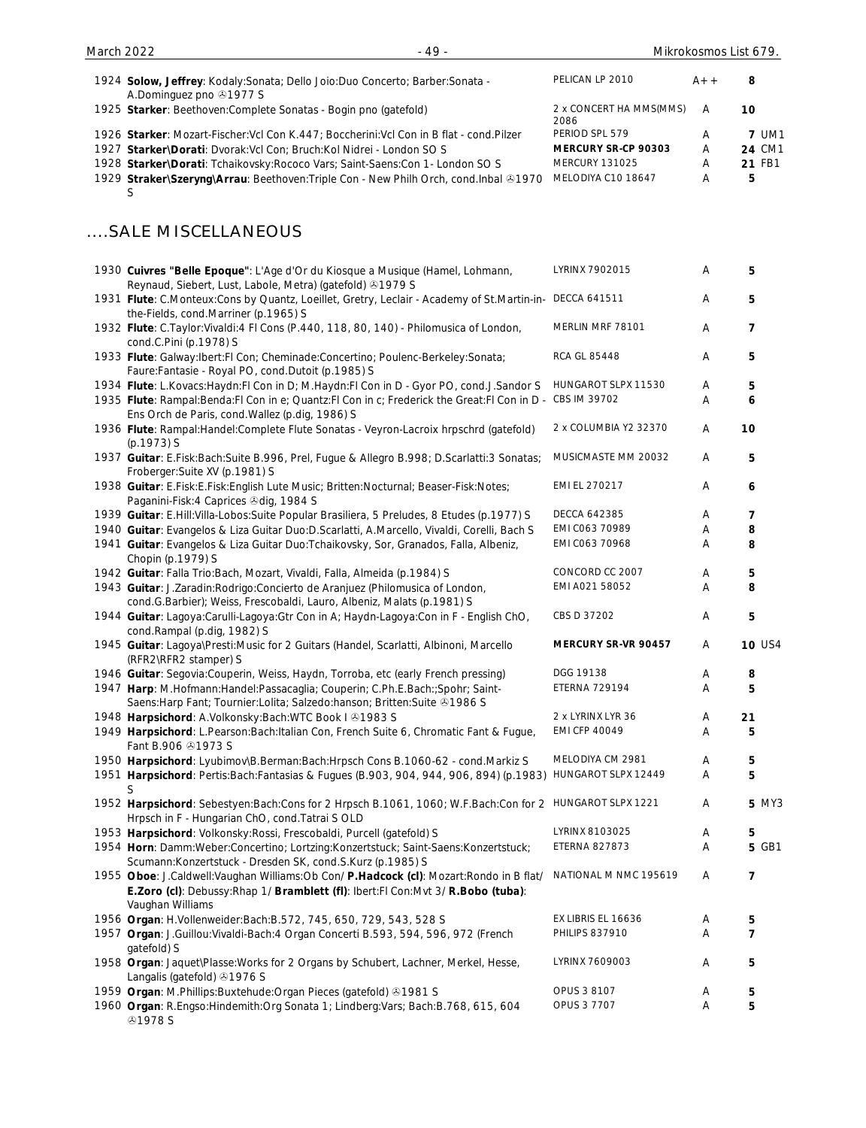| 1924 Solow, Jeffrey: Kodaly: Sonata; Dello Joio: Duo Concerto; Barber: Sonata -<br>A.Dominguez pno 31977 S | PELICAN LP 2010                 | $A++$ | 8             |
|------------------------------------------------------------------------------------------------------------|---------------------------------|-------|---------------|
| 1925 Starker: Beethoven: Complete Sonatas - Bogin pno (gatefold)                                           | 2 x CONCERT HA MMS(MMS)<br>2086 | A     | 10            |
| 1926 Starker: Mozart-Fischer: Vcl Con K.447; Boccherini: Vcl Con in B flat - cond. Pilzer                  | PERIOD SPL 579                  | Α     | <b>7 UM1</b>  |
| 1927 Starker\Dorati: Dvorak: Vcl Con; Bruch: Kol Nidrei - London SO S                                      | MERCURY SR-CP 90303             | A     | 24 CM1        |
| 1928 Starker\Dorati: Tchaikovsky: Rococo Vars; Saint-Saens: Con 1- London SO S                             | <b>MERCURY 131025</b>           | Α     | <b>21 FB1</b> |

1929 Straker\Szeryng\Arrau: Beethoven:Triple Con - New Philh Orch, cond.Inbal **⑧1970** MELODIYA C10 18647 A 5 S

# ....SALE MISCELLANEOUS

| 1930 Cuivres "Belle Epoque": L'Age d'Or du Kiosque a Musique (Hamel, Lohmann,<br>Reynaud, Siebert, Lust, Labole, Metra) (gatefold) 31979 S                                                          | LYRINX 7902015             | Α | 5              |
|-----------------------------------------------------------------------------------------------------------------------------------------------------------------------------------------------------|----------------------------|---|----------------|
| 1931 Flute: C.Monteux:Cons by Quantz, Loeillet, Gretry, Leclair - Academy of St.Martin-in- DECCA 641511<br>the-Fields, cond.Marriner (p.1965) S                                                     |                            | Α | 5              |
| 1932 Flute: C.Taylor: Vivaldi: 4 Fl Cons (P.440, 118, 80, 140) - Philomusica of London,<br>cond.C.Pini (p.1978) S                                                                                   | MERLIN MRF 78101           | Α | 7              |
| 1933 Flute: Galway:Ibert:FI Con; Cheminade:Concertino; Poulenc-Berkeley:Sonata;<br>Faure: Fantasie - Royal PO, cond. Dutoit (p.1985) S                                                              | <b>RCA GL 85448</b>        | Α | 5              |
| 1934 Flute: L.Kovacs: Haydn: FI Con in D; M.Haydn: FI Con in D - Gyor PO, cond. J.Sandor S                                                                                                          | HUNGAROT SLPX 11530        | Α | 5              |
| 1935 Flute: Rampal: Benda: FI Con in e; Quantz: FI Con in c; Frederick the Great: FI Con in D - CBS IM 39702<br>Ens Orch de Paris, cond. Wallez (p.dig, 1986) S                                     |                            | Α | 6              |
| 1936 Flute: Rampal: Handel: Complete Flute Sonatas - Veyron-Lacroix hrpschrd (gatefold)<br>(p.1973) S                                                                                               | 2 x COLUMBIA Y2 32370      | Α | 10             |
| 1937 Guitar: E.Fisk:Bach:Suite B.996, Prel, Fugue & Allegro B.998; D.Scarlatti:3 Sonatas;<br>Froberger: Suite XV (p.1981) S                                                                         | MUSICMASTE MM 20032        | Α | 5              |
| 1938 Guitar: E.Fisk:E.Fisk:English Lute Music; Britten:Nocturnal; Beaser-Fisk:Notes;<br>Paganini-Fisk: 4 Caprices & dig, 1984 S                                                                     | EMI EL 270217              | Α | 6              |
| 1939 Guitar: E.Hill: Villa-Lobos: Suite Popular Brasiliera, 5 Preludes, 8 Etudes (p.1977) S                                                                                                         | <b>DECCA 642385</b>        | Α | 7              |
| 1940 Guitar: Evangelos & Liza Guitar Duo:D.Scarlatti, A.Marcello, Vivaldi, Corelli, Bach S                                                                                                          | EMI C063 70989             | Α | 8              |
| 1941 Guitar: Evangelos & Liza Guitar Duo: Tchaikovsky, Sor, Granados, Falla, Albeniz,<br>Chopin (p.1979) S                                                                                          | EMI C063 70968             | Α | 8              |
| 1942 Guitar: Falla Trio: Bach, Mozart, Vivaldi, Falla, Almeida (p.1984) S                                                                                                                           | CONCORD CC 2007            | A | 5              |
| 1943 Guitar: J.Zaradin: Rodrigo: Concierto de Aranjuez (Philomusica of London,<br>cond.G.Barbier); Weiss, Frescobaldi, Lauro, Albeniz, Malats (p.1981) S                                            | EMI A021 58052             | Α | 8              |
| 1944 Guitar: Lagoya:Carulli-Lagoya:Gtr Con in A; Haydn-Lagoya:Con in F - English ChO,<br>cond.Rampal (p.dig, 1982) S                                                                                | CBS D 37202                | Α | 5              |
| 1945 Guitar: Lagoya\Presti:Music for 2 Guitars (Handel, Scarlatti, Albinoni, Marcello<br>(RFR2\RFR2 stamper) S                                                                                      | <b>MERCURY SR-VR 90457</b> | Α | <b>10 US4</b>  |
| 1946 Guitar: Segovia: Couperin, Weiss, Haydn, Torroba, etc (early French pressing)                                                                                                                  | DGG 19138                  | Α | 8              |
| 1947 Harp: M.Hofmann:Handel:Passacaglia; Couperin; C.Ph.E.Bach:;Spohr; Saint-<br>Saens: Harp Fant; Tournier: Lolita; Salzedo: hanson; Britten: Suite 31986 S                                        | <b>ETERNA 729194</b>       | Α | 5              |
| 1948 Harpsichord: A.Volkonsky:Bach:WTC Book I & 1983 S                                                                                                                                              | 2 x LYRINX LYR 36          | Α | 21             |
| 1949 Harpsichord: L.Pearson:Bach:Italian Con, French Suite 6, Chromatic Fant & Fugue,<br>Fant B.906 31973 S                                                                                         | <b>EMI CFP 40049</b>       | A | 5              |
| 1950 Harpsichord: Lyubimov\B.Berman:Bach:Hrpsch Cons B.1060-62 - cond.Markiz S                                                                                                                      | MELODIYA CM 2981           | Α | 5              |
| 1951 Harpsichord: Pertis: Bach: Fantasias & Fugues (B.903, 904, 944, 906, 894) (p.1983)<br>S                                                                                                        | HUNGAROT SLPX 12449        | A | 5              |
| 1952 Harpsichord: Sebestyen:Bach:Cons for 2 Hrpsch B.1061, 1060; W.F.Bach:Con for 2 HUNGAROT SLPX 1221<br>Hrpsch in F - Hungarian ChO, cond. Tatrai S OLD                                           |                            | A | <b>5 MY3</b>   |
| 1953 Harpsichord: Volkonsky: Rossi, Frescobaldi, Purcell (gatefold) S                                                                                                                               | LYRINX 8103025             | Α | 5              |
| 1954 Horn: Damm: Weber: Concertino; Lortzing: Konzertstuck; Saint-Saens: Konzertstuck;<br>Scumann:Konzertstuck - Dresden SK, cond.S.Kurz (p.1985) S                                                 | <b>ETERNA 827873</b>       | Α | 5 GB1          |
| 1955 Oboe: J.Caldwell: Vaughan Williams: Ob Con/ P.Hadcock (cl): Mozart: Rondo in B flat/<br>E.Zoro (cl): Debussy: Rhap 1/ Bramblett (fl): Ibert: FI Con: Mvt 3/ R.Bobo (tuba):<br>Vaughan Williams | NATIONAL M NMC 195619      | Α | 7              |
| 1956 Organ: H.Vollenweider:Bach:B.572, 745, 650, 729, 543, 528 S                                                                                                                                    | EX LIBRIS EL 16636         | Α | 5              |
| 1957 Organ: J.Guillou: Vivaldi-Bach: 4 Organ Concerti B.593, 594, 596, 972 (French                                                                                                                  | <b>PHILIPS 837910</b>      | A | $\overline{7}$ |
| gatefold) S                                                                                                                                                                                         |                            |   |                |
| 1958 Organ: Jaquet\Plasse: Works for 2 Organs by Schubert, Lachner, Merkel, Hesse,<br>Langalis (gatefold) 31976 S                                                                                   | LYRINX 7609003             | Α | 5              |
| 1959 Organ: M.Phillips:Buxtehude:Organ Pieces (gatefold) +1981 S                                                                                                                                    | OPUS 3 8107                | Α | 5              |
| 1960 Organ: R.Engso:Hindemith:Org Sonata 1; Lindberg:Vars; Bach:B.768, 615, 604<br><b>@1978 S</b>                                                                                                   | OPUS 3 7707                | Α | 5              |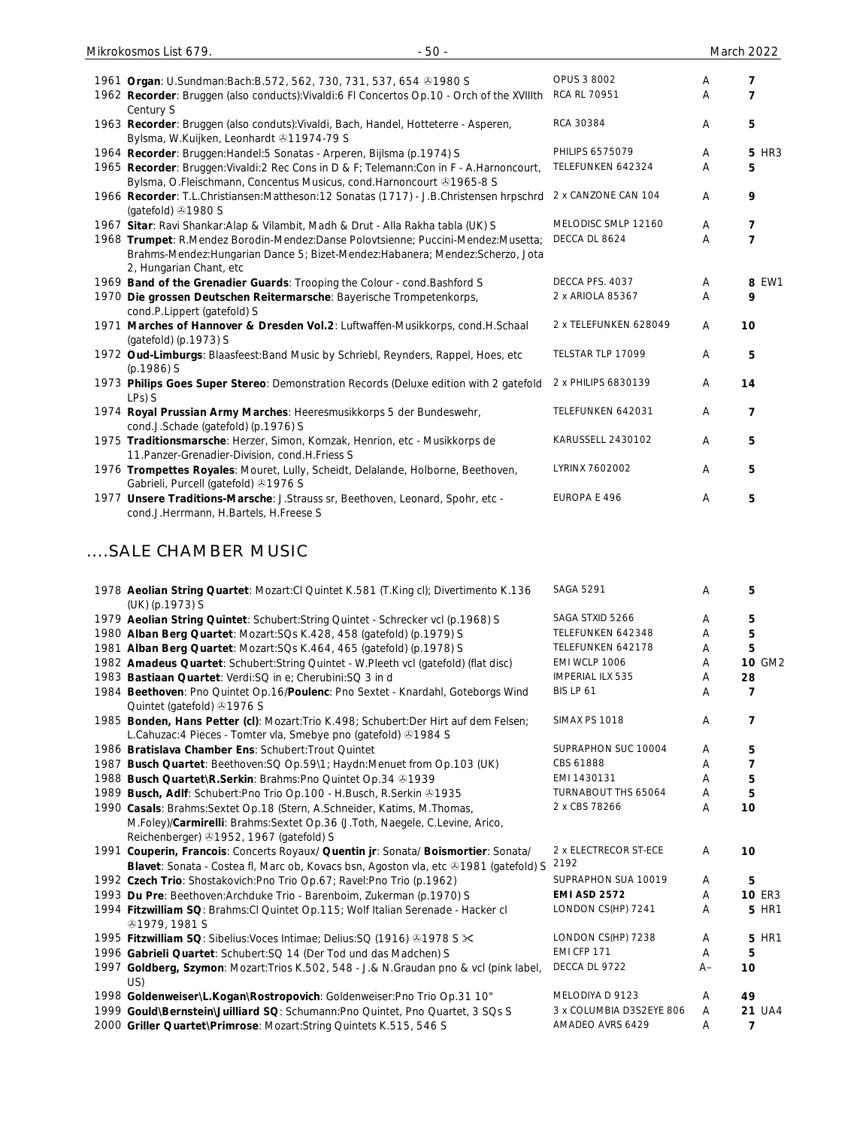| Mikrokosmos List 679.<br>$-50-$                                                                                                                                                              |                       |                | March 2022               |
|----------------------------------------------------------------------------------------------------------------------------------------------------------------------------------------------|-----------------------|----------------|--------------------------|
|                                                                                                                                                                                              |                       |                |                          |
| 1961 Organ: U.Sundman:Bach:B.572, 562, 730, 731, 537, 654 31980 S                                                                                                                            | OPUS 3 8002           | Α              | 7                        |
| 1962 Recorder: Bruggen (also conducts): Vivaldi: 6 FI Concertos Op.10 - Orch of the XVIIIth<br>Century S                                                                                     | <b>RCA RL 70951</b>   | A              | $\overline{\phantom{a}}$ |
| 1963 Recorder: Bruggen (also conduts): Vivaldi, Bach, Handel, Hotteterre - Asperen,<br>Bylsma, W.Kuijken, Leonhardt 311974-79 S                                                              | RCA 30384             | $\overline{A}$ | 5                        |
| 1964 Recorder: Bruggen: Handel: 5 Sonatas - Arperen, Bijlsma (p. 1974) S                                                                                                                     | PHILIPS 6575079       | A              | <b>5 HR3</b>             |
| 1965 Recorder: Bruggen: Vivaldi: 2 Rec Cons in D & F; Telemann: Con in F - A. Harnoncourt,<br>Bylsma, O.Fleischmann, Concentus Musicus, cond.Harnoncourt 31965-8 S                           | TELEFUNKEN 642324     | A              | 5                        |
| 1966 Recorder: T.L.Christiansen:Mattheson:12 Sonatas (1717) - J.B.Christensen hrpschrd<br>(gatefold) 31980 S                                                                                 | 2 x CANZONE CAN 104   | $\overline{A}$ | 9                        |
| 1967 Sitar: Ravi Shankar: Alap & Vilambit, Madh & Drut - Alla Rakha tabla (UK) S                                                                                                             | MELODISC SMLP 12160   | A              | $\overline{7}$           |
| 1968 Trumpet: R.Mendez Borodin-Mendez:Danse Polovtsienne; Puccini-Mendez:Musetta;<br>Brahms-Mendez:Hungarian Dance 5; Bizet-Mendez:Habanera; Mendez:Scherzo, Jota<br>2, Hungarian Chant, etc | DECCA DL 8624         | A              | $\overline{\phantom{a}}$ |
| 1969 Band of the Grenadier Guards: Trooping the Colour - cond. Bashford S                                                                                                                    | DECCA PFS. 4037       | A              | 8 EW1                    |
| 1970 Die grossen Deutschen Reitermarsche: Bayerische Trompetenkorps,<br>cond.P.Lippert (gatefold) S                                                                                          | 2 x ARIOLA 85367      | A              | 9                        |
| 1971 Marches of Hannover & Dresden Vol.2: Luftwaffen-Musikkorps, cond.H.Schaal<br>(gatefold) (p.1973) S                                                                                      | 2 x TELEFUNKEN 628049 | A              | 10                       |
| 1972 Oud-Limburgs: Blaasfeest: Band Music by Schriebl, Reynders, Rappel, Hoes, etc<br>$(p.1986)$ S                                                                                           | TELSTAR TLP 17099     | A              | 5                        |
| 1973 Philips Goes Super Stereo: Demonstration Records (Deluxe edition with 2 gatefold<br>LPs) S                                                                                              | 2 x PHILIPS 6830139   | A              | 14                       |
| 1974 Royal Prussian Army Marches: Heeresmusikkorps 5 der Bundeswehr,<br>cond.J.Schade (gatefold) (p.1976) S                                                                                  | TELEFUNKEN 642031     | A              | 7                        |
| 1975 Traditionsmarsche: Herzer, Simon, Komzak, Henrion, etc - Musikkorps de<br>11. Panzer-Grenadier-Division, cond. H. Friess S                                                              | KARUSSELL 2430102     | A              | 5                        |
| 1976 Trompettes Royales: Mouret, Lully, Scheidt, Delalande, Holborne, Beethoven,<br>Gabrieli, Purcell (gatefold) 31976 S                                                                     | LYRINX 7602002        | A              | 5                        |
| 1977 Unsere Traditions-Marsche: J.Strauss sr, Beethoven, Leonard, Spohr, etc -                                                                                                               | EUROPA E 496          | A              | 5                        |

## ....SALE CHAMBER MUSIC

cond.J.Herrmann, H.Bartels, H.Freese S

|     | 1978 Aeolian String Quartet: Mozart:Cl Quintet K.581 (T.King cl); Divertimento K.136<br>(UK) (p.1973) S                                                  | <b>SAGA 5291</b>         | A     | 5              |
|-----|----------------------------------------------------------------------------------------------------------------------------------------------------------|--------------------------|-------|----------------|
|     | 1979 Aeolian String Quintet: Schubert: String Quintet - Schrecker vcl (p.1968) S                                                                         | SAGA STXID 5266          | Α     | 5              |
|     | 1980 Alban Berg Quartet: Mozart: SQs K.428, 458 (gatefold) (p.1979) S                                                                                    | TELEFUNKEN 642348        | A     | 5              |
|     | 1981 Alban Berg Quartet: Mozart: SQs K.464, 465 (gatefold) (p.1978) S                                                                                    | TELEFUNKEN 642178        | A     | 5              |
|     | 1982 Amadeus Quartet: Schubert: String Quintet - W. Pleeth vcl (gatefold) (flat disc)                                                                    | EMI WCLP 1006            | A     | 10 GM2         |
|     | 1983 Bastiaan Quartet: Verdi: SQ in e; Cherubini: SQ 3 in d                                                                                              | <b>IMPERIAL ILX 535</b>  | A     | 28             |
|     | 1984 Beethoven: Pno Quintet Op.16/Poulenc: Pno Sextet - Knardahl, Goteborgs Wind<br>Quintet (gatefold) 31976 S                                           | BIS LP 61                | A     | 7              |
|     | 1985 Bonden, Hans Petter (cl): Mozart: Trio K.498; Schubert: Der Hirt auf dem Felsen;<br>L.Cahuzac: 4 Pieces - Tomter vla, Smebye pno (gatefold) 31984 S | <b>SIMAX PS 1018</b>     | A     | 7              |
|     | 1986 Bratislava Chamber Ens: Schubert: Trout Quintet                                                                                                     | SUPRAPHON SUC 10004      | A     | 5              |
|     | 1987 Busch Quartet: Beethoven: SQ Op. 59\1; Haydn: Menuet from Op. 103 (UK)                                                                              | CBS 61888                | A     | 7              |
|     | 1988 Busch Quartet\R.Serkin: Brahms:Pno Quintet Op.34 31939                                                                                              | EMI 1430131              | A     | 5              |
|     | 1989 Busch, Adlf: Schubert: Pno Trio Op. 100 - H. Busch, R. Serkin 31935                                                                                 | TURNABOUT THS 65064      | A     | 5              |
|     | 1990 Casals: Brahms: Sextet Op.18 (Stern, A.Schneider, Katims, M.Thomas,                                                                                 | 2 x CBS 78266            | A     | 10             |
|     | M.Foley)/Carmirelli: Brahms:Sextet Op.36 (J.Toth, Naegele, C.Levine, Arico,<br>Reichenberger) 31952, 1967 (gatefold) S                                   |                          |       |                |
|     | 1991 Couperin, Francois: Concerts Royaux/ Quentin jr: Sonata/ Boismortier: Sonata/                                                                       | 2 x ELECTRECOR ST-ECE    | A     | 10             |
|     | Blavet: Sonata - Costea fl, Marc ob, Kovacs bsn, Agoston vla, etc $@1981$ (gatefold) S                                                                   | 2192                     |       |                |
|     | 1992 Czech Trio: Shostakovich: Pno Trio Op.67; Ravel: Pno Trio (p.1962)                                                                                  | SUPRAPHON SUA 10019      | A     | 5              |
|     | 1993 Du Pre: Beethoven: Archduke Trio - Barenboim, Zukerman (p.1970) S                                                                                   | <b>EMI ASD 2572</b>      | A     | <b>10 ER3</b>  |
|     | 1994 Fitzwilliam SQ: Brahms: Cl Quintet Op. 115; Wolf Italian Serenade - Hacker cl<br><b>@1979, 1981 S</b>                                               | LONDON CS(HP) 7241       | A     | <b>5 HR1</b>   |
|     | 1995 Fitzwilliam SQ: Sibelius: Voces Intimae; Delius: SQ (1916) 31978 S $\times$                                                                         | LONDON CS(HP) 7238       | A     | <b>5 HR1</b>   |
|     | 1996 Gabrieli Quartet: Schubert: SQ 14 (Der Tod und das Madchen) S                                                                                       | EMI CFP 171              | A     | 5              |
| US) | 1997 Goldberg, Szymon: Mozart: Trios K.502, 548 - J.& N.Graudan pno & vcl (pink label,                                                                   | DECCA DL 9722            | $A -$ | 10             |
|     | 1998 Goldenweiser\L.Kogan\Rostropovich: Goldenweiser:Pno Trio Op.31 10"                                                                                  | MELODIYA D 9123          | A     | 49             |
|     | 1999 Gould\Bernstein\Juilliard SQ: Schumann:Pno Quintet, Pno Quartet, 3 SQs S                                                                            | 3 x COLUMBIA D3S2EYE 806 | A     | <b>21 UA4</b>  |
|     | 2000 Griller Quartet\Primrose: Mozart:String Quintets K.515, 546 S                                                                                       | AMADEO AVRS 6429         | Α     | $\overline{7}$ |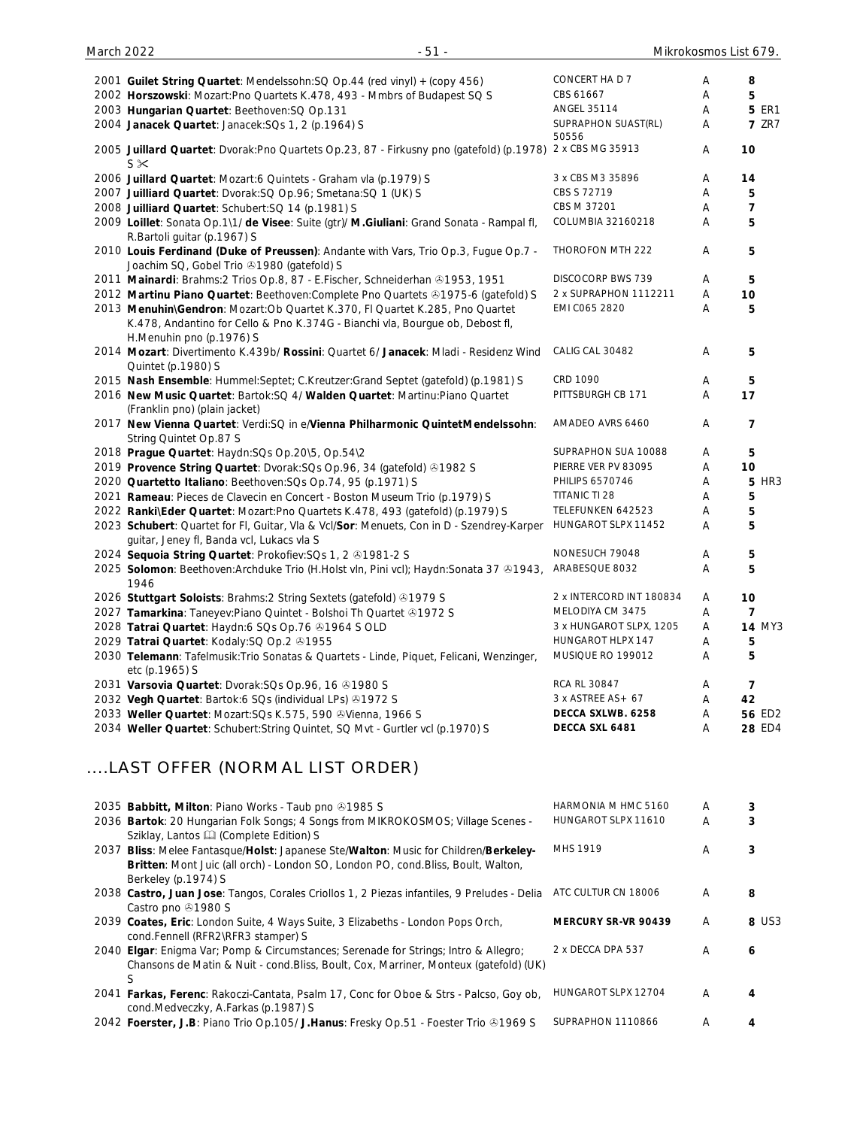| 2001 Guilet String Quartet: Mendelssohn: SQ Op. 44 (red vinyl) + (copy 456)                                                      | CONCERT HA D 7               | Α | 8             |
|----------------------------------------------------------------------------------------------------------------------------------|------------------------------|---|---------------|
| 2002 Horszowski: Mozart: Pno Quartets K.478, 493 - Mmbrs of Budapest SQ S                                                        | CBS 61667                    | Α | 5             |
| 2003 Hungarian Quartet: Beethoven: SQ Op.131                                                                                     | <b>ANGEL 35114</b>           | Α | <b>5 ER1</b>  |
| 2004 Janacek Quartet: Janacek: SQs 1, 2 (p.1964) S                                                                               | SUPRAPHON SUAST(RL)<br>50556 | Α | <b>7 ZR7</b>  |
| 2005 Juillard Quartet: Dvorak: Pno Quartets Op.23, 87 - Firkusny pno (gatefold) (p.1978)<br>$S \times$                           | 2 x CBS MG 35913             | Α | 10            |
| 2006 Juillard Quartet: Mozart:6 Quintets - Graham vla (p.1979) S                                                                 | 3 x CBS M3 35896             | A | 14            |
| 2007 Juilliard Quartet: Dvorak: SQ Op. 96; Smetana: SQ 1 (UK) S                                                                  | CBS S 72719                  | A | 5             |
| 2008 Juilliard Quartet: Schubert: SQ 14 (p.1981) S                                                                               | CBS M 37201                  | Α | 7             |
| 2009 Loillet: Sonata Op.1\1/ de Visee: Suite (gtr)/ M.Giuliani: Grand Sonata - Rampal fl,                                        | COLUMBIA 32160218            | A | 5             |
| R.Bartoli guitar (p.1967) S                                                                                                      |                              |   |               |
| 2010 Louis Ferdinand (Duke of Preussen): Andante with Vars, Trio Op.3, Fugue Op.7 -<br>Joachim SQ, Gobel Trio 31980 (gatefold) S | THOROFON MTH 222             | A | 5             |
| 2011 Mainardi: Brahms: 2 Trios Op.8, 87 - E.Fischer, Schneiderhan & 1953, 1951                                                   | <b>DISCOCORP BWS 739</b>     | A | 5             |
| 2012 Martinu Piano Quartet: Beethoven: Complete Pno Quartets & 1975-6 (gatefold) S                                               | 2 x SUPRAPHON 1112211        | A | 10            |
| 2013 Menuhin\Gendron: Mozart:Ob Quartet K.370, FI Quartet K.285, Pno Quartet                                                     | EMI C065 2820                | Α | 5             |
| K.478, Andantino for Cello & Pno K.374G - Bianchi vla, Bourgue ob, Debost fl,<br>H.Menuhin pno (p.1976) S                        |                              |   |               |
| 2014 Mozart: Divertimento K.439b/ Rossini: Quartet 6/ Janacek: Mladi - Residenz Wind                                             | CALIG CAL 30482              | A | 5             |
| Quintet (p.1980) S                                                                                                               |                              |   |               |
| 2015 Nash Ensemble: Hummel:Septet; C.Kreutzer:Grand Septet (gatefold) (p.1981) S                                                 | CRD 1090                     | A | 5             |
| 2016 New Music Quartet: Bartok:SQ 4/ Walden Quartet: Martinu:Piano Quartet<br>(Franklin pno) (plain jacket)                      | PITTSBURGH CB 171            | A | 17            |
| 2017 New Vienna Quartet: Verdi: SQ in e/Vienna Philharmonic Quintet Mendelssohn:<br>String Quintet Op.87 S                       | AMADEO AVRS 6460             | A | 7             |
| 2018 Prague Quartet: Haydn:SQs Op.20\5, Op.54\2                                                                                  | SUPRAPHON SUA 10088          | A | 5             |
| 2019 Provence String Quartet: Dvorak: SQs Op. 96, 34 (gatefold) @1982 S                                                          | PIERRE VER PV 83095          | Α | 10            |
| 2020 Quartetto Italiano: Beethoven: SQs Op. 74, 95 (p. 1971) S                                                                   | <b>PHILIPS 6570746</b>       | A | <b>5 HR3</b>  |
| 2021 Rameau: Pieces de Clavecin en Concert - Boston Museum Trio (p.1979) S                                                       | TITANIC TI 28                | A | 5             |
| 2022 Ranki\Eder Quartet: Mozart:Pno Quartets K.478, 493 (gatefold) (p.1979) S                                                    | TELEFUNKEN 642523            | Α | 5             |
| 2023 Schubert: Quartet for FI, Guitar, Vla & Vcl/Sor: Menuets, Con in D - Szendrey-Karper                                        | HUNGAROT SLPX 11452          | Α | 5             |
| guitar, Jeney fl, Banda vcl, Lukacs vla S                                                                                        |                              |   |               |
| 2024 Sequoia String Quartet: Prokofiev: SQs 1, 2 01981-2 S                                                                       | NONESUCH 79048               | A | 5             |
| 2025 Solomon: Beethoven: Archduke Trio (H.Holst vln, Pini vcl); Haydn: Sonata 37 ®1943,<br>1946                                  | ARABESQUE 8032               | Α | 5             |
| 2026 Stuttgart Soloists: Brahms: 2 String Sextets (gatefold) 31979 S                                                             | 2 x INTERCORD INT 180834     | A | 10            |
| 2027 Tamarkina: Taneyev: Piano Quintet - Bolshoi Th Quartet 31972 S                                                              | MELODIYA CM 3475             | A | 7             |
| 2028 Tatrai Quartet: Haydn:6 SQs Op.76 @1964 S OLD                                                                               | 3 x HUNGAROT SLPX, 1205      | A | <b>14 MY3</b> |
| 2029 Tatrai Quartet: Kodaly: SQ Op.2 81955                                                                                       | HUNGAROT HLPX 147            | Α | 5             |
| 2030 Telemann: Tafelmusik: Trio Sonatas & Quartets - Linde, Piquet, Felicani, Wenzinger,<br>etc (p.1965) S                       | MUSIQUE RO 199012            | Α | 5             |
| 2031 Varsovia Quartet: Dvorak: SQs Op. 96, 16 & 1980 S                                                                           | RCA RL 30847                 | A | 7             |
| 2032 Vegh Quartet: Bartok:6 SQs (individual LPs) +1972 S                                                                         | 3 x ASTREE AS + 67           | Α | 42            |
| 2033 Weller Quartet: Mozart: SQs K.575, 590 & Vienna, 1966 S                                                                     | DECCA SXLWB. 6258            | A | 56 ED2        |
| 2034 Weller Quartet: Schubert: String Quintet, SQ Mvt - Gurtler vcl (p.1970) S                                                   | DECCA SXL 6481               | A | 28 ED4        |
|                                                                                                                                  |                              |   |               |

# ....LAST OFFER (NORMAL LIST ORDER)

| 2035 Babbitt, Milton: Piano Works - Taub pno 31985 S                                                                                                                                            | HARMONIA M HMC 5160 | A | 3     |
|-------------------------------------------------------------------------------------------------------------------------------------------------------------------------------------------------|---------------------|---|-------|
| 2036 Bartok: 20 Hungarian Folk Songs; 4 Songs from MIKROKOSMOS; Village Scenes -<br>Sziklay, Lantos & (Complete Edition) S                                                                      | HUNGAROT SLPX 11610 | A |       |
| 2037 Bliss: Melee Fantasque/Holst: Japanese Ste/Walton: Music for Children/Berkeley-<br>Britten: Mont Juic (all orch) - London SO, London PO, cond.Bliss, Boult, Walton,<br>Berkeley (p.1974) S | <b>MHS 1919</b>     | Α |       |
| 2038 Castro, Juan Jose: Tangos, Corales Criollos 1, 2 Piezas infantiles, 9 Preludes - Delia<br>Castro pno 31980 S                                                                               | ATC CULTUR CN 18006 | Α | 8     |
| 2039 Coates, Eric: London Suite, 4 Ways Suite, 3 Elizabeths - London Pops Orch,<br>cond.Fennell (RFR2\RFR3 stamper) S                                                                           | MERCURY SR-VR 90439 | A | 8 US3 |
| 2040 Elgar: Enigma Var; Pomp & Circumstances; Serenade for Strings; Intro & Allegro;<br>Chansons de Matin & Nuit - cond. Bliss, Boult, Cox, Marriner, Monteux (gatefold) (UK)                   | 2 x DECCA DPA 537   | A | 6     |
| 2041 Farkas, Ferenc: Rakoczi-Cantata, Psalm 17, Conc for Oboe & Strs - Palcso, Goy ob,<br>cond. Medveczky, A. Farkas (p. 1987) S                                                                | HUNGAROT SLPX 12704 | A | 4     |
| 2042 Foerster, J.B: Piano Trio Op.105/ J.Hanus: Fresky Op.51 - Foester Trio @1969 S                                                                                                             | SUPRAPHON 1110866   | A |       |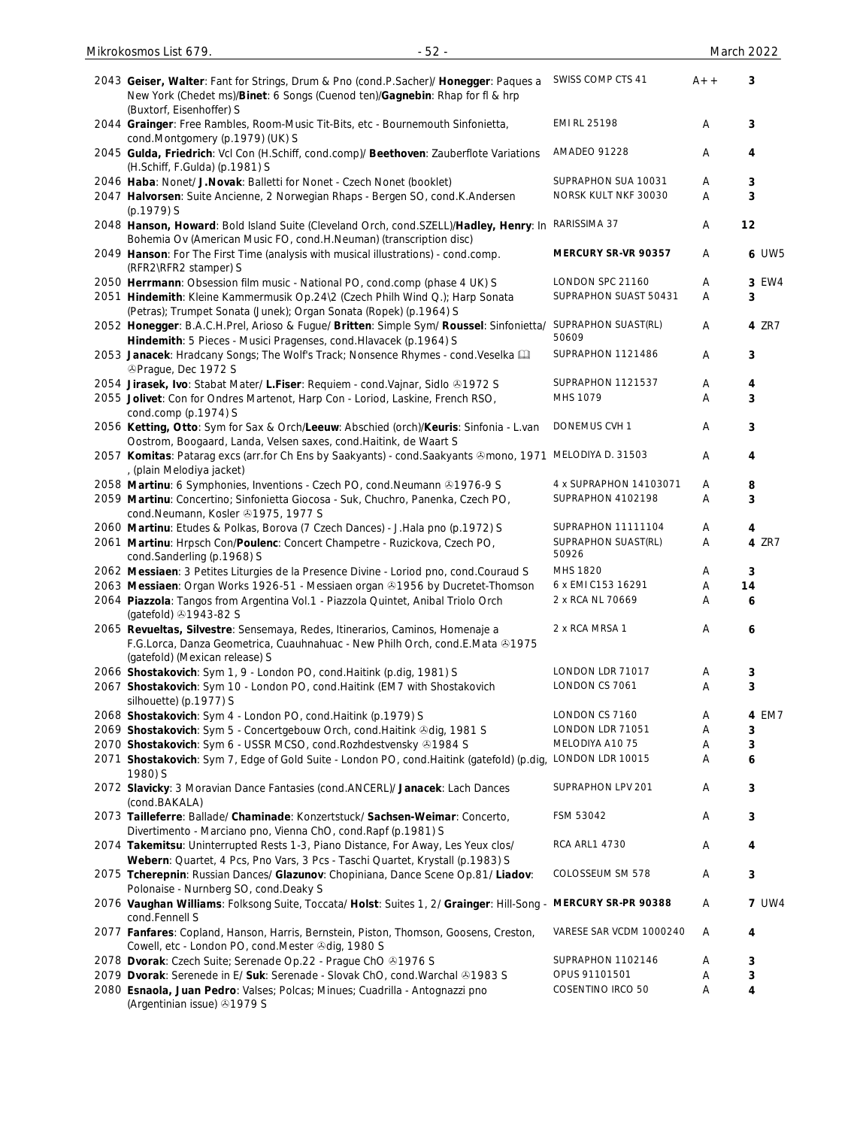| 2043 Geiser, Walter: Fant for Strings, Drum & Pno (cond.P.Sacher)/ Honegger: Paques a<br>New York (Chedet ms)/Binet: 6 Songs (Cuenod ten)/Gagnebin: Rhap for fl & hrp<br>(Buxtorf, Eisenhoffer) S | SWISS COMP CTS 41            | $A++$ | 3            |
|---------------------------------------------------------------------------------------------------------------------------------------------------------------------------------------------------|------------------------------|-------|--------------|
| 2044 Grainger: Free Rambles, Room-Music Tit-Bits, etc - Bournemouth Sinfonietta,<br>cond.Montgomery (p.1979) (UK) S                                                                               | EMI RL 25198                 | A     | 3            |
| 2045 Gulda, Friedrich: Vcl Con (H.Schiff, cond.comp)/ Beethoven: Zauberflote Variations<br>(H.Schiff, F.Gulda) (p.1981) S                                                                         | AMADEO 91228                 | Α     | 4            |
| 2046 Haba: Nonet/ J. Novak: Balletti for Nonet - Czech Nonet (booklet)                                                                                                                            | SUPRAPHON SUA 10031          | Α     | 3            |
| 2047 Halvorsen: Suite Ancienne, 2 Norwegian Rhaps - Bergen SO, cond.K.Andersen<br>(p.1979) S                                                                                                      | NORSK KULT NKF 30030         | A     | 3            |
| 2048 Hanson, Howard: Bold Island Suite (Cleveland Orch, cond.SZELL)/Hadley, Henry: In<br>Bohemia Ov (American Music FO, cond.H.Neuman) (transcription disc)                                       | RARISSIMA 37                 | Α     | 12           |
| 2049 Hanson: For The First Time (analysis with musical illustrations) - cond.comp.<br>(RFR2\RFR2 stamper) S                                                                                       | MERCURY SR-VR 90357          | Α     | <b>6 UW5</b> |
| 2050 Herrmann: Obsession film music - National PO, cond.comp (phase 4 UK) S                                                                                                                       | LONDON SPC 21160             | A     | 3 EW4        |
| 2051 Hindemith: Kleine Kammermusik Op.24\2 (Czech Philh Wind Q.); Harp Sonata                                                                                                                     | SUPRAPHON SUAST 50431        | A     | 3            |
| (Petras); Trumpet Sonata (Junek); Organ Sonata (Ropek) (p.1964) S                                                                                                                                 |                              |       |              |
| 2052 Honegger: B.A.C.H.Prel, Arioso & Fugue/ Britten: Simple Sym/ Roussel: Sinfonietta/<br>Hindemith: 5 Pieces - Musici Pragenses, cond. Hlavacek (p. 1964) S                                     | SUPRAPHON SUAST(RL)<br>50609 | A     | 4 ZR7        |
| 2053 Janacek: Hradcany Songs; The Wolf's Track; Nonsence Rhymes - cond. Veselka [1]<br><b>@Prague, Dec 1972 S</b>                                                                                 | SUPRAPHON 1121486            | A     | 3            |
| 2054 Jirasek, Ivo: Stabat Mater/ L.Fiser: Requiem - cond.Vajnar, Sidlo @1972 S                                                                                                                    | SUPRAPHON 1121537            | Α     | 4            |
| 2055 Jolivet: Con for Ondres Martenot, Harp Con - Loriod, Laskine, French RSO,<br>cond.comp (p.1974) S                                                                                            | MHS 1079                     | Α     | 3            |
| 2056 Ketting, Otto: Sym for Sax & Orch/Leeuw: Abschied (orch)/Keuris: Sinfonia - L.van<br>Oostrom, Boogaard, Landa, Velsen saxes, cond. Haitink, de Waart S                                       | DONEMUS CVH 1                | Α     | 3            |
| 2057 Komitas: Patarag excs (arr.for Ch Ens by Saakyants) - cond. Saakyants & mono, 1971 MELODIYA D. 31503<br>, (plain Melodiya jacket)                                                            |                              | Α     | 4            |
| 2058 Martinu: 6 Symphonies, Inventions - Czech PO, cond. Neumann @1976-9 S                                                                                                                        | 4 x SUPRAPHON 14103071       | Α     | 8            |
| 2059 Martinu: Concertino; Sinfonietta Giocosa - Suk, Chuchro, Panenka, Czech PO,<br>cond.Neumann, Kosler 21975, 1977 S                                                                            | SUPRAPHON 4102198            | Α     | 3            |
| 2060 Martinu: Etudes & Polkas, Borova (7 Czech Dances) - J.Hala pno (p.1972) S                                                                                                                    | SUPRAPHON 11111104           | Α     | 4            |
| 2061 Martinu: Hrpsch Con/Poulenc: Concert Champetre - Ruzickova, Czech PO,<br>cond.Sanderling (p.1968) S                                                                                          | SUPRAPHON SUAST(RL)<br>50926 | Α     | 4 ZR7        |
| 2062 Messiaen: 3 Petites Liturgies de la Presence Divine - Loriod pno, cond.Couraud S                                                                                                             | MHS 1820                     | Α     | 3            |
| 2063 Messiaen: Organ Works 1926-51 - Messiaen organ @1956 by Ducretet-Thomson                                                                                                                     | 6 x EMI C153 16291           | Α     | 14           |
| 2064 Piazzola: Tangos from Argentina Vol.1 - Piazzola Quintet, Anibal Triolo Orch<br>(gatefold) 31943-82 S                                                                                        | 2 x RCA NL 70669             | Α     | 6            |
| 2065 Revueltas, Silvestre: Sensemaya, Redes, Itinerarios, Caminos, Homenaje a<br>F.G.Lorca, Danza Geometrica, Cuauhnahuac - New Philh Orch, cond.E.Mata & 1975<br>(gatefold) (Mexican release) S  | 2 x RCA MRSA 1               | Α     | 6            |
| 2066 Shostakovich: Sym 1, 9 - London PO, cond. Haitink (p.dig, 1981) S                                                                                                                            | LONDON LDR 71017             | A     | 3            |
| 2067 Shostakovich: Sym 10 - London PO, cond. Haitink (EM7 with Shostakovich<br>silhouette) (p.1977) S                                                                                             | LONDON CS 7061               | Α     | 3            |
| 2068 Shostakovich: Sym 4 - London PO, cond. Haitink (p. 1979) S                                                                                                                                   | LONDON CS 7160               | Α     | 4 EM7        |
| 2069 Shostakovich: Sym 5 - Concertgebouw Orch, cond. Haitink & dig, 1981 S                                                                                                                        | LONDON LDR 71051             | Α     | 3            |
| 2070 Shostakovich: Sym 6 - USSR MCSO, cond. Rozhdestvensky @1984 S                                                                                                                                | MELODIYA A10 75              | Α     | 3            |
| 2071 Shostakovich: Sym 7, Edge of Gold Suite - London PO, cond. Haitink (gatefold) (p.dig,<br>1980) S                                                                                             | LONDON LDR 10015             | A     | 6            |
| 2072 Slavicky: 3 Moravian Dance Fantasies (cond.ANCERL)/ Janacek: Lach Dances<br>(cond.BAKALA)                                                                                                    | SUPRAPHON LPV 201            | A     | 3            |
| 2073 Tailleferre: Ballade/ Chaminade: Konzertstuck/ Sachsen-Weimar: Concerto,<br>Divertimento - Marciano pno, Vienna ChO, cond. Rapf (p.1981) S                                                   | FSM 53042                    | Α     | 3            |
| 2074 Takemitsu: Uninterrupted Rests 1-3, Piano Distance, For Away, Les Yeux clos/<br>Webern: Quartet, 4 Pcs, Pno Vars, 3 Pcs - Taschi Quartet, Krystall (p.1983) S                                | <b>RCA ARL1 4730</b>         | Α     | 4            |
| 2075 Tcherepnin: Russian Dances/ Glazunov: Chopiniana, Dance Scene Op.81/ Liadov:<br>Polonaise - Nurnberg SO, cond.Deaky S                                                                        | COLOSSEUM SM 578             | Α     | 3            |
| 2076 Vaughan Williams: Folksong Suite, Toccata/ Holst: Suites 1, 2/ Grainger: Hill-Song - MERCURY SR-PR 90388<br>cond.Fennell S                                                                   |                              | A     | <b>7 UW4</b> |
| 2077 Fanfares: Copland, Hanson, Harris, Bernstein, Piston, Thomson, Goosens, Creston,<br>Cowell, etc - London PO, cond.Mester @dig, 1980 S                                                        | VARESE SAR VCDM 1000240      | A     | 4            |
| 2078 Dvorak: Czech Suite; Serenade Op.22 - Prague ChO 21976 S                                                                                                                                     | SUPRAPHON 1102146            | Α     | 3            |
| 2079 Dvorak: Serenede in E/ Suk: Serenade - Slovak ChO, cond. Warchal & 1983 S                                                                                                                    | OPUS 91101501                | Α     | 3            |
| 2080 Esnaola, Juan Pedro: Valses; Polcas; Minues; Cuadrilla - Antognazzi pno<br>(Argentinian issue) 31979 S                                                                                       | COSENTINO IRCO 50            | Α     | 4            |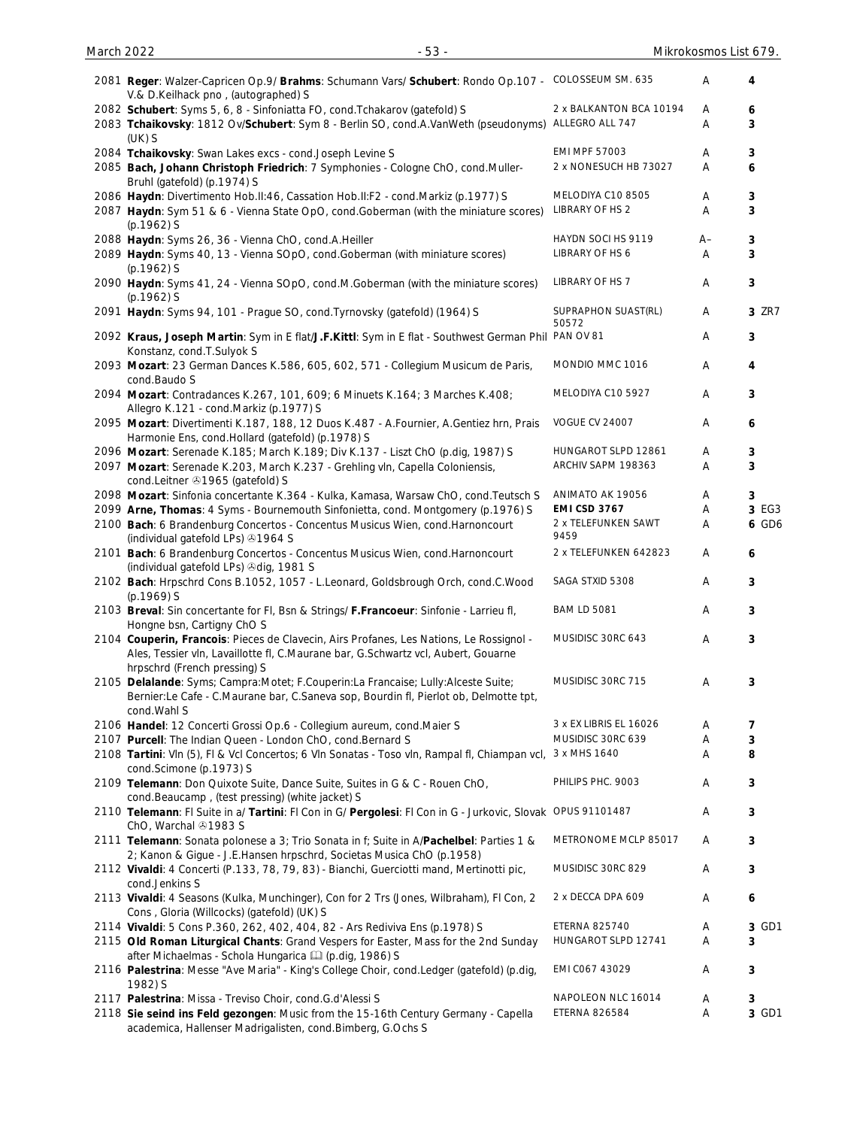| 2081 Reger: Walzer-Capricen Op.9/ Brahms: Schumann Vars/ Schubert: Rondo Op.107 - COLOSSEUM SM. 635<br>V.& D.Keilhack pno, (autographed) S                                                                   |                                      | Α          | 4      |
|--------------------------------------------------------------------------------------------------------------------------------------------------------------------------------------------------------------|--------------------------------------|------------|--------|
| 2082 Schubert: Syms 5, 6, 8 - Sinfoniatta FO, cond. Tchakarov (gatefold) S                                                                                                                                   | 2 x BALKANTON BCA 10194              | Α          | 6      |
| 2083 Tchaikovsky: 1812 Ov/Schubert: Sym 8 - Berlin SO, cond.A.VanWeth (pseudonyms)                                                                                                                           | ALLEGRO ALL 747                      | Α          | 3      |
| $(UK)$ S<br>2084 Tchaikovsky: Swan Lakes excs - cond.Joseph Levine S                                                                                                                                         | <b>EMI MPF 57003</b>                 | Α          | 3      |
| 2085 Bach, Johann Christoph Friedrich: 7 Symphonies - Cologne ChO, cond.Muller-                                                                                                                              | 2 x NONESUCH HB 73027                | A          | 6      |
| Bruhl (gatefold) (p.1974) S                                                                                                                                                                                  |                                      |            |        |
| 2086 Haydn: Divertimento Hob.II:46, Cassation Hob.II:F2 - cond.Markiz (p.1977) S<br>2087 Haydn: Sym 51 & 6 - Vienna State OpO, cond. Goberman (with the miniature scores)                                    | MELODIYA C10 8505<br>LIBRARY OF HS 2 | Α<br>A     | 3<br>3 |
| $(p.1962)$ S                                                                                                                                                                                                 | HAYDN SOCI HS 9119                   |            |        |
| 2088 Haydn: Syms 26, 36 - Vienna ChO, cond.A.Heiller<br>2089 Haydn: Syms 40, 13 - Vienna SOpO, cond. Goberman (with miniature scores)                                                                        | LIBRARY OF HS 6                      | $A -$<br>Α | 3<br>3 |
| $(p.1962)$ S<br>2090 Haydn: Syms 41, 24 - Vienna SOpO, cond.M.Goberman (with the miniature scores)<br>$(p.1962)$ S                                                                                           | LIBRARY OF HS 7                      | Α          | 3      |
| 2091 Haydn: Syms 94, 101 - Prague SO, cond. Tyrnovsky (gatefold) (1964) S                                                                                                                                    | SUPRAPHON SUAST(RL)<br>50572         | Α          | 3 ZR7  |
| 2092 Kraus, Joseph Martin: Sym in E flat/J.F.Kittl: Sym in E flat - Southwest German Phil<br>Konstanz, cond.T.Sulyok S                                                                                       | PAN OV 81                            | Α          | 3      |
| 2093 Mozart: 23 German Dances K.586, 605, 602, 571 - Collegium Musicum de Paris,<br>cond.Baudo S                                                                                                             | MONDIO MMC 1016                      | Α          | 4      |
| 2094 Mozart: Contradances K.267, 101, 609; 6 Minuets K.164; 3 Marches K.408;<br>Allegro K.121 - cond.Markiz (p.1977) S                                                                                       | MELODIYA C10 5927                    | Α          | 3      |
| 2095 Mozart: Divertimenti K.187, 188, 12 Duos K.487 - A.Fournier, A.Gentiez hrn, Prais<br>Harmonie Ens, cond.Hollard (gatefold) (p.1978) S                                                                   | <b>VOGUE CV 24007</b>                | Α          | 6      |
| 2096 Mozart: Serenade K.185; March K.189; Div K.137 - Liszt ChO (p.dig, 1987) S                                                                                                                              | HUNGAROT SLPD 12861                  | A          | 3      |
| 2097 Mozart: Serenade K.203, March K.237 - Grehling vln, Capella Coloniensis,<br>cond.Leitner 31965 (gatefold) S                                                                                             | ARCHIV SAPM 198363                   | Α          | 3      |
| 2098 Mozart: Sinfonia concertante K.364 - Kulka, Kamasa, Warsaw ChO, cond. Teutsch S                                                                                                                         | ANIMATO AK 19056                     | A          | 3      |
| 2099 Arne, Thomas: 4 Syms - Bournemouth Sinfonietta, cond. Montgomery (p.1976) S                                                                                                                             | <b>EMI CSD 3767</b>                  | A          | 3 EG3  |
| 2100 Bach: 6 Brandenburg Concertos - Concentus Musicus Wien, cond. Harnoncourt<br>(individual gatefold LPs) 21964 S                                                                                          | 2 x TELEFUNKEN SAWT<br>9459          | Α          | 6 GD6  |
| 2101 Bach: 6 Brandenburg Concertos - Concentus Musicus Wien, cond. Harnoncourt<br>(individual gatefold LPs) 3dig, 1981 S                                                                                     | 2 x TELEFUNKEN 642823                | A          | 6      |
| 2102 Bach: Hrpschrd Cons B.1052, 1057 - L.Leonard, Goldsbrough Orch, cond.C.Wood<br>(p.1969) S                                                                                                               | SAGA STXID 5308                      | A          | 3      |
| 2103 Breval: Sin concertante for FI, Bsn & Strings/ F.Francoeur: Sinfonie - Larrieu fl,<br>Hongne bsn, Cartigny ChO S                                                                                        | <b>BAM LD 5081</b>                   | A          | 3      |
| 2104 Couperin, Francois: Pieces de Clavecin, Airs Profanes, Les Nations, Le Rossignol -<br>Ales, Tessier vln, Lavaillotte fl, C.Maurane bar, G.Schwartz vcl, Aubert, Gouarne<br>hrpschrd (French pressing) S | MUSIDISC 30RC 643                    | Α          | 3      |
| 2105 Delalande: Syms; Campra:Motet; F.Couperin:La Francaise; Lully:Alceste Suite;<br>Bernier:Le Cafe - C.Maurane bar, C.Saneva sop, Bourdin fl, Pierlot ob, Delmotte tpt,<br>cond. Wahl S                    | MUSIDISC 30RC 715                    | Α          | 3      |
| 2106 Handel: 12 Concerti Grossi Op.6 - Collegium aureum, cond. Maier S                                                                                                                                       | 3 x EX LIBRIS EL 16026               | A          | 7      |
| 2107 Purcell: The Indian Queen - London ChO, cond. Bernard S                                                                                                                                                 | MUSIDISC 30RC 639                    | Α          | 3      |
| 2108 Tartini: VIn (5), FI & VcI Concertos; 6 VIn Sonatas - Toso vIn, Rampal fI, Chiampan vcI,<br>cond.Scimone (p.1973) S                                                                                     | 3 x MHS 1640                         | A          | 8      |
| 2109 Telemann: Don Quixote Suite, Dance Suite, Suites in G & C - Rouen ChO,                                                                                                                                  | PHILIPS PHC. 9003                    | Α          | 3      |
| cond.Beaucamp, (test pressing) (white jacket) S<br>2110 Telemann: FI Suite in a/ Tartini: FI Con in G/ Pergolesi: FI Con in G - Jurkovic, Slovak OPUS 91101487                                               |                                      | Α          | 3      |
| ChO, Warchal 21983 S<br>2111 Telemann: Sonata polonese a 3; Trio Sonata in f; Suite in A/Pachelbel: Parties 1 &                                                                                              | METRONOME MCLP 85017                 | A          | 3      |
| 2; Kanon & Gigue - J.E.Hansen hrpschrd, Societas Musica ChO (p.1958)<br>2112 Vivaldi: 4 Concerti (P.133, 78, 79, 83) - Bianchi, Guerciotti mand, Mertinotti pic,                                             | MUSIDISC 30RC 829                    | A          | 3      |
| cond.Jenkins S<br>2113 Vivaldi: 4 Seasons (Kulka, Munchinger), Con for 2 Trs (Jones, Wilbraham), FI Con, 2                                                                                                   | 2 x DECCA DPA 609                    | A          | 6      |
| Cons, Gloria (Willcocks) (gatefold) (UK) S<br>2114 Vivaldi: 5 Cons P.360, 262, 402, 404, 82 - Ars Rediviva Ens (p.1978) S                                                                                    | <b>ETERNA 825740</b>                 | Α          | 3 GD1  |
| 2115 Old Roman Liturgical Chants: Grand Vespers for Easter, Mass for the 2nd Sunday<br>after Michaelmas - Schola Hungarica [12] (p.dig, 1986) S                                                              | HUNGAROT SLPD 12741                  | A          | 3      |
| 2116 Palestrina: Messe "Ave Maria" - King's College Choir, cond.Ledger (gatefold) (p.dig,<br>1982) S                                                                                                         | EMI C067 43029                       | Α          | 3      |
| 2117 Palestrina: Missa - Treviso Choir, cond.G.d'Alessi S                                                                                                                                                    | NAPOLEON NLC 16014                   | A          | 3      |
| 2118 Sie seind ins Feld gezongen: Music from the 15-16th Century Germany - Capella<br>academica, Hallenser Madrigalisten, cond.Bimberg, G.Ochs S                                                             | <b>ETERNA 826584</b>                 | A          | 3 GD1  |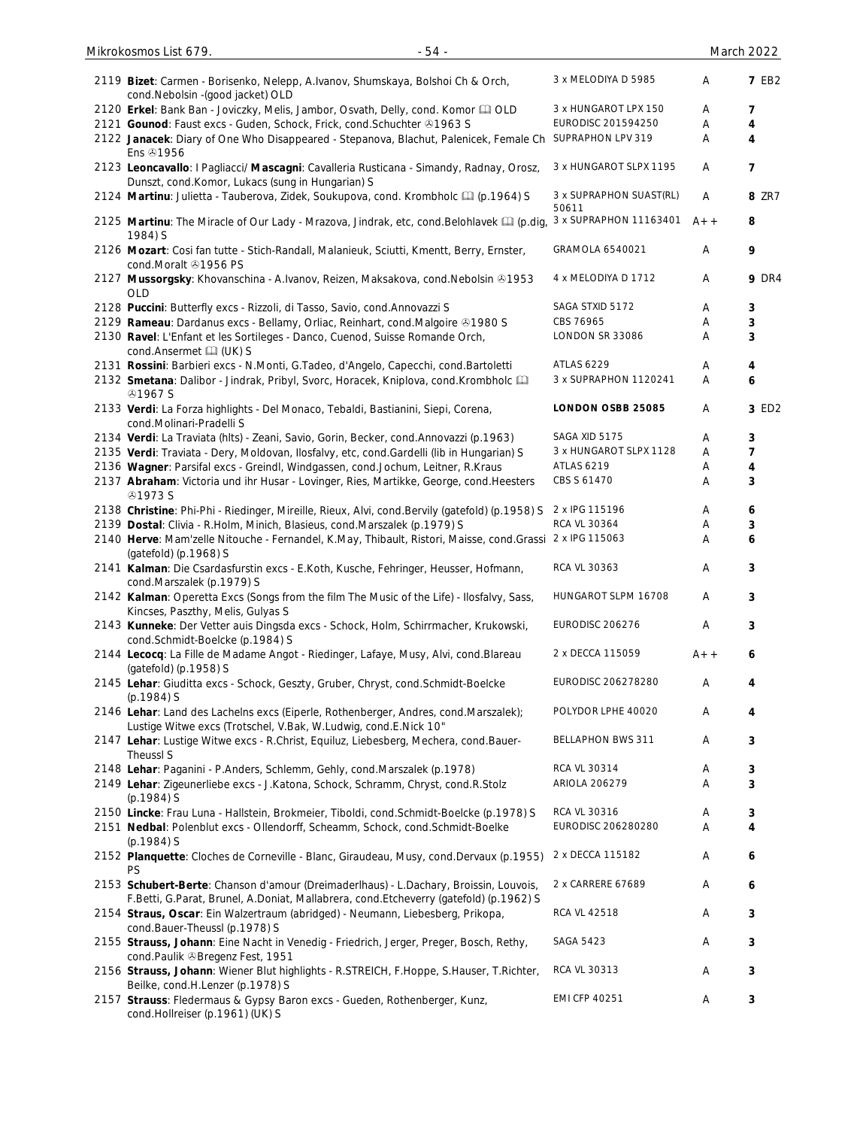| Mikrokosmos List 679.<br>$-54-$                                                                                                                                                |                                  |       | March 2022   |
|--------------------------------------------------------------------------------------------------------------------------------------------------------------------------------|----------------------------------|-------|--------------|
| 2119 Bizet: Carmen - Borisenko, Nelepp, A.Ivanov, Shumskaya, Bolshoi Ch & Orch,<br>cond.Nebolsin - (good jacket) OLD                                                           | 3 x MELODIYA D 5985              | Α     | <b>7 EB2</b> |
| 2120 Erkel: Bank Ban - Joviczky, Melis, Jambor, Osvath, Delly, cond. Komor La OLD                                                                                              | 3 x HUNGAROT LPX 150             | A     | 7            |
| 2121 Gounod: Faust excs - Guden, Schock, Frick, cond. Schuchter 31963 S                                                                                                        | EURODISC 201594250               | A     | 4            |
| 2122 Janacek: Diary of One Who Disappeared - Stepanova, Blachut, Palenicek, Female Ch SUPRAPHON LPV 319<br>Ens <b>@1956</b>                                                    |                                  | Α     | 4            |
| 2123 Leoncavallo: I Pagliacci/ Mascagni: Cavalleria Rusticana - Simandy, Radnay, Orosz,<br>Dunszt, cond.Komor, Lukacs (sung in Hungarian) S                                    | 3 x HUNGAROT SLPX 1195           | A     | 7            |
| 2124 Martinu: Julietta - Tauberova, Zidek, Soukupova, cond. Krombholc [1] (p.1964) S                                                                                           | 3 x SUPRAPHON SUAST(RL)<br>50611 | Α     | 8 ZR7        |
| 2125 Martinu: The Miracle of Our Lady - Mrazova, Jindrak, etc, cond. Belohlavek [1] (p.dig,<br>1984) S                                                                         | 3 x SUPRAPHON 11163401           | $A++$ | 8            |
| 2126 Mozart: Cosi fan tutte - Stich-Randall, Malanieuk, Sciutti, Kmentt, Berry, Ernster,<br>cond.Moralt 31956 PS                                                               | GRAMOLA 6540021                  | Α     | 9            |
| 2127 Mussorgsky: Khovanschina - A.Ivanov, Reizen, Maksakova, cond. Nebolsin & 1953<br><b>OLD</b>                                                                               | 4 x MELODIYA D 1712              | Α     | <b>9 DR4</b> |
| 2128 Puccini: Butterfly excs - Rizzoli, di Tasso, Savio, cond. Annovazzi S                                                                                                     | SAGA STXID 5172                  | A     | 3            |
| 2129 Rameau: Dardanus excs - Bellamy, Orliac, Reinhart, cond.Malgoire @1980 S                                                                                                  | CBS 76965                        | A     | 3            |
| 2130 Ravel: L'Enfant et les Sortileges - Danco, Cuenod, Suisse Romande Orch,<br>cond.Ansermet La (UK) S                                                                        | LONDON SR 33086                  | Α     | 3            |
| 2131 Rossini: Barbieri excs - N.Monti, G.Tadeo, d'Angelo, Capecchi, cond.Bartoletti                                                                                            | <b>ATLAS 6229</b>                | Α     | 4            |
| 2132 Smetana: Dalibor - Jindrak, Pribyl, Svorc, Horacek, Kniplova, cond.Krombholc<br><b>41967S</b>                                                                             | 3 x SUPRAPHON 1120241            | A     | 6            |
| 2133 Verdi: La Forza highlights - Del Monaco, Tebaldi, Bastianini, Siepi, Corena,<br>cond.Molinari-Pradelli S                                                                  | LONDON OSBB 25085                | A     | 3 ED2        |
| 2134 Verdi: La Traviata (hlts) - Zeani, Savio, Gorin, Becker, cond.Annovazzi (p.1963)                                                                                          | SAGA XID 5175                    | Α     | 3            |
| 2135 Verdi: Traviata - Dery, Moldovan, Ilosfalvy, etc, cond.Gardelli (lib in Hungarian) S                                                                                      | 3 x HUNGAROT SLPX 1128           | Α     | 7            |
| 2136 Wagner: Parsifal excs - Greindl, Windgassen, cond.Jochum, Leitner, R.Kraus                                                                                                | <b>ATLAS 6219</b>                | A     | 4            |
| 2137 Abraham: Victoria und ihr Husar - Lovinger, Ries, Martikke, George, cond. Heesters<br><b>⊕1973 S</b>                                                                      | CBS S 61470                      | Α     | 3            |
| 2138 Christine: Phi-Phi - Riedinger, Mireille, Rieux, Alvi, cond.Bervily (gatefold) (p.1958) S                                                                                 | 2 x IPG 115196                   | A     | 6            |
| 2139 Dostal: Clivia - R.Holm, Minich, Blasieus, cond.Marszalek (p.1979) S                                                                                                      | RCA VL 30364                     | Α     | 3            |
| 2140 Herve: Mam'zelle Nitouche - Fernandel, K.May, Thibault, Ristori, Maisse, cond.Grassi<br>(gatefold) (p.1968) S                                                             | 2 x IPG 115063                   | Α     | 6            |
| 2141 Kalman: Die Csardasfurstin excs - E.Koth, Kusche, Fehringer, Heusser, Hofmann,<br>cond.Marszalek (p.1979) S                                                               | <b>RCA VL 30363</b>              | A     | 3            |
| 2142 Kalman: Operetta Excs (Songs from the film The Music of the Life) - Ilosfalvy, Sass,<br>Kincses, Paszthy, Melis, Gulyas S                                                 | HUNGAROT SLPM 16708              | Α     | 3            |
| 2143 Kunneke: Der Vetter auis Dingsda excs - Schock, Holm, Schirrmacher, Krukowski,<br>cond.Schmidt-Boelcke (p.1984) S                                                         | EURODISC 206276                  | Α     | 3            |
| 2144 Lecocq: La Fille de Madame Angot - Riedinger, Lafaye, Musy, Alvi, cond. Blareau<br>(gatefold) (p.1958) S                                                                  | 2 x DECCA 115059                 | $A++$ | 6            |
| 2145 Lehar: Giuditta excs - Schock, Geszty, Gruber, Chryst, cond. Schmidt-Boelcke<br>(p.1984) S                                                                                | EURODISC 206278280               | Α     | 4            |
| 2146 Lehar: Land des Lachelns excs (Eiperle, Rothenberger, Andres, cond.Marszalek);<br>Lustige Witwe excs (Trotschel, V.Bak, W.Ludwig, cond.E.Nick 10"                         | POLYDOR LPHE 40020               | A     | 4            |
| 2147 Lehar: Lustige Witwe excs - R.Christ, Equiluz, Liebesberg, Mechera, cond.Bauer-<br>Theussl S                                                                              | <b>BELLAPHON BWS 311</b>         | A     | 3            |
| 2148 Lehar: Paganini - P.Anders, Schlemm, Gehly, cond.Marszalek (p.1978)                                                                                                       | RCA VL 30314                     | A     | 3            |
| 2149 Lehar: Zigeunerliebe excs - J.Katona, Schock, Schramm, Chryst, cond.R.Stolz<br>$(p.1984)$ S                                                                               | <b>ARIOLA 206279</b>             | Α     | 3            |
| 2150 Lincke: Frau Luna - Hallstein, Brokmeier, Tiboldi, cond.Schmidt-Boelcke (p.1978) S                                                                                        | RCA VL 30316                     | A     | 3            |
| 2151 Nedbal: Polenblut excs - Ollendorff, Scheamm, Schock, cond. Schmidt-Boelke<br>(p.1984) S                                                                                  | EURODISC 206280280               | Α     | 4            |
| 2152 Planquette: Cloches de Corneville - Blanc, Giraudeau, Musy, cond.Dervaux (p.1955)<br>PS                                                                                   | 2 x DECCA 115182                 | Α     | 6            |
| 2153 Schubert-Berte: Chanson d'amour (Dreimaderlhaus) - L.Dachary, Broissin, Louvois,<br>F.Betti, G.Parat, Brunel, A.Doniat, Mallabrera, cond.Etcheverry (gatefold) (p.1962) S | 2 x CARRERE 67689                | Α     | 6            |
| 2154 Straus, Oscar: Ein Walzertraum (abridged) - Neumann, Liebesberg, Prikopa,                                                                                                 | RCA VL 42518                     | Α     | 3            |
| cond.Bauer-Theussl (p.1978) S<br>2155 Strauss, Johann: Eine Nacht in Venedig - Friedrich, Jerger, Preger, Bosch, Rethy,                                                        | SAGA 5423                        | Α     | 3            |
| cond.Paulik & Bregenz Fest, 1951<br>2156 Strauss, Johann: Wiener Blut highlights - R.STREICH, F.Hoppe, S.Hauser, T.Richter,                                                    | RCA VL 30313                     | A     | 3            |
| Beilke, cond.H.Lenzer (p.1978) S<br>2157 Strauss: Fledermaus & Gypsy Baron excs - Gueden, Rothenberger, Kunz,                                                                  | <b>EMI CFP 40251</b>             | Α     | 3            |
| cond.Hollreiser (p.1961) (UK) S                                                                                                                                                |                                  |       |              |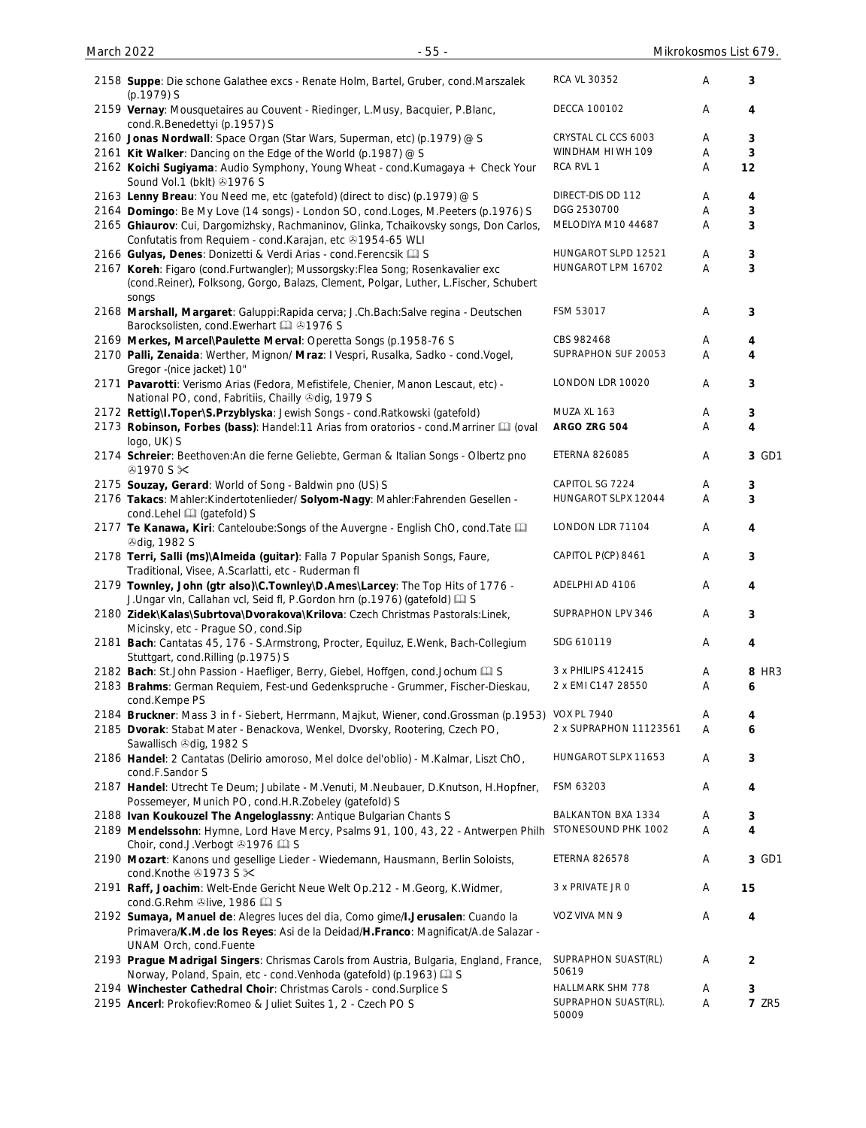| 2158 Suppe: Die schone Galathee excs - Renate Holm, Bartel, Gruber, cond.Marszalek                                                                                              | RCA VL 30352                  | A | 3                       |
|---------------------------------------------------------------------------------------------------------------------------------------------------------------------------------|-------------------------------|---|-------------------------|
| (p.1979) S<br>2159 Vernay: Mousquetaires au Couvent - Riedinger, L.Musy, Bacquier, P.Blanc,                                                                                     | <b>DECCA 100102</b>           | A | 4                       |
| cond.R.Benedettyi (p.1957) S<br>2160 Jonas Nordwall: Space Organ (Star Wars, Superman, etc) (p.1979) @ S                                                                        | CRYSTAL CL CCS 6003           | A | 3                       |
| 2161 Kit Walker: Dancing on the Edge of the World (p.1987) @ S                                                                                                                  | WINDHAM HI WH 109             | Α | 3                       |
| 2162 Koichi Sugiyama: Audio Symphony, Young Wheat - cond. Kumagaya + Check Your<br>Sound Vol.1 (bklt) 31976 S                                                                   | RCA RVL 1                     | Α | 12                      |
| 2163 Lenny Breau: You Need me, etc (gatefold) (direct to disc) (p.1979) @ S                                                                                                     | DIRECT-DIS DD 112             | A | 4                       |
| 2164 Domingo: Be My Love (14 songs) - London SO, cond.Loges, M.Peeters (p.1976) S                                                                                               | DGG 2530700                   | A | 3                       |
| 2165 Ghiaurov: Cui, Dargomizhsky, Rachmaninov, Glinka, Tchaikovsky songs, Don Carlos,<br>Confutatis from Requiem - cond. Karajan, etc +1954-65 WLI                              | MELODIYA M10 44687            | Α | 3                       |
| 2166 Gulyas, Denes: Donizetti & Verdi Arias - cond. Ferencsik [1] S                                                                                                             | HUNGAROT SLPD 12521           | Α | 3                       |
| 2167 Koreh: Figaro (cond.Furtwangler); Mussorgsky:Flea Song; Rosenkavalier exc<br>(cond.Reiner), Folksong, Gorgo, Balazs, Clement, Polgar, Luther, L.Fischer, Schubert<br>songs | HUNGAROT LPM 16702            | Α | 3                       |
| 2168 Marshall, Margaret: Galuppi: Rapida cerva; J.Ch. Bach: Salve regina - Deutschen<br>Barocksolisten, cond. Ewerhart [1] 31976 S                                              | FSM 53017                     | A | 3                       |
| 2169 Merkes, Marcel\Paulette Merval: Operetta Songs (p.1958-76 S                                                                                                                | CBS 982468                    | Α | 4                       |
| 2170 Palli, Zenaida: Werther, Mignon/ Mraz: I Vespri, Rusalka, Sadko - cond. Vogel,<br>Gregor -(nice jacket) 10"                                                                | SUPRAPHON SUF 20053           | A | 4                       |
| 2171 Pavarotti: Verismo Arias (Fedora, Mefistifele, Chenier, Manon Lescaut, etc) -<br>National PO, cond, Fabritiis, Chailly Ddig, 1979 S                                        | LONDON LDR 10020              | A | 3                       |
| 2172 Rettig\I.Toper\S.Przyblyska: Jewish Songs - cond.Ratkowski (gatefold)                                                                                                      | MUZA XL 163                   | Α | 3                       |
| 2173 Robinson, Forbes (bass): Handel:11 Arias from oratorios - cond. Marriner [1] (oval<br>logo, UK) S                                                                          | ARGO ZRG 504                  | Α | $\overline{\mathbf{4}}$ |
| 2174 Schreier: Beethoven: An die ferne Geliebte, German & Italian Songs - Olbertz pno<br>$@1970$ S $\times$                                                                     | <b>ETERNA 826085</b>          | Α | 3 GD1                   |
| 2175 Souzay, Gerard: World of Song - Baldwin pno (US) S                                                                                                                         | CAPITOL SG 7224               | Α | 3                       |
| 2176 Takacs: Mahler: Kindertotenlieder/ Solyom-Nagy: Mahler: Fahrenden Gesellen -                                                                                               | HUNGAROT SLPX 12044           | A | 3                       |
| cond.Lehel [1] (gatefold) S<br>2177 Te Kanawa, Kiri: Canteloube: Songs of the Auvergne - English ChO, cond. Tate<br><b><i><u></u></i></b> dig, 1982 S                           | LONDON LDR 71104              | A | 4                       |
| 2178 Terri, Salli (ms)\Almeida (guitar): Falla 7 Popular Spanish Songs, Faure,<br>Traditional, Visee, A.Scarlatti, etc - Ruderman fl                                            | CAPITOL P(CP) 8461            | Α | 3                       |
| 2179 Townley, John (gtr also)\C.Townley\D.Ames\Larcey: The Top Hits of 1776 -<br>J.Ungar vln, Callahan vcl, Seid fl, P.Gordon hrn (p.1976) (gatefold) [1] S                     | ADELPHI AD 4106               | Α | 4                       |
| 2180 Zidek\Kalas\Subrtova\Dvorakova\Krilova: Czech Christmas Pastorals:Linek,<br>Micinsky, etc - Prague SO, cond. Sip                                                           | SUPRAPHON LPV 346             | Α | 3                       |
| 2181 Bach: Cantatas 45, 176 - S.Armstrong, Procter, Equiluz, E.Wenk, Bach-Collegium<br>Stuttgart, cond.Rilling (p.1975) S                                                       | SDG 610119                    | A | 4                       |
| 2182 Bach: St.John Passion - Haefliger, Berry, Giebel, Hoffgen, cond.Jochum [2] S                                                                                               | 3 x PHILIPS 412415            | A | 8 HR3                   |
| 2183 Brahms: German Requiem, Fest-und Gedenkspruche - Grummer, Fischer-Dieskau,<br>cond.Kempe PS                                                                                | 2 x EMI C147 28550            | Α | 6                       |
| 2184 Bruckner: Mass 3 in f - Siebert, Herrmann, Majkut, Wiener, cond. Grossman (p.1953)                                                                                         | <b>VOX PL 7940</b>            | A | 4                       |
| 2185 Dvorak: Stabat Mater - Benackova, Wenkel, Dvorsky, Rootering, Czech PO,<br>Sawallisch +dig, 1982 S                                                                         | 2 x SUPRAPHON 11123561        | Α | 6                       |
| 2186 Handel: 2 Cantatas (Delirio amoroso, Mel dolce del'oblio) - M.Kalmar, Liszt ChO,<br>cond.F.Sandor S                                                                        | HUNGAROT SLPX 11653           | A | 3                       |
| 2187 Handel: Utrecht Te Deum; Jubilate - M.Venuti, M.Neubauer, D.Knutson, H.Hopfner,<br>Possemeyer, Munich PO, cond.H.R.Zobeley (gatefold) S                                    | FSM 63203                     | A | 4                       |
| 2188 Ivan Koukouzel The Angeloglassny: Antique Bulgarian Chants S                                                                                                               | BALKANTON BXA 1334            | A | 3                       |
| 2189 Mendelssohn: Hymne, Lord Have Mercy, Psalms 91, 100, 43, 22 - Antwerpen Philh<br>Choir, cond.J.Verbogt 31976                                                               | STONESOUND PHK 1002           | Α | 4                       |
| 2190 Mozart: Kanons und gesellige Lieder - Wiedemann, Hausmann, Berlin Soloists,<br>cond.Knothe ⊕1973 S $×$                                                                     | <b>ETERNA 826578</b>          | Α | 3 GD1                   |
| 2191 Raff, Joachim: Welt-Ende Gericht Neue Welt Op.212 - M.Georg, K. Widmer,<br>cond.G.Rehm Olive, 1986 [1] S                                                                   | 3 x PRIVATE JR 0              | Α | 15                      |
| 2192 Sumaya, Manuel de: Alegres luces del dia, Como gime/I.Jerusalen: Cuando la<br>Primavera/K.M.de los Reyes: Asi de la Deidad/H.Franco: Magnificat/A.de Salazar -             | VOZ VIVA MN 9                 | Α | 4                       |
| UNAM Orch, cond.Fuente<br>2193 Prague Madrigal Singers: Chrismas Carols from Austria, Bulgaria, England, France,                                                                | SUPRAPHON SUAST(RL)<br>50619  | Α | $\overline{2}$          |
| Norway, Poland, Spain, etc - cond. Venhoda (gatefold) (p.1963) [1] S                                                                                                            | HALLMARK SHM 778              | A | 3                       |
| 2194 Winchester Cathedral Choir: Christmas Carols - cond. Surplice S<br>2195 Ancerl: Prokofiev: Romeo & Juliet Suites 1, 2 - Czech PO S                                         | SUPRAPHON SUAST(RL).<br>50009 | Α | <b>7 ZR5</b>            |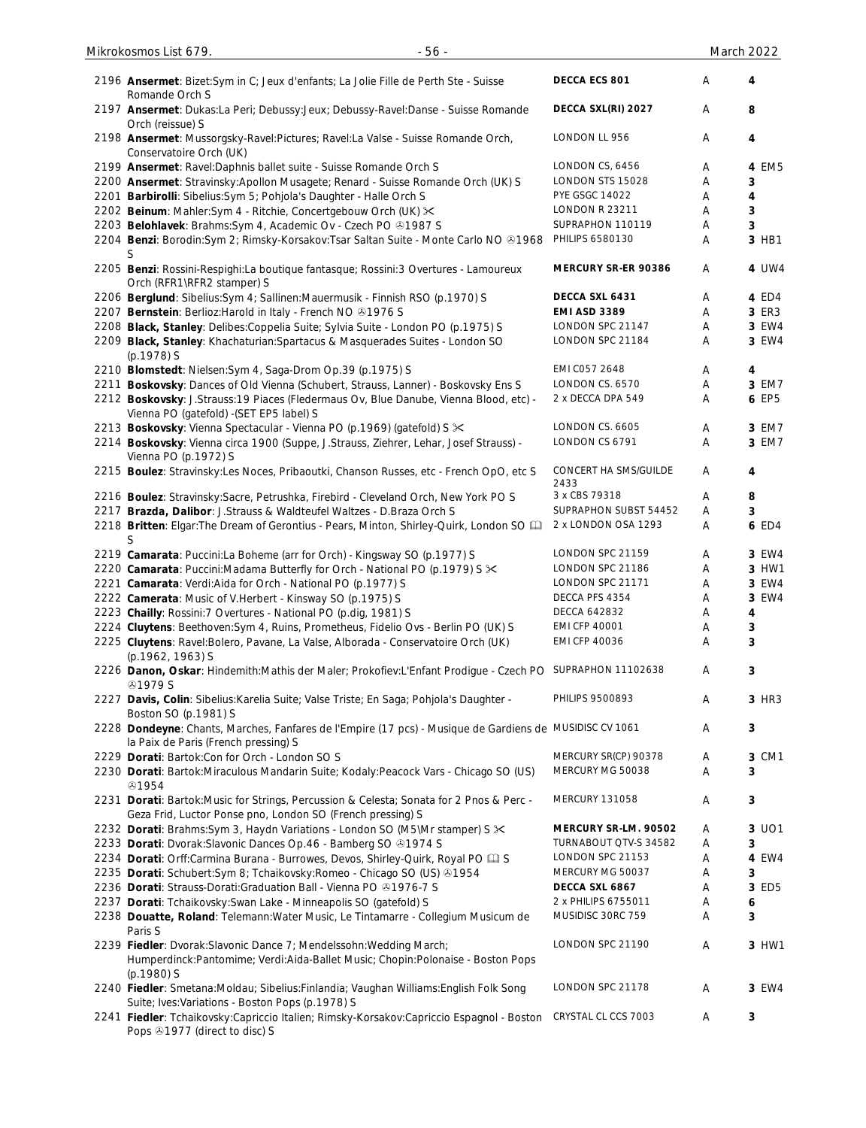| 2196 Ansermet: Bizet: Sym in C; Jeux d'enfants; La Jolie Fille de Perth Ste - Suisse<br>Romande Orch S                                                 | DECCA ECS 801                 | Α | 4     |
|--------------------------------------------------------------------------------------------------------------------------------------------------------|-------------------------------|---|-------|
| 2197 Ansermet: Dukas:La Peri; Debussy:Jeux; Debussy-Ravel:Danse - Suisse Romande<br>Orch (reissue) S                                                   | DECCA SXL(RI) 2027            | A | 8     |
| 2198 Ansermet: Mussorgsky-Ravel:Pictures; Ravel:La Valse - Suisse Romande Orch,<br>Conservatoire Orch (UK)                                             | LONDON LL 956                 | A | 4     |
| 2199 Ansermet: Ravel: Daphnis ballet suite - Suisse Romande Orch S                                                                                     | LONDON CS, 6456               | Α | 4 EM5 |
| 2200 Ansermet: Stravinsky:Apollon Musagete; Renard - Suisse Romande Orch (UK) S                                                                        | LONDON STS 15028              | Α | 3     |
| 2201 Barbirolli: Sibelius: Sym 5; Pohjola's Daughter - Halle Orch S                                                                                    | <b>PYE GSGC 14022</b>         | Α | 4     |
| 2202 Beinum: Mahler:Sym 4 - Ritchie, Concertgebouw Orch (UK) $\times$                                                                                  | <b>LONDON R 23211</b>         | Α | 3     |
| 2203 Belohlavek: Brahms: Sym 4, Academic Ov - Czech PO @1987 S                                                                                         | SUPRAPHON 110119              | Α | 3     |
| 2204 Benzi: Borodin: Sym 2; Rimsky-Korsakov: Tsar Saltan Suite - Monte Carlo NO & 1968                                                                 | PHILIPS 6580130               | Α | 3 HB1 |
| 2205 Benzi: Rossini-Respighi:La boutique fantasque; Rossini:3 Overtures - Lamoureux<br>Orch (RFR1\RFR2 stamper) S                                      | MERCURY SR-ER 90386           | Α | 4 UW4 |
| 2206 Berglund: Sibelius: Sym 4; Sallinen: Mauermusik - Finnish RSO (p.1970) S                                                                          | DECCA SXL 6431                | Α | 4 ED4 |
| 2207 Bernstein: Berlioz: Harold in Italy - French NO @1976 S                                                                                           | <b>EMI ASD 3389</b>           | A | 3 ER3 |
| 2208 Black, Stanley: Delibes: Coppelia Suite; Sylvia Suite - London PO (p.1975) S                                                                      | LONDON SPC 21147              | Α | 3 EW4 |
| 2209 Black, Stanley: Khachaturian: Spartacus & Masquerades Suites - London SO<br>(p.1978) S                                                            | LONDON SPC 21184              | Α | 3 EW4 |
| 2210 Blomstedt: Nielsen: Sym 4, Saga-Drom Op. 39 (p. 1975) S                                                                                           | EMI C057 2648                 | A | 4     |
| 2211 Boskovsky: Dances of Old Vienna (Schubert, Strauss, Lanner) - Boskovsky Ens S                                                                     | LONDON CS. 6570               | A | 3 EM7 |
| 2212 Boskovsky: J.Strauss: 19 Piaces (Fledermaus Ov, Blue Danube, Vienna Blood, etc) -<br>Vienna PO (gatefold) - (SET EP5 label) S                     | 2 x DECCA DPA 549             | Α | 6 EP5 |
| 2213 Boskovsky: Vienna Spectacular - Vienna PO (p.1969) (gatefold) S $\times$                                                                          | LONDON CS. 6605               | Α | 3 EM7 |
| 2214 Boskovsky: Vienna circa 1900 (Suppe, J.Strauss, Ziehrer, Lehar, Josef Strauss) -<br>Vienna PO (p.1972) S                                          | LONDON CS 6791                | Α | 3 EM7 |
| 2215 Boulez: Stravinsky: Les Noces, Pribaoutki, Chanson Russes, etc - French OpO, etc S                                                                | CONCERT HA SMS/GUILDE<br>2433 | Α | 4     |
| 2216 Boulez: Stravinsky: Sacre, Petrushka, Firebird - Cleveland Orch, New York PO S                                                                    | 3 x CBS 79318                 | Α | 8     |
| 2217 Brazda, Dalibor: J.Strauss & Waldteufel Waltzes - D.Braza Orch S                                                                                  | SUPRAPHON SUBST 54452         | A | 3     |
| 2218 Britten: Elgar: The Dream of Gerontius - Pears, Minton, Shirley-Quirk, London SO [11]<br>S                                                        | 2 x LONDON OSA 1293           | Α | 6 ED4 |
| 2219 Camarata: Puccini:La Boheme (arr for Orch) - Kingsway SO (p.1977) S                                                                               | LONDON SPC 21159              | A | 3 EW4 |
| 2220 Camarata: Puccini: Madama Butterfly for Orch - National PO (p.1979) S $\times$                                                                    | LONDON SPC 21186              | Α | 3 HW1 |
| 2221 Camarata: Verdi:Aida for Orch - National PO (p.1977) S                                                                                            | LONDON SPC 21171              | A | 3 EW4 |
| 2222 Camerata: Music of V.Herbert - Kinsway SO (p.1975) S                                                                                              | DECCA PFS 4354                | Α | 3 EW4 |
| 2223 Chailly: Rossini: 7 Overtures - National PO (p.dig, 1981) S                                                                                       | DECCA 642832                  | Α | 4     |
| 2224 Cluytens: Beethoven: Sym 4, Ruins, Prometheus, Fidelio Ovs - Berlin PO (UK) S                                                                     | <b>EMI CFP 40001</b>          | Α | 3     |
| 2225 Cluytens: Ravel:Bolero, Pavane, La Valse, Alborada - Conservatoire Orch (UK)<br>(p.1962, 1963) S                                                  | <b>EMI CFP 40036</b>          | Α | 3     |
| 2226 Danon, Oskar: Hindemith:Mathis der Maler; Prokofiev:L'Enfant Prodigue - Czech PO SUPRAPHON 11102638<br><b>@1979 S</b>                             |                               | Α | 3     |
| 2227 Davis, Colin: Sibelius: Karelia Suite; Valse Triste; En Saga; Pohjola's Daughter -<br>Boston SO (p.1981) S                                        | PHILIPS 9500893               | Α | 3 HR3 |
| 2228 Dondeyne: Chants, Marches, Fanfares de l'Empire (17 pcs) - Musique de Gardiens de MUSIDISC CV 1061<br>la Paix de Paris (French pressing) S        |                               | Α | 3     |
| 2229 Dorati: Bartok: Con for Orch - London SO S                                                                                                        | MERCURY SR(CP) 90378          | A | 3 CM1 |
| 2230 Dorati: Bartok: Miraculous Mandarin Suite; Kodaly: Peacock Vars - Chicago SO (US)<br>۞1954                                                        | MERCURY MG 50038              | Α | 3     |
| 2231 Dorati: Bartok: Music for Strings, Percussion & Celesta; Sonata for 2 Pnos & Perc -<br>Geza Frid, Luctor Ponse pno, London SO (French pressing) S | <b>MERCURY 131058</b>         | Α | 3     |
| 2232 Dorati: Brahms: Sym 3, Haydn Variations - London SO (M5\Mr stamper) S $\approx$                                                                   | MERCURY SR-LM. 90502          | A | 3 UO1 |
| 2233 Dorati: Dvorak: Slavonic Dances Op. 46 - Bamberg SO 31974 S                                                                                       | TURNABOUT QTV-S 34582         | Α | 3     |
| 2234 Dorati: Orff:Carmina Burana - Burrowes, Devos, Shirley-Quirk, Royal PO La S                                                                       | LONDON SPC 21153              | Α | 4 EW4 |
| 2235 Dorati: Schubert: Sym 8; Tchaikovsky: Romeo - Chicago SO (US) 01954                                                                               | MERCURY MG 50037              | Α | 3     |
| 2236 Dorati: Strauss-Dorati: Graduation Ball - Vienna PO @1976-7 S                                                                                     | DECCA SXL 6867                | Α | 3 ED5 |
| 2237 Dorati: Tchaikovsky: Swan Lake - Minneapolis SO (gatefold) S                                                                                      | 2 x PHILIPS 6755011           | Α | 6     |
| 2238 Douatte, Roland: Telemann: Water Music, Le Tintamarre - Collegium Musicum de                                                                      | MUSIDISC 30RC 759             | Α | 3     |
| Paris S                                                                                                                                                |                               |   |       |
| 2239 Fiedler: Dvorak: Slavonic Dance 7; Mendelssohn: Wedding March;                                                                                    | LONDON SPC 21190              | Α | 3 HW1 |
| Humperdinck:Pantomime; Verdi:Aida-Ballet Music; Chopin:Polonaise - Boston Pops<br>(p.1980) S                                                           |                               |   |       |
| 2240 Fiedler: Smetana: Moldau; Sibelius: Finlandia; Vaughan Williams: English Folk Song                                                                | LONDON SPC 21178              | Α | 3 EW4 |
| Suite; Ives: Variations - Boston Pops (p.1978) S<br>2241 Fiedler: Tchaikovsky:Capriccio Italien; Rimsky-Korsakov:Capriccio Espagnol - Boston           | CRYSTAL CL CCS 7003           | Α | 3     |
| Pops +1977 (direct to disc) S                                                                                                                          |                               |   |       |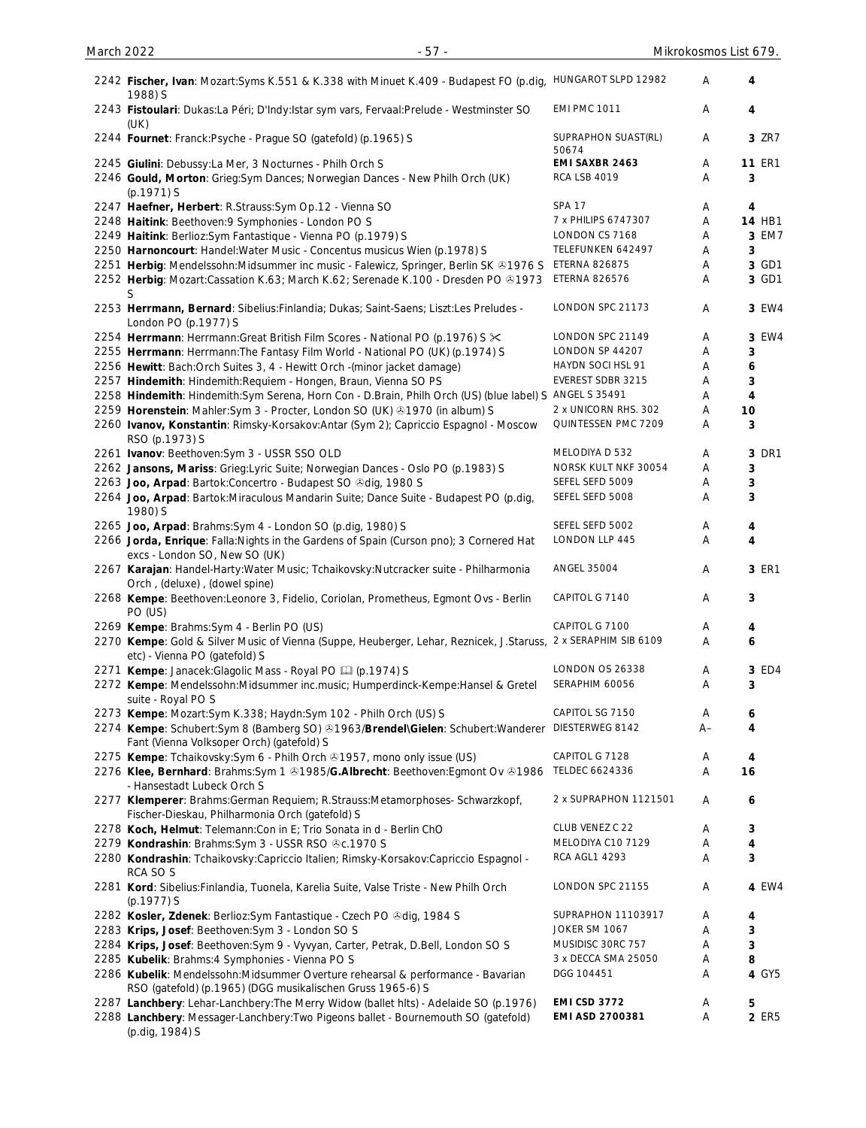| 2242 Fischer, Ivan: Mozart:Syms K.551 & K.338 with Minuet K.409 - Budapest FO (p.dig, HUNGAROT SLPD 12982<br>1988) S                                    |                                              | Α      | 4                       |
|---------------------------------------------------------------------------------------------------------------------------------------------------------|----------------------------------------------|--------|-------------------------|
| 2243 Fistoulari: Dukas:La Péri; D'Indy:Istar sym vars, Fervaal:Prelude - Westminster SO<br>(UK)                                                         | <b>EMI PMC 1011</b>                          | Α      | 4                       |
| 2244 Fournet: Franck: Psyche - Prague SO (gatefold) (p.1965) S                                                                                          | SUPRAPHON SUAST(RL)<br>50674                 | A      | 3 ZR7                   |
| 2245 Giulini: Debussy:La Mer, 3 Nocturnes - Philh Orch S<br>2246 Gould, Morton: Grieg: Sym Dances; Norwegian Dances - New Philh Orch (UK)<br>(p.1971) S | EMI SAXBR 2463<br><b>RCA LSB 4019</b>        | Α<br>Α | <b>11 ER1</b><br>3      |
| 2247 Haefner, Herbert: R.Strauss: Sym Op.12 - Vienna SO                                                                                                 | <b>SPA 17</b>                                | Α      | 4                       |
| 2248 Haitink: Beethoven: 9 Symphonies - London PO S                                                                                                     | 7 x PHILIPS 6747307                          | Α      | <b>14 HB1</b>           |
| 2249 Haitink: Berlioz: Sym Fantastique - Vienna PO (p.1979) S                                                                                           | LONDON CS 7168                               | Α      | 3 EM7                   |
| 2250 Harnoncourt: Handel: Water Music - Concentus musicus Wien (p.1978) S                                                                               | TELEFUNKEN 642497                            | Α      | 3                       |
| 2251 Herbig: Mendelssohn: Midsummer inc music - Falewicz, Springer, Berlin SK & 1976 S                                                                  | <b>ETERNA 826875</b>                         | Α      | 3 GD1                   |
| 2252 Herbig: Mozart:Cassation K.63; March K.62; Serenade K.100 - Dresden PO ®1973<br>S                                                                  | ETERNA 826576                                | Α      | 3 GD1                   |
| 2253 Herrmann, Bernard: Sibelius: Finlandia; Dukas; Saint-Saens; Liszt: Les Preludes -<br>London PO (p.1977) S                                          | LONDON SPC 21173                             | Α      | 3 EW4                   |
| 2254 Herrmann: Herrmann: Great British Film Scores - National PO (p.1976) S $\times$                                                                    | LONDON SPC 21149                             | Α      | 3 EW4                   |
| 2255 Herrmann: Herrmann: The Fantasy Film World - National PO (UK) (p.1974) S                                                                           | LONDON SP 44207                              | Α      | 3                       |
| 2256 Hewitt: Bach: Orch Suites 3, 4 - Hewitt Orch - (minor jacket damage)                                                                               | HAYDN SOCI HSL 91                            | Α      | 6                       |
| 2257 Hindemith: Hindemith: Requiem - Hongen, Braun, Vienna SO PS                                                                                        | EVEREST SDBR 3215                            | Α      | 3                       |
| 2258 Hindemith: Hindemith: Sym Serena, Horn Con - D. Brain, Philh Orch (US) (blue label) S                                                              | <b>ANGEL S 35491</b><br>2 x UNICORN RHS. 302 | Α      | 4                       |
| 2259 Horenstein: Mahler: Sym 3 - Procter, London SO (UK) +1970 (in album) S                                                                             | QUINTESSEN PMC 7209                          | Α<br>Α | 10<br>3                 |
| 2260 Ivanov, Konstantin: Rimsky-Korsakov:Antar (Sym 2); Capriccio Espagnol - Moscow<br>RSO (p.1973) S                                                   |                                              |        |                         |
| 2261 Ivanov: Beethoven: Sym 3 - USSR SSO OLD                                                                                                            | MELODIYA D 532                               | Α      | 3 DR1                   |
| 2262 Jansons, Mariss: Grieg:Lyric Suite; Norwegian Dances - Oslo PO (p.1983) S                                                                          | NORSK KULT NKF 30054                         | Α      | 3                       |
| 2263 Joo, Arpad: Bartok: Concertro - Budapest SO & dig, 1980 S                                                                                          | SEFEL SEFD 5009                              | Α      | 3                       |
| 2264 Joo, Arpad: Bartok: Miraculous Mandarin Suite; Dance Suite - Budapest PO (p.dig,<br>1980) S                                                        | SEFEL SEFD 5008                              | Α      | 3                       |
| 2265 Joo, Arpad: Brahms: Sym 4 - London SO (p.dig, 1980) S                                                                                              | SEFEL SEFD 5002                              | A      | 4                       |
| 2266 Jorda, Enrique: Falla: Nights in the Gardens of Spain (Curson pno); 3 Cornered Hat<br>excs - London SO, New SO (UK)                                | LONDON LLP 445                               | Α      | $\overline{\mathbf{4}}$ |
| 2267 Karajan: Handel-Harty: Water Music; Tchaikovsky: Nutcracker suite - Philharmonia<br>Orch, (deluxe), (dowel spine)                                  | ANGEL 35004                                  | Α      | 3 ER1                   |
| 2268 Kempe: Beethoven: Leonore 3, Fidelio, Coriolan, Prometheus, Egmont Ovs - Berlin<br>PO (US)                                                         | CAPITOL G 7140                               | Α      | 3                       |
| 2269 Kempe: Brahms: Sym 4 - Berlin PO (US)                                                                                                              | CAPITOL G 7100                               | Α      | 4                       |
| 2270 Kempe: Gold & Silver Music of Vienna (Suppe, Heuberger, Lehar, Reznicek, J.Staruss, 2 x SERAPHIM SIB 6109<br>etc) - Vienna PO (gatefold) S         |                                              | Α      | 6                       |
| 2271 Kempe: Janacek: Glagolic Mass - Royal PO [1] (p.1974) S                                                                                            | LONDON OS 26338                              | Α      | 3 ED4                   |
| 2272 Kempe: Mendelssohn: Midsummer inc. music; Humperdinck-Kempe: Hansel & Gretel<br>suite - Royal PO S                                                 | SERAPHIM 60056                               | Α      | 3                       |
| 2273 Kempe: Mozart:Sym K.338; Haydn:Sym 102 - Philh Orch (US) S                                                                                         | CAPITOL SG 7150                              | Α      | 6                       |
| 2274 Kempe: Schubert:Sym 8 (Bamberg SO) @1963/Brendel\Gielen: Schubert:Wanderer<br>Fant (Vienna Volksoper Orch) (gatefold) S                            | DIESTERWEG 8142                              | $A -$  | 4                       |
| 2275 Kempe: Tchaikovsky: Sym 6 - Philh Orch 31957, mono only issue (US)                                                                                 | CAPITOL G 7128                               | Α      | 4                       |
| 2276 Klee, Bernhard: Brahms:Sym 1 & 1985/G. Albrecht: Beethoven:Egmont Ov & 1986<br>- Hansestadt Lubeck Orch S                                          | TELDEC 6624336                               | Α      | 16                      |
| 2277 Klemperer: Brahms: German Requiem; R.Strauss: Metamorphoses- Schwarzkopf,<br>Fischer-Dieskau, Philharmonia Orch (gatefold) S                       | 2 x SUPRAPHON 1121501                        | Α      | 6                       |
| 2278 Koch, Helmut: Telemann: Con in E; Trio Sonata in d - Berlin ChO                                                                                    | CLUB VENEZ C 22                              | A      | 3                       |
| 2279 Kondrashin: Brahms: Sym 3 - USSR RSO & c. 1970 S                                                                                                   | MELODIYA C10 7129                            | Α      | 4                       |
| 2280 Kondrashin: Tchaikovsky:Capriccio Italien; Rimsky-Korsakov:Capriccio Espagnol -<br>RCA SO S                                                        | RCA AGL1 4293                                | Α      | 3                       |
| 2281 Kord: Sibelius: Finlandia, Tuonela, Karelia Suite, Valse Triste - New Philh Orch<br>(p.1977) S                                                     | LONDON SPC 21155                             | A      | 4 EW4                   |
| 2282 Kosler, Zdenek: Berlioz: Sym Fantastique - Czech PO & dig, 1984 S                                                                                  | SUPRAPHON 11103917                           | Α      | 4                       |
| 2283 Krips, Josef: Beethoven: Sym 3 - London SO S                                                                                                       | JOKER SM 1067                                | Α      | 3                       |
| 2284 Krips, Josef: Beethoven: Sym 9 - Vyvyan, Carter, Petrak, D.Bell, London SO S                                                                       | MUSIDISC 30RC 757                            | Α      | 3                       |
| 2285 Kubelik: Brahms: 4 Symphonies - Vienna PO S                                                                                                        | 3 x DECCA SMA 25050                          | Α      | 8                       |
| 2286 Kubelik: Mendelssohn: Midsummer Overture rehearsal & performance - Bavarian<br>RSO (gatefold) (p.1965) (DGG musikalischen Gruss 1965-6) S          | DGG 104451                                   | Α      | 4 GY5                   |
| 2287 Lanchbery: Lehar-Lanchbery: The Merry Widow (ballet hlts) - Adelaide SO (p.1976)                                                                   | <b>EMI CSD 3772</b>                          | Α      | 5                       |
| 2288 Lanchbery: Messager-Lanchbery: Two Pigeons ballet - Bournemouth SO (gatefold)<br>(p.dig, 1984) S                                                   | EMI ASD 2700381                              | Α      | 2 ER5                   |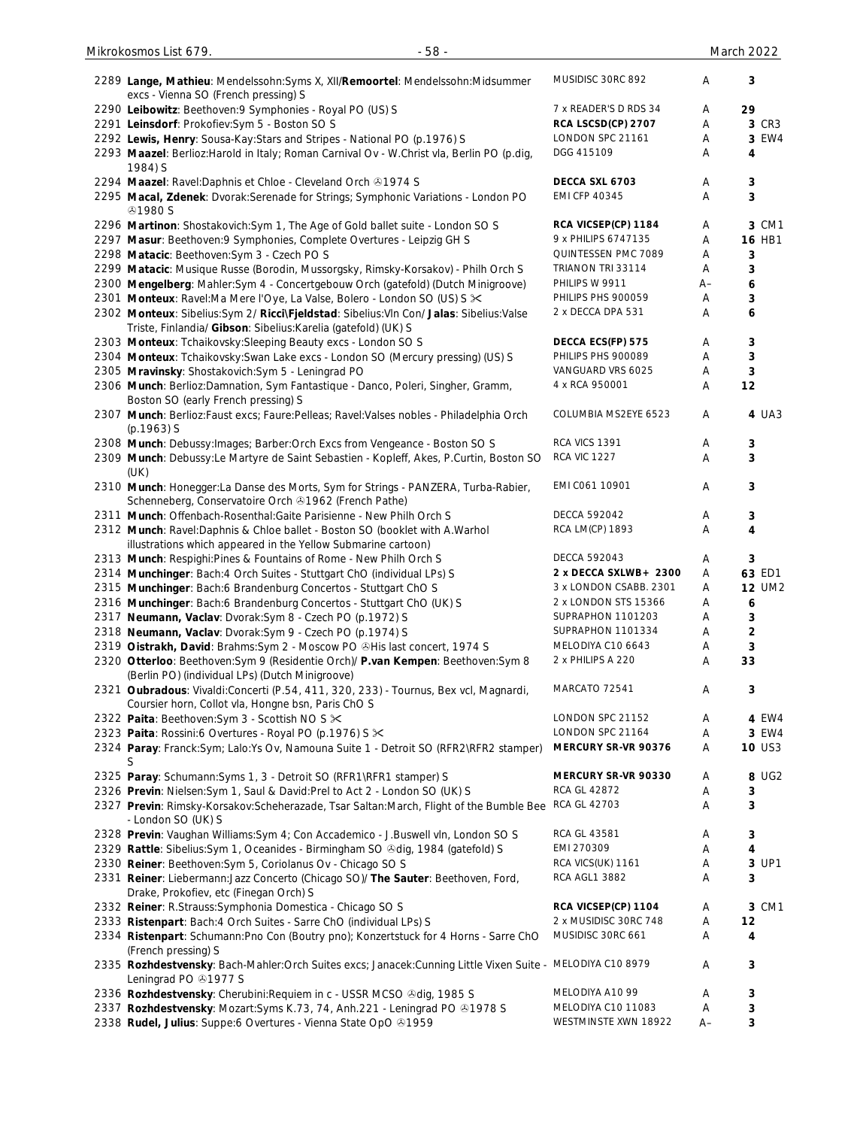| 2289 Lange, Mathieu: Mendelssohn: Syms X, XII/Remoortel: Mendelssohn: Midsummer<br>excs - Vienna SO (French pressing) S | MUSIDISC 30RC 892      | Α    | 3             |
|-------------------------------------------------------------------------------------------------------------------------|------------------------|------|---------------|
| 2290 Leibowitz: Beethoven: 9 Symphonies - Royal PO (US) S                                                               | 7 x READER'S D RDS 34  | Α    | 29            |
| 2291 Leinsdorf: Prokofiev:Sym 5 - Boston SO S                                                                           | RCA LSCSD(CP) 2707     | Α    | 3 CR3         |
| 2292 Lewis, Henry: Sousa-Kay: Stars and Stripes - National PO (p.1976) S                                                | LONDON SPC 21161       | Α    | 3 EW4         |
| 2293 Maazel: Berlioz: Harold in Italy; Roman Carnival Ov - W.Christ vla, Berlin PO (p.dig,                              | DGG 415109             | Α    | 4             |
| 1984) S                                                                                                                 |                        |      |               |
| 2294 Maazel: Ravel: Daphnis et Chloe - Cleveland Orch & 1974 S                                                          | DECCA SXL 6703         | Α    | 3             |
| 2295 Macal, Zdenek: Dvorak: Serenade for Strings; Symphonic Variations - London PO                                      | <b>EMI CFP 40345</b>   | Α    | 3             |
| <b>⊕1980 S</b>                                                                                                          |                        |      |               |
| 2296 Martinon: Shostakovich: Sym 1, The Age of Gold ballet suite - London SO S                                          | RCA VICSEP(CP) 1184    | Α    | 3 CM1         |
| 2297 Masur: Beethoven: 9 Symphonies, Complete Overtures - Leipzig GH S                                                  | 9 x PHILIPS 6747135    | Α    | <b>16 HB1</b> |
| 2298 Matacic: Beethoven: Sym 3 - Czech PO S                                                                             | QUINTESSEN PMC 7089    | Α    | 3             |
| 2299 Matacic: Musique Russe (Borodin, Mussorgsky, Rimsky-Korsakov) - Philh Orch S                                       | TRIANON TRI 33114      | Α    | 3             |
| 2300 Mengelberg: Mahler:Sym 4 - Concertgebouw Orch (gatefold) (Dutch Minigroove)                                        | PHILIPS W 9911         | $A-$ | 6             |
| 2301 Monteux: Ravel:Ma Mere l'Oye, La Valse, Bolero - London SO (US) S $\times$                                         | PHILIPS PHS 900059     | Α    | 3             |
| 2302 Monteux: Sibelius:Sym 2/ Ricci\Fjeldstad: Sibelius:VIn Con/ Jalas: Sibelius:Valse                                  | 2 x DECCA DPA 531      | Α    | 6             |
| Triste, Finlandia/ Gibson: Sibelius: Karelia (gatefold) (UK) S                                                          |                        |      |               |
| 2303 Monteux: Tchaikovsky: Sleeping Beauty excs - London SO S                                                           | DECCA ECS(FP) 575      | Α    | 3             |
| 2304 Monteux: Tchaikovsky: Swan Lake excs - London SO (Mercury pressing) (US) S                                         | PHILIPS PHS 900089     | Α    | 3             |
| 2305 Mravinsky: Shostakovich: Sym 5 - Leningrad PO                                                                      | VANGUARD VRS 6025      | Α    | 3             |
| 2306 Munch: Berlioz:Damnation, Sym Fantastique - Danco, Poleri, Singher, Gramm,                                         | 4 x RCA 950001         | Α    | 12            |
| Boston SO (early French pressing) S                                                                                     |                        |      |               |
| 2307 Munch: Berlioz: Faust excs; Faure: Pelleas; Ravel: Valses nobles - Philadelphia Orch                               | COLUMBIA MS2EYE 6523   | Α    | 4 UA3         |
| $(p.1963)$ S                                                                                                            |                        |      |               |
| 2308 Munch: Debussy: Images; Barber: Orch Excs from Vengeance - Boston SO S                                             | RCA VICS 1391          | A    | 3             |
| 2309 Munch: Debussy:Le Martyre de Saint Sebastien - Kopleff, Akes, P.Curtin, Boston SO                                  | <b>RCA VIC 1227</b>    | Α    | 3             |
| (UK)                                                                                                                    |                        |      |               |
| 2310 Munch: Honegger:La Danse des Morts, Sym for Strings - PANZERA, Turba-Rabier,                                       | EMI C061 10901         | Α    | 3             |
| Schenneberg, Conservatoire Orch & 1962 (French Pathe)                                                                   |                        |      |               |
| 2311 Munch: Offenbach-Rosenthal: Gaite Parisienne - New Philh Orch S                                                    | <b>DECCA 592042</b>    | Α    | 3             |
| 2312 Munch: Ravel: Daphnis & Chloe ballet - Boston SO (booklet with A. Warhol                                           | RCA LM(CP) 1893        | Α    | 4             |
| illustrations which appeared in the Yellow Submarine cartoon)                                                           |                        |      |               |
| 2313 Munch: Respighi: Pines & Fountains of Rome - New Philh Orch S                                                      | <b>DECCA 592043</b>    | A    | 3             |
| 2314 Munchinger: Bach: 4 Orch Suites - Stuttgart ChO (individual LPs) S                                                 | 2 x DECCA SXLWB+ 2300  | A    | 63 ED1        |
| 2315 Munchinger: Bach:6 Brandenburg Concertos - Stuttgart ChO S                                                         | 3 x LONDON CSABB. 2301 | A    | <b>12 UM2</b> |
| 2316 Munchinger: Bach:6 Brandenburg Concertos - Stuttgart ChO (UK) S                                                    | 2 x LONDON STS 15366   | Α    | 6             |
| 2317 Neumann, Vaclav: Dvorak: Sym 8 - Czech PO (p.1972) S                                                               | SUPRAPHON 1101203      | Α    | 3             |
| 2318 Neumann, Vaclav: Dvorak:Sym 9 - Czech PO (p.1974) S                                                                | SUPRAPHON 1101334      | A    | 2             |
| 2319 Oistrakh, David: Brahms: Sym 2 - Moscow PO @His last concert, 1974 S                                               | MELODIYA C10 6643      | Α    | 3             |
| 2320 Otterloo: Beethoven: Sym 9 (Residentie Orch)/ P.van Kempen: Beethoven: Sym 8                                       | 2 x PHILIPS A 220      | Α    | 33            |
| (Berlin PO) (individual LPs) (Dutch Minigroove)                                                                         |                        |      |               |
| 2321 Oubradous: Vivaldi:Concerti (P.54, 411, 320, 233) - Tournus, Bex vcl, Magnardi,                                    | MARCATO 72541          | Α    | 3             |
| Coursier horn, Collot vla, Hongne bsn, Paris ChO S                                                                      |                        |      |               |
| 2322 Paita: Beethoven: Sym 3 - Scottish NO S $\times$                                                                   | LONDON SPC 21152       | Α    | 4 EW4         |
| 2323 Paita: Rossini:6 Overtures - Royal PO (p.1976) S $\times$                                                          | LONDON SPC 21164       | Α    | 3 EW4         |
| 2324 Paray: Franck:Sym; Lalo:Ys Ov, Namouna Suite 1 - Detroit SO (RFR2\RFR2 stamper)                                    | MERCURY SR-VR 90376    | A    | <b>10 US3</b> |
| S                                                                                                                       |                        |      |               |
| 2325 Paray: Schumann: Syms 1, 3 - Detroit SO (RFR1\RFR1 stamper) S                                                      | MERCURY SR-VR 90330    | A    | 8 UG2         |
| 2326 Previn: Nielsen: Sym 1, Saul & David: Prel to Act 2 - London SO (UK) S                                             | RCA GL 42872           | Α    | 3             |
| 2327 Previn: Rimsky-Korsakov:Scheherazade, Tsar Saltan:March, Flight of the Bumble Bee                                  | <b>RCA GL 42703</b>    | Α    | 3             |
| - London SO (UK) S                                                                                                      |                        |      |               |
| 2328 Previn: Vaughan Williams: Sym 4; Con Accademico - J. Buswell vln, London SO S                                      | RCA GL 43581           | Α    | 3             |
| 2329 Rattle: Sibelius: Sym 1, Oceanides - Birmingham SO & dig, 1984 (gatefold) S                                        | EMI 270309             | Α    | 4             |
| 2330 Reiner: Beethoven: Sym 5, Coriolanus Ov - Chicago SO S                                                             | RCA VICS(UK) 1161      | Α    | 3 UP1         |
| 2331 Reiner: Liebermann: Jazz Concerto (Chicago SO)/ The Sauter: Beethoven, Ford,                                       | RCA AGL1 3882          | Α    | 3             |
| Drake, Prokofiev, etc (Finegan Orch) S                                                                                  |                        |      |               |
| 2332 Reiner: R.Strauss: Symphonia Domestica - Chicago SO S                                                              | RCA VICSEP(CP) 1104    | Α    | 3 CM1         |
| 2333 Ristenpart: Bach:4 Orch Suites - Sarre ChO (individual LPs) S                                                      | 2 x MUSIDISC 30RC 748  | Α    | 12            |
| 2334 Ristenpart: Schumann: Pno Con (Boutry pno); Konzertstuck for 4 Horns - Sarre ChO                                   | MUSIDISC 30RC 661      | Α    | 4             |
| (French pressing) S                                                                                                     |                        |      |               |
| 2335 Rozhdestvensky: Bach-Mahler: Orch Suites excs; Janacek: Cunning Little Vixen Suite - MELODIYA C10 8979             |                        | Α    | 3             |
| Leningrad PO 21977 S<br>2336 Rozhdestvensky: Cherubini: Requiem in c - USSR MCSO & dig, 1985 S                          | MELODIYA A10 99        | Α    |               |
| 2337 Rozhdestvensky: Mozart: Syms K.73, 74, Anh.221 - Leningrad PO & 1978 S                                             | MELODIYA C10 11083     | Α    | 3             |
| 2338 Rudel, Julius: Suppe:6 Overtures - Vienna State OpO & 1959                                                         | WESTMINSTE XWN 18922   | $A-$ | 3<br>3        |
|                                                                                                                         |                        |      |               |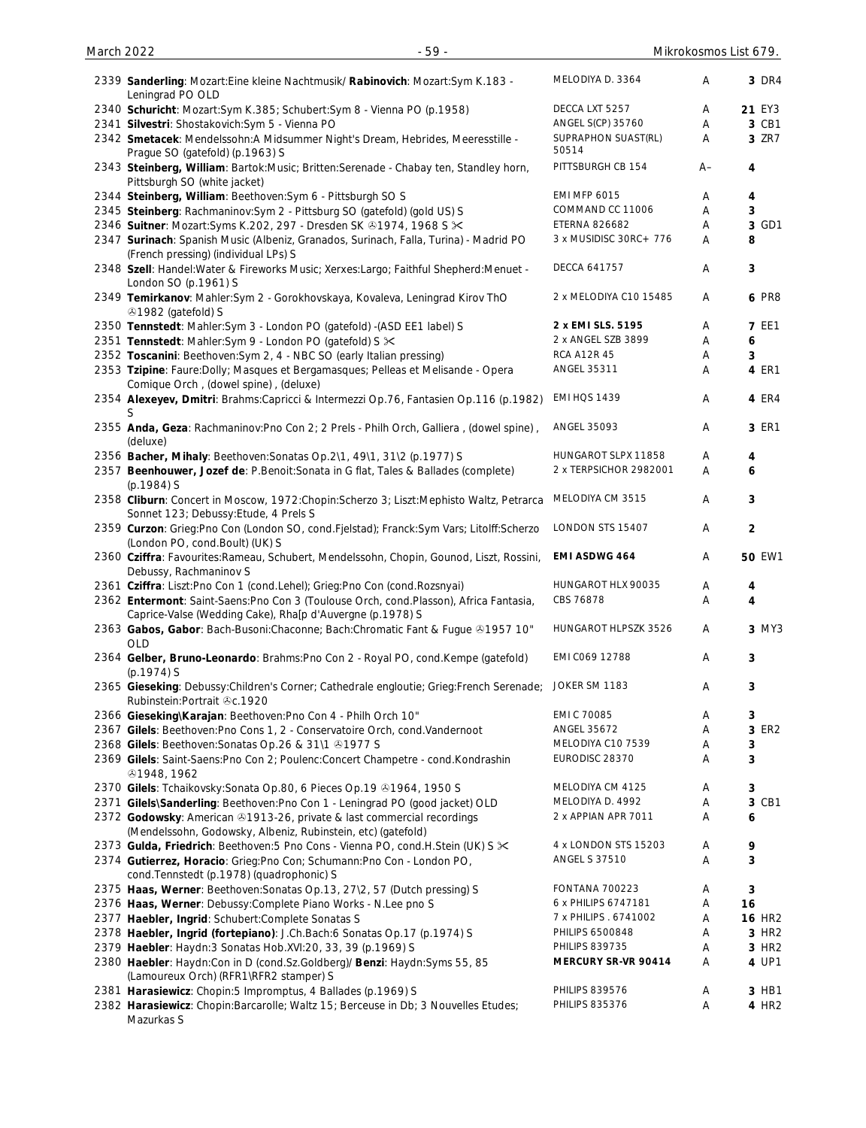| March 2022 | $-59-$                                                                                                                                               |                              |    | Mikrokosmos List 679. |
|------------|------------------------------------------------------------------------------------------------------------------------------------------------------|------------------------------|----|-----------------------|
|            | 2339 Sanderling: Mozart: Eine kleine Nachtmusik/ Rabinovich: Mozart: Sym K.183 -<br>Leningrad PO OLD                                                 | MELODIYA D. 3364             | Α  | 3 DR4                 |
|            | 2340 Schuricht: Mozart:Sym K.385; Schubert:Sym 8 - Vienna PO (p.1958)                                                                                | DECCA LXT 5257               | Α  | 21 EY3                |
|            | 2341 Silvestri: Shostakovich: Sym 5 - Vienna PO                                                                                                      | ANGEL S(CP) 35760            | Α  | 3 CB1                 |
|            | 2342 Smetacek: Mendelssohn:A Midsummer Night's Dream, Hebrides, Meeresstille -<br>Prague SO (gatefold) (p.1963) S                                    | SUPRAPHON SUAST(RL)<br>50514 | Α  | 3 ZR7                 |
|            | 2343 Steinberg, William: Bartok:Music; Britten:Serenade - Chabay ten, Standley horn,<br>Pittsburgh SO (white jacket)                                 | PITTSBURGH CB 154            | A– | 4                     |
|            | 2344 Steinberg, William: Beethoven: Sym 6 - Pittsburgh SO S                                                                                          | <b>EMI MFP 6015</b>          | Α  | 4                     |
|            | 2345 Steinberg: Rachmaninov: Sym 2 - Pittsburg SO (gatefold) (gold US) S                                                                             | COMMAND CC 11006             | Α  | 3                     |
|            | 2346 Suitner: Mozart: Syms K.202, 297 - Dresden SK & 1974, 1968 S $\times$                                                                           | <b>ETERNA 826682</b>         | Α  | 3 GD1                 |
|            | 2347 Surinach: Spanish Music (Albeniz, Granados, Surinach, Falla, Turina) - Madrid PO<br>(French pressing) (individual LPs) S                        | 3 x MUSIDISC 30RC+ 776       | A  | 8                     |
|            | 2348 Szell: Handel: Water & Fireworks Music; Xerxes: Largo; Faithful Shepherd: Menuet -<br>London SO (p.1961) S                                      | DECCA 641757                 | A  | 3                     |
|            | 2349 Temirkanov: Mahler: Sym 2 - Gorokhovskaya, Kovaleva, Leningrad Kirov ThO<br><b>31982 (gatefold) S</b>                                           | 2 x MELODIYA C10 15485       | A  | <b>6 PR8</b>          |
|            | 2350 Tennstedt: Mahler:Sym 3 - London PO (gatefold) -(ASD EE1 label) S                                                                               | 2 x EMI SLS. 5195            | Α  | <b>7 EE1</b>          |
|            | 2351 Tennstedt: Mahler: Sym 9 - London PO (gatefold) S $\times$                                                                                      | 2 x ANGEL SZB 3899           | Α  | 6                     |
|            | 2352 Toscanini: Beethoven: Sym 2, 4 - NBC SO (early Italian pressing)                                                                                | <b>RCA A12R 45</b>           | Α  | 3                     |
|            | 2353 Tzipine: Faure: Dolly; Masques et Bergamasques; Pelleas et Melisande - Opera                                                                    | ANGEL 35311                  | Α  | 4 ER1                 |
|            | Comique Orch, (dowel spine), (deluxe)<br>2354 Alexeyev, Dmitri: Brahms:Capricci & Intermezzi Op.76, Fantasien Op.116 (p.1982)<br>S.                  | <b>EMI HQS 1439</b>          | Α  | 4 ER4                 |
|            | 2355 Anda, Geza: Rachmaninov:Pno Con 2; 2 Prels - Philh Orch, Galliera, (dowel spine),<br>(deluxe)                                                   | ANGEL 35093                  | Α  | 3 ER1                 |
|            | 2356 Bacher, Mihaly: Beethoven: Sonatas Op. 2\1, 49\1, 31\2 (p.1977) S                                                                               | HUNGAROT SLPX 11858          | Α  | 4                     |
|            | 2357 Beenhouwer, Jozef de: P.Benoit: Sonata in G flat, Tales & Ballades (complete)<br>(p.1984) S                                                     | 2 x TERPSICHOR 2982001       | Α  | 6                     |
|            | 2358 Cliburn: Concert in Moscow, 1972: Chopin: Scherzo 3; Liszt: Mephisto Waltz, Petrarca<br>Sonnet 123; Debussy: Etude, 4 Prels S                   | MELODIYA CM 3515             | Α  | 3                     |
|            | 2359 Curzon: Grieg:Pno Con (London SO, cond.Fjelstad); Franck:Sym Vars; Litolff:Scherzo<br>(London PO, cond.Boult) (UK) S                            | LONDON STS 15407             | Α  | $\overline{2}$        |
|            | 2360 Cziffra: Favourites: Rameau, Schubert, Mendelssohn, Chopin, Gounod, Liszt, Rossini,<br>Debussy, Rachmaninov S                                   | EMI ASDWG 464                | Α  | <b>50 EW1</b>         |
|            | 2361 Cziffra: Liszt:Pno Con 1 (cond.Lehel); Grieg:Pno Con (cond.Rozsnyai)                                                                            | HUNGAROT HLX 90035           | Α  | 4                     |
|            | 2362 Entermont: Saint-Saens: Pno Con 3 (Toulouse Orch, cond. Plasson), Africa Fantasia,<br>Caprice-Valse (Wedding Cake), Rha[p d'Auvergne (p.1978) S | CBS 76878                    | Α  | 4                     |
|            | 2363 Gabos, Gabor: Bach-Busoni: Chaconne; Bach: Chromatic Fant & Fugue ®1957 10"<br>OLD                                                              | HUNGAROT HLPSZK 3526         | Α  | 3 MY3                 |
|            | 2364 Gelber, Bruno-Leonardo: Brahms: Pno Con 2 - Royal PO, cond. Kempe (gatefold)<br>(p.1974) S                                                      | EMI C069 12788               | A  | 3                     |
|            | 2365 Gieseking: Debussy: Children's Corner; Cathedrale engloutie; Grieg: French Serenade;<br>Rubinstein: Portrait &c. 1920                           | JOKER SM 1183                | A  | 3                     |
|            | 2366 Gieseking\Karajan: Beethoven:Pno Con 4 - Philh Orch 10"                                                                                         | EMI C 70085                  | Α  | 3                     |
|            | 2367 Gilels: Beethoven: Pno Cons 1, 2 - Conservatoire Orch, cond. Vandernoot                                                                         | ANGEL 35672                  | Α  | 3 ER2                 |
|            | 2368 Gilels: Beethoven: Sonatas Op. 26 & 31\1 31977 S                                                                                                | MELODIYA C10 7539            | Α  | 3                     |
|            | 2369 Gilels: Saint-Saens: Pno Con 2; Poulenc: Concert Champetre - cond. Kondrashin<br><b>81948, 1962</b>                                             | EURODISC 28370               | Α  | 3                     |
|            | 2370 Gilels: Tchaikovsky: Sonata Op.80, 6 Pieces Op.19 @1964, 1950 S                                                                                 | MELODIYA CM 4125             | Α  | 3                     |
|            | 2371 Gilels\Sanderling: Beethoven:Pno Con 1 - Leningrad PO (good jacket) OLD                                                                         | MELODIYA D. 4992             | Α  | 3 CB1                 |
|            | 2372 Godowsky: American @1913-26, private & last commercial recordings<br>(Mendelssohn, Godowsky, Albeniz, Rubinstein, etc) (gatefold)               | 2 x APPIAN APR 7011          | Α  | 6                     |
|            | 2373 Gulda, Friedrich: Beethoven: 5 Pno Cons - Vienna PO, cond. H. Stein (UK) S $\ltimes$                                                            | 4 x LONDON STS 15203         | Α  | 9                     |
|            | 2374 Gutierrez, Horacio: Grieg: Pno Con; Schumann: Pno Con - London PO,                                                                              | <b>ANGEL S 37510</b>         | Α  | 3                     |
|            | cond. Tennstedt (p. 1978) (quadrophonic) S<br>2375 Haas, Werner: Beethoven: Sonatas Op.13, 27\2, 57 (Dutch pressing) S                               | FONTANA 700223               | Α  | 3                     |
|            | 2376 Haas, Werner: Debussy: Complete Piano Works - N.Lee pno S                                                                                       | 6 x PHILIPS 6747181          | Α  | 16                    |
|            | 2377 Haebler, Ingrid: Schubert:Complete Sonatas S                                                                                                    | 7 x PHILIPS . 6741002        | Α  | <b>16 HR2</b>         |
|            | 2378 Haebler, Ingrid (fortepiano): J.Ch.Bach:6 Sonatas Op.17 (p.1974) S                                                                              | PHILIPS 6500848              | Α  | 3 HR <sub>2</sub>     |
|            | 2379 Haebler: Haydn:3 Sonatas Hob.XVI:20, 33, 39 (p.1969) S                                                                                          | <b>PHILIPS 839735</b>        | Α  | 3 HR <sub>2</sub>     |
|            | 2380 Haebler: Haydn:Con in D (cond.Sz.Goldberg)/ Benzi: Haydn:Syms 55, 85<br>(Lamoureux Orch) (RFR1\RFR2 stamper) S                                  | MERCURY SR-VR 90414          | A  | 4 UP1                 |
|            | 2381 Harasiewicz: Chopin:5 Impromptus, 4 Ballades (p.1969) S                                                                                         | <b>PHILIPS 839576</b>        | Α  | 3 HB1                 |
|            | 2382 Harasiewicz: Chopin:Barcarolle; Waltz 15; Berceuse in Db; 3 Nouvelles Etudes;<br>Mazurkas S                                                     | <b>PHILIPS 835376</b>        | Α  | 4 HR2                 |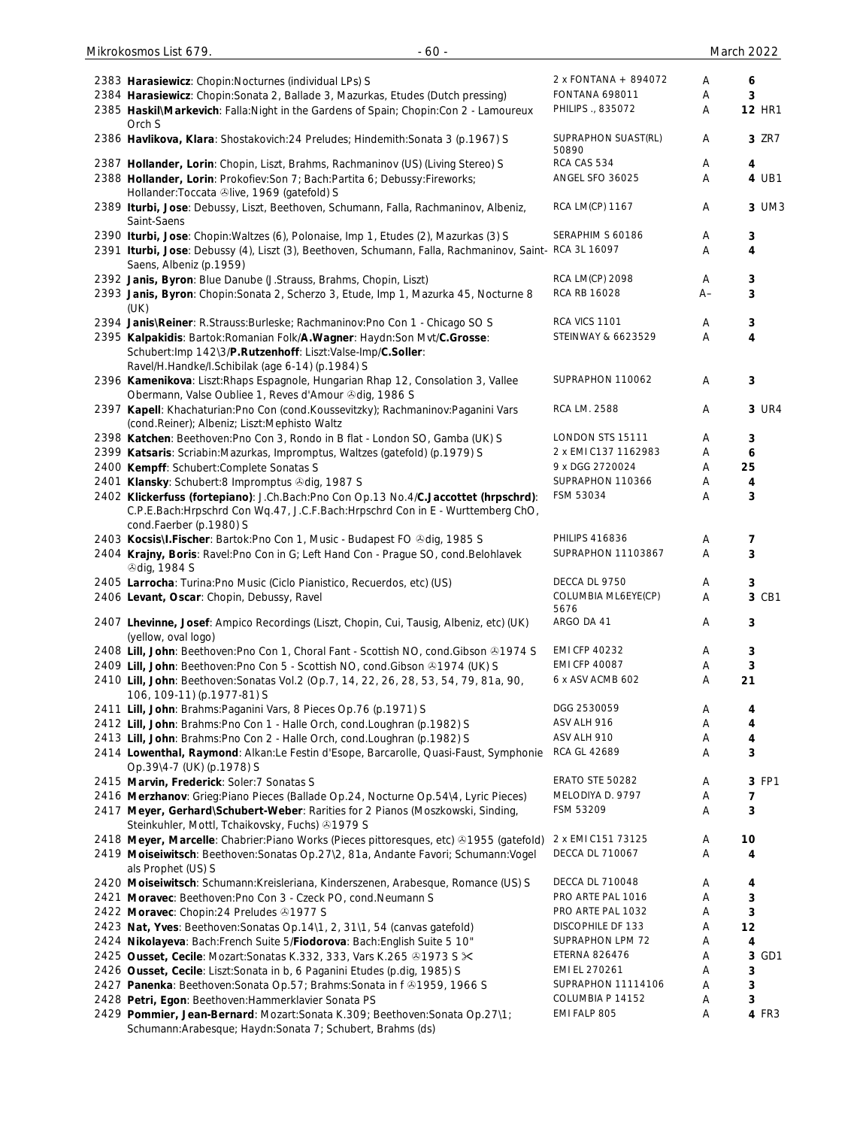| 2383 Harasiewicz: Chopin: Nocturnes (individual LPs) S                                     | 2 x FONTANA + 894072   | A  | 6             |
|--------------------------------------------------------------------------------------------|------------------------|----|---------------|
| 2384 Harasiewicz: Chopin: Sonata 2, Ballade 3, Mazurkas, Etudes (Dutch pressing)           | <b>FONTANA 698011</b>  | Α  | 3             |
| 2385 Haskil\Markevich: Falla:Night in the Gardens of Spain; Chopin:Con 2 - Lamoureux       | PHILIPS ., 835072      | Α  | <b>12 HR1</b> |
| Orch S                                                                                     |                        |    |               |
| 2386 Havlikova, Klara: Shostakovich: 24 Preludes; Hindemith: Sonata 3 (p. 1967) S          | SUPRAPHON SUAST(RL)    | A  | 3 ZR7         |
|                                                                                            | 50890                  |    |               |
| 2387 Hollander, Lorin: Chopin, Liszt, Brahms, Rachmaninov (US) (Living Stereo) S           | RCA CAS 534            | Α  | 4             |
| 2388 Hollander, Lorin: Prokofiev: Son 7; Bach: Partita 6; Debussy: Fireworks;              | ANGEL SFO 36025        | A  | 4 UB1         |
|                                                                                            |                        |    |               |
| Hollander: Toccata &live, 1969 (gatefold) S                                                |                        |    |               |
| 2389 Iturbi, Jose: Debussy, Liszt, Beethoven, Schumann, Falla, Rachmaninov, Albeniz,       | <b>RCA LM(CP) 1167</b> | Α  | 3 UM3         |
| Saint-Saens                                                                                |                        |    |               |
| 2390 Iturbi, Jose: Chopin: Waltzes (6), Polonaise, Imp 1, Etudes (2), Mazurkas (3) S       | SERAPHIM S 60186       | A  | 3             |
| 2391 Iturbi, Jose: Debussy (4), Liszt (3), Beethoven, Schumann, Falla, Rachmaninov, Saint- | RCA 3L 16097           | A  | 4             |
| Saens, Albeniz (p.1959)                                                                    |                        |    |               |
|                                                                                            | RCA LM(CP) 2098        | Α  |               |
| 2392 Janis, Byron: Blue Danube (J.Strauss, Brahms, Chopin, Liszt)                          |                        |    | 3             |
| 2393 Janis, Byron: Chopin: Sonata 2, Scherzo 3, Etude, Imp 1, Mazurka 45, Nocturne 8       | RCA RB 16028           | A– | 3             |
| (UK)                                                                                       |                        |    |               |
| 2394 Janis\Reiner: R.Strauss:Burleske; Rachmaninov:Pno Con 1 - Chicago SO S                | <b>RCA VICS 1101</b>   | Α  | 3             |
| 2395 Kalpakidis: Bartok: Romanian Folk/A. Wagner: Haydn: Son Mvt/C. Grosse:                | STEINWAY & 6623529     | A  | 4             |
| Schubert:Imp 142\3/P.Rutzenhoff: Liszt:Valse-Imp/C.Soller:                                 |                        |    |               |
|                                                                                            |                        |    |               |
| Ravel/H.Handke/I.Schibilak (age 6-14) (p.1984) S                                           |                        |    |               |
| 2396 Kamenikova: Liszt: Rhaps Espagnole, Hungarian Rhap 12, Consolation 3, Vallee          | SUPRAPHON 110062       | Α  | 3             |
| Obermann, Valse Oubliee 1, Reves d'Amour Odig, 1986 S                                      |                        |    |               |
| 2397 Kapell: Khachaturian: Pno Con (cond. Koussevitzky); Rachmaninov: Paganini Vars        | RCA LM. 2588           | Α  | 3 UR4         |
| (cond.Reiner); Albeniz; Liszt:Mephisto Waltz                                               |                        |    |               |
| 2398 Katchen: Beethoven: Pno Con 3, Rondo in B flat - London SO, Gamba (UK) S              | LONDON STS 15111       | A  | 3             |
|                                                                                            | 2 x EMI C137 1162983   |    |               |
| 2399 Katsaris: Scriabin: Mazurkas, Impromptus, Waltzes (gatefold) (p.1979) S               |                        | A  | 6             |
| 2400 Kempff: Schubert:Complete Sonatas S                                                   | 9 x DGG 2720024        | Α  | 25            |
| 2401 Klansky: Schubert:8 Impromptus & dig, 1987 S                                          | SUPRAPHON 110366       | Α  | 4             |
| 2402 Klickerfuss (fortepiano): J.Ch.Bach:Pno Con Op.13 No.4/C.Jaccottet (hrpschrd):        | FSM 53034              | A  | 3             |
| C.P.E.Bach:Hrpschrd Con Wq.47, J.C.F.Bach:Hrpschrd Con in E - Wurttemberg ChO,             |                        |    |               |
| cond.Faerber (p.1980) S                                                                    |                        |    |               |
|                                                                                            | <b>PHILIPS 416836</b>  |    |               |
| 2403 Kocsis\I.Fischer: Bartok:Pno Con 1, Music - Budapest FO & dig, 1985 S                 |                        | Α  | 7             |
| 2404 Krajny, Boris: Ravel: Pno Con in G; Left Hand Con - Prague SO, cond. Belohlavek       | SUPRAPHON 11103867     | A  | 3             |
| <b><i>®dig, 1984 S</i></b>                                                                 |                        |    |               |
| 2405 Larrocha: Turina: Pno Music (Ciclo Pianistico, Recuerdos, etc) (US)                   | DECCA DL 9750          | Α  | 3             |
| 2406 Levant, Oscar: Chopin, Debussy, Ravel                                                 | COLUMBIA ML6EYE(CP)    | Α  | 3 CB1         |
|                                                                                            | 5676                   |    |               |
| 2407 Lhevinne, Josef: Ampico Recordings (Liszt, Chopin, Cui, Tausig, Albeniz, etc) (UK)    | ARGO DA 41             | Α  | 3             |
| (yellow, oval logo)                                                                        |                        |    |               |
|                                                                                            |                        |    |               |
| 2408 Lill, John: Beethoven: Pno Con 1, Choral Fant - Scottish NO, cond. Gibson ®1974 S     | <b>EMI CFP 40232</b>   | A  | 3             |
| 2409 Lill, John: Beethoven: Pno Con 5 - Scottish NO, cond. Gibson ®1974 (UK) S             | <b>EMI CFP 40087</b>   | Α  | 3             |
| 2410 Lill, John: Beethoven: Sonatas Vol. 2 (Op. 7, 14, 22, 26, 28, 53, 54, 79, 81a, 90,    | 6 x ASV ACMB 602       | Α  | 21            |
| 106, 109-11) (p.1977-81) S                                                                 |                        |    |               |
| 2411 Lill, John: Brahms: Paganini Vars, 8 Pieces Op. 76 (p. 1971) S                        | DGG 2530059            | A  | 4             |
| 2412 Lill, John: Brahms: Pno Con 1 - Halle Orch, cond. Loughran (p. 1982) S                | ASV ALH 916            | Α  | 4             |
|                                                                                            |                        |    |               |
| 2413 Lill, John: Brahms: Pno Con 2 - Halle Orch, cond. Loughran (p. 1982) S                | ASV ALH 910            | Α  | 4             |
| 2414 Lowenthal, Raymond: Alkan:Le Festin d'Esope, Barcarolle, Quasi-Faust, Symphonie       | <b>RCA GL 42689</b>    | Α  | 3             |
| Op.39\4-7 (UK) (p.1978) S                                                                  |                        |    |               |
| 2415 Marvin, Frederick: Soler: 7 Sonatas S                                                 | ERATO STE 50282        | Α  | 3 FP1         |
| 2416 Merzhanov: Grieg:Piano Pieces (Ballade Op.24, Nocturne Op.54\4, Lyric Pieces)         | MELODIYA D. 9797       | A  | 7             |
| 2417 Meyer, Gerhard\Schubert-Weber: Rarities for 2 Pianos (Moszkowski, Sinding,            | FSM 53209              | Α  | 3             |
|                                                                                            |                        |    |               |
| Steinkuhler, Mottl, Tchaikovsky, Fuchs) 31979 S                                            |                        |    |               |
| 2418 Meyer, Marcelle: Chabrier:Piano Works (Pieces pittoresques, etc) ®1955 (gatefold)     | 2 x EMI C151 73125     | A  | 10            |
| 2419 Moiseiwitsch: Beethoven: Sonatas Op.27\2, 81a, Andante Favori; Schumann: Vogel        | <b>DECCA DL 710067</b> | Α  | 4             |
| als Prophet (US) S                                                                         |                        |    |               |
| 2420 Moiseiwitsch: Schumann: Kreisleriana, Kinderszenen, Arabesque, Romance (US) S         | DECCA DL 710048        | A  | 4             |
|                                                                                            | PRO ARTE PAL 1016      | Α  | 3             |
| 2421 Moravec: Beethoven: Pno Con 3 - Czeck PO, cond. Neumann S                             |                        |    |               |
| 2422 Moravec: Chopin:24 Preludes 31977 S                                                   | PRO ARTE PAL 1032      | Α  | 3             |
| 2423 Nat, Yves: Beethoven: Sonatas Op. 14\1, 2, 31\1, 54 (canvas gatefold)                 | DISCOPHILE DF 133      | Α  | 12            |
| 2424 Nikolayeva: Bach: French Suite 5/Fiodorova: Bach: English Suite 5 10"                 | SUPRAPHON LPM 72       | Α  | 4             |
| 2425 Ousset, Cecile: Mozart: Sonatas K.332, 333, Vars K.265 31973 S $\times$               | ETERNA 826476          | Α  | 3 GD1         |
| 2426 Ousset, Cecile: Liszt: Sonata in b, 6 Paganini Etudes (p.dig, 1985) S                 | EMI EL 270261          | Α  | 3             |
|                                                                                            | SUPRAPHON 11114106     |    |               |
| 2427 Panenka: Beethoven: Sonata Op.57; Brahms: Sonata in f @1959, 1966 S                   |                        | A  | 3             |
| 2428 Petri, Egon: Beethoven: Hammerklavier Sonata PS                                       | COLUMBIA P 14152       | A  | 3             |
| 2429 Pommier, Jean-Bernard: Mozart: Sonata K.309; Beethoven: Sonata Op.27\1;               | EMI FALP 805           | Α  | 4 FR3         |
| Schumann: Arabesque; Haydn: Sonata 7; Schubert, Brahms (ds)                                |                        |    |               |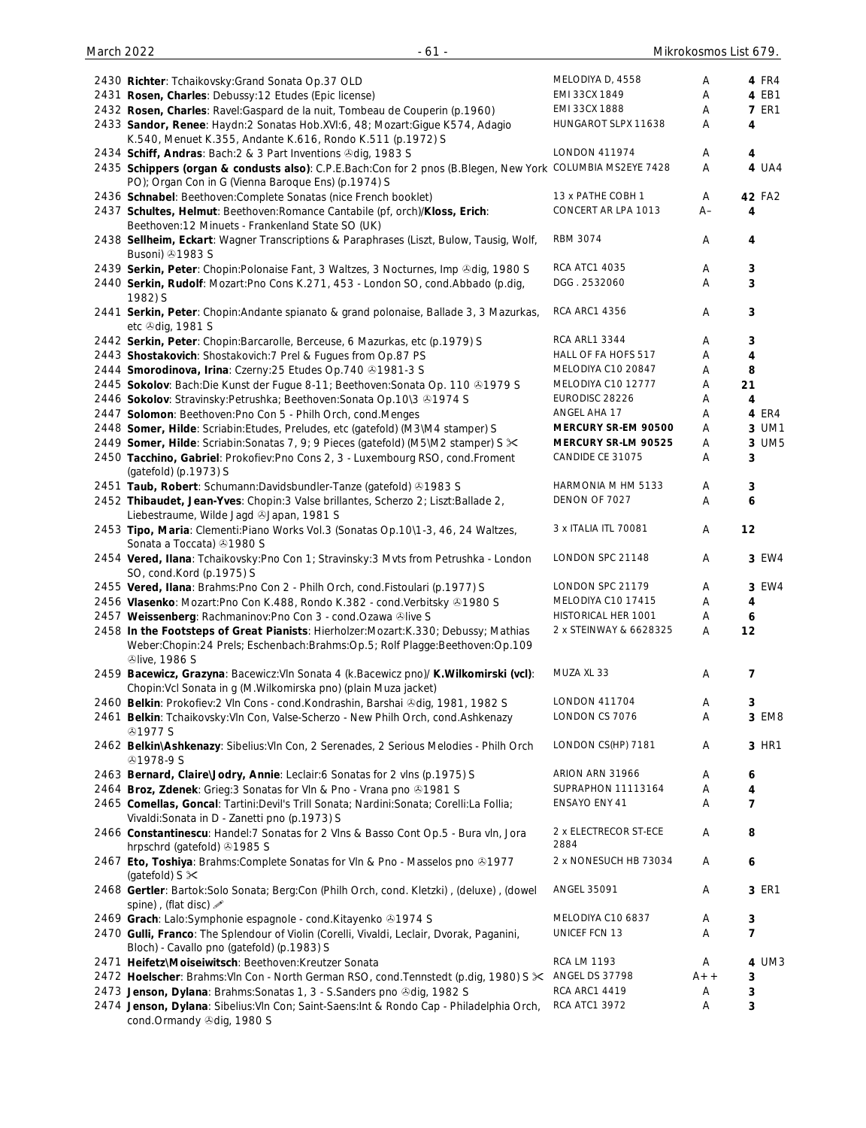| 2430 Richter: Tchaikovsky: Grand Sonata Op.37 OLD                                                                                                                                                          | MELODIYA D, 4558              | A     | 4 FR4            |
|------------------------------------------------------------------------------------------------------------------------------------------------------------------------------------------------------------|-------------------------------|-------|------------------|
| 2431 Rosen, Charles: Debussy:12 Etudes (Epic license)                                                                                                                                                      | EMI 33CX 1849                 | Α     | 4 EB1            |
| 2432 Rosen, Charles: Ravel: Gaspard de la nuit, Tombeau de Couperin (p.1960)                                                                                                                               | EMI 33CX 1888                 | Α     | <b>7 ER1</b>     |
| 2433 Sandor, Renee: Haydn:2 Sonatas Hob.XVI:6, 48; Mozart:Gigue K574, Adagio<br>K.540, Menuet K.355, Andante K.616, Rondo K.511 (p.1972) S                                                                 | HUNGAROT SLPX 11638           | Α     | 4                |
| 2434 Schiff, Andras: Bach: 2 & 3 Part Inventions Odig, 1983 S                                                                                                                                              | <b>LONDON 411974</b>          | A     | $\overline{4}$   |
| 2435 Schippers (organ & condusts also): C.P.E.Bach:Con for 2 pnos (B.Blegen, New York COLUMBIA MS2EYE 7428<br>PO); Organ Con in G (Vienna Baroque Ens) (p.1974) S                                          |                               | Α     | 4 UA4            |
| 2436 Schnabel: Beethoven: Complete Sonatas (nice French booklet)                                                                                                                                           | 13 x PATHE COBH 1             | A     | 42 FA2           |
| 2437 Schultes, Helmut: Beethoven: Romance Cantabile (pf, orch)/Kloss, Erich:<br>Beethoven: 12 Minuets - Frankenland State SO (UK)                                                                          | CONCERT AR LPA 1013           | A–    | 4                |
| 2438 Sellheim, Eckart: Wagner Transcriptions & Paraphrases (Liszt, Bulow, Tausig, Wolf,<br>Busoni) 21983 S                                                                                                 | <b>RBM 3074</b>               | Α     | 4                |
| 2439 Serkin, Peter: Chopin: Polonaise Fant, 3 Waltzes, 3 Nocturnes, Imp &dig, 1980 S                                                                                                                       | <b>RCA ATC1 4035</b>          | A     | 3                |
| 2440 Serkin, Rudolf: Mozart:Pno Cons K.271, 453 - London SO, cond.Abbado (p.dig,<br>1982) S                                                                                                                | DGG. 2532060                  | A     | 3                |
| 2441 Serkin, Peter: Chopin: Andante spianato & grand polonaise, Ballade 3, 3 Mazurkas,<br>etc +dig, 1981 S                                                                                                 | <b>RCA ARC1 4356</b>          | A     | 3                |
| 2442 Serkin, Peter: Chopin:Barcarolle, Berceuse, 6 Mazurkas, etc (p.1979) S                                                                                                                                | <b>RCA ARL1 3344</b>          | Α     | 3                |
| 2443 Shostakovich: Shostakovich: 7 Prel & Fugues from Op.87 PS                                                                                                                                             | HALL OF FA HOFS 517           | Α     | 4                |
| 2444 Smorodinova, Irina: Czerny: 25 Etudes Op. 740 @1981-3 S                                                                                                                                               | MELODIYA C10 20847            | Α     | 8                |
| 2445 Sokolov: Bach:Die Kunst der Fugue 8-11; Beethoven:Sonata Op. 110 & 1979 S                                                                                                                             | MELODIYA C10 12777            | Α     | 21               |
| 2446 Sokolov: Stravinsky: Petrushka; Beethoven: Sonata Op. 10\3 +1974 S                                                                                                                                    | EURODISC 28226                | Α     | 4                |
| 2447 Solomon: Beethoven: Pno Con 5 - Philh Orch, cond. Menges                                                                                                                                              | ANGEL AHA 17                  | Α     | 4 ER4            |
| 2448 Somer, Hilde: Scriabin: Etudes, Preludes, etc (gatefold) (M3\M4 stamper) S                                                                                                                            | MERCURY SR-EM 90500           | Α     | 3 UM1            |
| 2449 Somer, Hilde: Scriabin: Sonatas 7, 9; 9 Pieces (gatefold) (M5\M2 stamper) S <sup>x</sup>                                                                                                              | MERCURY SR-LM 90525           | Α     | 3 UM5            |
| 2450 Tacchino, Gabriel: Prokofiev:Pno Cons 2, 3 - Luxembourg RSO, cond.Froment                                                                                                                             | CANDIDE CE 31075              | Α     | 3                |
| (gatefold) (p.1973) S                                                                                                                                                                                      |                               |       |                  |
| 2451 Taub, Robert: Schumann:Davidsbundler-Tanze (gatefold) 31983 S                                                                                                                                         | HARMONIA M HM 5133            | A     | 3                |
| 2452 Thibaudet, Jean-Yves: Chopin: 3 Valse brillantes, Scherzo 2; Liszt: Ballade 2,                                                                                                                        | DENON OF 7027                 | Α     | 6                |
| Liebestraume, Wilde Jagd & Japan, 1981 S                                                                                                                                                                   |                               |       |                  |
| 2453 Tipo, Maria: Clementi: Piano Works Vol.3 (Sonatas Op.10\1-3, 46, 24 Waltzes,<br>Sonata a Toccata) 31980 S                                                                                             | 3 x ITALIA ITL 70081          | Α     | 12               |
| 2454 Vered, Ilana: Tchaikovsky: Pno Con 1; Stravinsky: 3 Mvts from Petrushka - London<br>SO, cond.Kord (p.1975) S                                                                                          | LONDON SPC 21148              | A     | 3 EW4            |
| 2455 Vered, Ilana: Brahms: Pno Con 2 - Philh Orch, cond. Fistoulari (p.1977) S                                                                                                                             | LONDON SPC 21179              | Α     | 3 EW4            |
| 2456 Vlasenko: Mozart:Pno Con K.488, Rondo K.382 - cond.Verbitsky & 1980 S                                                                                                                                 | MELODIYA C10 17415            | Α     | 4                |
| 2457 Weissenberg: Rachmaninov:Pno Con 3 - cond.Ozawa Olive S                                                                                                                                               | HISTORICAL HER 1001           | Α     | 6                |
| 2458 In the Footsteps of Great Pianists: Hierholzer: Mozart: K.330; Debussy; Mathias<br>Weber:Chopin:24 Prels; Eschenbach:Brahms:Op.5; Rolf Plagge:Beethoven:Op.109<br><b><i><u>Dlive</u></i></b> , 1986 S | 2 x STEINWAY & 6628325        | Α     | 12               |
| 2459 Bacewicz, Grazyna: Bacewicz: Vln Sonata 4 (k.Bacewicz pno)/ K.Wilkomirski (vcl):<br>Chopin: Vcl Sonata in g (M. Wilkomirska pno) (plain Muza jacket)                                                  | MUZA XL 33                    | Α     | $\overline{7}$   |
| 2460 Belkin: Prokofiev:2 VIn Cons - cond.Kondrashin, Barshai & dig, 1981, 1982 S                                                                                                                           | <b>LONDON 411704</b>          | A     | 3                |
| 2461 Belkin: Tchaikovsky: Vln Con, Valse-Scherzo - New Philh Orch, cond.Ashkenazy<br><b>@1977 S</b>                                                                                                        | LONDON CS 7076                | Α     | 3 EM8            |
| 2462 Belkin\Ashkenazy: Sibelius: VIn Con, 2 Serenades, 2 Serious Melodies - Philh Orch<br><b><i></i></b> 91978-9 S                                                                                         | LONDON CS(HP) 7181            | A     | 3 HR1            |
| 2463 Bernard, Claire\Jodry, Annie: Leclair: 6 Sonatas for 2 vlns (p.1975) S                                                                                                                                | ARION ARN 31966               | Α     | 6                |
| 2464 Broz, Zdenek: Grieg: 3 Sonatas for Vln & Pno - Vrana pno 01981 S                                                                                                                                      | SUPRAPHON 11113164            | Α     | 4                |
| 2465 Comellas, Goncal: Tartini:Devil's Trill Sonata; Nardini:Sonata; Corelli:La Follia;<br>Vivaldi: Sonata in D - Zanetti pno (p.1973) S                                                                   | ENSAYO ENY 41                 | Α     | $\overline{7}$   |
| 2466 Constantinescu: Handel:7 Sonatas for 2 VIns & Basso Cont Op.5 - Bura vIn, Jora<br>hrpschrd (gatefold) 31985 S                                                                                         | 2 x ELECTRECOR ST-ECE<br>2884 | A     | 8                |
| 2467 Eto, Toshiya: Brahms: Complete Sonatas for VIn & Pno - Masselos pno @1977<br>(gatefold) $S \times$                                                                                                    | 2 x NONESUCH HB 73034         | Α     | $\boldsymbol{6}$ |
| 2468 Gertler: Bartok:Solo Sonata; Berg:Con (Philh Orch, cond. Kletzki), (deluxe), (dowel<br>spine), (flat disc) »                                                                                          | <b>ANGEL 35091</b>            | A     | 3 ER1            |
| 2469 Grach: Lalo:Symphonie espagnole - cond.Kitayenko 21974 S                                                                                                                                              | MELODIYA C10 6837             | Α     | $\mathbf{3}$     |
| 2470 Gulli, Franco: The Splendour of Violin (Corelli, Vivaldi, Leclair, Dvorak, Paganini,<br>Bloch) - Cavallo pno (gatefold) (p.1983) S                                                                    | UNICEF FCN 13                 | Α     | $\overline{7}$   |
| 2471 Heifetz\Moiseiwitsch: Beethoven:Kreutzer Sonata                                                                                                                                                       | <b>RCA LM 1193</b>            | Α     | 4 UM3            |
| 2472 Hoelscher: Brahms: VIn Con - North German RSO, cond. Tennstedt (p.dig, 1980) S $×$ ANGEL DS 37798                                                                                                     |                               | $A++$ | 3                |
| 2473 Jenson, Dylana: Brahms: Sonatas 1, 3 - S. Sanders pno Odig, 1982 S                                                                                                                                    | <b>RCA ARC1 4419</b>          | Α     | 3                |
| 2474 Jenson, Dylana: Sibelius: VIn Con; Saint-Saens: Int & Rondo Cap - Philadelphia Orch,<br>cond.Ormandy 3dig, 1980 S                                                                                     | <b>RCA ATC1 3972</b>          | Α     | 3                |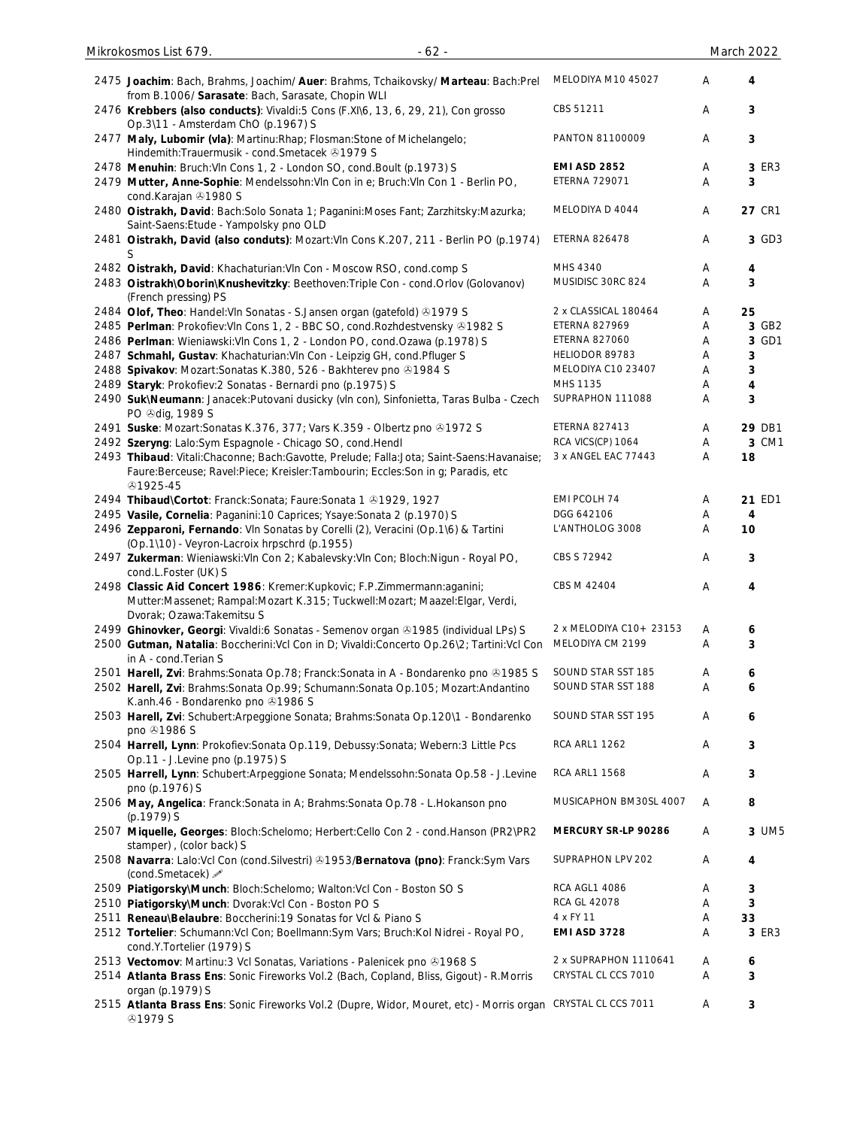| 2475 Joachim: Bach, Brahms, Joachim/ Auer: Brahms, Tchaikovsky/ Marteau: Bach:Prel<br>from B.1006/ Sarasate: Bach, Sarasate, Chopin WLI                                                                                     | MELODIYA M10 45027      | Α      | 4      |
|-----------------------------------------------------------------------------------------------------------------------------------------------------------------------------------------------------------------------------|-------------------------|--------|--------|
| 2476 Krebbers (also conducts): Vivaldi: 5 Cons (F.XI\6, 13, 6, 29, 21), Con grosso<br>Op.3\11 - Amsterdam ChO (p.1967) S                                                                                                    | CBS 51211               | Α      | 3      |
| 2477 Maly, Lubomir (vla): Martinu: Rhap; Flosman: Stone of Michelangelo;<br>Hindemith: Trauermusik - cond. Smetacek 31979 S                                                                                                 | PANTON 81100009         | Α      | 3      |
| 2478 Menuhin: Bruch: VIn Cons 1, 2 - London SO, cond. Boult (p.1973) S                                                                                                                                                      | <b>EMI ASD 2852</b>     | Α      | 3 ER3  |
| 2479 Mutter, Anne-Sophie: Mendelssohn: VIn Con in e; Bruch: VIn Con 1 - Berlin PO,                                                                                                                                          | <b>ETERNA 729071</b>    | Α      | 3      |
| cond.Karajan 31980 S                                                                                                                                                                                                        |                         |        |        |
| 2480 Oistrakh, David: Bach: Solo Sonata 1; Paganini: Moses Fant; Zarzhitsky: Mazurka;<br>Saint-Saens: Etude - Yampolsky pno OLD                                                                                             | MELODIYA D 4044         | Α      | 27 CR1 |
| 2481 Oistrakh, David (also conduts): Mozart: VIn Cons K.207, 211 - Berlin PO (p.1974)<br>S                                                                                                                                  | <b>ETERNA 826478</b>    | Α      | 3 GD3  |
| 2482 Oistrakh, David: Khachaturian: VIn Con - Moscow RSO, cond.comp S                                                                                                                                                       | MHS 4340                | Α      | 4      |
| 2483 Oistrakh\Oborin\Knushevitzky: Beethoven:Triple Con - cond.Orlov (Golovanov)<br>(French pressing) PS                                                                                                                    | MUSIDISC 30RC 824       | A      | 3      |
| 2484 Olof, Theo: Handel: Vln Sonatas - S. Jansen organ (gatefold) 31979 S                                                                                                                                                   | 2 x CLASSICAL 180464    | Α      | 25     |
|                                                                                                                                                                                                                             | <b>ETERNA 827969</b>    | Α      | 3 GB2  |
| 2485 Perlman: Prokofiev: VIn Cons 1, 2 - BBC SO, cond. Rozhdestvensky @1982 S                                                                                                                                               |                         |        |        |
| 2486 Perlman: Wieniawski: Vln Cons 1, 2 - London PO, cond. Ozawa (p. 1978) S                                                                                                                                                | <b>ETERNA 827060</b>    | Α      | 3 GD1  |
| 2487 Schmahl, Gustav: Khachaturian: VIn Con - Leipzig GH, cond. Pfluger S                                                                                                                                                   | HELIODOR 89783          | Α      | 3      |
| 2488 Spivakov: Mozart: Sonatas K.380, 526 - Bakhterev pno 31984 S                                                                                                                                                           | MELODIYA C10 23407      | Α      | 3      |
| 2489 Staryk: Prokofiev: 2 Sonatas - Bernardi pno (p.1975) S                                                                                                                                                                 | MHS 1135                | Α      | 4      |
| 2490 Suk\Neumann: Janacek:Putovani dusicky (vln con), Sinfonietta, Taras Bulba - Czech<br>PO +dig, 1989 S                                                                                                                   | SUPRAPHON 111088        | Α      | 3      |
| 2491 Suske: Mozart: Sonatas K.376, 377; Vars K.359 - Olbertz pno @1972 S                                                                                                                                                    | <b>ETERNA 827413</b>    | Α      | 29 DB1 |
| 2492 Szeryng: Lalo:Sym Espagnole - Chicago SO, cond.Hendl                                                                                                                                                                   | RCA VICS(CP) 1064       | Α      | 3 CM1  |
| 2493 Thibaud: Vitali:Chaconne; Bach:Gavotte, Prelude; Falla:Jota; Saint-Saens:Havanaise;                                                                                                                                    | 3 x ANGEL EAC 77443     | Α      | 18     |
| Faure:Berceuse; Ravel:Piece; Kreisler:Tambourin; Eccles:Son in g; Paradis, etc<br>51925-45                                                                                                                                  |                         |        |        |
| 2494 Thibaud\Cortot: Franck:Sonata; Faure:Sonata 1 01929, 1927                                                                                                                                                              | EMI PCOLH 74            | Α      | 21 ED1 |
| 2495 Vasile, Cornelia: Paganini:10 Caprices; Ysaye:Sonata 2 (p.1970) S                                                                                                                                                      | DGG 642106              | Α      | 4      |
| 2496 Zepparoni, Fernando: VIn Sonatas by Corelli (2), Veracini (Op.1\6) & Tartini<br>(Op.1\10) - Veyron-Lacroix hrpschrd (p.1955)                                                                                           | L'ANTHOLOG 3008         | Α      | 10     |
| 2497 Zukerman: Wieniawski: Vln Con 2; Kabalevsky: Vln Con; Bloch: Nigun - Royal PO,<br>cond.L.Foster (UK) S                                                                                                                 | CBS S 72942             | Α      | 3      |
| 2498 Classic Aid Concert 1986: Kremer: Kupkovic; F.P.Zimmermann: aganini;<br>Mutter:Massenet; Rampal:Mozart K.315; Tuckwell:Mozart; Maazel:Elgar, Verdi,<br>Dvorak; Ozawa: Takemitsu S                                      | CBS M 42404             | Α      | 4      |
| 2499 Ghinovker, Georgi: Vivaldi:6 Sonatas - Semenov organ & 1985 (individual LPs) S                                                                                                                                         | 2 x MELODIYA C10+ 23153 | Α      | 6      |
| 2500 Gutman, Natalia: Boccherini: Vcl Con in D; Vivaldi: Concerto Op. 26\2; Tartini: Vcl Con<br>in A - cond. Terian S                                                                                                       | MELODIYA CM 2199        | Α      | 3      |
| 2501 Harell, Zvi: Brahms: Sonata Op. 78; Franck: Sonata in A - Bondarenko pno 21985 S                                                                                                                                       | SOUND STAR SST 185      | Α      | 6      |
| 2502 Harell, Zvi: Brahms:Sonata Op.99; Schumann:Sonata Op.105; Mozart:Andantino<br>K.anh.46 - Bondarenko pno 31986 S                                                                                                        | SOUND STAR SST 188      | Α      | 6      |
| 2503 Harell, Zvi: Schubert: Arpeggione Sonata; Brahms: Sonata Op. 120\1 - Bondarenko<br>pno 21986 S                                                                                                                         | SOUND STAR SST 195      | Α      | 6      |
| 2504 Harrell, Lynn: Prokofiev: Sonata Op.119, Debussy: Sonata; Webern: 3 Little Pcs<br>Op.11 - J.Levine pno (p.1975) S                                                                                                      | <b>RCA ARL1 1262</b>    | Α      | 3      |
| 2505 Harrell, Lynn: Schubert: Arpeggione Sonata; Mendelssohn: Sonata Op.58 - J.Levine<br>pno (p.1976) S                                                                                                                     | <b>RCA ARL1 1568</b>    | Α      | 3      |
| 2506 May, Angelica: Franck:Sonata in A; Brahms:Sonata Op.78 - L.Hokanson pno<br>(p.1979) S                                                                                                                                  | MUSICAPHON BM30SL 4007  | Α      | 8      |
| 2507 Miquelle, Georges: Bloch:Schelomo; Herbert:Cello Con 2 - cond.Hanson (PR2\PR2<br>stamper), (color back) S                                                                                                              | MERCURY SR-LP 90286     | Α      | 3 UM5  |
| 2508 Navarra: Lalo: Vcl Con (cond. Silvestri) 31953/Bernatova (pno): Franck: Sym Vars<br>(cond.Smetacek) A                                                                                                                  | SUPRAPHON LPV 202       | Α      | 4      |
| 2509 Piatigorsky\Munch: Bloch:Schelomo; Walton:Vcl Con - Boston SO S                                                                                                                                                        | RCA AGL1 4086           | Α      | 3      |
| 2510 Piatigorsky\Munch: Dvorak:Vcl Con - Boston PO S                                                                                                                                                                        | <b>RCA GL 42078</b>     | Α      | 3      |
| 2511 Reneau\Belaubre: Boccherini:19 Sonatas for Vcl & Piano S                                                                                                                                                               | 4 x FY 11               | Α      | 33     |
| 2512 Tortelier: Schumann: Vcl Con; Boellmann: Sym Vars; Bruch: Kol Nidrei - Royal PO,<br>cond.Y.Tortelier (1979) S                                                                                                          | EMI ASD 3728            | Α      | 3 ER3  |
| 2513 Vectomov: Martinu: 3 Vcl Sonatas, Variations - Palenicek pno 31968 S                                                                                                                                                   | 2 x SUPRAPHON 1110641   | A      | 6      |
|                                                                                                                                                                                                                             |                         |        |        |
|                                                                                                                                                                                                                             |                         |        |        |
| 2514 Atlanta Brass Ens: Sonic Fireworks Vol.2 (Bach, Copland, Bliss, Gigout) - R.Morris<br>organ (p.1979) S<br>2515 Atlanta Brass Ens: Sonic Fireworks Vol.2 (Dupre, Widor, Mouret, etc) - Morris organ CRYSTAL CL CCS 7011 | CRYSTAL CL CCS 7010     | Α<br>Α | 3<br>3 |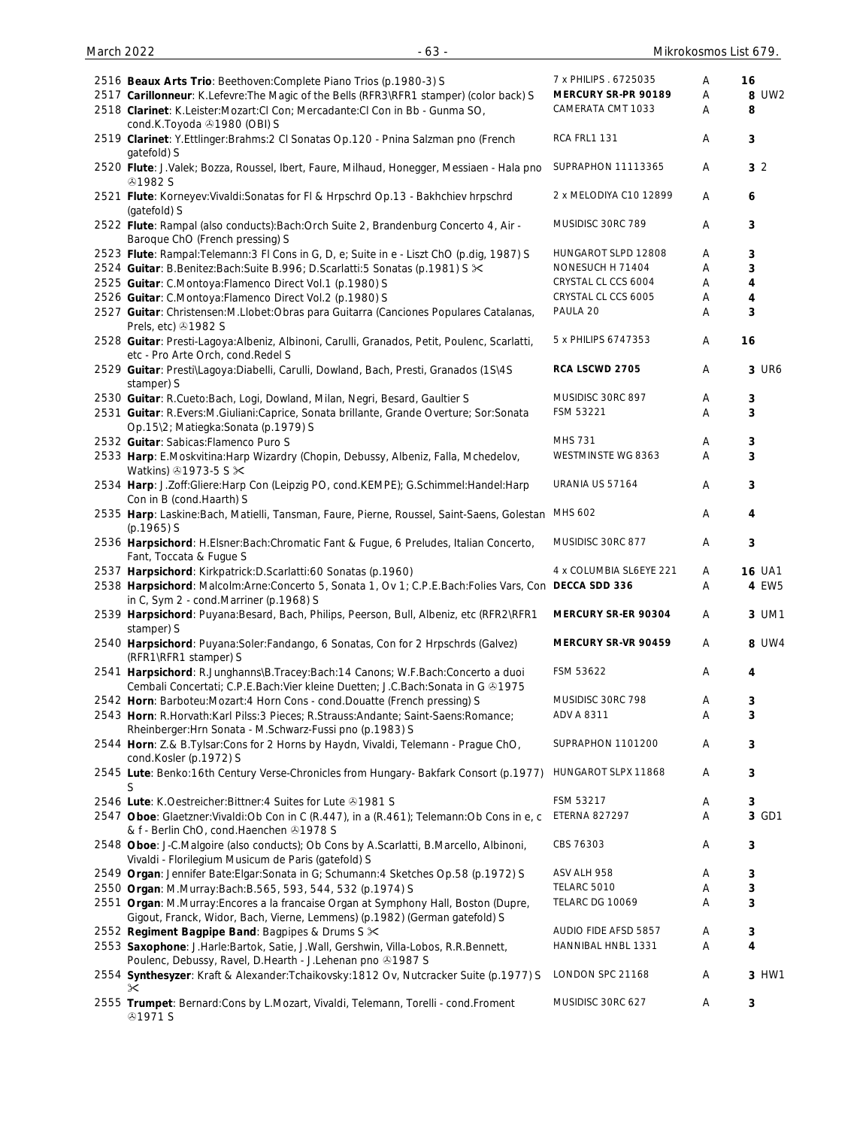| March 2022 | $-63 -$                                                                                                                                                            |                         |   | Mikrokosmos List 679. |
|------------|--------------------------------------------------------------------------------------------------------------------------------------------------------------------|-------------------------|---|-----------------------|
|            | 2516 Beaux Arts Trio: Beethoven: Complete Piano Trios (p.1980-3) S                                                                                                 | 7 x PHILIPS . 6725035   | A | 16                    |
|            | 2517 Carillonneur: K.Lefevre: The Magic of the Bells (RFR3\RFR1 stamper) (color back) S                                                                            | MERCURY SR-PR 90189     | Α | 8 UW2                 |
|            | 2518 Clarinet: K.Leister:Mozart:Cl Con; Mercadante:Cl Con in Bb - Gunma SO,<br>cond.K.Toyoda 31980 (OBI) S                                                         | CAMERATA CMT 1033       | A | 8                     |
|            | 2519 Clarinet: Y.Ettlinger:Brahms:2 CI Sonatas Op.120 - Pnina Salzman pno (French<br>gatefold) S                                                                   | RCA FRL1 131            | A | 3                     |
|            | 2520 Flute: J.Valek; Bozza, Roussel, Ibert, Faure, Milhaud, Honegger, Messiaen - Hala pno<br><b>41982 S</b>                                                        | SUPRAPHON 11113365      | A | 3 <sub>2</sub>        |
|            | 2521 Flute: Korneyev: Vivaldi: Sonatas for Fl & Hrpschrd Op.13 - Bakhchiev hrpschrd<br>(gatefold) S                                                                | 2 x MELODIYA C10 12899  | A | 6                     |
|            | 2522 Flute: Rampal (also conducts): Bach: Orch Suite 2, Brandenburg Concerto 4, Air -<br>Baroque ChO (French pressing) S                                           | MUSIDISC 30RC 789       | Α | 3                     |
|            | 2523 Flute: Rampal: Telemann: 3 Fl Cons in G, D, e; Suite in e - Liszt ChO (p.dig, 1987) S                                                                         | HUNGAROT SLPD 12808     | Α | 3                     |
|            | 2524 Guitar: B.Benitez:Bach:Suite B.996; D.Scarlatti:5 Sonatas (p.1981) S $\times$                                                                                 | NONESUCH H 71404        | Α | 3                     |
|            | 2525 Guitar: C.Montoya:Flamenco Direct Vol.1 (p.1980) S                                                                                                            | CRYSTAL CL CCS 6004     | Α | 4                     |
|            | 2526 Guitar: C.Montoya:Flamenco Direct Vol.2 (p.1980) S                                                                                                            | CRYSTAL CL CCS 6005     | Α | 4                     |
|            | 2527 Guitar: Christensen: M.Llobet: Obras para Guitarra (Canciones Populares Catalanas,<br>Prels, etc) 31982 S                                                     | PAULA 20                | Α | 3                     |
|            | 2528 Guitar: Presti-Lagoya: Albeniz, Albinoni, Carulli, Granados, Petit, Poulenc, Scarlatti,<br>etc - Pro Arte Orch, cond. Redel S                                 | 5 x PHILIPS 6747353     | Α | 16                    |
|            | 2529 Guitar: Presti\Lagoya:Diabelli, Carulli, Dowland, Bach, Presti, Granados (1S\4S<br>stamper) S                                                                 | RCA LSCWD 2705          | Α | 3 UR6                 |
|            | 2530 Guitar: R.Cueto:Bach, Logi, Dowland, Milan, Negri, Besard, Gaultier S                                                                                         | MUSIDISC 30RC 897       | Α | 3                     |
|            | 2531 Guitar: R.Evers:M.Giuliani:Caprice, Sonata brillante, Grande Overture; Sor:Sonata<br>Op.15\2; Matiegka:Sonata (p.1979) S                                      | FSM 53221               | Α | 3                     |
|            | 2532 Guitar: Sabicas: Flamenco Puro S                                                                                                                              | MHS 731                 | Α | 3                     |
|            | 2533 Harp: E.Moskvitina: Harp Wizardry (Chopin, Debussy, Albeniz, Falla, Mchedelov,<br>Watkins) 31973-5 S $\times$                                                 | WESTMINSTE WG 8363      | A | 3                     |
|            | 2534 Harp: J.Zoff:Gliere:Harp Con (Leipzig PO, cond.KEMPE); G.Schimmel:Handel:Harp<br>Con in B (cond.Haarth) S                                                     | URANIA US 57164         | Α | 3                     |
|            | 2535 Harp: Laskine:Bach, Matielli, Tansman, Faure, Pierne, Roussel, Saint-Saens, Golestan MHS 602<br>$(p.1965)$ S                                                  |                         | Α | 4                     |
|            | 2536 Harpsichord: H.Elsner:Bach:Chromatic Fant & Fugue, 6 Preludes, Italian Concerto,<br>Fant, Toccata & Fugue S                                                   | MUSIDISC 30RC 877       | Α | 3                     |
|            | 2537 Harpsichord: Kirkpatrick: D. Scarlatti: 60 Sonatas (p. 1960)                                                                                                  | 4 x COLUMBIA SL6EYE 221 | Α | <b>16 UA1</b>         |
|            | 2538 Harpsichord: Malcolm:Arne:Concerto 5, Sonata 1, Ov 1; C.P.E.Bach:Folies Vars, Con DECCA SDD 336<br>in C, Sym 2 - cond. Marriner (p.1968) S                    |                         | Α | 4 EW5                 |
|            | 2539 Harpsichord: Puyana: Besard, Bach, Philips, Peerson, Bull, Albeniz, etc (RFR2\RFR1<br>stamper) S                                                              | MERCURY SR-ER 90304     | Α | 3 UM1                 |
|            | 2540 Harpsichord: Puyana:Soler:Fandango, 6 Sonatas, Con for 2 Hrpschrds (Galvez)<br>(RFR1\RFR1 stamper) S                                                          | MERCURY SR-VR 90459     | A | 8 UW4                 |
|            | 2541 Harpsichord: R.Junghanns\B.Tracey:Bach:14 Canons; W.F.Bach:Concerto a duoi<br>Cembali Concertati; C.P.E.Bach:Vier kleine Duetten; J.C.Bach:Sonata in G & 1975 | FSM 53622               | Α | 4                     |
|            | 2542 Horn: Barboteu: Mozart: 4 Horn Cons - cond. Douatte (French pressing) S                                                                                       | MUSIDISC 30RC 798       | Α | 3                     |
|            | 2543 Horn: R.Horvath:Karl Pilss:3 Pieces; R.Strauss:Andante; Saint-Saens:Romance;<br>Rheinberger: Hrn Sonata - M. Schwarz-Fussi pno (p. 1983) S                    | ADV A 8311              | Α | 3                     |
|            | 2544 Horn: Z.& B.Tylsar:Cons for 2 Horns by Haydn, Vivaldi, Telemann - Prague ChO,<br>cond.Kosler (p.1972) S                                                       | SUPRAPHON 1101200       | Α | 3                     |
|            | 2545 Lute: Benko:16th Century Verse-Chronicles from Hungary- Bakfark Consort (p.1977)<br>S                                                                         | HUNGAROT SLPX 11868     | Α | 3                     |
|            | 2546 Lute: K.Oestreicher: Bittner: 4 Suites for Lute 31981 S                                                                                                       | FSM 53217               | Α | 3                     |
|            | 2547 Oboe: Glaetzner: Vivaldi: Ob Con in C (R.447), in a (R.461); Telemann: Ob Cons in e, c<br>& f - Berlin ChO, cond Haenchen 31978 S                             | <b>ETERNA 827297</b>    | Α | 3 GD1                 |
|            | 2548 Oboe: J-C.Malgoire (also conducts); Ob Cons by A.Scarlatti, B.Marcello, Albinoni,<br>Vivaldi - Florilegium Musicum de Paris (gatefold) S                      | CBS 76303               | Α | 3                     |
|            | 2549 Organ: Jennifer Bate: Elgar: Sonata in G; Schumann: 4 Sketches Op.58 (p.1972) S                                                                               | ASV ALH 958             | Α | 3                     |
|            | 2550 Organ: M.Murray:Bach:B.565, 593, 544, 532 (p.1974) S                                                                                                          | TELARC 5010             | A | 3                     |
|            | 2551 Organ: M.Murray: Encores a la francaise Organ at Symphony Hall, Boston (Dupre,<br>Gigout, Franck, Widor, Bach, Vierne, Lemmens) (p.1982) (German gatefold) S  | TELARC DG 10069         | Α | 3                     |
|            | 2552 Regiment Bagpipe Band: Bagpipes & Drums S $\times$                                                                                                            | AUDIO FIDE AFSD 5857    | Α | 3                     |
|            | 2553 Saxophone: J.Harle:Bartok, Satie, J.Wall, Gershwin, Villa-Lobos, R.R.Bennett,<br>Poulenc, Debussy, Ravel, D.Hearth - J.Lehenan pno +1987 S                    | HANNIBAL HNBL 1331      | Α | 4                     |
|            | 2554 Synthesyzer: Kraft & Alexander: Tchaikovsky: 1812 Ov, Nutcracker Suite (p.1977) S<br>$\times$                                                                 | LONDON SPC 21168        | Α | 3 HW1                 |
|            | 2555 Trumpet: Bernard: Cons by L.Mozart, Vivaldi, Telemann, Torelli - cond. Froment<br><b>@1971 S</b>                                                              | MUSIDISC 30RC 627       | Α | 3                     |